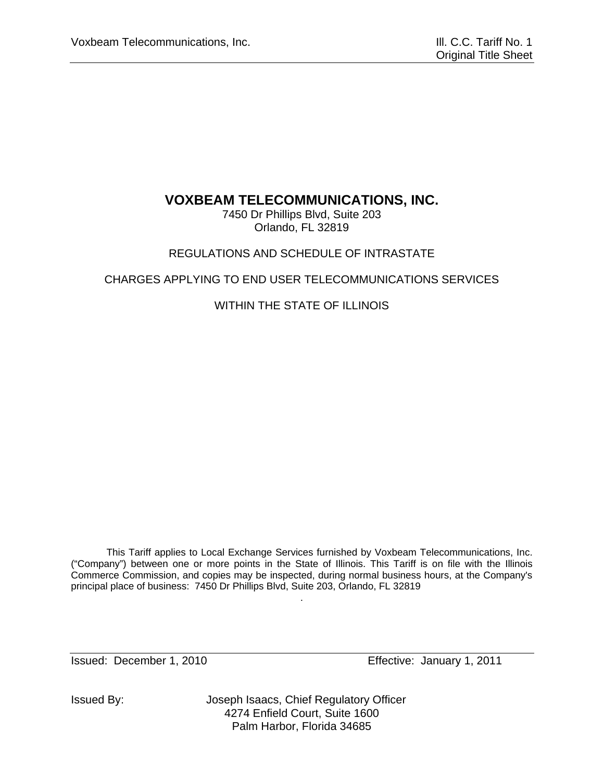# **VOXBEAM TELECOMMUNICATIONS, INC.**

7450 Dr Phillips Blvd, Suite 203 Orlando, FL 32819

# REGULATIONS AND SCHEDULE OF INTRASTATE

# CHARGES APPLYING TO END USER TELECOMMUNICATIONS SERVICES

# WITHIN THE STATE OF ILLINOIS

This Tariff applies to Local Exchange Services furnished by Voxbeam Telecommunications, Inc. ("Company") between one or more points in the State of Illinois. This Tariff is on file with the Illinois Commerce Commission, and copies may be inspected, during normal business hours, at the Company's principal place of business: 7450 Dr Phillips Blvd, Suite 203, Orlando, FL 32819

.

Issued: December 1, 2010 Effective: January 1, 2011

Issued By: Joseph Isaacs, Chief Regulatory Officer 4274 Enfield Court, Suite 1600 Palm Harbor, Florida 34685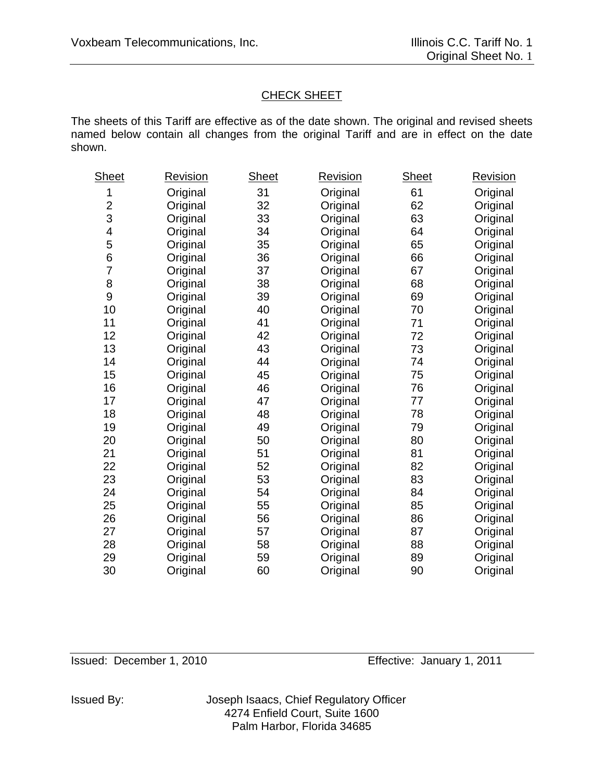# CHECK SHEET

The sheets of this Tariff are effective as of the date shown. The original and revised sheets named below contain all changes from the original Tariff and are in effect on the date shown.

| Sheet                   | <u>Revision</u> | <b>Sheet</b> | <u>Revision</u> | <b>Sheet</b> | <u>Revision</u> |
|-------------------------|-----------------|--------------|-----------------|--------------|-----------------|
| 1                       | Original        | 31           | Original        | 61           | Original        |
| $\overline{\mathbf{c}}$ | Original        | 32           | Original        | 62           | Original        |
| 3                       | Original        | 33           | Original        | 63           | Original        |
| 4                       | Original        | 34           | Original        | 64           | Original        |
| 5                       | Original        | 35           | Original        | 65           | Original        |
| 6                       | Original        | 36           | Original        | 66           | Original        |
| $\overline{7}$          | Original        | 37           | Original        | 67           | Original        |
| 8                       | Original        | 38           | Original        | 68           | Original        |
| 9                       | Original        | 39           | Original        | 69           | Original        |
| 10                      | Original        | 40           | Original        | 70           | Original        |
| 11                      | Original        | 41           | Original        | 71           | Original        |
| 12                      | Original        | 42           | Original        | 72           | Original        |
| 13                      | Original        | 43           | Original        | 73           | Original        |
| 14                      | Original        | 44           | Original        | 74           | Original        |
| 15                      | Original        | 45           | Original        | 75           | Original        |
| 16                      | Original        | 46           | Original        | 76           | Original        |
| 17                      | Original        | 47           | Original        | 77           | Original        |
| 18                      | Original        | 48           | Original        | 78           | Original        |
| 19                      | Original        | 49           | Original        | 79           | Original        |
| 20                      | Original        | 50           | Original        | 80           | Original        |
| 21                      | Original        | 51           | Original        | 81           | Original        |
| 22                      | Original        | 52           | Original        | 82           | Original        |
| 23                      | Original        | 53           | Original        | 83           | Original        |
| 24                      | Original        | 54           | Original        | 84           | Original        |
| 25                      | Original        | 55           | Original        | 85           | Original        |
| 26                      | Original        | 56           | Original        | 86           | Original        |
| 27                      | Original        | 57           | Original        | 87           | Original        |
| 28                      | Original        | 58           | Original        | 88           | Original        |
| 29                      | Original        | 59           | Original        | 89           | Original        |
| 30                      | Original        | 60           | Original        | 90           | Original        |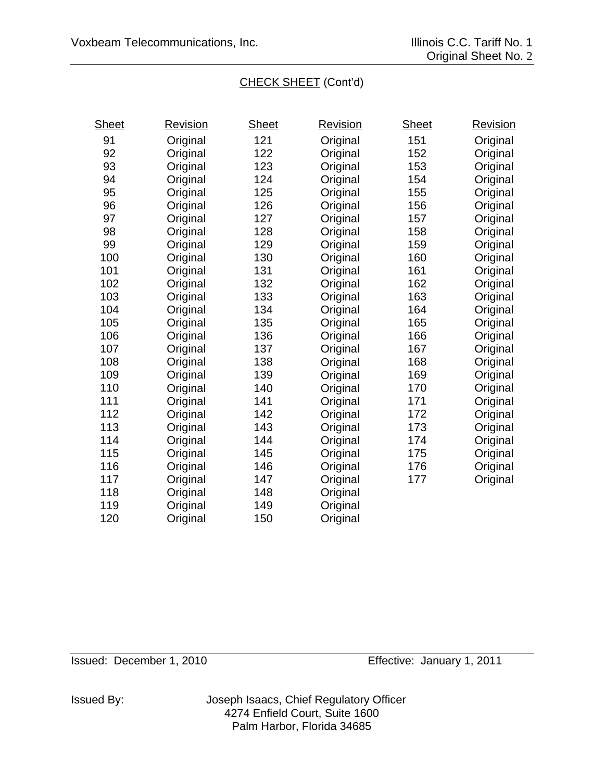# CHECK SHEET (Cont'd)

| <b>Sheet</b> | <u>Revision</u> | <b>Sheet</b> | <u>Revision</u> | Sheet | <u>Revision</u> |
|--------------|-----------------|--------------|-----------------|-------|-----------------|
| 91           | Original        | 121          | Original        | 151   | Original        |
| 92           | Original        | 122          | Original        | 152   | Original        |
| 93           | Original        | 123          | Original        | 153   | Original        |
| 94           | Original        | 124          | Original        | 154   | Original        |
| 95           | Original        | 125          | Original        | 155   | Original        |
| 96           | Original        | 126          | Original        | 156   | Original        |
| 97           | Original        | 127          | Original        | 157   | Original        |
| 98           | Original        | 128          | Original        | 158   | Original        |
| 99           | Original        | 129          | Original        | 159   | Original        |
| 100          | Original        | 130          | Original        | 160   | Original        |
| 101          | Original        | 131          | Original        | 161   | Original        |
| 102          | Original        | 132          | Original        | 162   | Original        |
| 103          | Original        | 133          | Original        | 163   | Original        |
| 104          | Original        | 134          | Original        | 164   | Original        |
| 105          | Original        | 135          | Original        | 165   | Original        |
| 106          | Original        | 136          | Original        | 166   | Original        |
| 107          | Original        | 137          | Original        | 167   | Original        |
| 108          | Original        | 138          | Original        | 168   | Original        |
| 109          | Original        | 139          | Original        | 169   | Original        |
| 110          | Original        | 140          | Original        | 170   | Original        |
| 111          | Original        | 141          | Original        | 171   | Original        |
| 112          | Original        | 142          | Original        | 172   | Original        |
| 113          | Original        | 143          | Original        | 173   | Original        |
| 114          | Original        | 144          | Original        | 174   | Original        |
| 115          | Original        | 145          | Original        | 175   | Original        |
| 116          | Original        | 146          | Original        | 176   | Original        |
| 117          | Original        | 147          | Original        | 177   | Original        |
| 118          | Original        | 148          | Original        |       |                 |
| 119          | Original        | 149          | Original        |       |                 |
| 120          | Original        | 150          | Original        |       |                 |
|              |                 |              |                 |       |                 |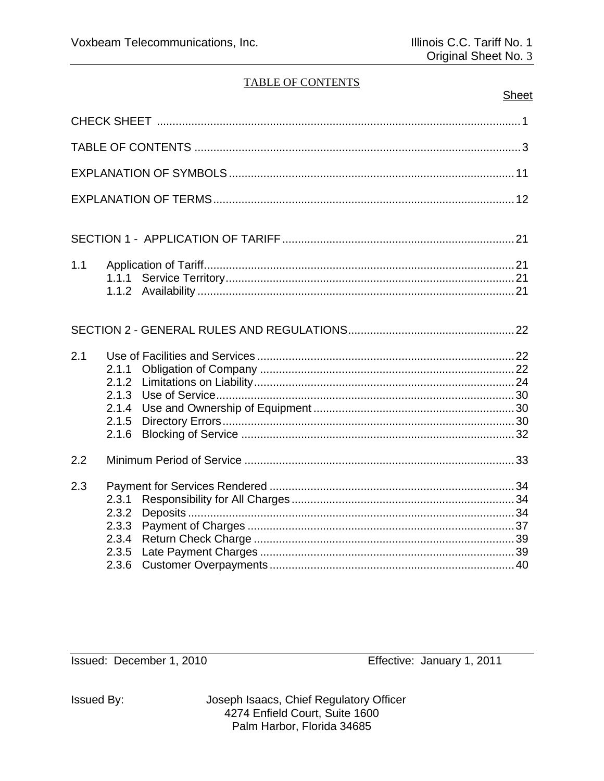# **TABLE OF CONTENTS**

| sne | د، |
|-----|----|
|     |    |

| 1.1 | 1.1.1                                              |  |
|-----|----------------------------------------------------|--|
|     |                                                    |  |
| 2.1 | 2.1.1<br>2.1.2<br>2.1.3<br>2.1.4<br>2.1.5<br>2.1.6 |  |
| 2.2 |                                                    |  |
| 2.3 | 2.3.1<br>2.3.2<br>2.3.3<br>2.3.4<br>2.3.5          |  |

Issued: December 1, 2010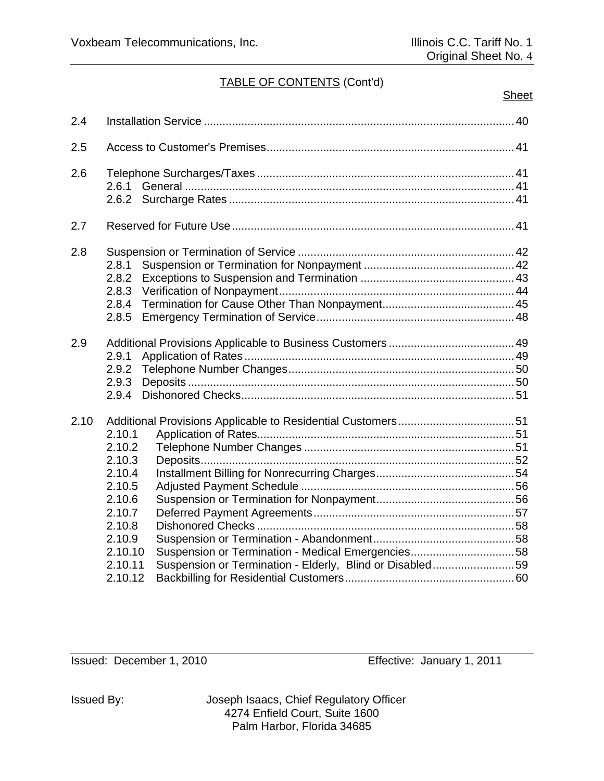| 2.4  |                                                                                                                         |                                                                                                               |  |
|------|-------------------------------------------------------------------------------------------------------------------------|---------------------------------------------------------------------------------------------------------------|--|
| 2.5  |                                                                                                                         |                                                                                                               |  |
| 2.6  |                                                                                                                         |                                                                                                               |  |
| 2.7  |                                                                                                                         |                                                                                                               |  |
| 2.8  | 2.8.1<br>2.8.2<br>2.8.3<br>2.8.4<br>2.8.5                                                                               |                                                                                                               |  |
| 2.9  | 2.9.1<br>2.9.2<br>2.9.3<br>2.9.4                                                                                        |                                                                                                               |  |
| 2.10 | 2.10.1<br>2.10.2<br>2.10.3<br>2.10.4<br>2.10.5<br>2.10.6<br>2.10.7<br>2.10.8<br>2.10.9<br>2.10.10<br>2.10.11<br>2.10.12 | Suspension or Termination - Medical Emergencies58<br>Suspension or Termination - Elderly, Blind or Disabled59 |  |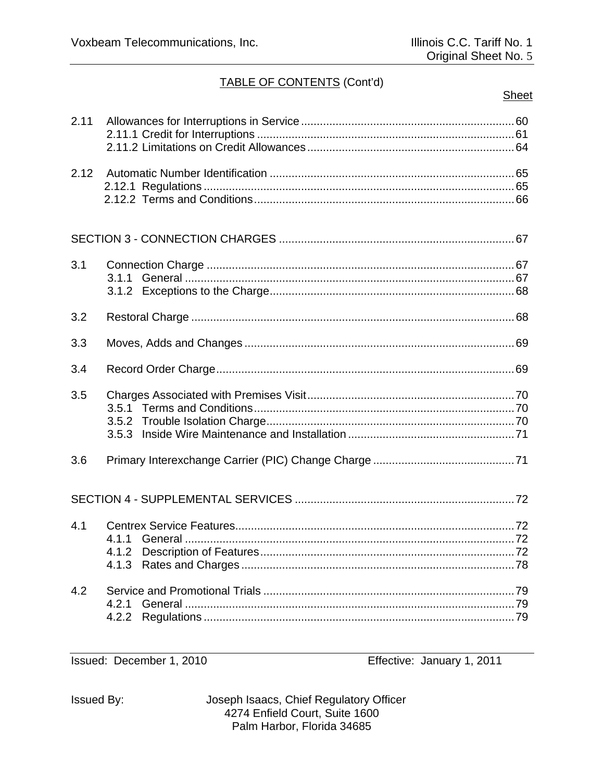# Sheet

| 2.11 |       |  |
|------|-------|--|
| 2.12 |       |  |
|      |       |  |
| 3.1  |       |  |
| 3.2  |       |  |
| 3.3  |       |  |
| 3.4  |       |  |
| 3.5  |       |  |
| 3.6  |       |  |
|      |       |  |
| 4.1  | 4.1.1 |  |
| 4.2  | 4.2.1 |  |

Issued: December 1, 2010

Effective: January 1, 2011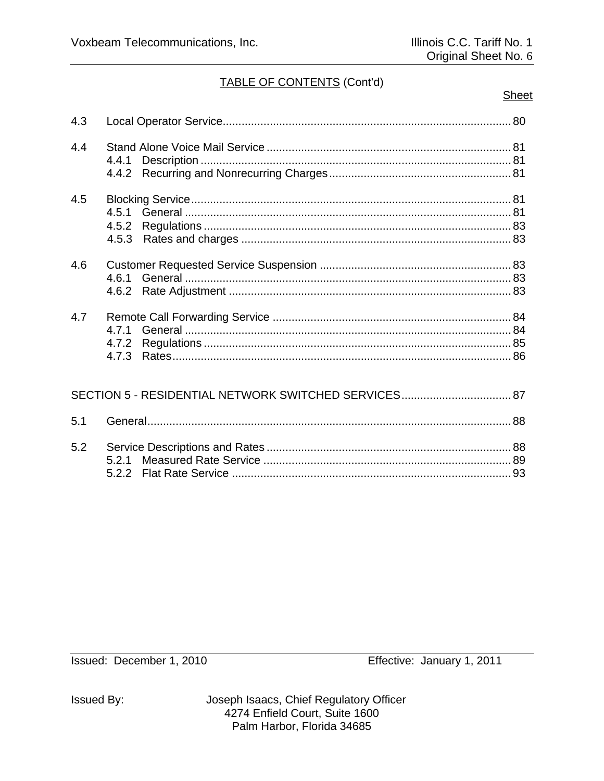### **Sheet**

| 4.3 |       |  |
|-----|-------|--|
| 4.4 | 4.4.1 |  |
| 4.5 | 4.5.2 |  |
| 4.6 |       |  |
| 4.7 | 471   |  |
|     |       |  |
| 5.1 |       |  |
| 5.2 |       |  |

Issued: December 1, 2010

Effective: January 1, 2011

**Issued By:**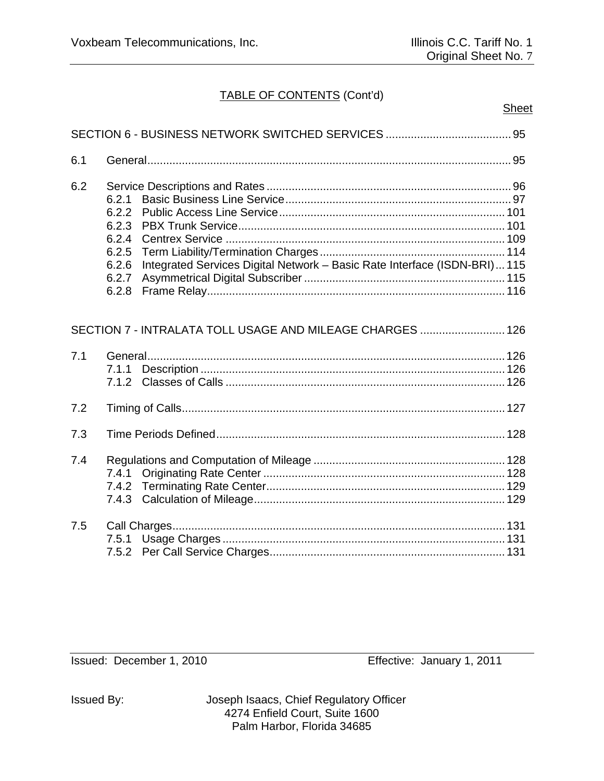| 6.1 |                                                                                                                                                   |
|-----|---------------------------------------------------------------------------------------------------------------------------------------------------|
| 6.2 | 6.2.1<br>6.2.2<br>6.2.3<br>6.2.4<br>6.2.5<br>Integrated Services Digital Network - Basic Rate Interface (ISDN-BRI) 115<br>6.2.6<br>6.2.7<br>6.2.8 |
|     | SECTION 7 - INTRALATA TOLL USAGE AND MILEAGE CHARGES  126                                                                                         |
| 7.1 | 7.1.1<br>7.1.2                                                                                                                                    |
| 7.2 |                                                                                                                                                   |
| 7.3 |                                                                                                                                                   |
| 7.4 | 7.4.1<br>7.4.3                                                                                                                                    |
| 7.5 | 7.5.1<br>7.5.2                                                                                                                                    |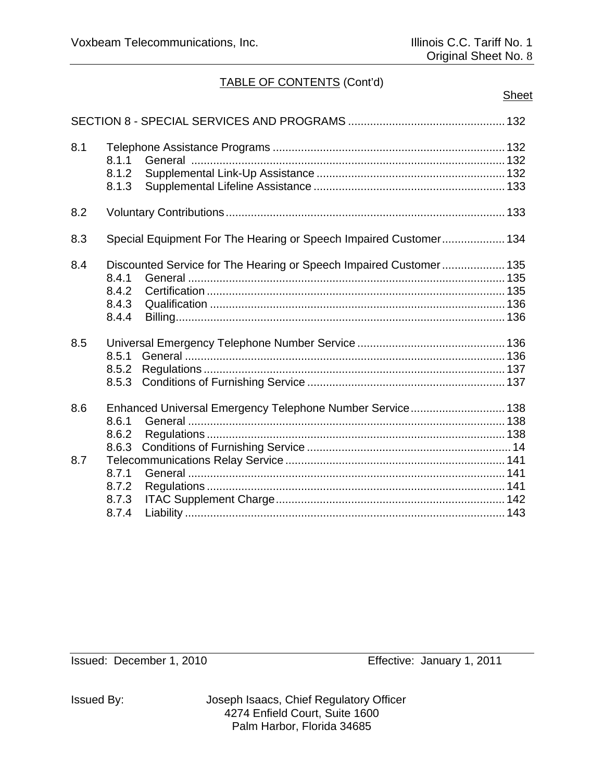# **Sheet**

| 8.1 | 8.1.1<br>8.1.2<br>8.1.3          |                                                                    |
|-----|----------------------------------|--------------------------------------------------------------------|
| 8.2 |                                  |                                                                    |
| 8.3 |                                  | Special Equipment For The Hearing or Speech Impaired Customer 134  |
| 8.4 | 8.4.1<br>8.4.2<br>8.4.3<br>8.4.4 | Discounted Service for The Hearing or Speech Impaired Customer 135 |
| 8.5 | 8.5.1<br>8.5.2<br>8.5.3          |                                                                    |
| 8.6 | 8.6.1<br>8.6.2<br>8.6.3          | Enhanced Universal Emergency Telephone Number Service 138          |
| 8.7 | 8.7.1<br>8.7.2<br>8.7.3<br>8.7.4 |                                                                    |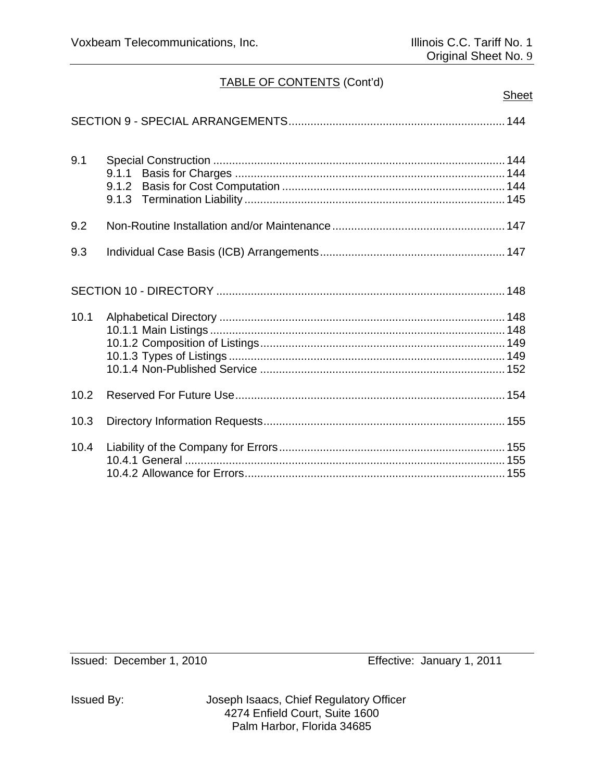| L<br>٠<br>L |
|-------------|
|             |

| 9.1  | 9.1.1<br>9.1.2 |
|------|----------------|
| 9.2  |                |
| 9.3  |                |
|      |                |
| 10.1 |                |
| 10.2 |                |
| 10.3 |                |
| 10.4 |                |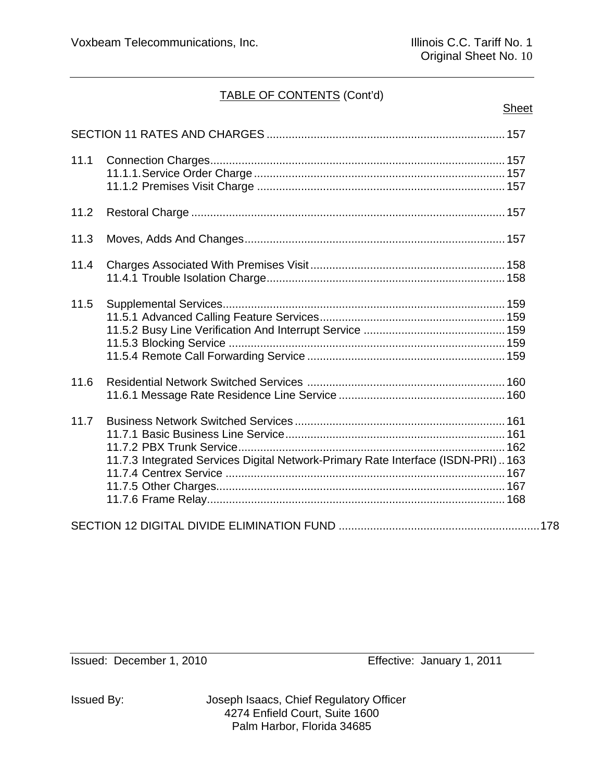# **Sheet**

| 11.1 |                                                                                 |  |
|------|---------------------------------------------------------------------------------|--|
| 11.2 |                                                                                 |  |
| 11.3 |                                                                                 |  |
| 11.4 |                                                                                 |  |
| 11.5 |                                                                                 |  |
| 11.6 |                                                                                 |  |
| 11.7 | 11.7.3 Integrated Services Digital Network-Primary Rate Interface (ISDN-PRI)163 |  |
|      |                                                                                 |  |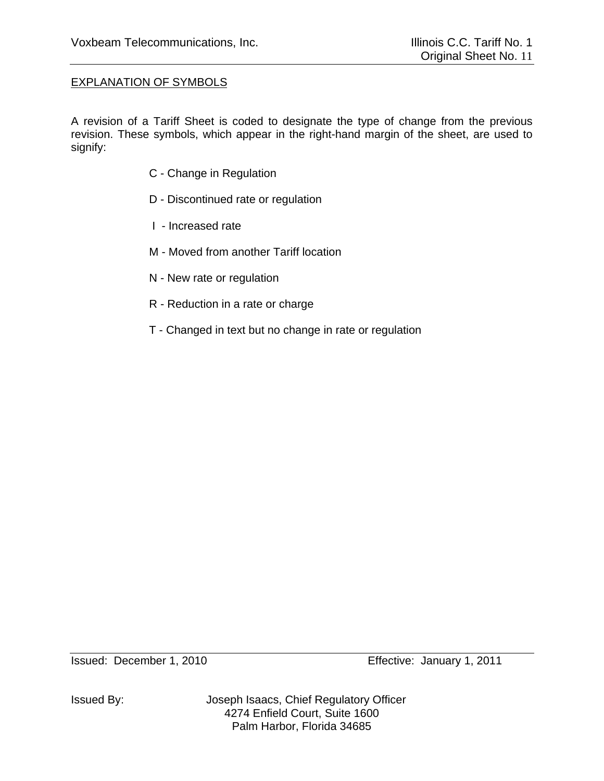# EXPLANATION OF SYMBOLS

A revision of a Tariff Sheet is coded to designate the type of change from the previous revision. These symbols, which appear in the right-hand margin of the sheet, are used to signify:

- C Change in Regulation
- D Discontinued rate or regulation
- I Increased rate
- M Moved from another Tariff location
- N New rate or regulation
- R Reduction in a rate or charge
- T Changed in text but no change in rate or regulation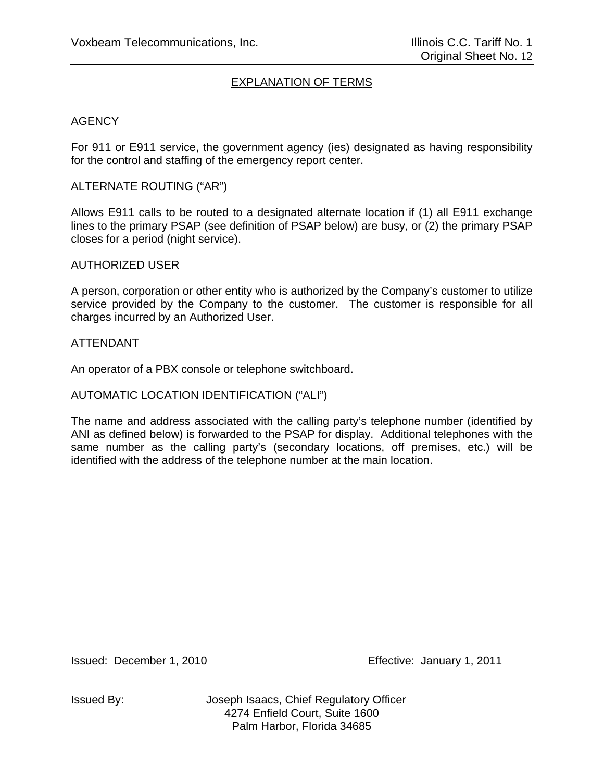# EXPLANATION OF TERMS

### **AGENCY**

For 911 or E911 service, the government agency (ies) designated as having responsibility for the control and staffing of the emergency report center.

### ALTERNATE ROUTING ("AR")

Allows E911 calls to be routed to a designated alternate location if (1) all E911 exchange lines to the primary PSAP (see definition of PSAP below) are busy, or (2) the primary PSAP closes for a period (night service).

#### AUTHORIZED USER

A person, corporation or other entity who is authorized by the Company's customer to utilize service provided by the Company to the customer. The customer is responsible for all charges incurred by an Authorized User.

#### ATTENDANT

An operator of a PBX console or telephone switchboard.

### AUTOMATIC LOCATION IDENTIFICATION ("ALI")

The name and address associated with the calling party's telephone number (identified by ANI as defined below) is forwarded to the PSAP for display. Additional telephones with the same number as the calling party's (secondary locations, off premises, etc.) will be identified with the address of the telephone number at the main location.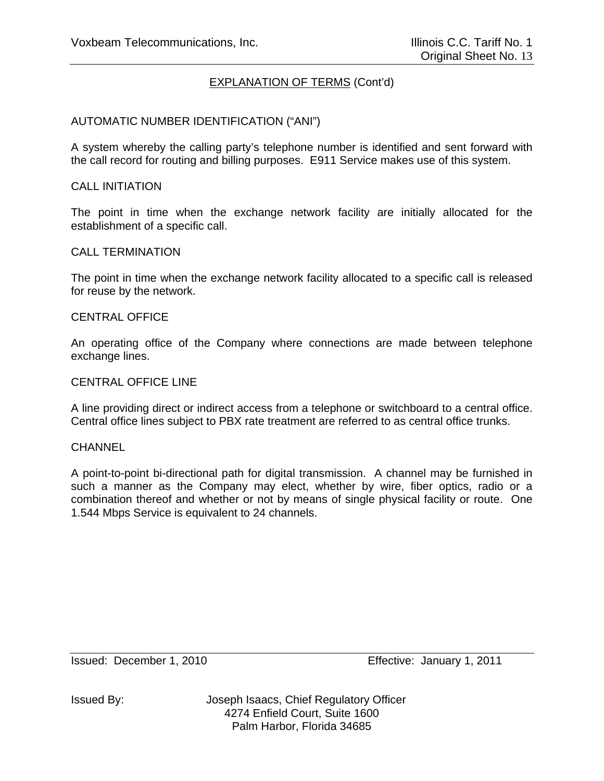### AUTOMATIC NUMBER IDENTIFICATION ("ANI")

A system whereby the calling party's telephone number is identified and sent forward with the call record for routing and billing purposes. E911 Service makes use of this system.

#### CALL INITIATION

The point in time when the exchange network facility are initially allocated for the establishment of a specific call.

#### CALL TERMINATION

The point in time when the exchange network facility allocated to a specific call is released for reuse by the network.

#### CENTRAL OFFICE

An operating office of the Company where connections are made between telephone exchange lines.

#### CENTRAL OFFICE LINE

A line providing direct or indirect access from a telephone or switchboard to a central office. Central office lines subject to PBX rate treatment are referred to as central office trunks.

#### **CHANNEL**

A point-to-point bi-directional path for digital transmission. A channel may be furnished in such a manner as the Company may elect, whether by wire, fiber optics, radio or a combination thereof and whether or not by means of single physical facility or route. One 1.544 Mbps Service is equivalent to 24 channels.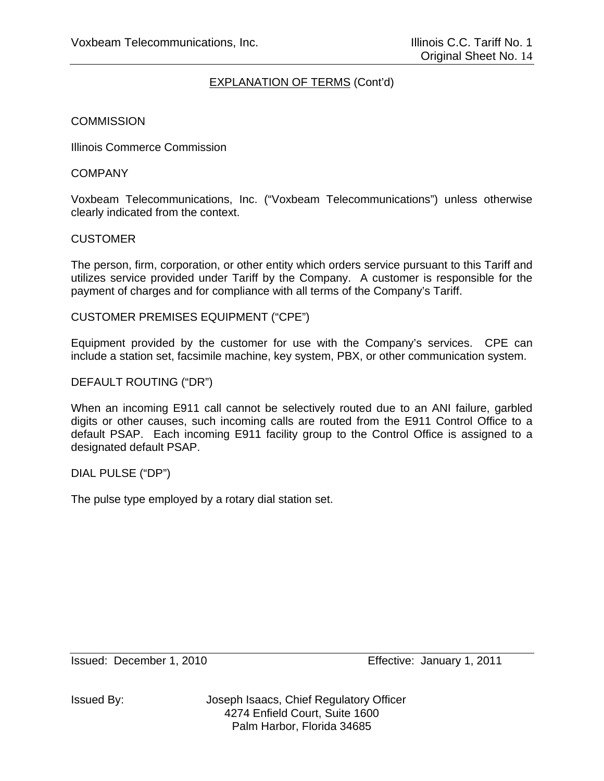### **COMMISSION**

Illinois Commerce Commission

### **COMPANY**

Voxbeam Telecommunications, Inc. ("Voxbeam Telecommunications") unless otherwise clearly indicated from the context.

### CUSTOMER

The person, firm, corporation, or other entity which orders service pursuant to this Tariff and utilizes service provided under Tariff by the Company. A customer is responsible for the payment of charges and for compliance with all terms of the Company's Tariff.

CUSTOMER PREMISES EQUIPMENT ("CPE")

Equipment provided by the customer for use with the Company's services. CPE can include a station set, facsimile machine, key system, PBX, or other communication system.

# DEFAULT ROUTING ("DR")

When an incoming E911 call cannot be selectively routed due to an ANI failure, garbled digits or other causes, such incoming calls are routed from the E911 Control Office to a default PSAP. Each incoming E911 facility group to the Control Office is assigned to a designated default PSAP.

DIAL PULSE ("DP")

The pulse type employed by a rotary dial station set.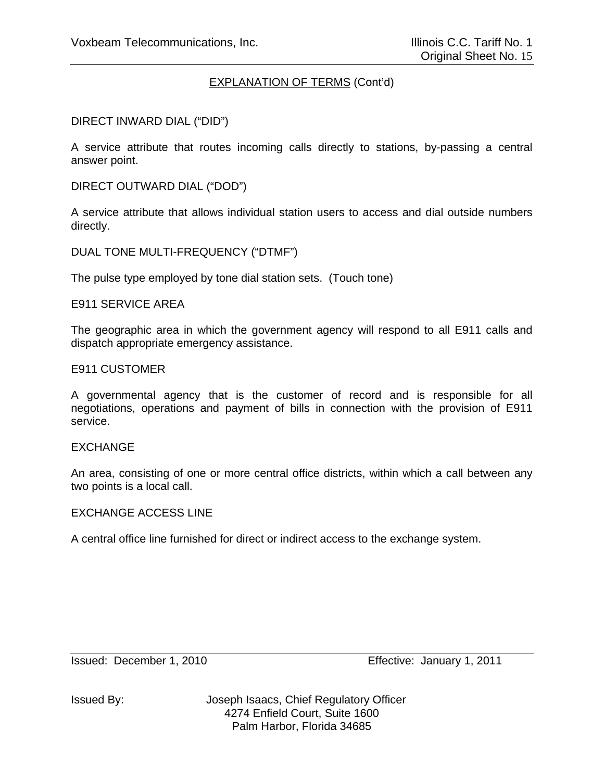DIRECT INWARD DIAL ("DID")

A service attribute that routes incoming calls directly to stations, by-passing a central answer point.

DIRECT OUTWARD DIAL ("DOD")

A service attribute that allows individual station users to access and dial outside numbers directly.

DUAL TONE MULTI-FREQUENCY ("DTMF")

The pulse type employed by tone dial station sets. (Touch tone)

E911 SERVICE AREA

The geographic area in which the government agency will respond to all E911 calls and dispatch appropriate emergency assistance.

E911 CUSTOMER

A governmental agency that is the customer of record and is responsible for all negotiations, operations and payment of bills in connection with the provision of E911 service.

#### EXCHANGE

An area, consisting of one or more central office districts, within which a call between any two points is a local call.

#### EXCHANGE ACCESS LINE

A central office line furnished for direct or indirect access to the exchange system.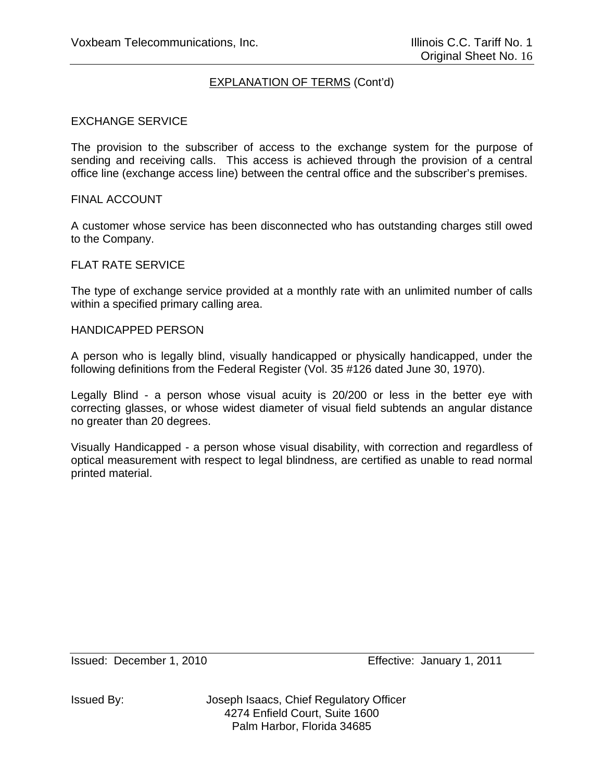### EXCHANGE SERVICE

The provision to the subscriber of access to the exchange system for the purpose of sending and receiving calls. This access is achieved through the provision of a central office line (exchange access line) between the central office and the subscriber's premises.

#### FINAL ACCOUNT

A customer whose service has been disconnected who has outstanding charges still owed to the Company.

### FLAT RATE SERVICE

The type of exchange service provided at a monthly rate with an unlimited number of calls within a specified primary calling area.

#### HANDICAPPED PERSON

A person who is legally blind, visually handicapped or physically handicapped, under the following definitions from the Federal Register (Vol. 35 #126 dated June 30, 1970).

Legally Blind - a person whose visual acuity is 20/200 or less in the better eye with correcting glasses, or whose widest diameter of visual field subtends an angular distance no greater than 20 degrees.

Visually Handicapped - a person whose visual disability, with correction and regardless of optical measurement with respect to legal blindness, are certified as unable to read normal printed material.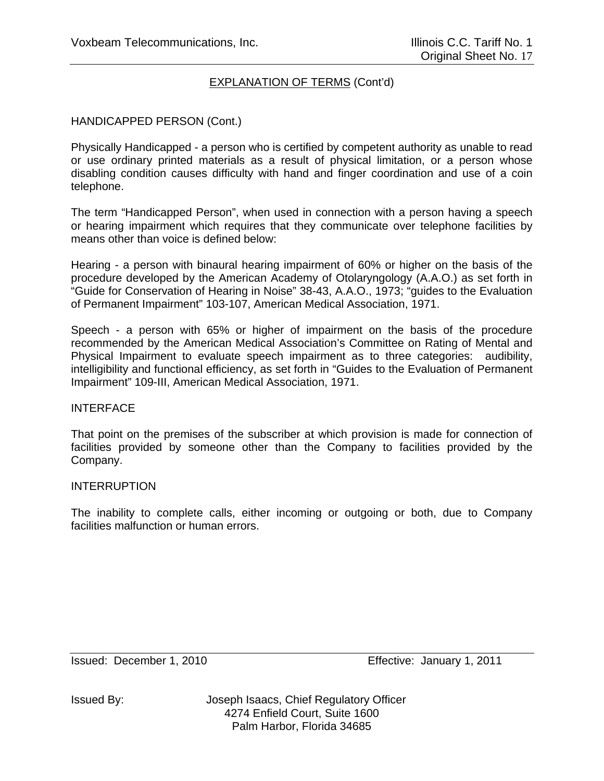### HANDICAPPED PERSON (Cont.)

Physically Handicapped - a person who is certified by competent authority as unable to read or use ordinary printed materials as a result of physical limitation, or a person whose disabling condition causes difficulty with hand and finger coordination and use of a coin telephone.

The term "Handicapped Person", when used in connection with a person having a speech or hearing impairment which requires that they communicate over telephone facilities by means other than voice is defined below:

Hearing - a person with binaural hearing impairment of 60% or higher on the basis of the procedure developed by the American Academy of Otolaryngology (A.A.O.) as set forth in "Guide for Conservation of Hearing in Noise" 38-43, A.A.O., 1973; "guides to the Evaluation of Permanent Impairment" 103-107, American Medical Association, 1971.

Speech - a person with 65% or higher of impairment on the basis of the procedure recommended by the American Medical Association's Committee on Rating of Mental and Physical Impairment to evaluate speech impairment as to three categories: audibility, intelligibility and functional efficiency, as set forth in "Guides to the Evaluation of Permanent Impairment" 109-III, American Medical Association, 1971.

#### **INTERFACE**

That point on the premises of the subscriber at which provision is made for connection of facilities provided by someone other than the Company to facilities provided by the Company.

#### INTERRUPTION

The inability to complete calls, either incoming or outgoing or both, due to Company facilities malfunction or human errors.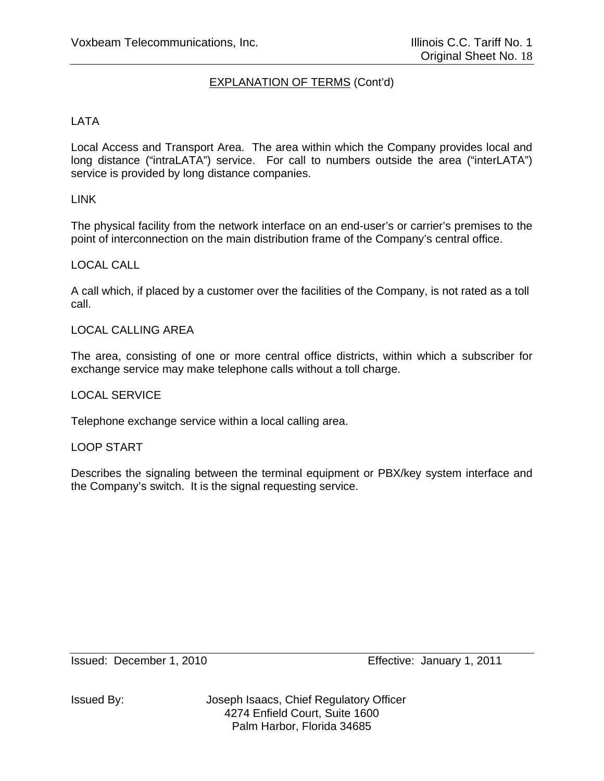# LATA

Local Access and Transport Area. The area within which the Company provides local and long distance ("intraLATA") service. For call to numbers outside the area ("interLATA") service is provided by long distance companies.

### LINK

The physical facility from the network interface on an end-user's or carrier's premises to the point of interconnection on the main distribution frame of the Company's central office.

#### LOCAL CALL

A call which, if placed by a customer over the facilities of the Company, is not rated as a toll call.

#### LOCAL CALLING AREA

The area, consisting of one or more central office districts, within which a subscriber for exchange service may make telephone calls without a toll charge.

#### LOCAL SERVICE

Telephone exchange service within a local calling area.

#### LOOP START

Describes the signaling between the terminal equipment or PBX/key system interface and the Company's switch. It is the signal requesting service.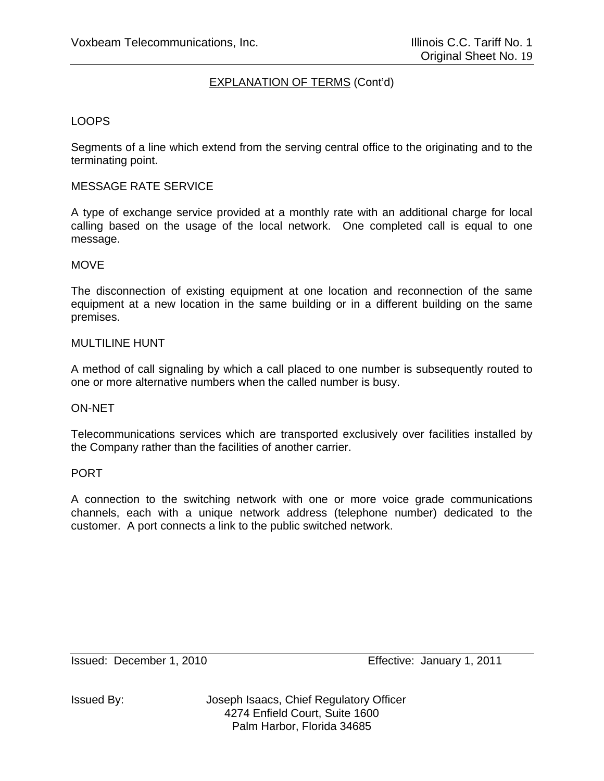### LOOPS

Segments of a line which extend from the serving central office to the originating and to the terminating point.

#### MESSAGE RATE SERVICE

A type of exchange service provided at a monthly rate with an additional charge for local calling based on the usage of the local network. One completed call is equal to one message.

#### **MOVE**

The disconnection of existing equipment at one location and reconnection of the same equipment at a new location in the same building or in a different building on the same premises.

#### MULTILINE HUNT

A method of call signaling by which a call placed to one number is subsequently routed to one or more alternative numbers when the called number is busy.

#### ON-NET

Telecommunications services which are transported exclusively over facilities installed by the Company rather than the facilities of another carrier.

#### PORT

A connection to the switching network with one or more voice grade communications channels, each with a unique network address (telephone number) dedicated to the customer. A port connects a link to the public switched network.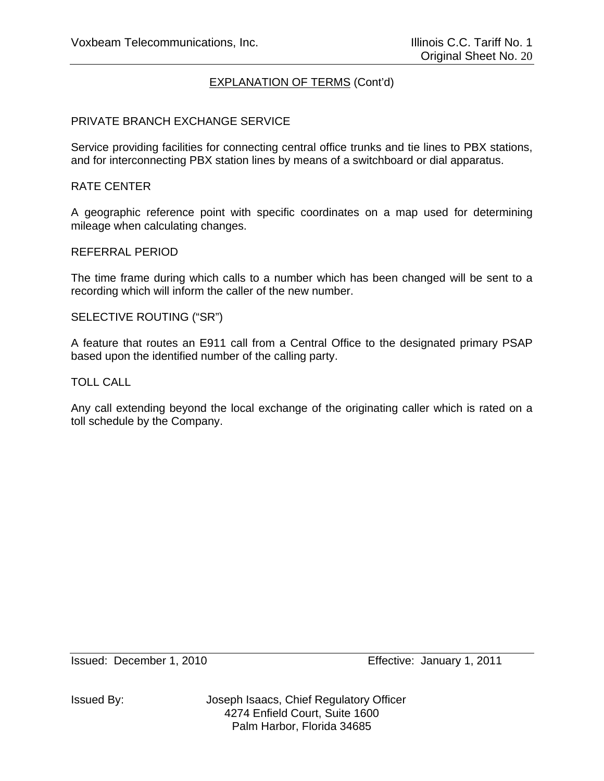### PRIVATE BRANCH EXCHANGE SERVICE

Service providing facilities for connecting central office trunks and tie lines to PBX stations, and for interconnecting PBX station lines by means of a switchboard or dial apparatus.

#### RATE CENTER

A geographic reference point with specific coordinates on a map used for determining mileage when calculating changes.

#### REFERRAL PERIOD

The time frame during which calls to a number which has been changed will be sent to a recording which will inform the caller of the new number.

#### SELECTIVE ROUTING ("SR")

A feature that routes an E911 call from a Central Office to the designated primary PSAP based upon the identified number of the calling party.

#### TOLL CALL

Any call extending beyond the local exchange of the originating caller which is rated on a toll schedule by the Company.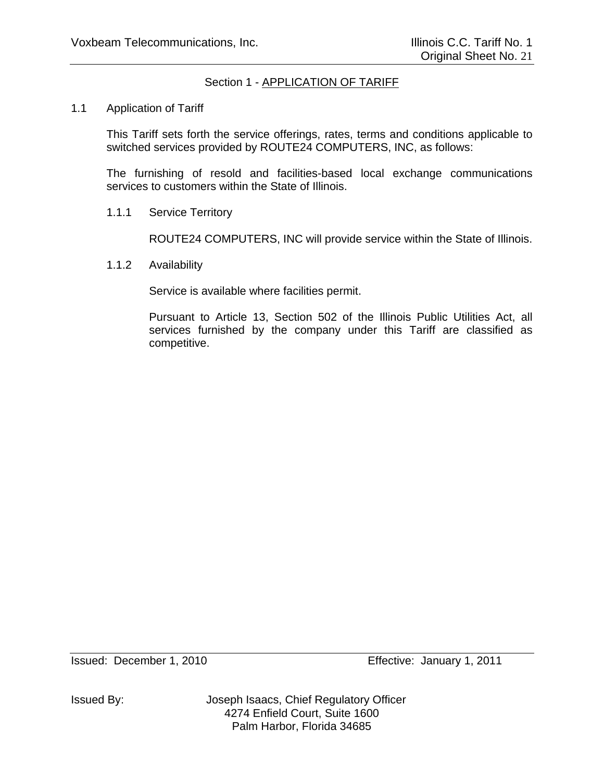# Section 1 - APPLICATION OF TARIFF

### 1.1 Application of Tariff

This Tariff sets forth the service offerings, rates, terms and conditions applicable to switched services provided by ROUTE24 COMPUTERS, INC, as follows:

The furnishing of resold and facilities-based local exchange communications services to customers within the State of Illinois.

1.1.1 Service Territory

ROUTE24 COMPUTERS, INC will provide service within the State of Illinois.

1.1.2 Availability

Service is available where facilities permit.

Pursuant to Article 13, Section 502 of the Illinois Public Utilities Act, all services furnished by the company under this Tariff are classified as competitive.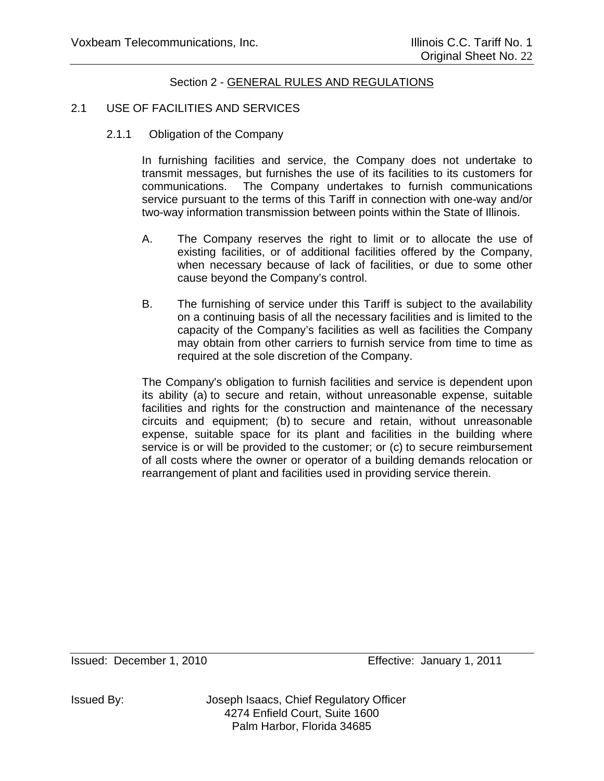### 2.1 USE OF FACILITIES AND SERVICES

2.1.1 Obligation of the Company

In furnishing facilities and service, the Company does not undertake to transmit messages, but furnishes the use of its facilities to its customers for communications. The Company undertakes to furnish communications service pursuant to the terms of this Tariff in connection with one-way and/or two-way information transmission between points within the State of Illinois.

- A. The Company reserves the right to limit or to allocate the use of existing facilities, or of additional facilities offered by the Company, when necessary because of lack of facilities, or due to some other cause beyond the Company's control.
- B. The furnishing of service under this Tariff is subject to the availability on a continuing basis of all the necessary facilities and is limited to the capacity of the Company's facilities as well as facilities the Company may obtain from other carriers to furnish service from time to time as required at the sole discretion of the Company.

The Company's obligation to furnish facilities and service is dependent upon its ability (a) to secure and retain, without unreasonable expense, suitable facilities and rights for the construction and maintenance of the necessary circuits and equipment; (b) to secure and retain, without unreasonable expense, suitable space for its plant and facilities in the building where service is or will be provided to the customer; or (c) to secure reimbursement of all costs where the owner or operator of a building demands relocation or rearrangement of plant and facilities used in providing service therein.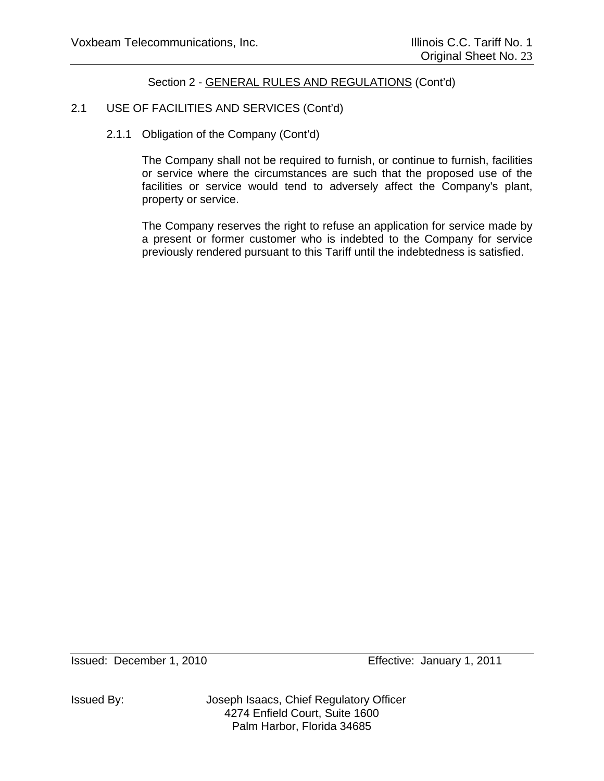# 2.1 USE OF FACILITIES AND SERVICES (Cont'd)

# 2.1.1 Obligation of the Company (Cont'd)

The Company shall not be required to furnish, or continue to furnish, facilities or service where the circumstances are such that the proposed use of the facilities or service would tend to adversely affect the Company's plant, property or service.

The Company reserves the right to refuse an application for service made by a present or former customer who is indebted to the Company for service previously rendered pursuant to this Tariff until the indebtedness is satisfied.

Issued: December 1, 2010 Effective: January 1, 2011

Issued By: Joseph Isaacs, Chief Regulatory Officer 4274 Enfield Court, Suite 1600 Palm Harbor, Florida 34685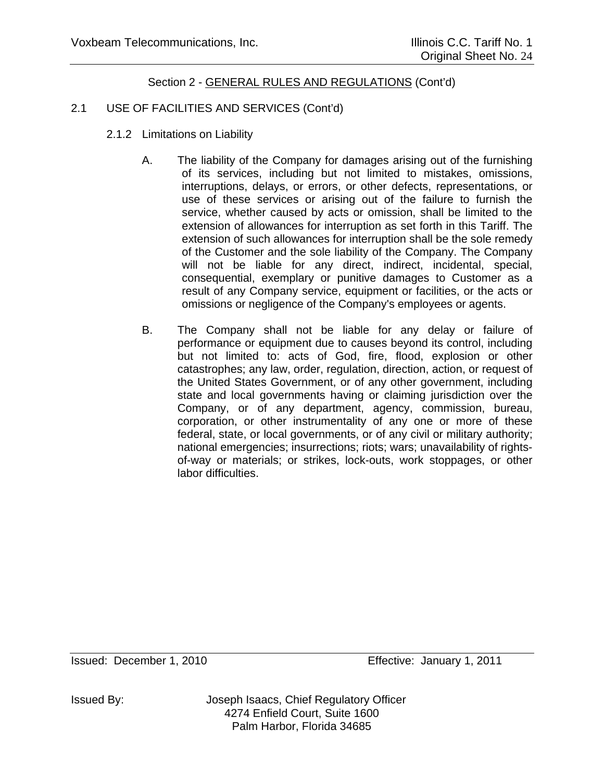# 2.1 USE OF FACILITIES AND SERVICES (Cont'd)

- 2.1.2 Limitations on Liability
	- A. The liability of the Company for damages arising out of the furnishing of its services, including but not limited to mistakes, omissions, interruptions, delays, or errors, or other defects, representations, or use of these services or arising out of the failure to furnish the service, whether caused by acts or omission, shall be limited to the extension of allowances for interruption as set forth in this Tariff. The extension of such allowances for interruption shall be the sole remedy of the Customer and the sole liability of the Company. The Company will not be liable for any direct, indirect, incidental, special, consequential, exemplary or punitive damages to Customer as a result of any Company service, equipment or facilities, or the acts or omissions or negligence of the Company's employees or agents.
	- B. The Company shall not be liable for any delay or failure of performance or equipment due to causes beyond its control, including but not limited to: acts of God, fire, flood, explosion or other catastrophes; any law, order, regulation, direction, action, or request of the United States Government, or of any other government, including state and local governments having or claiming jurisdiction over the Company, or of any department, agency, commission, bureau, corporation, or other instrumentality of any one or more of these federal, state, or local governments, or of any civil or military authority; national emergencies; insurrections; riots; wars; unavailability of rightsof-way or materials; or strikes, lock-outs, work stoppages, or other labor difficulties.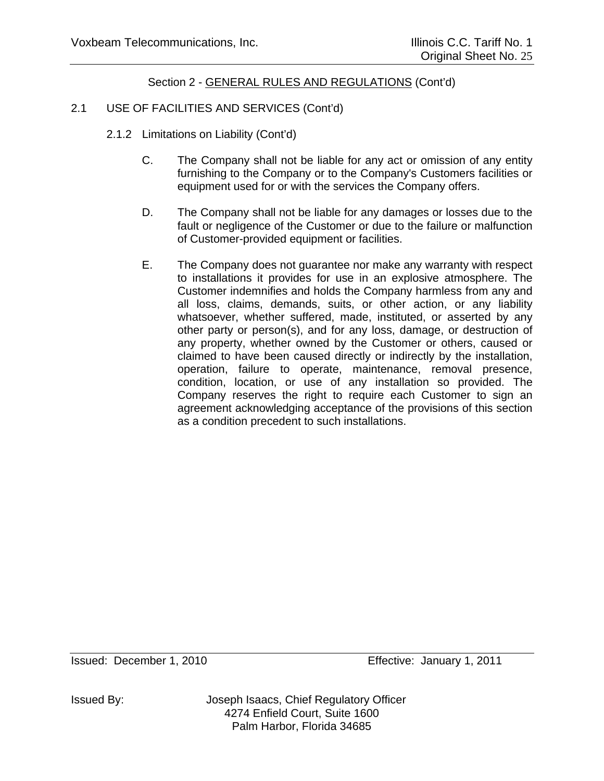# 2.1 USE OF FACILITIES AND SERVICES (Cont'd)

- 2.1.2 Limitations on Liability (Cont'd)
	- C. The Company shall not be liable for any act or omission of any entity furnishing to the Company or to the Company's Customers facilities or equipment used for or with the services the Company offers.
	- D. The Company shall not be liable for any damages or losses due to the fault or negligence of the Customer or due to the failure or malfunction of Customer-provided equipment or facilities.
	- E. The Company does not guarantee nor make any warranty with respect to installations it provides for use in an explosive atmosphere. The Customer indemnifies and holds the Company harmless from any and all loss, claims, demands, suits, or other action, or any liability whatsoever, whether suffered, made, instituted, or asserted by any other party or person(s), and for any loss, damage, or destruction of any property, whether owned by the Customer or others, caused or claimed to have been caused directly or indirectly by the installation, operation, failure to operate, maintenance, removal presence, condition, location, or use of any installation so provided. The Company reserves the right to require each Customer to sign an agreement acknowledging acceptance of the provisions of this section as a condition precedent to such installations.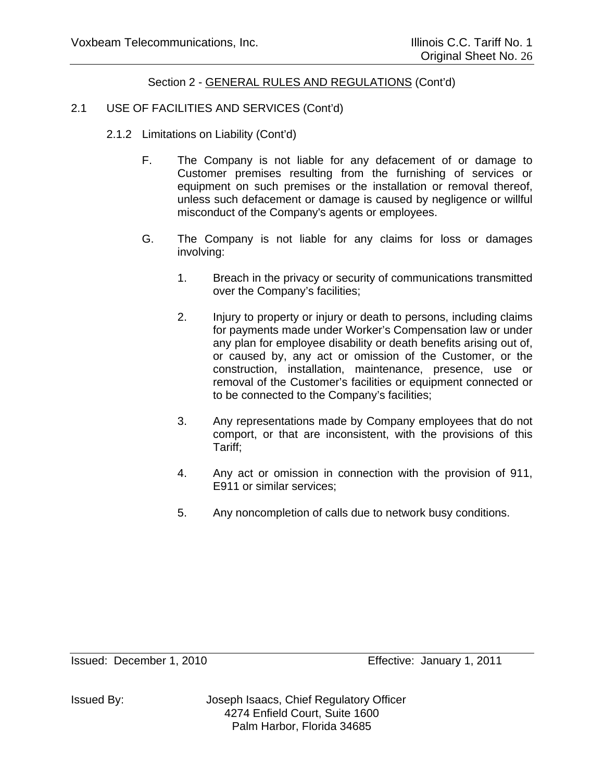# 2.1 USE OF FACILITIES AND SERVICES (Cont'd)

- 2.1.2 Limitations on Liability (Cont'd)
	- F. The Company is not liable for any defacement of or damage to Customer premises resulting from the furnishing of services or equipment on such premises or the installation or removal thereof, unless such defacement or damage is caused by negligence or willful misconduct of the Company's agents or employees.
	- G. The Company is not liable for any claims for loss or damages involving:
		- 1. Breach in the privacy or security of communications transmitted over the Company's facilities;
		- 2. Injury to property or injury or death to persons, including claims for payments made under Worker's Compensation law or under any plan for employee disability or death benefits arising out of, or caused by, any act or omission of the Customer, or the construction, installation, maintenance, presence, use or removal of the Customer's facilities or equipment connected or to be connected to the Company's facilities;
		- 3. Any representations made by Company employees that do not comport, or that are inconsistent, with the provisions of this Tariff;
		- 4. Any act or omission in connection with the provision of 911, E911 or similar services;
		- 5. Any noncompletion of calls due to network busy conditions.

Issued By: Joseph Isaacs, Chief Regulatory Officer 4274 Enfield Court, Suite 1600 Palm Harbor, Florida 34685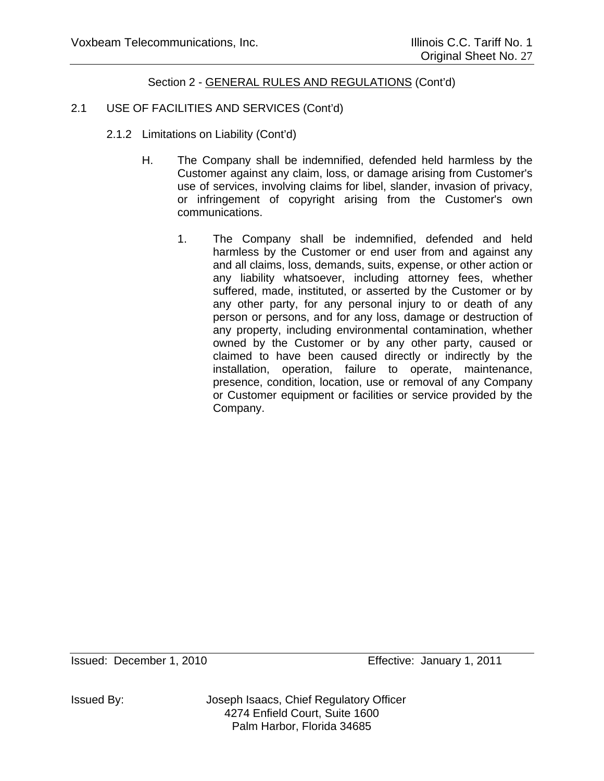# 2.1 USE OF FACILITIES AND SERVICES (Cont'd)

- 2.1.2 Limitations on Liability (Cont'd)
	- H. The Company shall be indemnified, defended held harmless by the Customer against any claim, loss, or damage arising from Customer's use of services, involving claims for libel, slander, invasion of privacy, or infringement of copyright arising from the Customer's own communications.
		- 1. The Company shall be indemnified, defended and held harmless by the Customer or end user from and against any and all claims, loss, demands, suits, expense, or other action or any liability whatsoever, including attorney fees, whether suffered, made, instituted, or asserted by the Customer or by any other party, for any personal injury to or death of any person or persons, and for any loss, damage or destruction of any property, including environmental contamination, whether owned by the Customer or by any other party, caused or claimed to have been caused directly or indirectly by the installation, operation, failure to operate, maintenance, presence, condition, location, use or removal of any Company or Customer equipment or facilities or service provided by the Company.

Issued: December 1, 2010 Effective: January 1, 2011

Issued By: Joseph Isaacs, Chief Regulatory Officer 4274 Enfield Court, Suite 1600 Palm Harbor, Florida 34685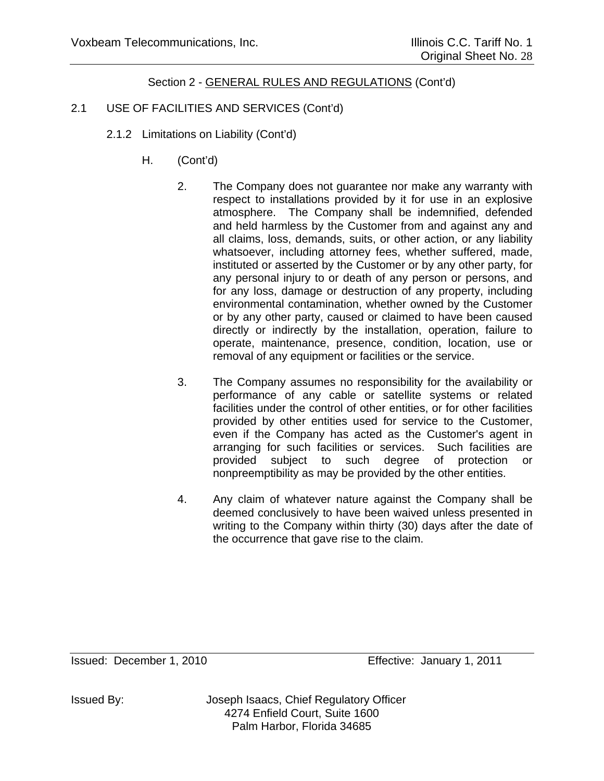# 2.1 USE OF FACILITIES AND SERVICES (Cont'd)

- 2.1.2 Limitations on Liability (Cont'd)
	- H. (Cont'd)
		- 2. The Company does not guarantee nor make any warranty with respect to installations provided by it for use in an explosive atmosphere. The Company shall be indemnified, defended and held harmless by the Customer from and against any and all claims, loss, demands, suits, or other action, or any liability whatsoever, including attorney fees, whether suffered, made, instituted or asserted by the Customer or by any other party, for any personal injury to or death of any person or persons, and for any loss, damage or destruction of any property, including environmental contamination, whether owned by the Customer or by any other party, caused or claimed to have been caused directly or indirectly by the installation, operation, failure to operate, maintenance, presence, condition, location, use or removal of any equipment or facilities or the service.
		- 3. The Company assumes no responsibility for the availability or performance of any cable or satellite systems or related facilities under the control of other entities, or for other facilities provided by other entities used for service to the Customer, even if the Company has acted as the Customer's agent in arranging for such facilities or services. Such facilities are provided subject to such degree of protection or nonpreemptibility as may be provided by the other entities.
		- 4. Any claim of whatever nature against the Company shall be deemed conclusively to have been waived unless presented in writing to the Company within thirty (30) days after the date of the occurrence that gave rise to the claim.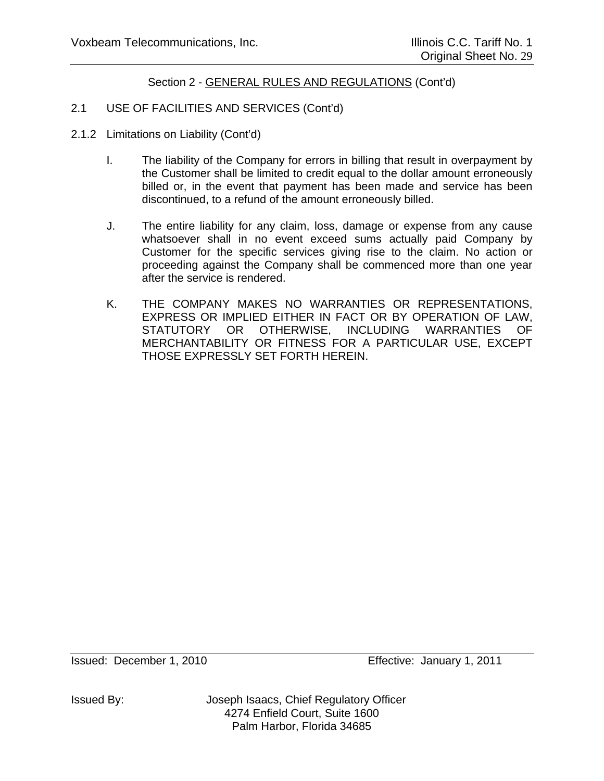# 2.1 USE OF FACILITIES AND SERVICES (Cont'd)

- 2.1.2 Limitations on Liability (Cont'd)
	- I. The liability of the Company for errors in billing that result in overpayment by the Customer shall be limited to credit equal to the dollar amount erroneously billed or, in the event that payment has been made and service has been discontinued, to a refund of the amount erroneously billed.
	- J. The entire liability for any claim, loss, damage or expense from any cause whatsoever shall in no event exceed sums actually paid Company by Customer for the specific services giving rise to the claim. No action or proceeding against the Company shall be commenced more than one year after the service is rendered.
	- K. THE COMPANY MAKES NO WARRANTIES OR REPRESENTATIONS, EXPRESS OR IMPLIED EITHER IN FACT OR BY OPERATION OF LAW, STATUTORY OR OTHERWISE, INCLUDING WARRANTIES OF MERCHANTABILITY OR FITNESS FOR A PARTICULAR USE, EXCEPT THOSE EXPRESSLY SET FORTH HEREIN.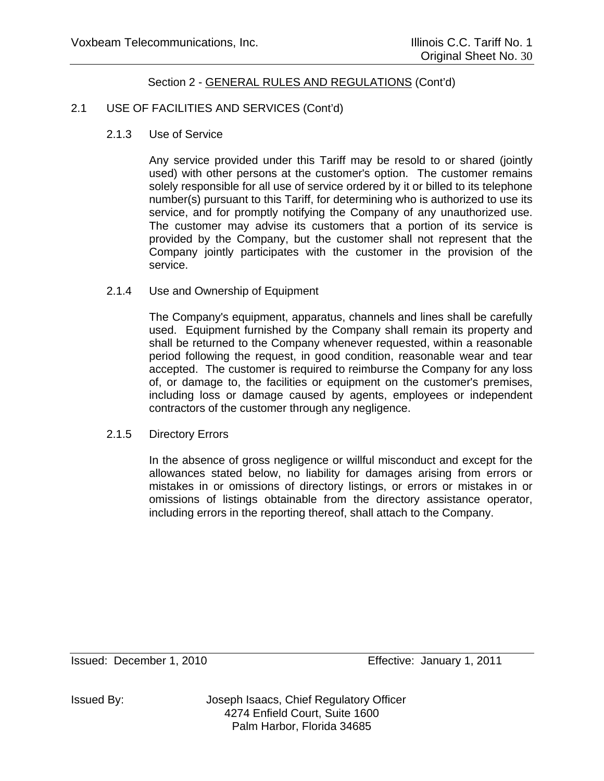### 2.1 USE OF FACILITIES AND SERVICES (Cont'd)

2.1.3 Use of Service

Any service provided under this Tariff may be resold to or shared (jointly used) with other persons at the customer's option. The customer remains solely responsible for all use of service ordered by it or billed to its telephone number(s) pursuant to this Tariff, for determining who is authorized to use its service, and for promptly notifying the Company of any unauthorized use. The customer may advise its customers that a portion of its service is provided by the Company, but the customer shall not represent that the Company jointly participates with the customer in the provision of the service.

2.1.4 Use and Ownership of Equipment

The Company's equipment, apparatus, channels and lines shall be carefully used. Equipment furnished by the Company shall remain its property and shall be returned to the Company whenever requested, within a reasonable period following the request, in good condition, reasonable wear and tear accepted. The customer is required to reimburse the Company for any loss of, or damage to, the facilities or equipment on the customer's premises, including loss or damage caused by agents, employees or independent contractors of the customer through any negligence.

2.1.5 Directory Errors

In the absence of gross negligence or willful misconduct and except for the allowances stated below, no liability for damages arising from errors or mistakes in or omissions of directory listings, or errors or mistakes in or omissions of listings obtainable from the directory assistance operator, including errors in the reporting thereof, shall attach to the Company.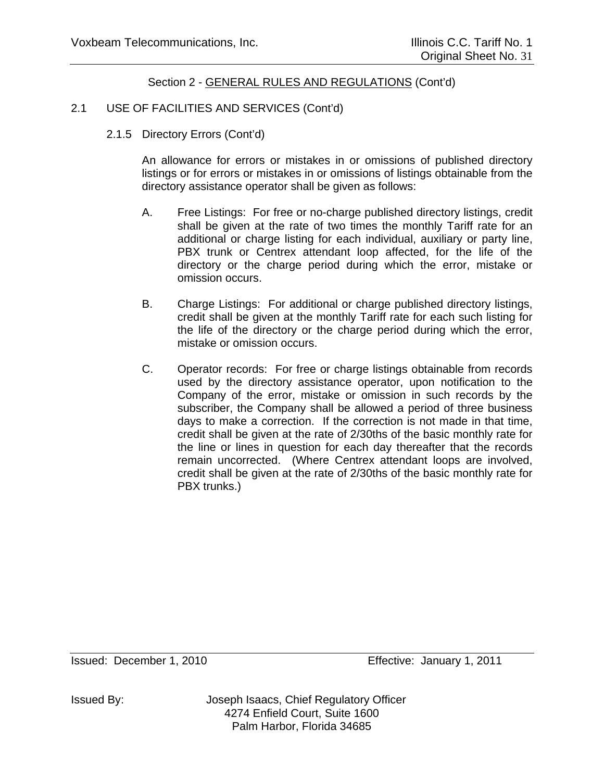# 2.1 USE OF FACILITIES AND SERVICES (Cont'd)

2.1.5 Directory Errors (Cont'd)

An allowance for errors or mistakes in or omissions of published directory listings or for errors or mistakes in or omissions of listings obtainable from the directory assistance operator shall be given as follows:

- A. Free Listings: For free or no-charge published directory listings, credit shall be given at the rate of two times the monthly Tariff rate for an additional or charge listing for each individual, auxiliary or party line, PBX trunk or Centrex attendant loop affected, for the life of the directory or the charge period during which the error, mistake or omission occurs.
- B. Charge Listings: For additional or charge published directory listings, credit shall be given at the monthly Tariff rate for each such listing for the life of the directory or the charge period during which the error, mistake or omission occurs.
- C. Operator records: For free or charge listings obtainable from records used by the directory assistance operator, upon notification to the Company of the error, mistake or omission in such records by the subscriber, the Company shall be allowed a period of three business days to make a correction. If the correction is not made in that time, credit shall be given at the rate of 2/30ths of the basic monthly rate for the line or lines in question for each day thereafter that the records remain uncorrected. (Where Centrex attendant loops are involved, credit shall be given at the rate of 2/30ths of the basic monthly rate for PBX trunks.)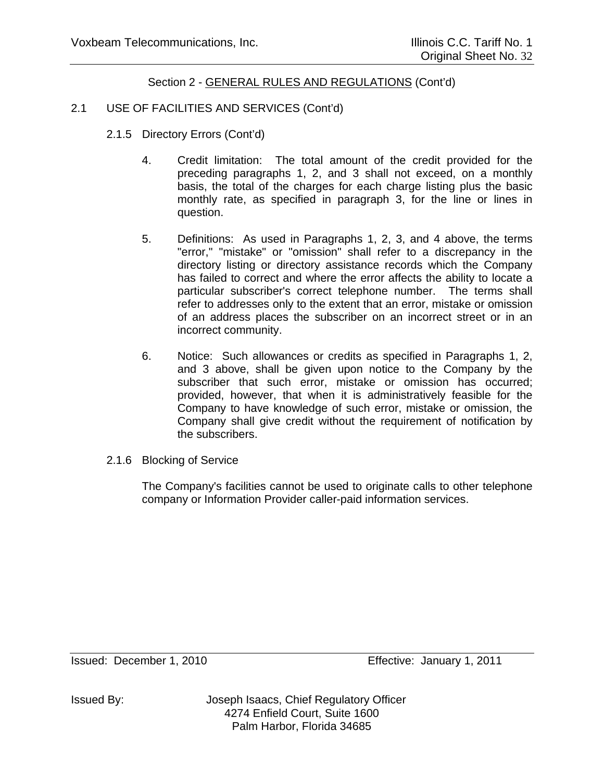### 2.1 USE OF FACILITIES AND SERVICES (Cont'd)

- 2.1.5 Directory Errors (Cont'd)
	- 4. Credit limitation: The total amount of the credit provided for the preceding paragraphs 1, 2, and 3 shall not exceed, on a monthly basis, the total of the charges for each charge listing plus the basic monthly rate, as specified in paragraph 3, for the line or lines in question.
	- 5. Definitions: As used in Paragraphs 1, 2, 3, and 4 above, the terms "error," "mistake" or "omission" shall refer to a discrepancy in the directory listing or directory assistance records which the Company has failed to correct and where the error affects the ability to locate a particular subscriber's correct telephone number. The terms shall refer to addresses only to the extent that an error, mistake or omission of an address places the subscriber on an incorrect street or in an incorrect community.
	- 6. Notice: Such allowances or credits as specified in Paragraphs 1, 2, and 3 above, shall be given upon notice to the Company by the subscriber that such error, mistake or omission has occurred; provided, however, that when it is administratively feasible for the Company to have knowledge of such error, mistake or omission, the Company shall give credit without the requirement of notification by the subscribers.
- 2.1.6 Blocking of Service

The Company's facilities cannot be used to originate calls to other telephone company or Information Provider caller-paid information services.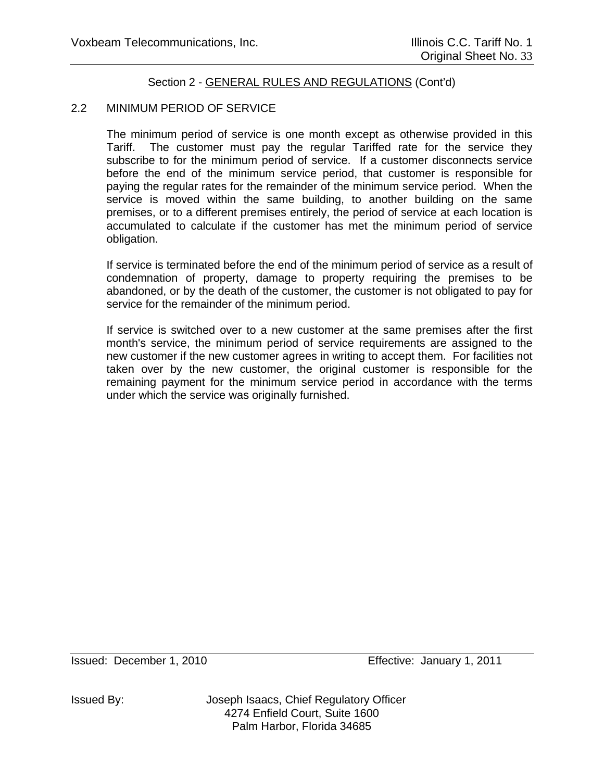### 2.2 MINIMUM PERIOD OF SERVICE

The minimum period of service is one month except as otherwise provided in this Tariff. The customer must pay the regular Tariffed rate for the service they subscribe to for the minimum period of service. If a customer disconnects service before the end of the minimum service period, that customer is responsible for paying the regular rates for the remainder of the minimum service period. When the service is moved within the same building, to another building on the same premises, or to a different premises entirely, the period of service at each location is accumulated to calculate if the customer has met the minimum period of service obligation.

If service is terminated before the end of the minimum period of service as a result of condemnation of property, damage to property requiring the premises to be abandoned, or by the death of the customer, the customer is not obligated to pay for service for the remainder of the minimum period.

If service is switched over to a new customer at the same premises after the first month's service, the minimum period of service requirements are assigned to the new customer if the new customer agrees in writing to accept them. For facilities not taken over by the new customer, the original customer is responsible for the remaining payment for the minimum service period in accordance with the terms under which the service was originally furnished.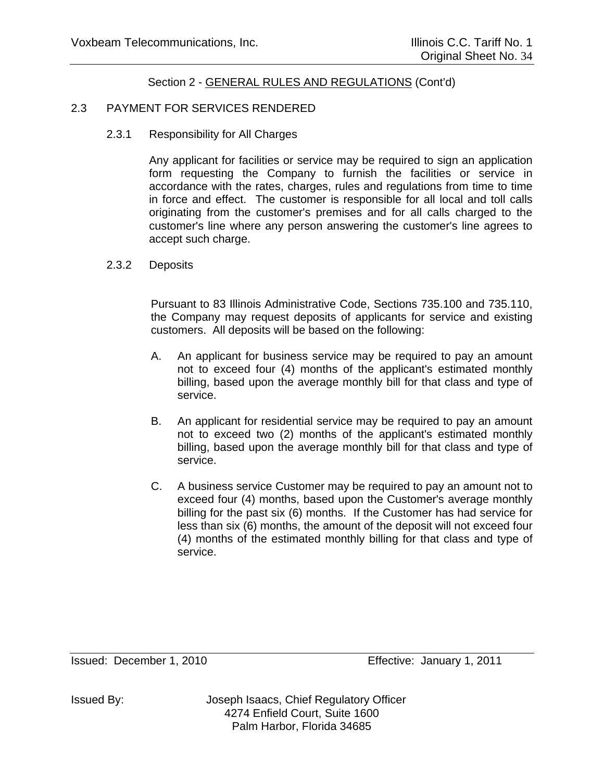# 2.3 PAYMENT FOR SERVICES RENDERED

2.3.1 Responsibility for All Charges

Any applicant for facilities or service may be required to sign an application form requesting the Company to furnish the facilities or service in accordance with the rates, charges, rules and regulations from time to time in force and effect. The customer is responsible for all local and toll calls originating from the customer's premises and for all calls charged to the customer's line where any person answering the customer's line agrees to accept such charge.

2.3.2 Deposits

Pursuant to 83 Illinois Administrative Code, Sections 735.100 and 735.110, the Company may request deposits of applicants for service and existing customers. All deposits will be based on the following:

- A. An applicant for business service may be required to pay an amount not to exceed four (4) months of the applicant's estimated monthly billing, based upon the average monthly bill for that class and type of service.
- B. An applicant for residential service may be required to pay an amount not to exceed two (2) months of the applicant's estimated monthly billing, based upon the average monthly bill for that class and type of service.
- C. A business service Customer may be required to pay an amount not to exceed four (4) months, based upon the Customer's average monthly billing for the past six (6) months. If the Customer has had service for less than six (6) months, the amount of the deposit will not exceed four (4) months of the estimated monthly billing for that class and type of service.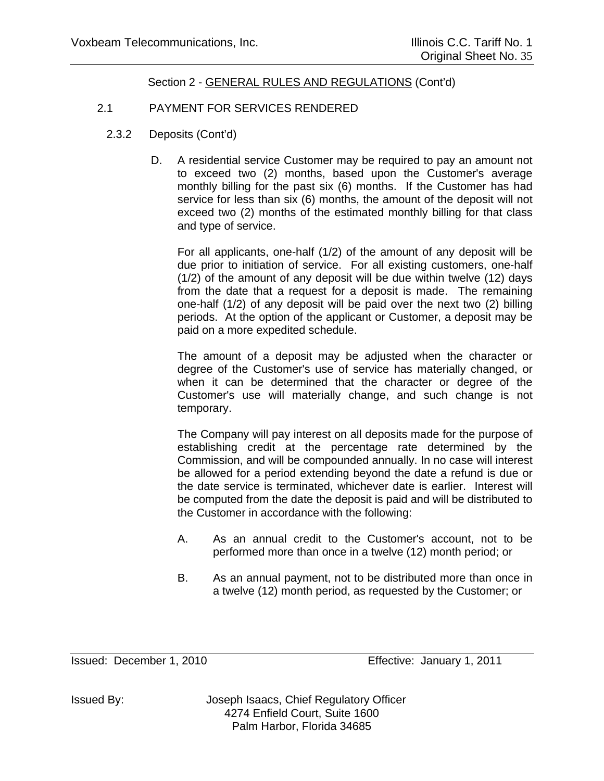# 2.1 PAYMENT FOR SERVICES RENDERED

- 2.3.2 Deposits (Cont'd)
	- D. A residential service Customer may be required to pay an amount not to exceed two (2) months, based upon the Customer's average monthly billing for the past six (6) months. If the Customer has had service for less than six (6) months, the amount of the deposit will not exceed two (2) months of the estimated monthly billing for that class and type of service.

For all applicants, one-half (1/2) of the amount of any deposit will be due prior to initiation of service. For all existing customers, one-half (1/2) of the amount of any deposit will be due within twelve (12) days from the date that a request for a deposit is made. The remaining one-half (1/2) of any deposit will be paid over the next two (2) billing periods. At the option of the applicant or Customer, a deposit may be paid on a more expedited schedule.

The amount of a deposit may be adjusted when the character or degree of the Customer's use of service has materially changed, or when it can be determined that the character or degree of the Customer's use will materially change, and such change is not temporary.

The Company will pay interest on all deposits made for the purpose of establishing credit at the percentage rate determined by the Commission, and will be compounded annually. In no case will interest be allowed for a period extending beyond the date a refund is due or the date service is terminated, whichever date is earlier. Interest will be computed from the date the deposit is paid and will be distributed to the Customer in accordance with the following:

- A. As an annual credit to the Customer's account, not to be performed more than once in a twelve (12) month period; or
- B. As an annual payment, not to be distributed more than once in a twelve (12) month period, as requested by the Customer; or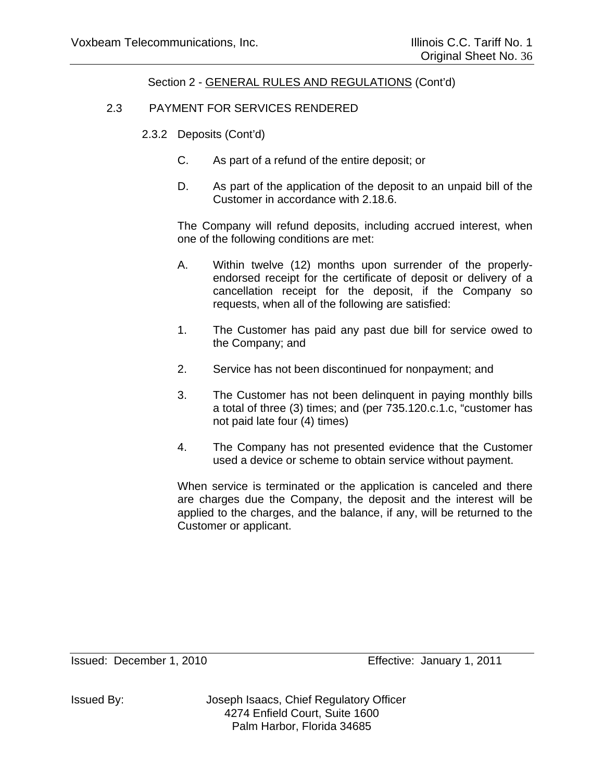# 2.3 PAYMENT FOR SERVICES RENDERED

- 2.3.2 Deposits (Cont'd)
	- C. As part of a refund of the entire deposit; or
	- D. As part of the application of the deposit to an unpaid bill of the Customer in accordance with 2.18.6.

The Company will refund deposits, including accrued interest, when one of the following conditions are met:

- A. Within twelve (12) months upon surrender of the properlyendorsed receipt for the certificate of deposit or delivery of a cancellation receipt for the deposit, if the Company so requests, when all of the following are satisfied:
- 1. The Customer has paid any past due bill for service owed to the Company; and
- 2. Service has not been discontinued for nonpayment; and
- 3. The Customer has not been delinquent in paying monthly bills a total of three (3) times; and (per 735.120.c.1.c, "customer has not paid late four (4) times)
- 4. The Company has not presented evidence that the Customer used a device or scheme to obtain service without payment.

When service is terminated or the application is canceled and there are charges due the Company, the deposit and the interest will be applied to the charges, and the balance, if any, will be returned to the Customer or applicant.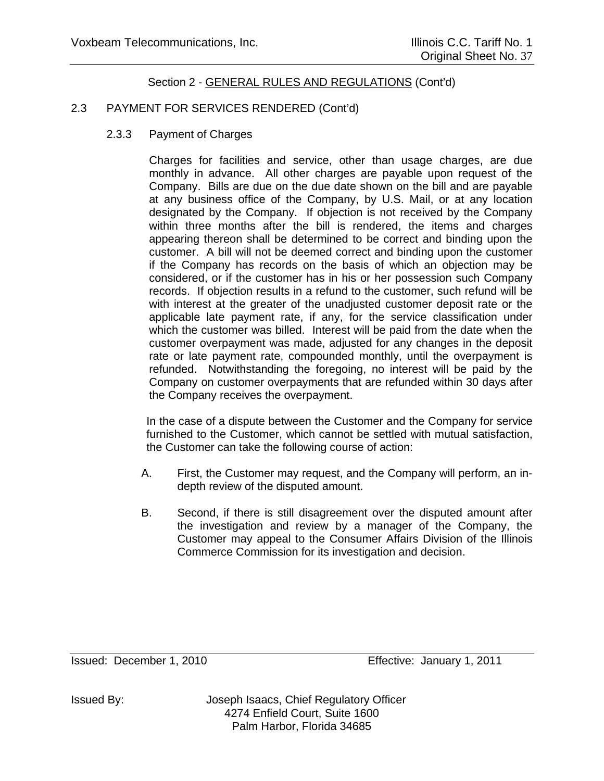## 2.3 PAYMENT FOR SERVICES RENDERED (Cont'd)

2.3.3 Payment of Charges

Charges for facilities and service, other than usage charges, are due monthly in advance. All other charges are payable upon request of the Company. Bills are due on the due date shown on the bill and are payable at any business office of the Company, by U.S. Mail, or at any location designated by the Company. If objection is not received by the Company within three months after the bill is rendered, the items and charges appearing thereon shall be determined to be correct and binding upon the customer. A bill will not be deemed correct and binding upon the customer if the Company has records on the basis of which an objection may be considered, or if the customer has in his or her possession such Company records. If objection results in a refund to the customer, such refund will be with interest at the greater of the unadjusted customer deposit rate or the applicable late payment rate, if any, for the service classification under which the customer was billed. Interest will be paid from the date when the customer overpayment was made, adjusted for any changes in the deposit rate or late payment rate, compounded monthly, until the overpayment is refunded. Notwithstanding the foregoing, no interest will be paid by the Company on customer overpayments that are refunded within 30 days after the Company receives the overpayment.

In the case of a dispute between the Customer and the Company for service furnished to the Customer, which cannot be settled with mutual satisfaction, the Customer can take the following course of action:

- A. First, the Customer may request, and the Company will perform, an indepth review of the disputed amount.
- B. Second, if there is still disagreement over the disputed amount after the investigation and review by a manager of the Company, the Customer may appeal to the Consumer Affairs Division of the Illinois Commerce Commission for its investigation and decision.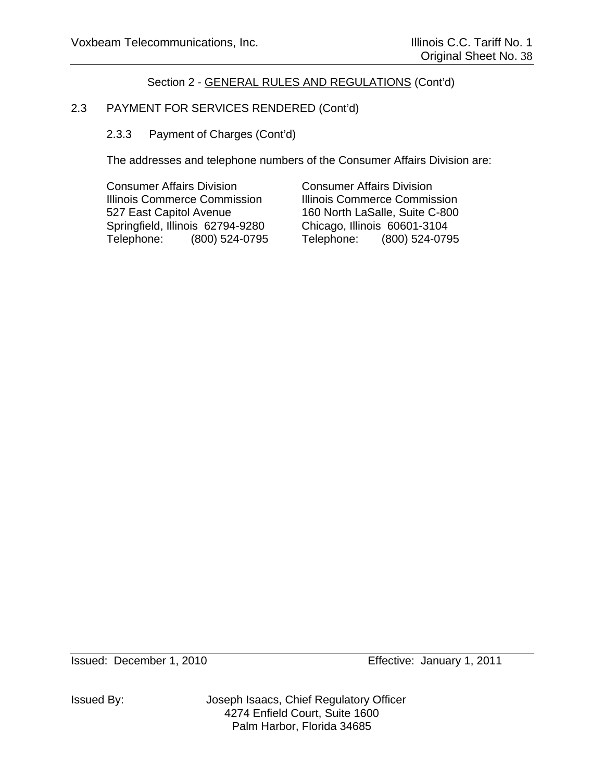# 2.3 PAYMENT FOR SERVICES RENDERED (Cont'd)

2.3.3 Payment of Charges (Cont'd)

The addresses and telephone numbers of the Consumer Affairs Division are:

Consumer Affairs Division Consumer Affairs Division Illinois Commerce Commission Illinois Commerce Commission 527 East Capitol Avenue 160 North LaSalle, Suite C-800 Springfield, Illinois 62794-9280 Chicago, Illinois 60601-3104 Telephone: (800) 524-0795 Telephone: (800) 524-0795

Issued By: Joseph Isaacs, Chief Regulatory Officer 4274 Enfield Court, Suite 1600 Palm Harbor, Florida 34685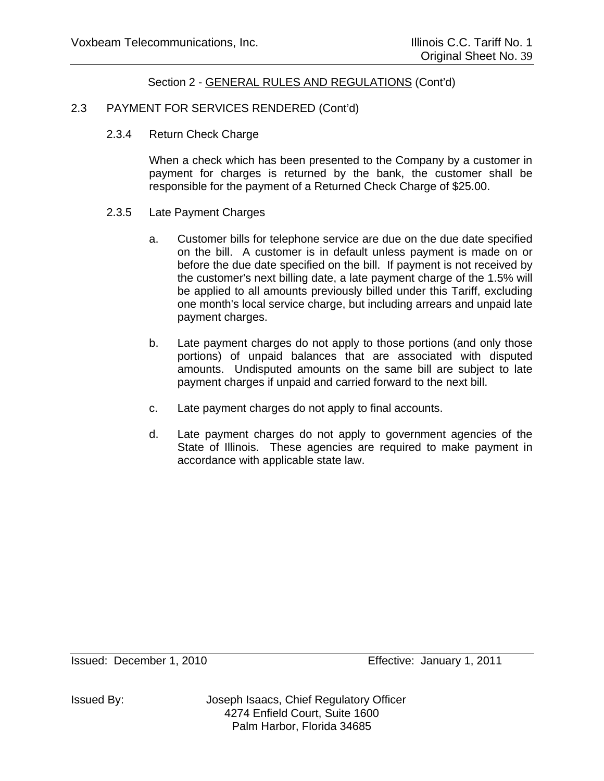## 2.3 PAYMENT FOR SERVICES RENDERED (Cont'd)

2.3.4 Return Check Charge

When a check which has been presented to the Company by a customer in payment for charges is returned by the bank, the customer shall be responsible for the payment of a Returned Check Charge of \$25.00.

- 2.3.5 Late Payment Charges
	- a. Customer bills for telephone service are due on the due date specified on the bill. A customer is in default unless payment is made on or before the due date specified on the bill. If payment is not received by the customer's next billing date, a late payment charge of the 1.5% will be applied to all amounts previously billed under this Tariff, excluding one month's local service charge, but including arrears and unpaid late payment charges.
	- b. Late payment charges do not apply to those portions (and only those portions) of unpaid balances that are associated with disputed amounts. Undisputed amounts on the same bill are subject to late payment charges if unpaid and carried forward to the next bill.
	- c. Late payment charges do not apply to final accounts.
	- d. Late payment charges do not apply to government agencies of the State of Illinois. These agencies are required to make payment in accordance with applicable state law.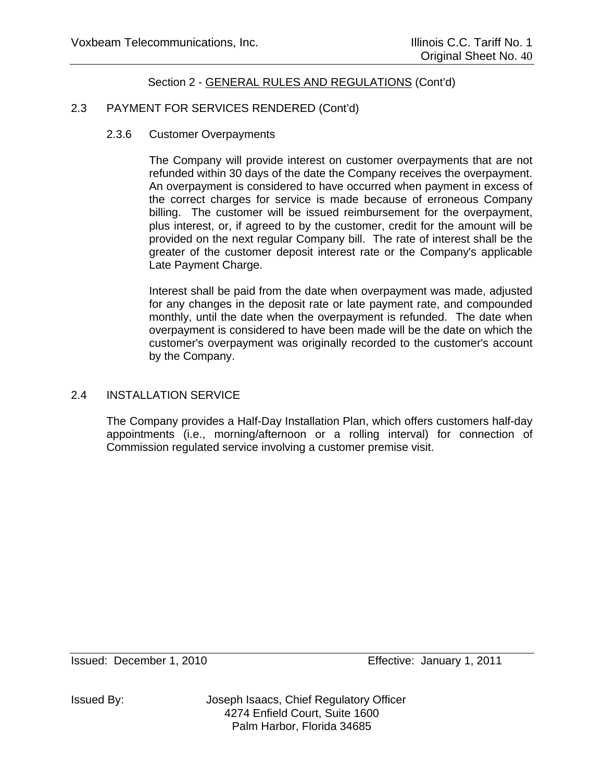## 2.3 PAYMENT FOR SERVICES RENDERED (Cont'd)

2.3.6 Customer Overpayments

The Company will provide interest on customer overpayments that are not refunded within 30 days of the date the Company receives the overpayment. An overpayment is considered to have occurred when payment in excess of the correct charges for service is made because of erroneous Company billing. The customer will be issued reimbursement for the overpayment, plus interest, or, if agreed to by the customer, credit for the amount will be provided on the next regular Company bill. The rate of interest shall be the greater of the customer deposit interest rate or the Company's applicable Late Payment Charge.

Interest shall be paid from the date when overpayment was made, adjusted for any changes in the deposit rate or late payment rate, and compounded monthly, until the date when the overpayment is refunded. The date when overpayment is considered to have been made will be the date on which the customer's overpayment was originally recorded to the customer's account by the Company.

#### 2.4 INSTALLATION SERVICE

The Company provides a Half-Day Installation Plan, which offers customers half-day appointments (i.e., morning/afternoon or a rolling interval) for connection of Commission regulated service involving a customer premise visit.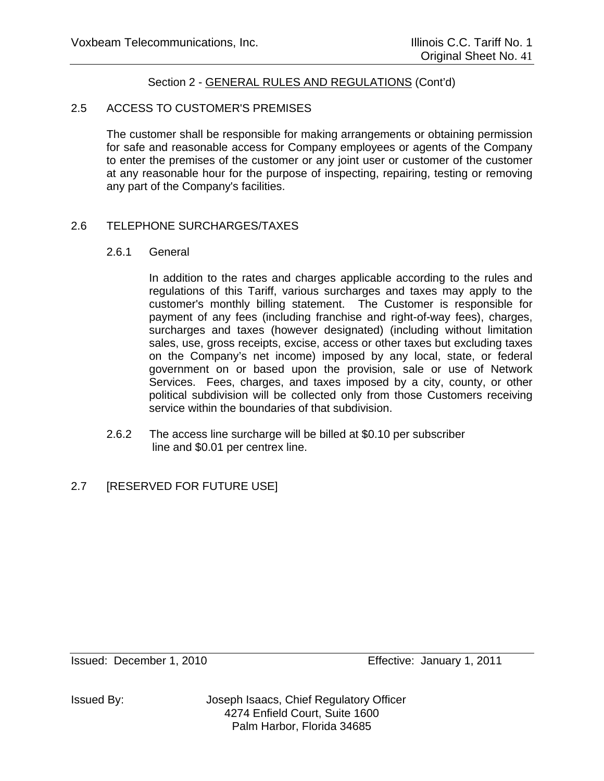## 2.5 ACCESS TO CUSTOMER'S PREMISES

The customer shall be responsible for making arrangements or obtaining permission for safe and reasonable access for Company employees or agents of the Company to enter the premises of the customer or any joint user or customer of the customer at any reasonable hour for the purpose of inspecting, repairing, testing or removing any part of the Company's facilities.

## 2.6 TELEPHONE SURCHARGES/TAXES

#### 2.6.1 General

In addition to the rates and charges applicable according to the rules and regulations of this Tariff, various surcharges and taxes may apply to the customer's monthly billing statement. The Customer is responsible for payment of any fees (including franchise and right-of-way fees), charges, surcharges and taxes (however designated) (including without limitation sales, use, gross receipts, excise, access or other taxes but excluding taxes on the Company's net income) imposed by any local, state, or federal government on or based upon the provision, sale or use of Network Services. Fees, charges, and taxes imposed by a city, county, or other political subdivision will be collected only from those Customers receiving service within the boundaries of that subdivision.

2.6.2 The access line surcharge will be billed at \$0.10 per subscriber line and \$0.01 per centrex line.

# 2.7 [RESERVED FOR FUTURE USE]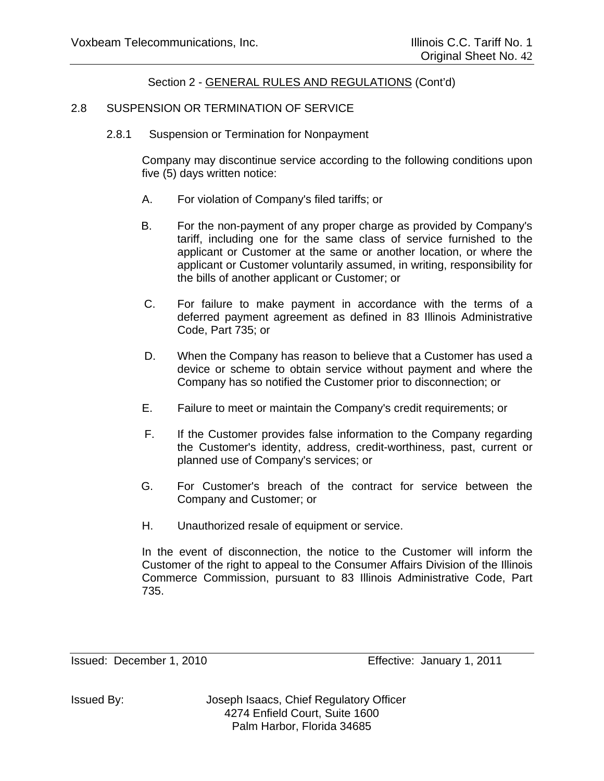#### 2.8 SUSPENSION OR TERMINATION OF SERVICE

2.8.1 Suspension or Termination for Nonpayment

Company may discontinue service according to the following conditions upon five (5) days written notice:

- A. For violation of Company's filed tariffs; or
- B. For the non-payment of any proper charge as provided by Company's tariff, including one for the same class of service furnished to the applicant or Customer at the same or another location, or where the applicant or Customer voluntarily assumed, in writing, responsibility for the bills of another applicant or Customer; or
- C. For failure to make payment in accordance with the terms of a deferred payment agreement as defined in 83 Illinois Administrative Code, Part 735; or
- D. When the Company has reason to believe that a Customer has used a device or scheme to obtain service without payment and where the Company has so notified the Customer prior to disconnection; or
- E. Failure to meet or maintain the Company's credit requirements; or
- F. If the Customer provides false information to the Company regarding the Customer's identity, address, credit-worthiness, past, current or planned use of Company's services; or
- G. For Customer's breach of the contract for service between the Company and Customer; or
- H. Unauthorized resale of equipment or service.

In the event of disconnection, the notice to the Customer will inform the Customer of the right to appeal to the Consumer Affairs Division of the Illinois Commerce Commission, pursuant to 83 Illinois Administrative Code, Part 735.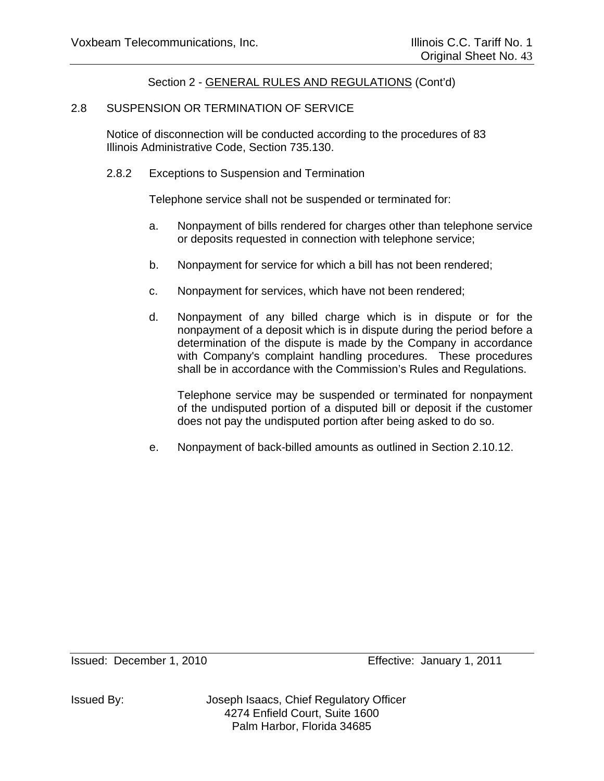#### 2.8 SUSPENSION OR TERMINATION OF SERVICE

 Notice of disconnection will be conducted according to the procedures of 83 Illinois Administrative Code, Section 735.130.

2.8.2 Exceptions to Suspension and Termination

Telephone service shall not be suspended or terminated for:

- a. Nonpayment of bills rendered for charges other than telephone service or deposits requested in connection with telephone service;
- b. Nonpayment for service for which a bill has not been rendered;
- c. Nonpayment for services, which have not been rendered;
- d. Nonpayment of any billed charge which is in dispute or for the nonpayment of a deposit which is in dispute during the period before a determination of the dispute is made by the Company in accordance with Company's complaint handling procedures. These procedures shall be in accordance with the Commission's Rules and Regulations.

Telephone service may be suspended or terminated for nonpayment of the undisputed portion of a disputed bill or deposit if the customer does not pay the undisputed portion after being asked to do so.

e. Nonpayment of back-billed amounts as outlined in Section 2.10.12.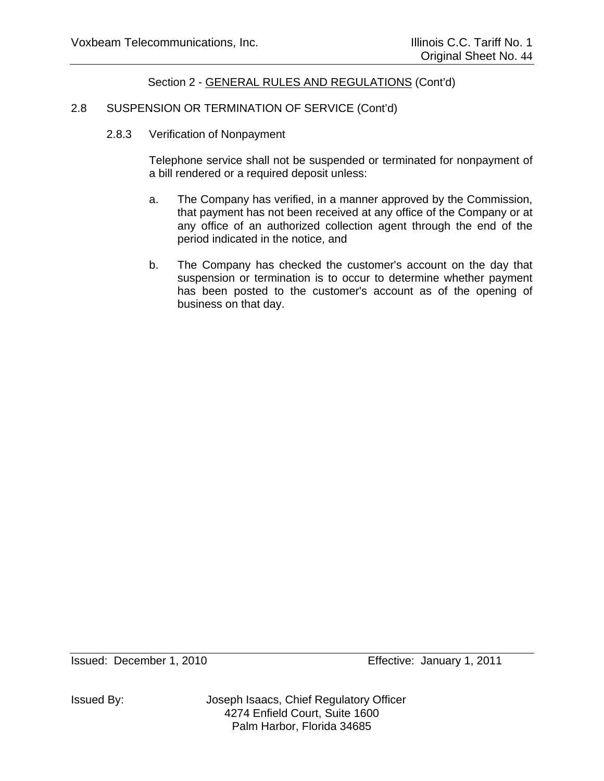## 2.8 SUSPENSION OR TERMINATION OF SERVICE (Cont'd)

2.8.3 Verification of Nonpayment

Telephone service shall not be suspended or terminated for nonpayment of a bill rendered or a required deposit unless:

- a. The Company has verified, in a manner approved by the Commission, that payment has not been received at any office of the Company or at any office of an authorized collection agent through the end of the period indicated in the notice, and
- b. The Company has checked the customer's account on the day that suspension or termination is to occur to determine whether payment has been posted to the customer's account as of the opening of business on that day.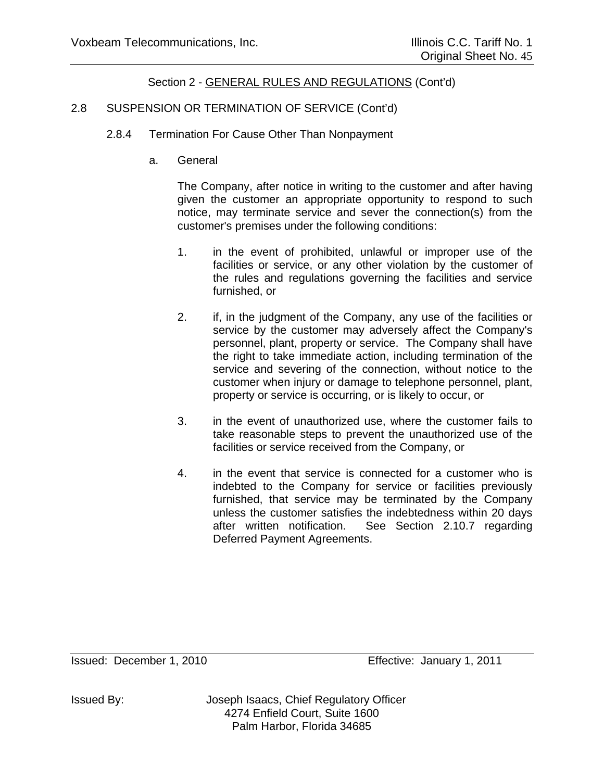## 2.8 SUSPENSION OR TERMINATION OF SERVICE (Cont'd)

- 2.8.4 Termination For Cause Other Than Nonpayment
	- a. General

The Company, after notice in writing to the customer and after having given the customer an appropriate opportunity to respond to such notice, may terminate service and sever the connection(s) from the customer's premises under the following conditions:

- 1. in the event of prohibited, unlawful or improper use of the facilities or service, or any other violation by the customer of the rules and regulations governing the facilities and service furnished, or
- 2. if, in the judgment of the Company, any use of the facilities or service by the customer may adversely affect the Company's personnel, plant, property or service. The Company shall have the right to take immediate action, including termination of the service and severing of the connection, without notice to the customer when injury or damage to telephone personnel, plant, property or service is occurring, or is likely to occur, or
- 3. in the event of unauthorized use, where the customer fails to take reasonable steps to prevent the unauthorized use of the facilities or service received from the Company, or
- 4. in the event that service is connected for a customer who is indebted to the Company for service or facilities previously furnished, that service may be terminated by the Company unless the customer satisfies the indebtedness within 20 days after written notification. See Section 2.10.7 regarding Deferred Payment Agreements.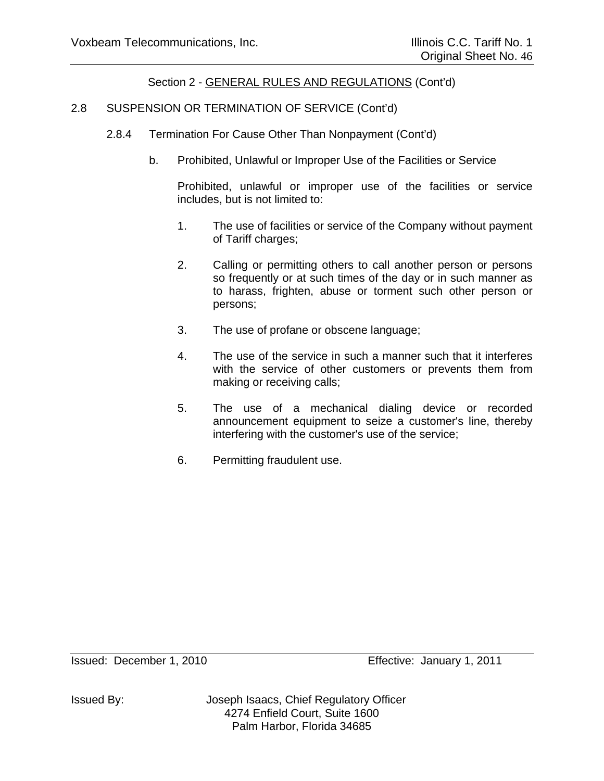## 2.8 SUSPENSION OR TERMINATION OF SERVICE (Cont'd)

- 2.8.4 Termination For Cause Other Than Nonpayment (Cont'd)
	- b. Prohibited, Unlawful or Improper Use of the Facilities or Service

Prohibited, unlawful or improper use of the facilities or service includes, but is not limited to:

- 1. The use of facilities or service of the Company without payment of Tariff charges;
- 2. Calling or permitting others to call another person or persons so frequently or at such times of the day or in such manner as to harass, frighten, abuse or torment such other person or persons;
- 3. The use of profane or obscene language;
- 4. The use of the service in such a manner such that it interferes with the service of other customers or prevents them from making or receiving calls;
- 5. The use of a mechanical dialing device or recorded announcement equipment to seize a customer's line, thereby interfering with the customer's use of the service;
- 6. Permitting fraudulent use.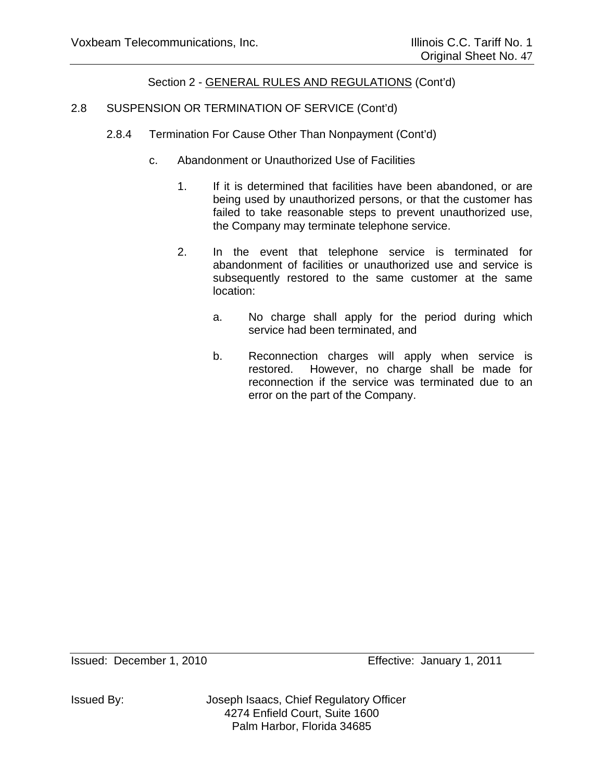## 2.8 SUSPENSION OR TERMINATION OF SERVICE (Cont'd)

- 2.8.4 Termination For Cause Other Than Nonpayment (Cont'd)
	- c. Abandonment or Unauthorized Use of Facilities
		- 1. If it is determined that facilities have been abandoned, or are being used by unauthorized persons, or that the customer has failed to take reasonable steps to prevent unauthorized use, the Company may terminate telephone service.
		- 2. In the event that telephone service is terminated for abandonment of facilities or unauthorized use and service is subsequently restored to the same customer at the same location:
			- a. No charge shall apply for the period during which service had been terminated, and
			- b. Reconnection charges will apply when service is restored. However, no charge shall be made for reconnection if the service was terminated due to an error on the part of the Company.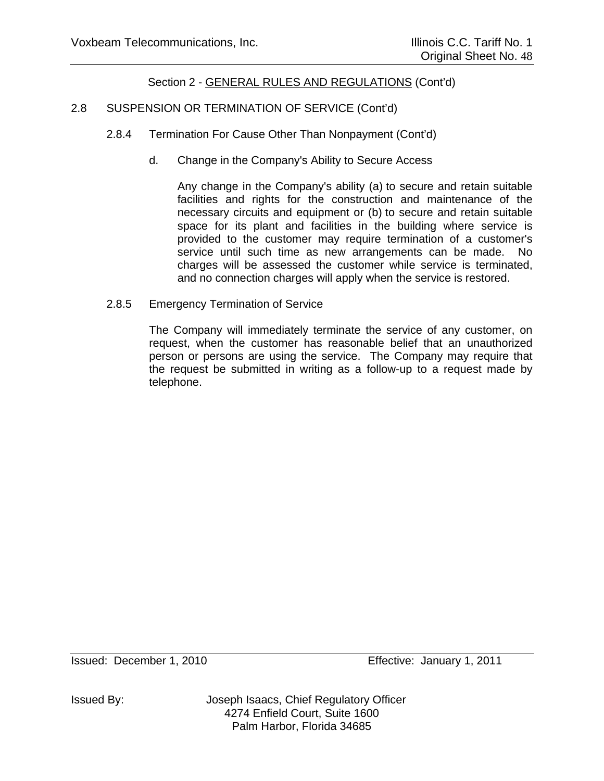# 2.8 SUSPENSION OR TERMINATION OF SERVICE (Cont'd)

- 2.8.4 Termination For Cause Other Than Nonpayment (Cont'd)
	- d. Change in the Company's Ability to Secure Access

Any change in the Company's ability (a) to secure and retain suitable facilities and rights for the construction and maintenance of the necessary circuits and equipment or (b) to secure and retain suitable space for its plant and facilities in the building where service is provided to the customer may require termination of a customer's service until such time as new arrangements can be made. No charges will be assessed the customer while service is terminated, and no connection charges will apply when the service is restored.

2.8.5 Emergency Termination of Service

The Company will immediately terminate the service of any customer, on request, when the customer has reasonable belief that an unauthorized person or persons are using the service. The Company may require that the request be submitted in writing as a follow-up to a request made by telephone.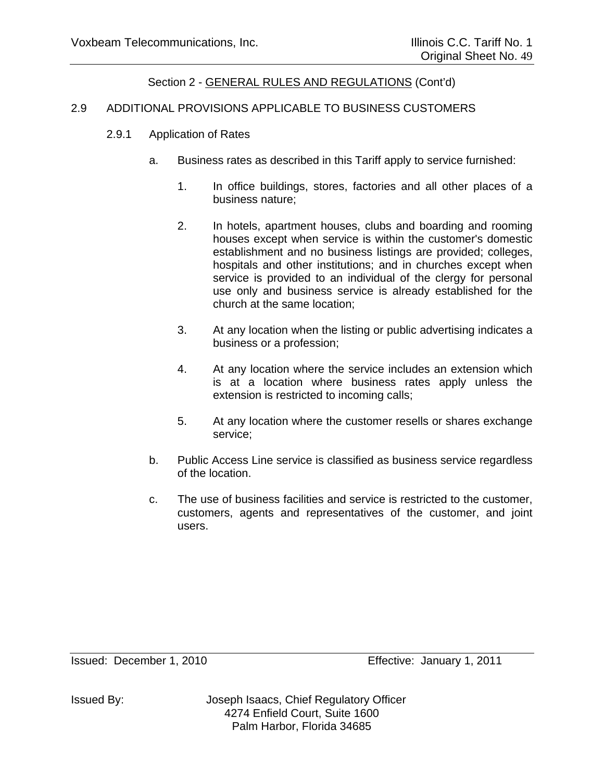## 2.9 ADDITIONAL PROVISIONS APPLICABLE TO BUSINESS CUSTOMERS

- 2.9.1 Application of Rates
	- a. Business rates as described in this Tariff apply to service furnished:
		- 1. In office buildings, stores, factories and all other places of a business nature;
		- 2. In hotels, apartment houses, clubs and boarding and rooming houses except when service is within the customer's domestic establishment and no business listings are provided; colleges, hospitals and other institutions; and in churches except when service is provided to an individual of the clergy for personal use only and business service is already established for the church at the same location;
		- 3. At any location when the listing or public advertising indicates a business or a profession;
		- 4. At any location where the service includes an extension which is at a location where business rates apply unless the extension is restricted to incoming calls;
		- 5. At any location where the customer resells or shares exchange service;
	- b. Public Access Line service is classified as business service regardless of the location.
	- c. The use of business facilities and service is restricted to the customer, customers, agents and representatives of the customer, and joint users.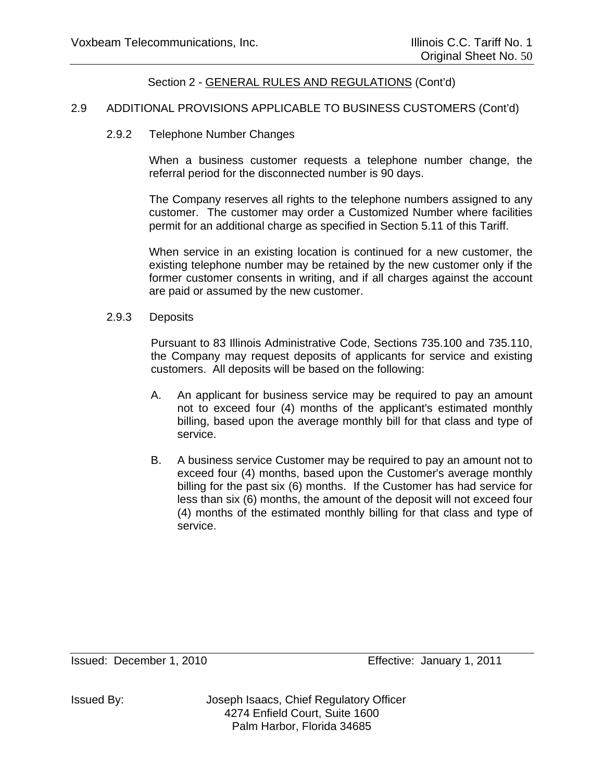### 2.9 ADDITIONAL PROVISIONS APPLICABLE TO BUSINESS CUSTOMERS (Cont'd)

2.9.2 Telephone Number Changes

When a business customer requests a telephone number change, the referral period for the disconnected number is 90 days.

The Company reserves all rights to the telephone numbers assigned to any customer. The customer may order a Customized Number where facilities permit for an additional charge as specified in Section 5.11 of this Tariff.

When service in an existing location is continued for a new customer, the existing telephone number may be retained by the new customer only if the former customer consents in writing, and if all charges against the account are paid or assumed by the new customer.

2.9.3 Deposits

 Pursuant to 83 Illinois Administrative Code, Sections 735.100 and 735.110, the Company may request deposits of applicants for service and existing customers. All deposits will be based on the following:

- A. An applicant for business service may be required to pay an amount not to exceed four (4) months of the applicant's estimated monthly billing, based upon the average monthly bill for that class and type of service.
- B. A business service Customer may be required to pay an amount not to exceed four (4) months, based upon the Customer's average monthly billing for the past six (6) months. If the Customer has had service for less than six (6) months, the amount of the deposit will not exceed four (4) months of the estimated monthly billing for that class and type of service.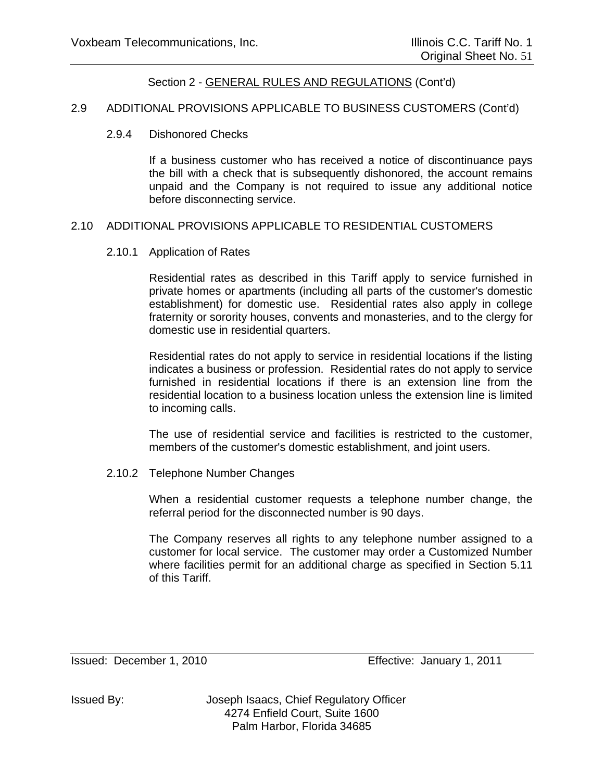## 2.9 ADDITIONAL PROVISIONS APPLICABLE TO BUSINESS CUSTOMERS (Cont'd)

#### 2.9.4 Dishonored Checks

If a business customer who has received a notice of discontinuance pays the bill with a check that is subsequently dishonored, the account remains unpaid and the Company is not required to issue any additional notice before disconnecting service.

#### 2.10 ADDITIONAL PROVISIONS APPLICABLE TO RESIDENTIAL CUSTOMERS

2.10.1 Application of Rates

Residential rates as described in this Tariff apply to service furnished in private homes or apartments (including all parts of the customer's domestic establishment) for domestic use. Residential rates also apply in college fraternity or sorority houses, convents and monasteries, and to the clergy for domestic use in residential quarters.

Residential rates do not apply to service in residential locations if the listing indicates a business or profession. Residential rates do not apply to service furnished in residential locations if there is an extension line from the residential location to a business location unless the extension line is limited to incoming calls.

The use of residential service and facilities is restricted to the customer, members of the customer's domestic establishment, and joint users.

#### 2.10.2 Telephone Number Changes

When a residential customer requests a telephone number change, the referral period for the disconnected number is 90 days.

The Company reserves all rights to any telephone number assigned to a customer for local service. The customer may order a Customized Number where facilities permit for an additional charge as specified in Section 5.11 of this Tariff.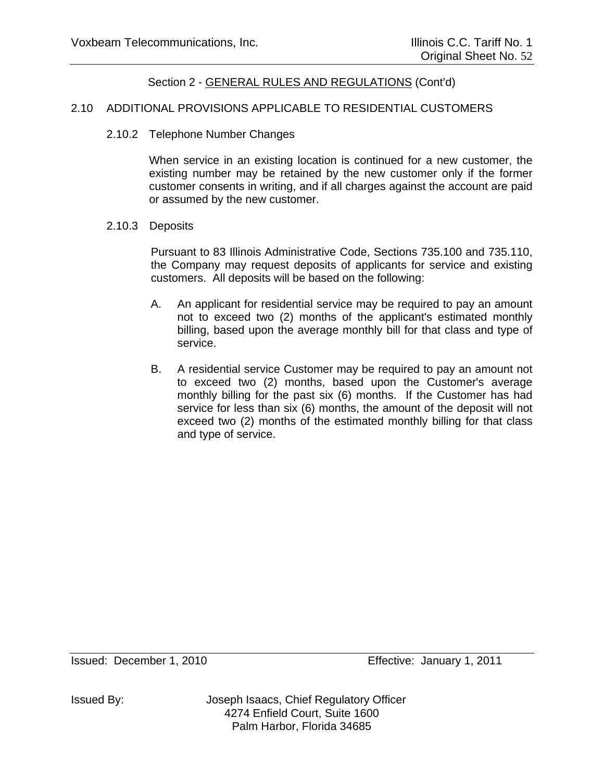#### 2.10 ADDITIONAL PROVISIONS APPLICABLE TO RESIDENTIAL CUSTOMERS

2.10.2 Telephone Number Changes

When service in an existing location is continued for a new customer, the existing number may be retained by the new customer only if the former customer consents in writing, and if all charges against the account are paid or assumed by the new customer.

#### 2.10.3 Deposits

 Pursuant to 83 Illinois Administrative Code, Sections 735.100 and 735.110, the Company may request deposits of applicants for service and existing customers. All deposits will be based on the following:

- A. An applicant for residential service may be required to pay an amount not to exceed two (2) months of the applicant's estimated monthly billing, based upon the average monthly bill for that class and type of service.
- B. A residential service Customer may be required to pay an amount not to exceed two (2) months, based upon the Customer's average monthly billing for the past six (6) months. If the Customer has had service for less than six (6) months, the amount of the deposit will not exceed two (2) months of the estimated monthly billing for that class and type of service.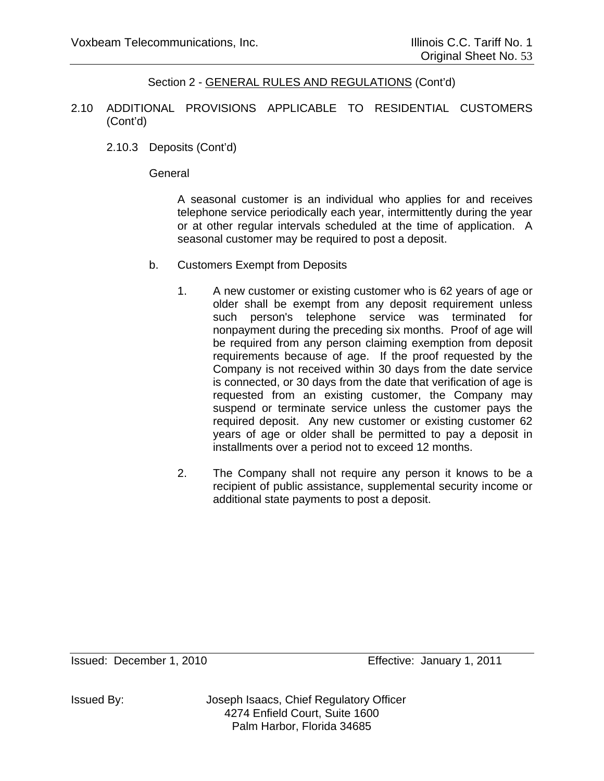- 2.10 ADDITIONAL PROVISIONS APPLICABLE TO RESIDENTIAL CUSTOMERS (Cont'd)
	- 2.10.3 Deposits (Cont'd)

**General** 

A seasonal customer is an individual who applies for and receives telephone service periodically each year, intermittently during the year or at other regular intervals scheduled at the time of application. A seasonal customer may be required to post a deposit.

- b. Customers Exempt from Deposits
	- 1. A new customer or existing customer who is 62 years of age or older shall be exempt from any deposit requirement unless such person's telephone service was terminated for nonpayment during the preceding six months. Proof of age will be required from any person claiming exemption from deposit requirements because of age. If the proof requested by the Company is not received within 30 days from the date service is connected, or 30 days from the date that verification of age is requested from an existing customer, the Company may suspend or terminate service unless the customer pays the required deposit. Any new customer or existing customer 62 years of age or older shall be permitted to pay a deposit in installments over a period not to exceed 12 months.
	- 2. The Company shall not require any person it knows to be a recipient of public assistance, supplemental security income or additional state payments to post a deposit.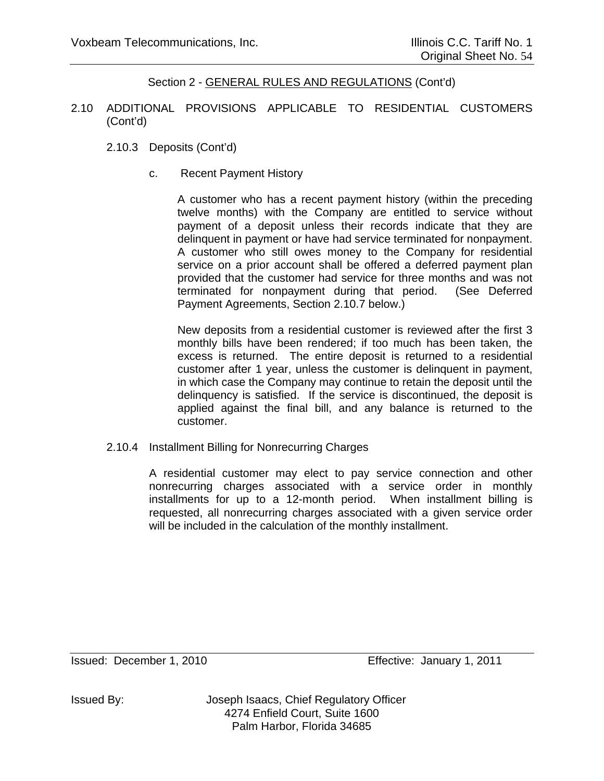- 2.10 ADDITIONAL PROVISIONS APPLICABLE TO RESIDENTIAL CUSTOMERS (Cont'd)
	- 2.10.3 Deposits (Cont'd)
		- c. Recent Payment History

A customer who has a recent payment history (within the preceding twelve months) with the Company are entitled to service without payment of a deposit unless their records indicate that they are delinquent in payment or have had service terminated for nonpayment. A customer who still owes money to the Company for residential service on a prior account shall be offered a deferred payment plan provided that the customer had service for three months and was not terminated for nonpayment during that period. (See Deferred Payment Agreements, Section 2.10.7 below.)

New deposits from a residential customer is reviewed after the first 3 monthly bills have been rendered; if too much has been taken, the excess is returned. The entire deposit is returned to a residential customer after 1 year, unless the customer is delinquent in payment, in which case the Company may continue to retain the deposit until the delinquency is satisfied. If the service is discontinued, the deposit is applied against the final bill, and any balance is returned to the customer.

2.10.4 Installment Billing for Nonrecurring Charges

A residential customer may elect to pay service connection and other nonrecurring charges associated with a service order in monthly installments for up to a 12-month period. When installment billing is requested, all nonrecurring charges associated with a given service order will be included in the calculation of the monthly installment.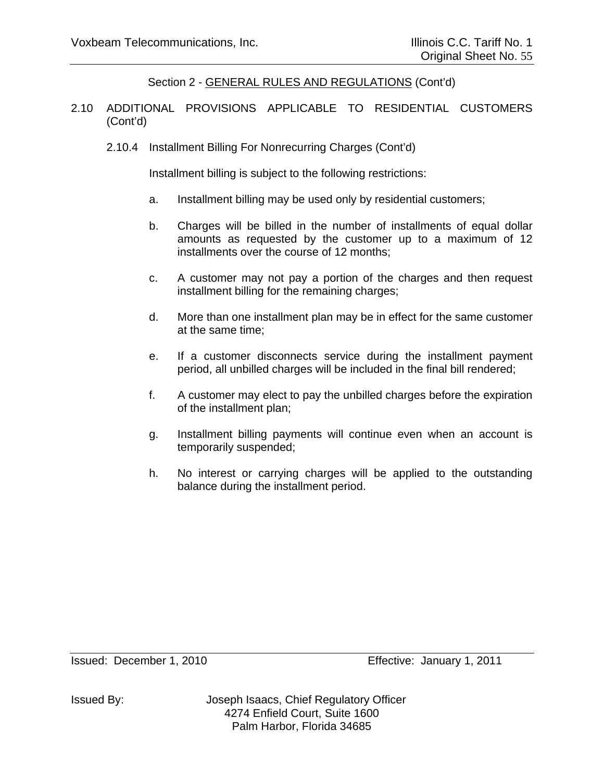- 2.10 ADDITIONAL PROVISIONS APPLICABLE TO RESIDENTIAL CUSTOMERS (Cont'd)
	- 2.10.4 Installment Billing For Nonrecurring Charges (Cont'd)

Installment billing is subject to the following restrictions:

- a. Installment billing may be used only by residential customers;
- b. Charges will be billed in the number of installments of equal dollar amounts as requested by the customer up to a maximum of 12 installments over the course of 12 months;
- c. A customer may not pay a portion of the charges and then request installment billing for the remaining charges;
- d. More than one installment plan may be in effect for the same customer at the same time;
- e. If a customer disconnects service during the installment payment period, all unbilled charges will be included in the final bill rendered;
- f. A customer may elect to pay the unbilled charges before the expiration of the installment plan;
- g. Installment billing payments will continue even when an account is temporarily suspended;
- h. No interest or carrying charges will be applied to the outstanding balance during the installment period.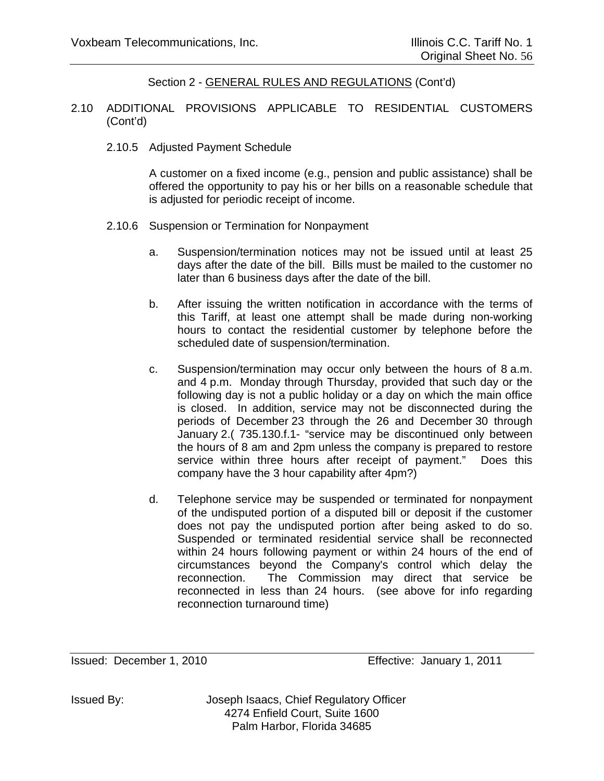#### 2.10 ADDITIONAL PROVISIONS APPLICABLE TO RESIDENTIAL CUSTOMERS (Cont'd)

2.10.5 Adjusted Payment Schedule

A customer on a fixed income (e.g., pension and public assistance) shall be offered the opportunity to pay his or her bills on a reasonable schedule that is adjusted for periodic receipt of income.

- 2.10.6 Suspension or Termination for Nonpayment
	- a. Suspension/termination notices may not be issued until at least 25 days after the date of the bill. Bills must be mailed to the customer no later than 6 business days after the date of the bill.
	- b. After issuing the written notification in accordance with the terms of this Tariff, at least one attempt shall be made during non-working hours to contact the residential customer by telephone before the scheduled date of suspension/termination.
	- c. Suspension/termination may occur only between the hours of 8 a.m. and 4 p.m. Monday through Thursday, provided that such day or the following day is not a public holiday or a day on which the main office is closed. In addition, service may not be disconnected during the periods of December 23 through the 26 and December 30 through January 2.( 735.130.f.1- "service may be discontinued only between the hours of 8 am and 2pm unless the company is prepared to restore service within three hours after receipt of payment." Does this company have the 3 hour capability after 4pm?)
	- d. Telephone service may be suspended or terminated for nonpayment of the undisputed portion of a disputed bill or deposit if the customer does not pay the undisputed portion after being asked to do so. Suspended or terminated residential service shall be reconnected within 24 hours following payment or within 24 hours of the end of circumstances beyond the Company's control which delay the reconnection. The Commission may direct that service be reconnected in less than 24 hours. (see above for info regarding reconnection turnaround time)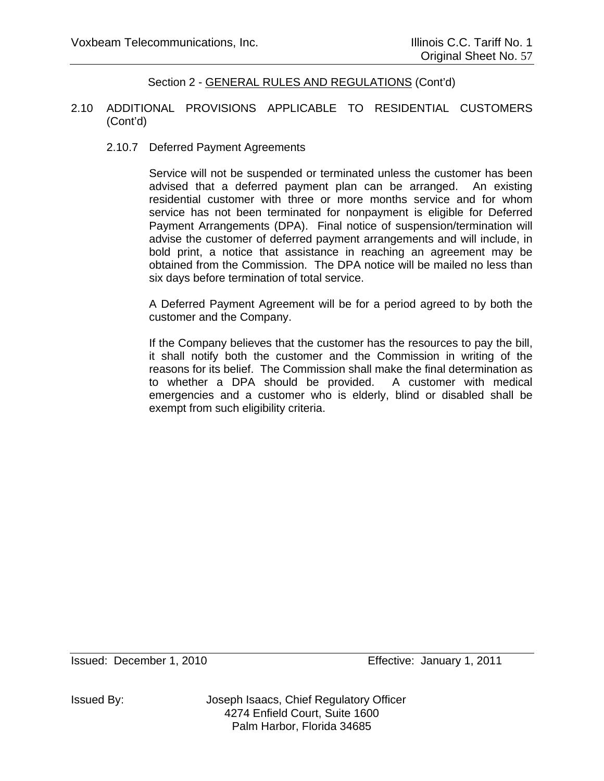#### 2.10 ADDITIONAL PROVISIONS APPLICABLE TO RESIDENTIAL CUSTOMERS (Cont'd)

#### 2.10.7 Deferred Payment Agreements

Service will not be suspended or terminated unless the customer has been advised that a deferred payment plan can be arranged. An existing residential customer with three or more months service and for whom service has not been terminated for nonpayment is eligible for Deferred Payment Arrangements (DPA). Final notice of suspension/termination will advise the customer of deferred payment arrangements and will include, in bold print, a notice that assistance in reaching an agreement may be obtained from the Commission. The DPA notice will be mailed no less than six days before termination of total service.

A Deferred Payment Agreement will be for a period agreed to by both the customer and the Company.

If the Company believes that the customer has the resources to pay the bill, it shall notify both the customer and the Commission in writing of the reasons for its belief. The Commission shall make the final determination as to whether a DPA should be provided. A customer with medical emergencies and a customer who is elderly, blind or disabled shall be exempt from such eligibility criteria.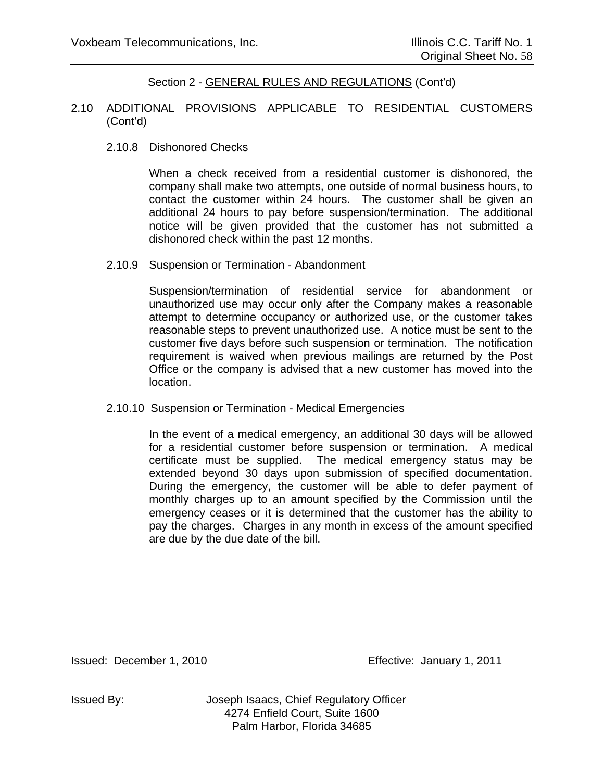#### 2.10 ADDITIONAL PROVISIONS APPLICABLE TO RESIDENTIAL CUSTOMERS (Cont'd)

2.10.8 Dishonored Checks

When a check received from a residential customer is dishonored, the company shall make two attempts, one outside of normal business hours, to contact the customer within 24 hours. The customer shall be given an additional 24 hours to pay before suspension/termination. The additional notice will be given provided that the customer has not submitted a dishonored check within the past 12 months.

2.10.9 Suspension or Termination - Abandonment

Suspension/termination of residential service for abandonment or unauthorized use may occur only after the Company makes a reasonable attempt to determine occupancy or authorized use, or the customer takes reasonable steps to prevent unauthorized use. A notice must be sent to the customer five days before such suspension or termination. The notification requirement is waived when previous mailings are returned by the Post Office or the company is advised that a new customer has moved into the location.

2.10.10 Suspension or Termination - Medical Emergencies

In the event of a medical emergency, an additional 30 days will be allowed for a residential customer before suspension or termination. A medical certificate must be supplied. The medical emergency status may be extended beyond 30 days upon submission of specified documentation. During the emergency, the customer will be able to defer payment of monthly charges up to an amount specified by the Commission until the emergency ceases or it is determined that the customer has the ability to pay the charges. Charges in any month in excess of the amount specified are due by the due date of the bill.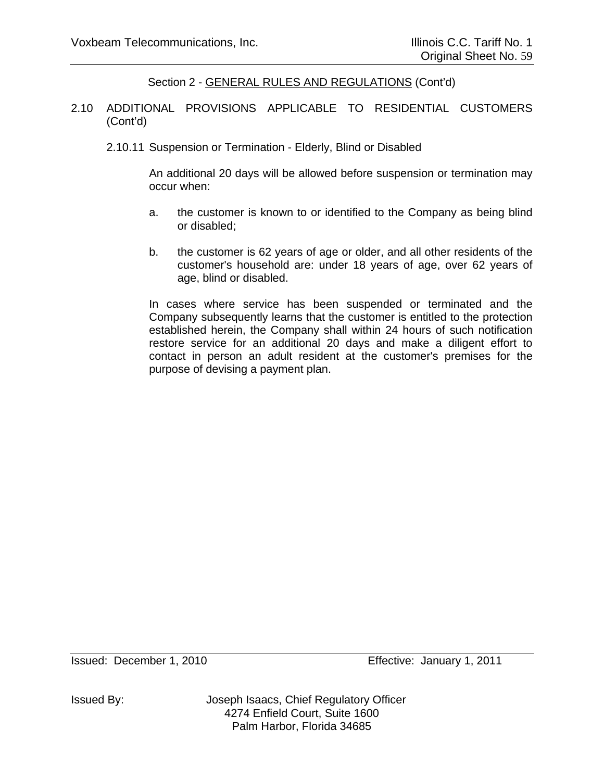- 2.10 ADDITIONAL PROVISIONS APPLICABLE TO RESIDENTIAL CUSTOMERS (Cont'd)
	- 2.10.11 Suspension or Termination Elderly, Blind or Disabled

An additional 20 days will be allowed before suspension or termination may occur when:

- a. the customer is known to or identified to the Company as being blind or disabled;
- b. the customer is 62 years of age or older, and all other residents of the customer's household are: under 18 years of age, over 62 years of age, blind or disabled.

In cases where service has been suspended or terminated and the Company subsequently learns that the customer is entitled to the protection established herein, the Company shall within 24 hours of such notification restore service for an additional 20 days and make a diligent effort to contact in person an adult resident at the customer's premises for the purpose of devising a payment plan.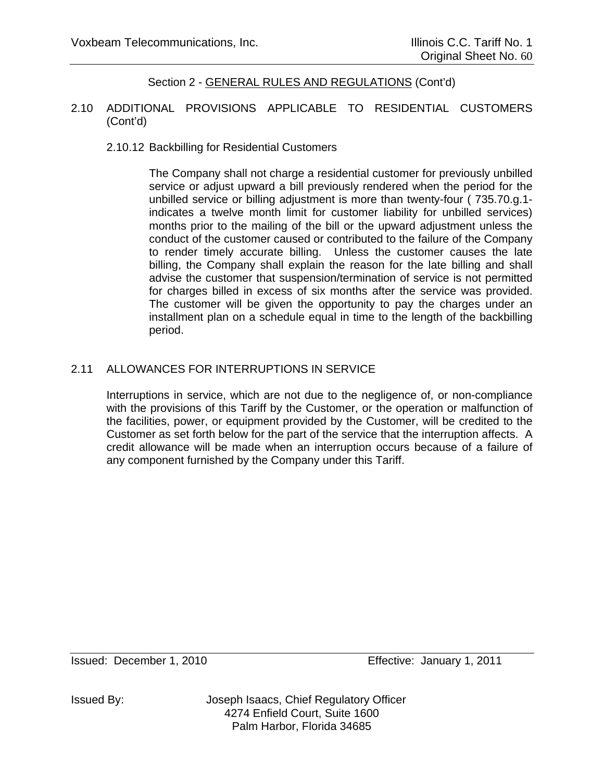#### 2.10 ADDITIONAL PROVISIONS APPLICABLE TO RESIDENTIAL CUSTOMERS (Cont'd)

## 2.10.12 Backbilling for Residential Customers

The Company shall not charge a residential customer for previously unbilled service or adjust upward a bill previously rendered when the period for the unbilled service or billing adjustment is more than twenty-four ( 735.70.g.1 indicates a twelve month limit for customer liability for unbilled services) months prior to the mailing of the bill or the upward adjustment unless the conduct of the customer caused or contributed to the failure of the Company to render timely accurate billing. Unless the customer causes the late billing, the Company shall explain the reason for the late billing and shall advise the customer that suspension/termination of service is not permitted for charges billed in excess of six months after the service was provided. The customer will be given the opportunity to pay the charges under an installment plan on a schedule equal in time to the length of the backbilling period.

## 2.11 ALLOWANCES FOR INTERRUPTIONS IN SERVICE

Interruptions in service, which are not due to the negligence of, or non-compliance with the provisions of this Tariff by the Customer, or the operation or malfunction of the facilities, power, or equipment provided by the Customer, will be credited to the Customer as set forth below for the part of the service that the interruption affects. A credit allowance will be made when an interruption occurs because of a failure of any component furnished by the Company under this Tariff.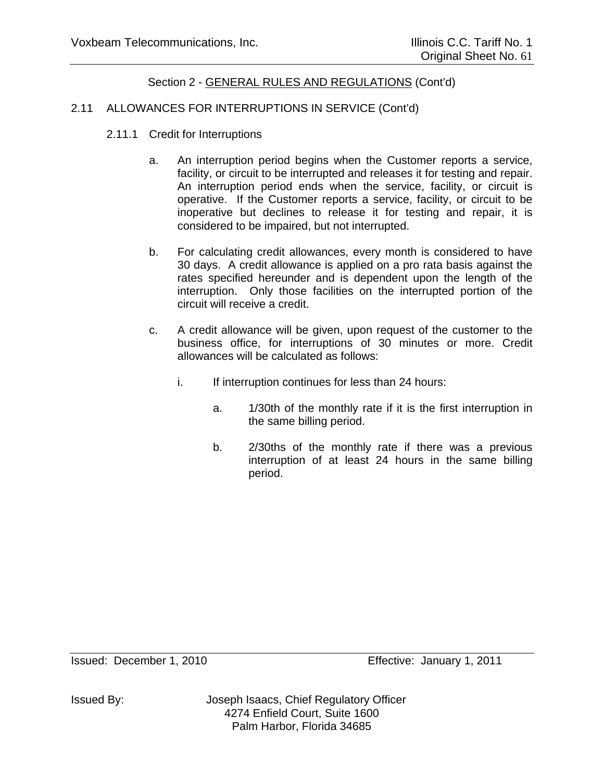## 2.11 ALLOWANCES FOR INTERRUPTIONS IN SERVICE (Cont'd)

- 2.11.1 Credit for Interruptions
	- a. An interruption period begins when the Customer reports a service, facility, or circuit to be interrupted and releases it for testing and repair. An interruption period ends when the service, facility, or circuit is operative. If the Customer reports a service, facility, or circuit to be inoperative but declines to release it for testing and repair, it is considered to be impaired, but not interrupted.
	- b. For calculating credit allowances, every month is considered to have 30 days. A credit allowance is applied on a pro rata basis against the rates specified hereunder and is dependent upon the length of the interruption. Only those facilities on the interrupted portion of the circuit will receive a credit.
	- c. A credit allowance will be given, upon request of the customer to the business office, for interruptions of 30 minutes or more. Credit allowances will be calculated as follows:
		- i. If interruption continues for less than 24 hours:
			- a. 1/30th of the monthly rate if it is the first interruption in the same billing period.
			- b. 2/30ths of the monthly rate if there was a previous interruption of at least 24 hours in the same billing period.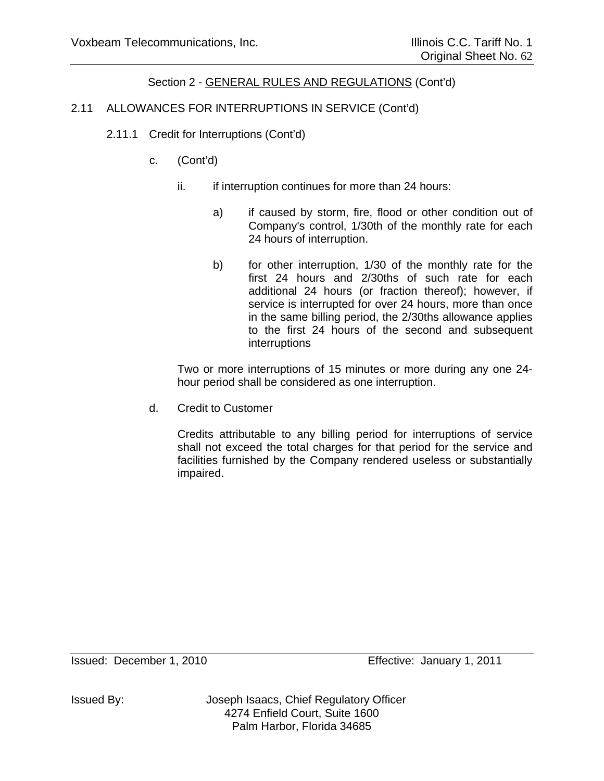# 2.11 ALLOWANCES FOR INTERRUPTIONS IN SERVICE (Cont'd)

- 2.11.1 Credit for Interruptions (Cont'd)
	- c. (Cont'd)
		- ii. if interruption continues for more than 24 hours:
			- a) if caused by storm, fire, flood or other condition out of Company's control, 1/30th of the monthly rate for each 24 hours of interruption.
			- b) for other interruption, 1/30 of the monthly rate for the first 24 hours and 2/30ths of such rate for each additional 24 hours (or fraction thereof); however, if service is interrupted for over 24 hours, more than once in the same billing period, the 2/30ths allowance applies to the first 24 hours of the second and subsequent interruptions

Two or more interruptions of 15 minutes or more during any one 24 hour period shall be considered as one interruption.

d. Credit to Customer

Credits attributable to any billing period for interruptions of service shall not exceed the total charges for that period for the service and facilities furnished by the Company rendered useless or substantially impaired.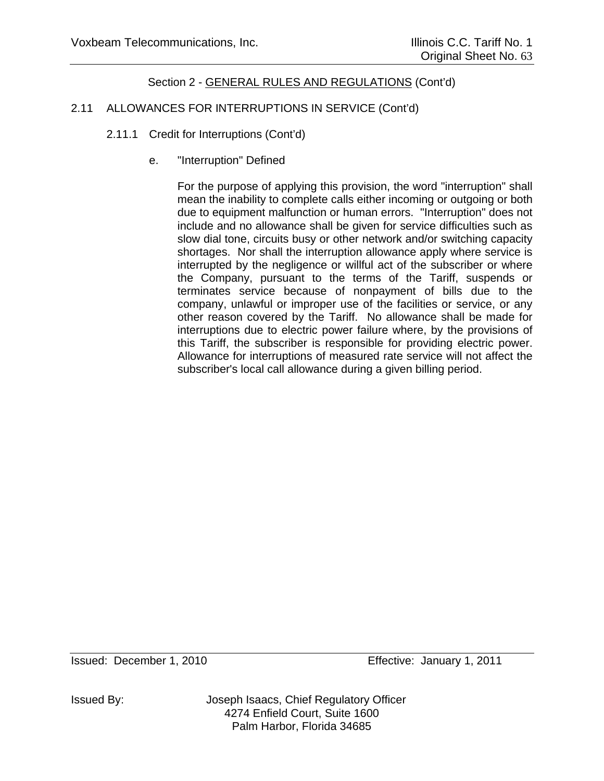# 2.11 ALLOWANCES FOR INTERRUPTIONS IN SERVICE (Cont'd)

- 2.11.1 Credit for Interruptions (Cont'd)
	- e. "Interruption" Defined

For the purpose of applying this provision, the word "interruption" shall mean the inability to complete calls either incoming or outgoing or both due to equipment malfunction or human errors. "Interruption" does not include and no allowance shall be given for service difficulties such as slow dial tone, circuits busy or other network and/or switching capacity shortages. Nor shall the interruption allowance apply where service is interrupted by the negligence or willful act of the subscriber or where the Company, pursuant to the terms of the Tariff, suspends or terminates service because of nonpayment of bills due to the company, unlawful or improper use of the facilities or service, or any other reason covered by the Tariff. No allowance shall be made for interruptions due to electric power failure where, by the provisions of this Tariff, the subscriber is responsible for providing electric power. Allowance for interruptions of measured rate service will not affect the subscriber's local call allowance during a given billing period.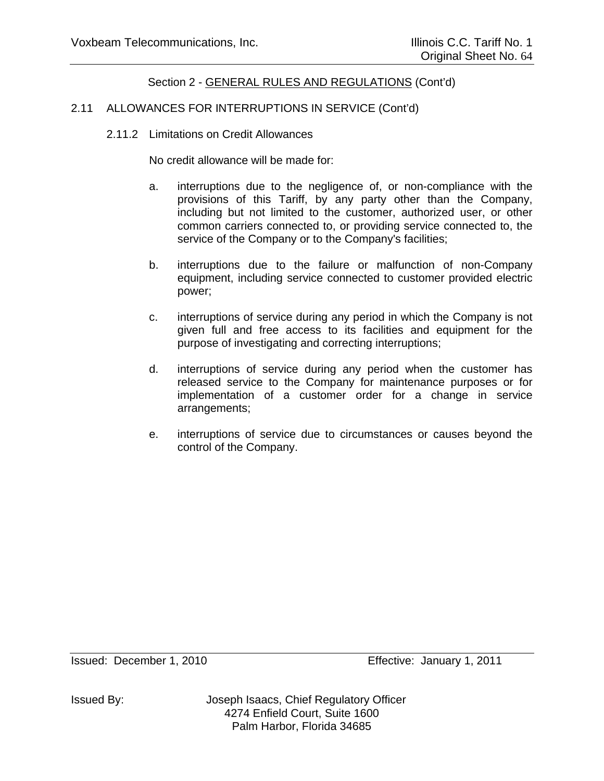## 2.11 ALLOWANCES FOR INTERRUPTIONS IN SERVICE (Cont'd)

2.11.2 Limitations on Credit Allowances

No credit allowance will be made for:

- a. interruptions due to the negligence of, or non-compliance with the provisions of this Tariff, by any party other than the Company, including but not limited to the customer, authorized user, or other common carriers connected to, or providing service connected to, the service of the Company or to the Company's facilities;
- b. interruptions due to the failure or malfunction of non-Company equipment, including service connected to customer provided electric power;
- c. interruptions of service during any period in which the Company is not given full and free access to its facilities and equipment for the purpose of investigating and correcting interruptions;
- d. interruptions of service during any period when the customer has released service to the Company for maintenance purposes or for implementation of a customer order for a change in service arrangements;
- e. interruptions of service due to circumstances or causes beyond the control of the Company.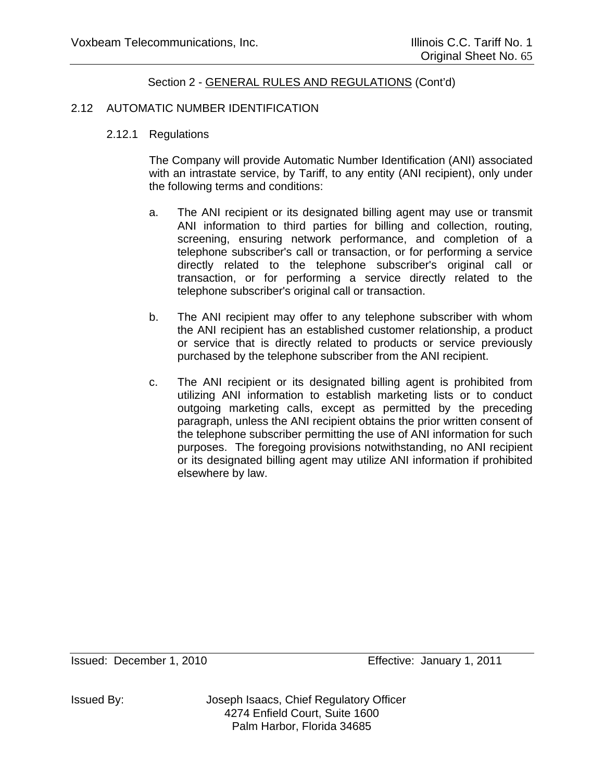#### 2.12 AUTOMATIC NUMBER IDENTIFICATION

#### 2.12.1 Regulations

The Company will provide Automatic Number Identification (ANI) associated with an intrastate service, by Tariff, to any entity (ANI recipient), only under the following terms and conditions:

- a. The ANI recipient or its designated billing agent may use or transmit ANI information to third parties for billing and collection, routing, screening, ensuring network performance, and completion of a telephone subscriber's call or transaction, or for performing a service directly related to the telephone subscriber's original call or transaction, or for performing a service directly related to the telephone subscriber's original call or transaction.
- b. The ANI recipient may offer to any telephone subscriber with whom the ANI recipient has an established customer relationship, a product or service that is directly related to products or service previously purchased by the telephone subscriber from the ANI recipient.
- c. The ANI recipient or its designated billing agent is prohibited from utilizing ANI information to establish marketing lists or to conduct outgoing marketing calls, except as permitted by the preceding paragraph, unless the ANI recipient obtains the prior written consent of the telephone subscriber permitting the use of ANI information for such purposes. The foregoing provisions notwithstanding, no ANI recipient or its designated billing agent may utilize ANI information if prohibited elsewhere by law.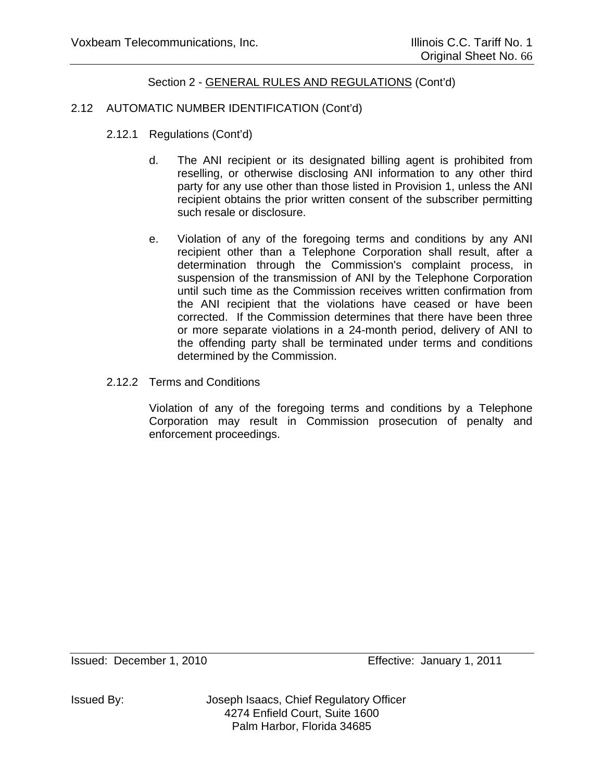## 2.12 AUTOMATIC NUMBER IDENTIFICATION (Cont'd)

- 2.12.1 Regulations (Cont'd)
	- d. The ANI recipient or its designated billing agent is prohibited from reselling, or otherwise disclosing ANI information to any other third party for any use other than those listed in Provision 1, unless the ANI recipient obtains the prior written consent of the subscriber permitting such resale or disclosure.
	- e. Violation of any of the foregoing terms and conditions by any ANI recipient other than a Telephone Corporation shall result, after a determination through the Commission's complaint process, in suspension of the transmission of ANI by the Telephone Corporation until such time as the Commission receives written confirmation from the ANI recipient that the violations have ceased or have been corrected. If the Commission determines that there have been three or more separate violations in a 24-month period, delivery of ANI to the offending party shall be terminated under terms and conditions determined by the Commission.
- 2.12.2 Terms and Conditions

Violation of any of the foregoing terms and conditions by a Telephone Corporation may result in Commission prosecution of penalty and enforcement proceedings.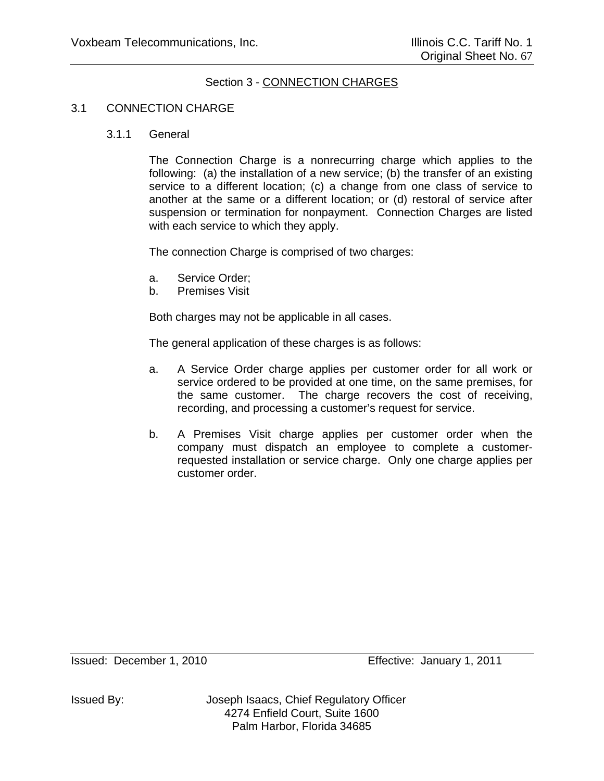### Section 3 - CONNECTION CHARGES

#### 3.1 CONNECTION CHARGE

3.1.1 General

The Connection Charge is a nonrecurring charge which applies to the following: (a) the installation of a new service; (b) the transfer of an existing service to a different location; (c) a change from one class of service to another at the same or a different location; or (d) restoral of service after suspension or termination for nonpayment. Connection Charges are listed with each service to which they apply.

The connection Charge is comprised of two charges:

- a. Service Order;
- b. Premises Visit

Both charges may not be applicable in all cases.

The general application of these charges is as follows:

- a. A Service Order charge applies per customer order for all work or service ordered to be provided at one time, on the same premises, for the same customer. The charge recovers the cost of receiving, recording, and processing a customer's request for service.
- b. A Premises Visit charge applies per customer order when the company must dispatch an employee to complete a customerrequested installation or service charge. Only one charge applies per customer order.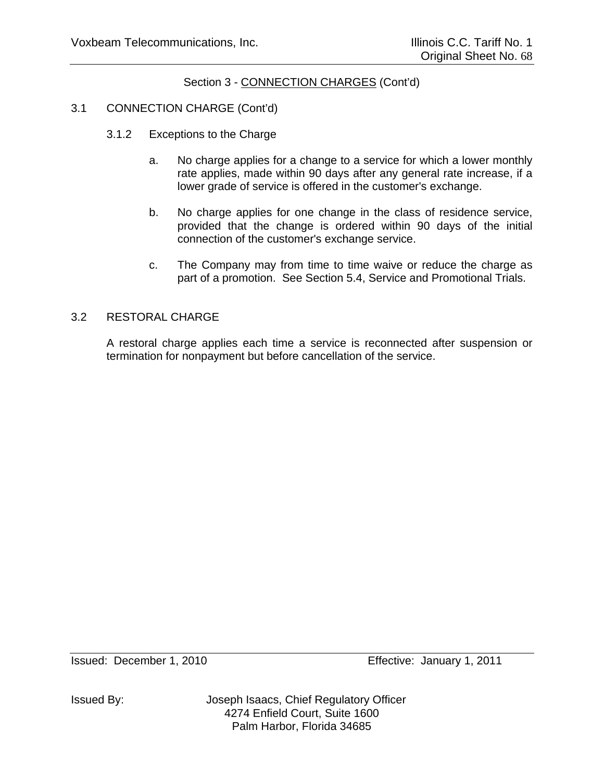# 3.1 CONNECTION CHARGE (Cont'd)

- 3.1.2 Exceptions to the Charge
	- a. No charge applies for a change to a service for which a lower monthly rate applies, made within 90 days after any general rate increase, if a lower grade of service is offered in the customer's exchange.
	- b. No charge applies for one change in the class of residence service, provided that the change is ordered within 90 days of the initial connection of the customer's exchange service.
	- c. The Company may from time to time waive or reduce the charge as part of a promotion. See Section 5.4, Service and Promotional Trials.

#### 3.2 RESTORAL CHARGE

A restoral charge applies each time a service is reconnected after suspension or termination for nonpayment but before cancellation of the service.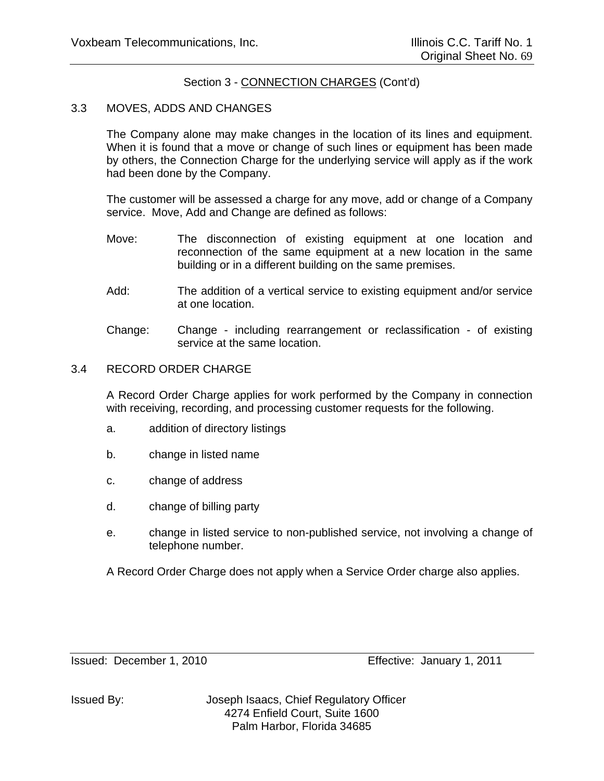#### 3.3 MOVES, ADDS AND CHANGES

The Company alone may make changes in the location of its lines and equipment. When it is found that a move or change of such lines or equipment has been made by others, the Connection Charge for the underlying service will apply as if the work had been done by the Company.

The customer will be assessed a charge for any move, add or change of a Company service. Move, Add and Change are defined as follows:

- Move: The disconnection of existing equipment at one location and reconnection of the same equipment at a new location in the same building or in a different building on the same premises.
- Add: The addition of a vertical service to existing equipment and/or service at one location.
- Change: Change including rearrangement or reclassification of existing service at the same location.

#### 3.4 RECORD ORDER CHARGE

A Record Order Charge applies for work performed by the Company in connection with receiving, recording, and processing customer requests for the following.

- a. addition of directory listings
- b. change in listed name
- c. change of address
- d. change of billing party
- e. change in listed service to non-published service, not involving a change of telephone number.

A Record Order Charge does not apply when a Service Order charge also applies.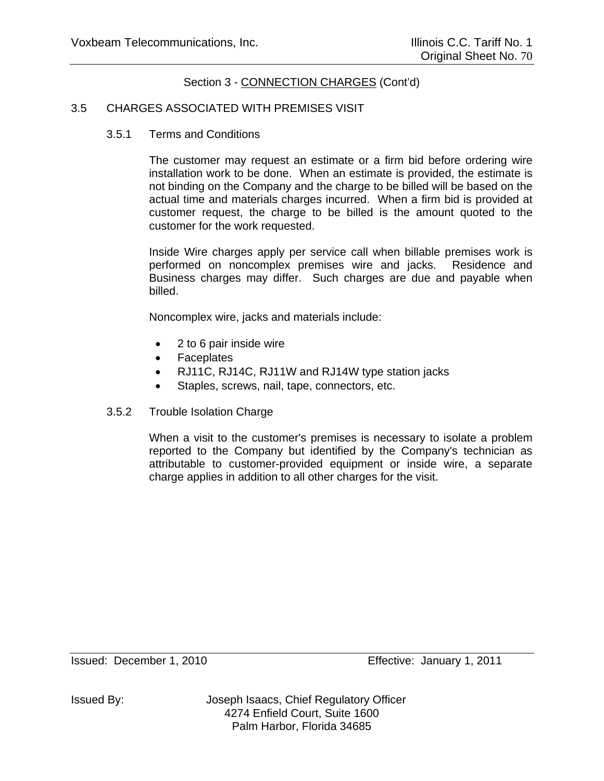#### 3.5 CHARGES ASSOCIATED WITH PREMISES VISIT

3.5.1 Terms and Conditions

The customer may request an estimate or a firm bid before ordering wire installation work to be done. When an estimate is provided, the estimate is not binding on the Company and the charge to be billed will be based on the actual time and materials charges incurred. When a firm bid is provided at customer request, the charge to be billed is the amount quoted to the customer for the work requested.

Inside Wire charges apply per service call when billable premises work is performed on noncomplex premises wire and jacks. Residence and Business charges may differ. Such charges are due and payable when billed.

Noncomplex wire, jacks and materials include:

- 2 to 6 pair inside wire
- Faceplates
- RJ11C, RJ14C, RJ11W and RJ14W type station jacks
- Staples, screws, nail, tape, connectors, etc.
- 3.5.2 Trouble Isolation Charge

When a visit to the customer's premises is necessary to isolate a problem reported to the Company but identified by the Company's technician as attributable to customer-provided equipment or inside wire, a separate charge applies in addition to all other charges for the visit.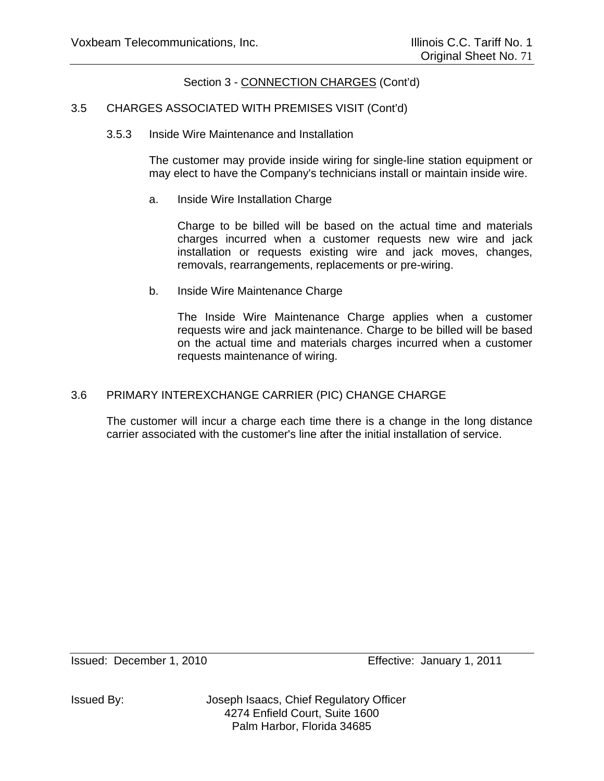#### 3.5 CHARGES ASSOCIATED WITH PREMISES VISIT (Cont'd)

3.5.3 Inside Wire Maintenance and Installation

The customer may provide inside wiring for single-line station equipment or may elect to have the Company's technicians install or maintain inside wire.

a. Inside Wire Installation Charge

Charge to be billed will be based on the actual time and materials charges incurred when a customer requests new wire and jack installation or requests existing wire and jack moves, changes, removals, rearrangements, replacements or pre-wiring.

b. Inside Wire Maintenance Charge

The Inside Wire Maintenance Charge applies when a customer requests wire and jack maintenance. Charge to be billed will be based on the actual time and materials charges incurred when a customer requests maintenance of wiring.

#### 3.6 PRIMARY INTEREXCHANGE CARRIER (PIC) CHANGE CHARGE

The customer will incur a charge each time there is a change in the long distance carrier associated with the customer's line after the initial installation of service.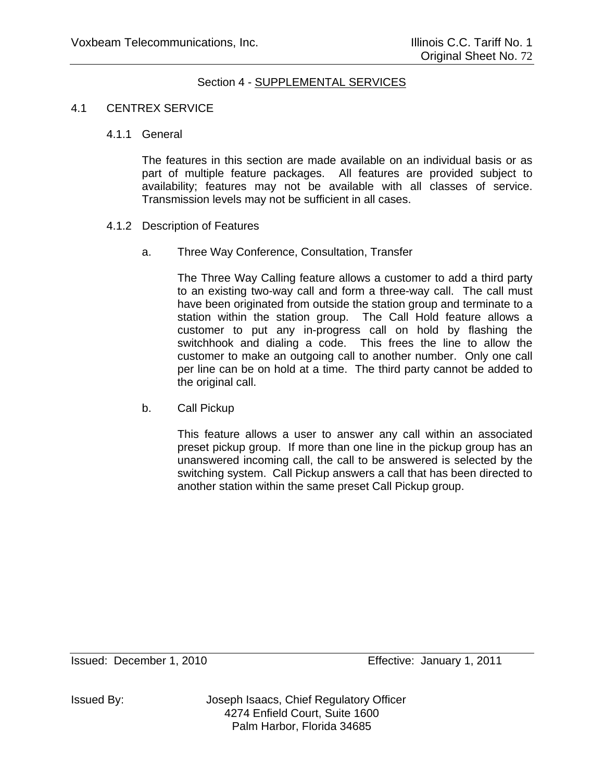## Section 4 - SUPPLEMENTAL SERVICES

## 4.1 CENTREX SERVICE

## 4.1.1 General

The features in this section are made available on an individual basis or as part of multiple feature packages. All features are provided subject to availability; features may not be available with all classes of service. Transmission levels may not be sufficient in all cases.

## 4.1.2 Description of Features

a. Three Way Conference, Consultation, Transfer

The Three Way Calling feature allows a customer to add a third party to an existing two-way call and form a three-way call. The call must have been originated from outside the station group and terminate to a station within the station group. The Call Hold feature allows a customer to put any in-progress call on hold by flashing the switchhook and dialing a code. This frees the line to allow the customer to make an outgoing call to another number. Only one call per line can be on hold at a time. The third party cannot be added to the original call.

b. Call Pickup

This feature allows a user to answer any call within an associated preset pickup group. If more than one line in the pickup group has an unanswered incoming call, the call to be answered is selected by the switching system. Call Pickup answers a call that has been directed to another station within the same preset Call Pickup group.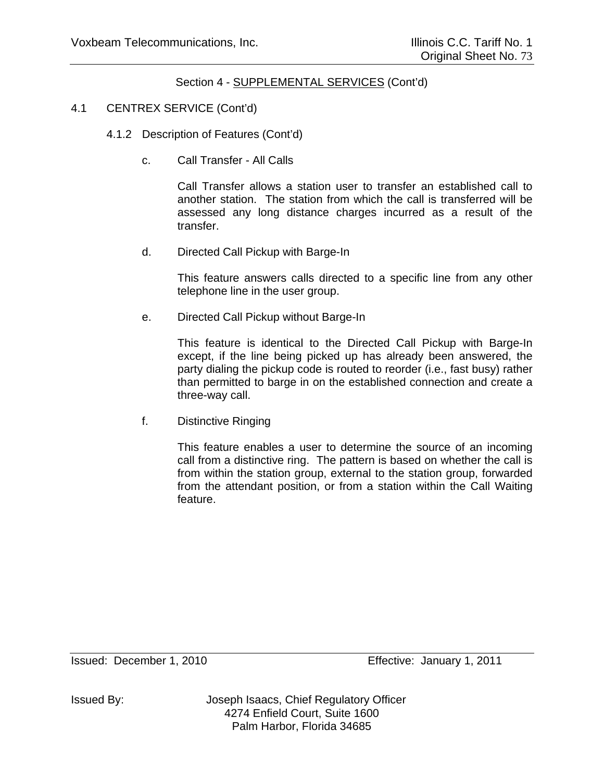## 4.1 CENTREX SERVICE (Cont'd)

- 4.1.2 Description of Features (Cont'd)
	- c. Call Transfer All Calls

Call Transfer allows a station user to transfer an established call to another station. The station from which the call is transferred will be assessed any long distance charges incurred as a result of the transfer.

d. Directed Call Pickup with Barge-In

This feature answers calls directed to a specific line from any other telephone line in the user group.

e. Directed Call Pickup without Barge-In

This feature is identical to the Directed Call Pickup with Barge-In except, if the line being picked up has already been answered, the party dialing the pickup code is routed to reorder (i.e., fast busy) rather than permitted to barge in on the established connection and create a three-way call.

f. Distinctive Ringing

This feature enables a user to determine the source of an incoming call from a distinctive ring. The pattern is based on whether the call is from within the station group, external to the station group, forwarded from the attendant position, or from a station within the Call Waiting feature.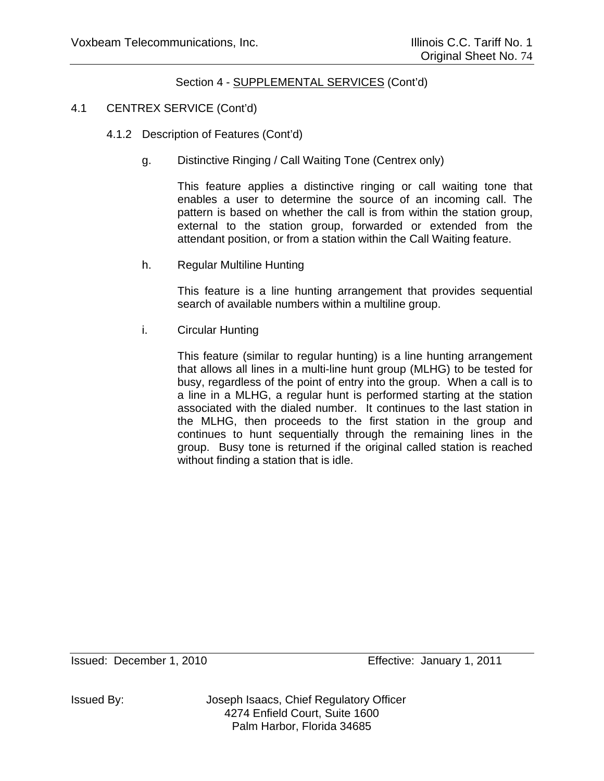## 4.1 CENTREX SERVICE (Cont'd)

- 4.1.2 Description of Features (Cont'd)
	- g. Distinctive Ringing / Call Waiting Tone (Centrex only)

This feature applies a distinctive ringing or call waiting tone that enables a user to determine the source of an incoming call. The pattern is based on whether the call is from within the station group, external to the station group, forwarded or extended from the attendant position, or from a station within the Call Waiting feature.

h. Regular Multiline Hunting

This feature is a line hunting arrangement that provides sequential search of available numbers within a multiline group.

i. Circular Hunting

This feature (similar to regular hunting) is a line hunting arrangement that allows all lines in a multi-line hunt group (MLHG) to be tested for busy, regardless of the point of entry into the group. When a call is to a line in a MLHG, a regular hunt is performed starting at the station associated with the dialed number. It continues to the last station in the MLHG, then proceeds to the first station in the group and continues to hunt sequentially through the remaining lines in the group. Busy tone is returned if the original called station is reached without finding a station that is idle.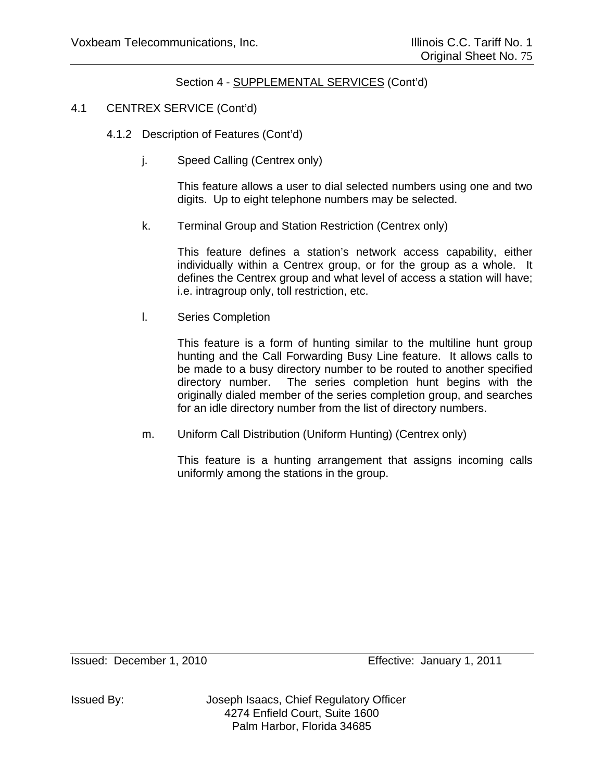## 4.1 CENTREX SERVICE (Cont'd)

- 4.1.2 Description of Features (Cont'd)
	- j. Speed Calling (Centrex only)

This feature allows a user to dial selected numbers using one and two digits. Up to eight telephone numbers may be selected.

k. Terminal Group and Station Restriction (Centrex only)

This feature defines a station's network access capability, either individually within a Centrex group, or for the group as a whole. It defines the Centrex group and what level of access a station will have; i.e. intragroup only, toll restriction, etc.

l. Series Completion

This feature is a form of hunting similar to the multiline hunt group hunting and the Call Forwarding Busy Line feature. It allows calls to be made to a busy directory number to be routed to another specified directory number. The series completion hunt begins with the originally dialed member of the series completion group, and searches for an idle directory number from the list of directory numbers.

m. Uniform Call Distribution (Uniform Hunting) (Centrex only)

This feature is a hunting arrangement that assigns incoming calls uniformly among the stations in the group.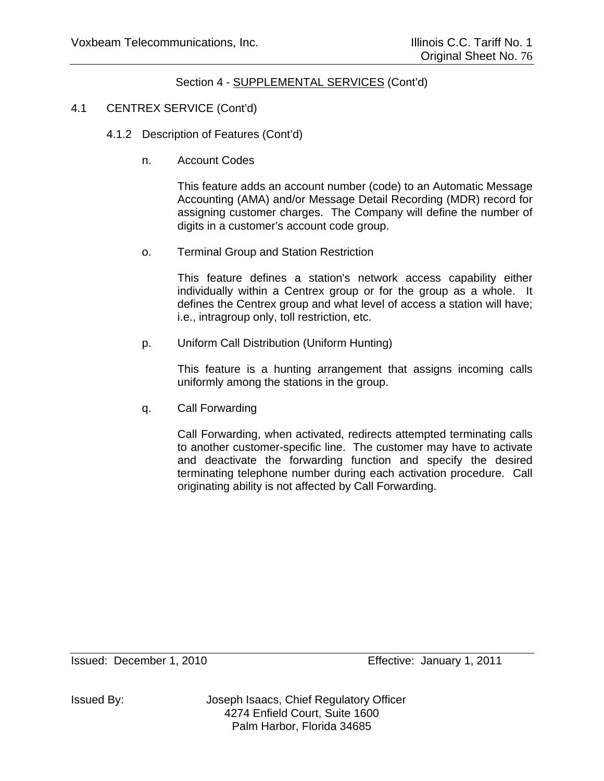## 4.1 CENTREX SERVICE (Cont'd)

- 4.1.2 Description of Features (Cont'd)
	- n. Account Codes

This feature adds an account number (code) to an Automatic Message Accounting (AMA) and/or Message Detail Recording (MDR) record for assigning customer charges. The Company will define the number of digits in a customer's account code group.

o. Terminal Group and Station Restriction

This feature defines a station's network access capability either individually within a Centrex group or for the group as a whole. It defines the Centrex group and what level of access a station will have; i.e., intragroup only, toll restriction, etc.

p. Uniform Call Distribution (Uniform Hunting)

This feature is a hunting arrangement that assigns incoming calls uniformly among the stations in the group.

q. Call Forwarding

Call Forwarding, when activated, redirects attempted terminating calls to another customer-specific line. The customer may have to activate and deactivate the forwarding function and specify the desired terminating telephone number during each activation procedure. Call originating ability is not affected by Call Forwarding.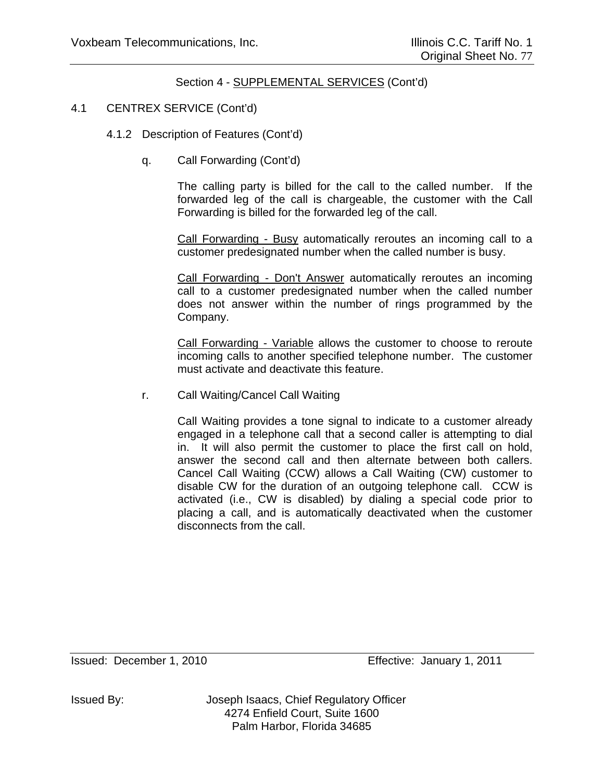## 4.1 CENTREX SERVICE (Cont'd)

- 4.1.2 Description of Features (Cont'd)
	- q. Call Forwarding (Cont'd)

The calling party is billed for the call to the called number. If the forwarded leg of the call is chargeable, the customer with the Call Forwarding is billed for the forwarded leg of the call.

Call Forwarding - Busy automatically reroutes an incoming call to a customer predesignated number when the called number is busy.

Call Forwarding - Don't Answer automatically reroutes an incoming call to a customer predesignated number when the called number does not answer within the number of rings programmed by the Company.

Call Forwarding - Variable allows the customer to choose to reroute incoming calls to another specified telephone number. The customer must activate and deactivate this feature.

r. Call Waiting/Cancel Call Waiting

Call Waiting provides a tone signal to indicate to a customer already engaged in a telephone call that a second caller is attempting to dial in. It will also permit the customer to place the first call on hold, answer the second call and then alternate between both callers. Cancel Call Waiting (CCW) allows a Call Waiting (CW) customer to disable CW for the duration of an outgoing telephone call. CCW is activated (i.e., CW is disabled) by dialing a special code prior to placing a call, and is automatically deactivated when the customer disconnects from the call.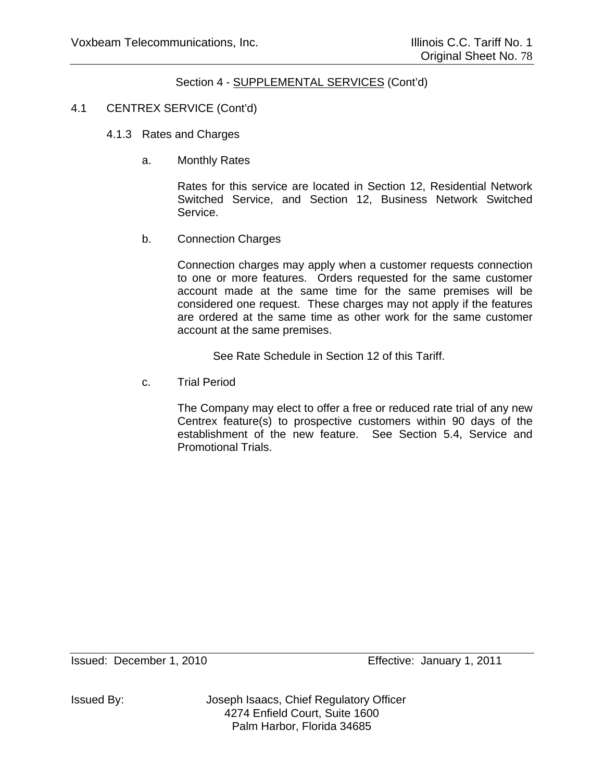## 4.1 CENTREX SERVICE (Cont'd)

- 4.1.3 Rates and Charges
	- a. Monthly Rates

Rates for this service are located in Section 12, Residential Network Switched Service, and Section 12, Business Network Switched Service.

b. Connection Charges

Connection charges may apply when a customer requests connection to one or more features. Orders requested for the same customer account made at the same time for the same premises will be considered one request. These charges may not apply if the features are ordered at the same time as other work for the same customer account at the same premises.

See Rate Schedule in Section 12 of this Tariff.

c. Trial Period

The Company may elect to offer a free or reduced rate trial of any new Centrex feature(s) to prospective customers within 90 days of the establishment of the new feature. See Section 5.4, Service and Promotional Trials.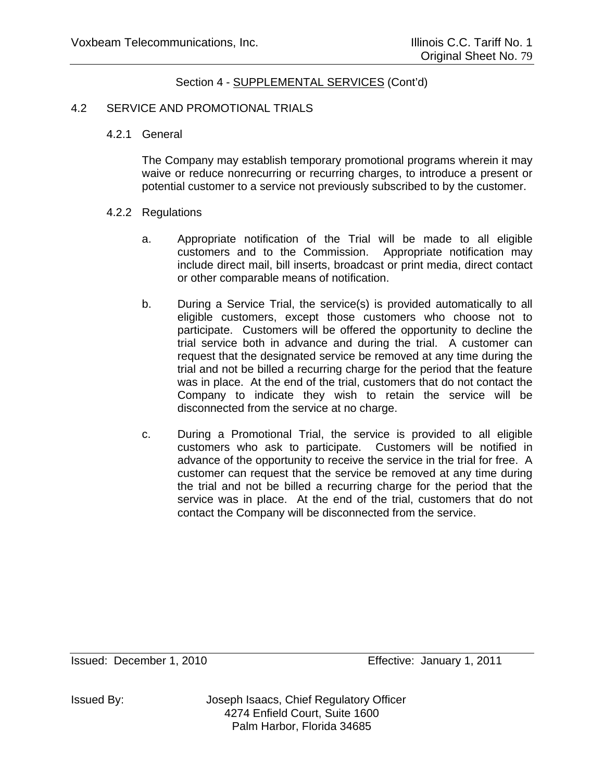## 4.2 SERVICE AND PROMOTIONAL TRIALS

## 4.2.1 General

The Company may establish temporary promotional programs wherein it may waive or reduce nonrecurring or recurring charges, to introduce a present or potential customer to a service not previously subscribed to by the customer.

## 4.2.2 Regulations

- a. Appropriate notification of the Trial will be made to all eligible customers and to the Commission. Appropriate notification may include direct mail, bill inserts, broadcast or print media, direct contact or other comparable means of notification.
- b. During a Service Trial, the service(s) is provided automatically to all eligible customers, except those customers who choose not to participate. Customers will be offered the opportunity to decline the trial service both in advance and during the trial. A customer can request that the designated service be removed at any time during the trial and not be billed a recurring charge for the period that the feature was in place. At the end of the trial, customers that do not contact the Company to indicate they wish to retain the service will be disconnected from the service at no charge.
- c. During a Promotional Trial, the service is provided to all eligible customers who ask to participate. Customers will be notified in advance of the opportunity to receive the service in the trial for free. A customer can request that the service be removed at any time during the trial and not be billed a recurring charge for the period that the service was in place. At the end of the trial, customers that do not contact the Company will be disconnected from the service.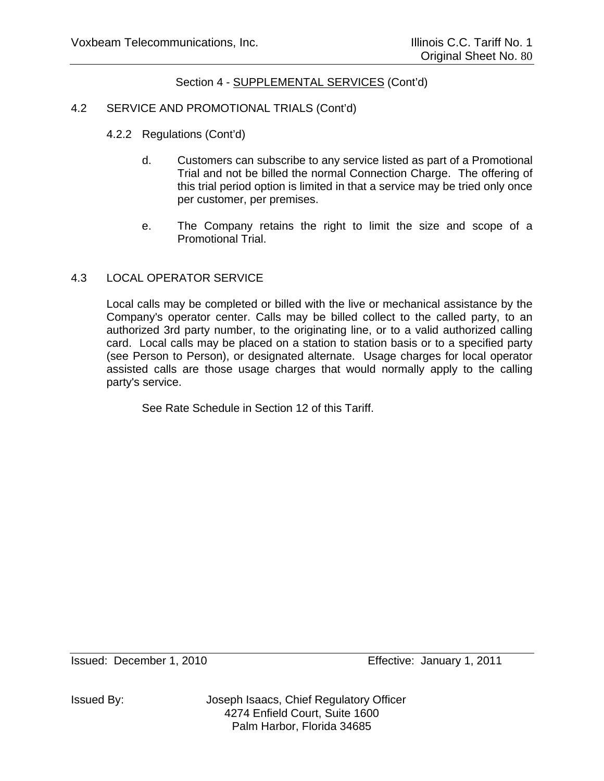## 4.2 SERVICE AND PROMOTIONAL TRIALS (Cont'd)

- 4.2.2 Regulations (Cont'd)
	- d. Customers can subscribe to any service listed as part of a Promotional Trial and not be billed the normal Connection Charge. The offering of this trial period option is limited in that a service may be tried only once per customer, per premises.
	- e. The Company retains the right to limit the size and scope of a Promotional Trial.

## 4.3 LOCAL OPERATOR SERVICE

Local calls may be completed or billed with the live or mechanical assistance by the Company's operator center. Calls may be billed collect to the called party, to an authorized 3rd party number, to the originating line, or to a valid authorized calling card. Local calls may be placed on a station to station basis or to a specified party (see Person to Person), or designated alternate. Usage charges for local operator assisted calls are those usage charges that would normally apply to the calling party's service.

See Rate Schedule in Section 12 of this Tariff.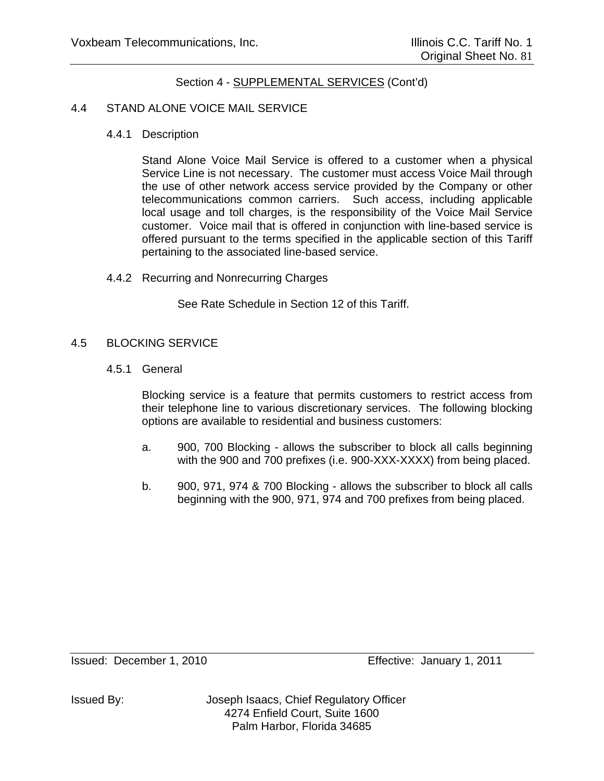## 4.4 STAND ALONE VOICE MAIL SERVICE

4.4.1 Description

Stand Alone Voice Mail Service is offered to a customer when a physical Service Line is not necessary. The customer must access Voice Mail through the use of other network access service provided by the Company or other telecommunications common carriers. Such access, including applicable local usage and toll charges, is the responsibility of the Voice Mail Service customer. Voice mail that is offered in conjunction with line-based service is offered pursuant to the terms specified in the applicable section of this Tariff pertaining to the associated line-based service.

4.4.2 Recurring and Nonrecurring Charges

See Rate Schedule in Section 12 of this Tariff.

## 4.5 BLOCKING SERVICE

4.5.1 General

Blocking service is a feature that permits customers to restrict access from their telephone line to various discretionary services. The following blocking options are available to residential and business customers:

- a. 900, 700 Blocking allows the subscriber to block all calls beginning with the 900 and 700 prefixes (i.e. 900-XXX-XXXX) from being placed.
- b. 900, 971, 974 & 700 Blocking allows the subscriber to block all calls beginning with the 900, 971, 974 and 700 prefixes from being placed.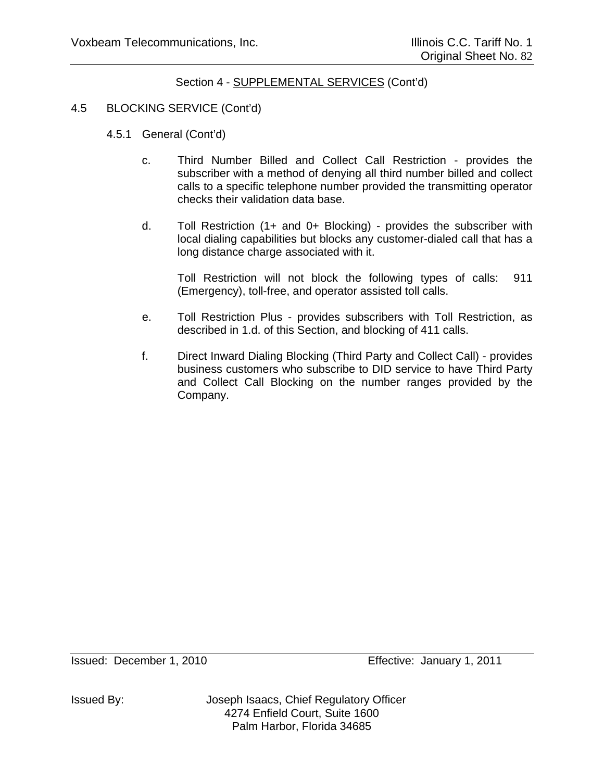## 4.5 BLOCKING SERVICE (Cont'd)

- 4.5.1 General (Cont'd)
	- c. Third Number Billed and Collect Call Restriction provides the subscriber with a method of denying all third number billed and collect calls to a specific telephone number provided the transmitting operator checks their validation data base.
	- d. Toll Restriction (1+ and 0+ Blocking) provides the subscriber with local dialing capabilities but blocks any customer-dialed call that has a long distance charge associated with it.

Toll Restriction will not block the following types of calls: 911 (Emergency), toll-free, and operator assisted toll calls.

- e. Toll Restriction Plus provides subscribers with Toll Restriction, as described in 1.d. of this Section, and blocking of 411 calls.
- f. Direct Inward Dialing Blocking (Third Party and Collect Call) provides business customers who subscribe to DID service to have Third Party and Collect Call Blocking on the number ranges provided by the Company.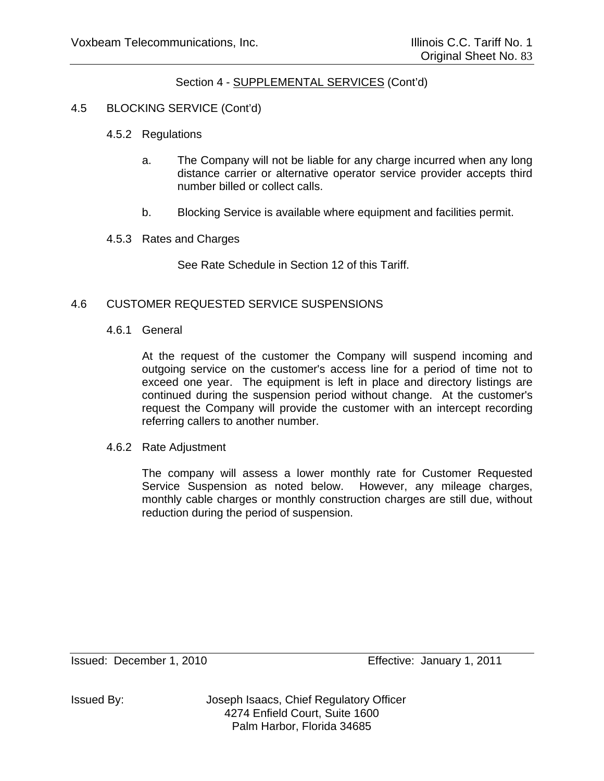# 4.5 BLOCKING SERVICE (Cont'd)

- 4.5.2 Regulations
	- a. The Company will not be liable for any charge incurred when any long distance carrier or alternative operator service provider accepts third number billed or collect calls.
	- b. Blocking Service is available where equipment and facilities permit.
- 4.5.3 Rates and Charges

See Rate Schedule in Section 12 of this Tariff.

## 4.6 CUSTOMER REQUESTED SERVICE SUSPENSIONS

4.6.1 General

 At the request of the customer the Company will suspend incoming and outgoing service on the customer's access line for a period of time not to exceed one year. The equipment is left in place and directory listings are continued during the suspension period without change. At the customer's request the Company will provide the customer with an intercept recording referring callers to another number.

4.6.2 Rate Adjustment

 The company will assess a lower monthly rate for Customer Requested Service Suspension as noted below. However, any mileage charges, monthly cable charges or monthly construction charges are still due, without reduction during the period of suspension.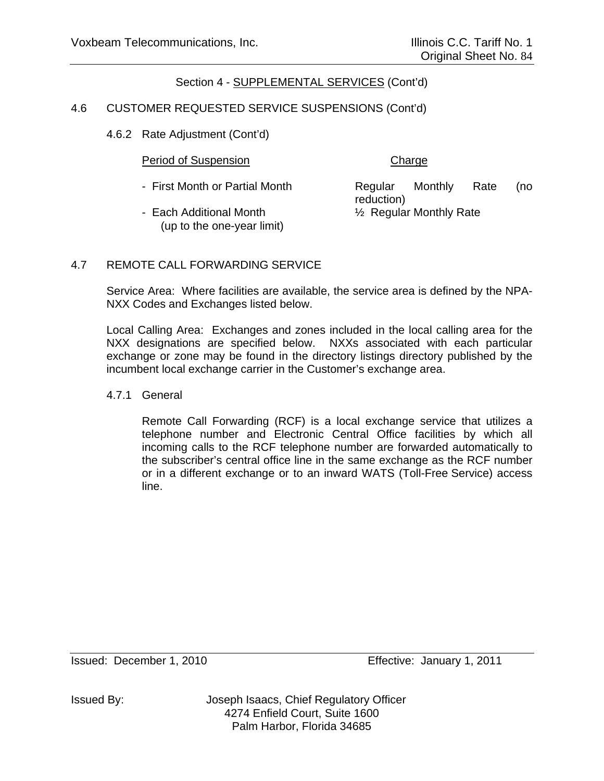## 4.6 CUSTOMER REQUESTED SERVICE SUSPENSIONS (Cont'd)

4.6.2 Rate Adjustment (Cont'd)

## Period of Suspension Charge

- First Month or Partial Month **Regular** Monthly Rate (no
- Each Additional Month  $\frac{1}{2}$  Regular Monthly Rate (up to the one-year limit)

reduction)

# 4.7 REMOTE CALL FORWARDING SERVICE

Service Area: Where facilities are available, the service area is defined by the NPA-NXX Codes and Exchanges listed below.

Local Calling Area: Exchanges and zones included in the local calling area for the NXX designations are specified below. NXXs associated with each particular exchange or zone may be found in the directory listings directory published by the incumbent local exchange carrier in the Customer's exchange area.

## 4.7.1 General

Remote Call Forwarding (RCF) is a local exchange service that utilizes a telephone number and Electronic Central Office facilities by which all incoming calls to the RCF telephone number are forwarded automatically to the subscriber's central office line in the same exchange as the RCF number or in a different exchange or to an inward WATS (Toll-Free Service) access line.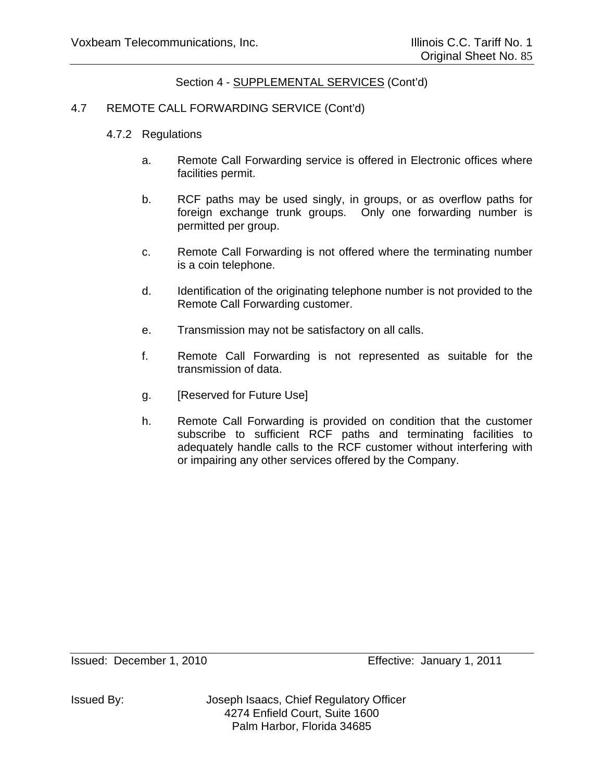## 4.7 REMOTE CALL FORWARDING SERVICE (Cont'd)

- 4.7.2 Regulations
	- a. Remote Call Forwarding service is offered in Electronic offices where facilities permit.
	- b. RCF paths may be used singly, in groups, or as overflow paths for foreign exchange trunk groups. Only one forwarding number is permitted per group.
	- c. Remote Call Forwarding is not offered where the terminating number is a coin telephone.
	- d. Identification of the originating telephone number is not provided to the Remote Call Forwarding customer.
	- e. Transmission may not be satisfactory on all calls.
	- f. Remote Call Forwarding is not represented as suitable for the transmission of data.
	- g. [Reserved for Future Use]
	- h. Remote Call Forwarding is provided on condition that the customer subscribe to sufficient RCF paths and terminating facilities to adequately handle calls to the RCF customer without interfering with or impairing any other services offered by the Company.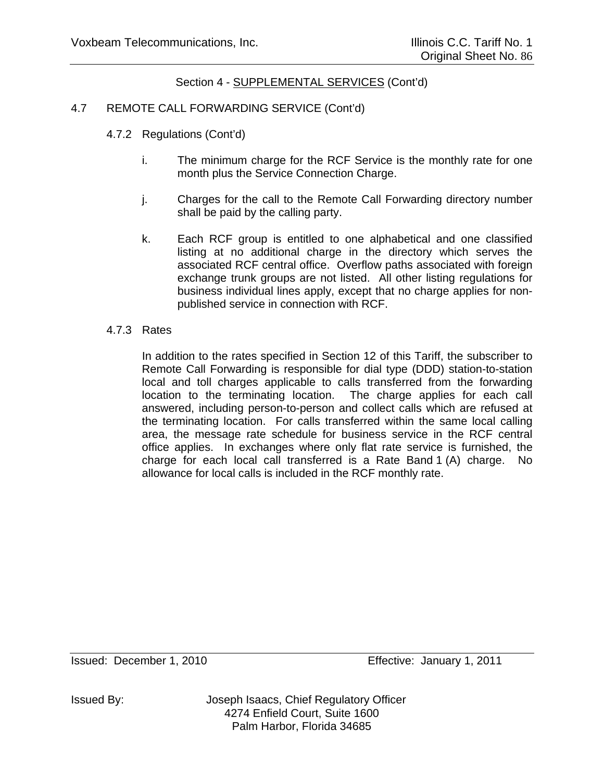## 4.7 REMOTE CALL FORWARDING SERVICE (Cont'd)

- 4.7.2 Regulations (Cont'd)
	- i. The minimum charge for the RCF Service is the monthly rate for one month plus the Service Connection Charge.
	- j. Charges for the call to the Remote Call Forwarding directory number shall be paid by the calling party.
	- k. Each RCF group is entitled to one alphabetical and one classified listing at no additional charge in the directory which serves the associated RCF central office. Overflow paths associated with foreign exchange trunk groups are not listed. All other listing regulations for business individual lines apply, except that no charge applies for nonpublished service in connection with RCF.

## 4.7.3 Rates

 In addition to the rates specified in Section 12 of this Tariff, the subscriber to Remote Call Forwarding is responsible for dial type (DDD) station-to-station local and toll charges applicable to calls transferred from the forwarding location to the terminating location. The charge applies for each call answered, including person-to-person and collect calls which are refused at the terminating location. For calls transferred within the same local calling area, the message rate schedule for business service in the RCF central office applies. In exchanges where only flat rate service is furnished, the charge for each local call transferred is a Rate Band 1 (A) charge. No allowance for local calls is included in the RCF monthly rate.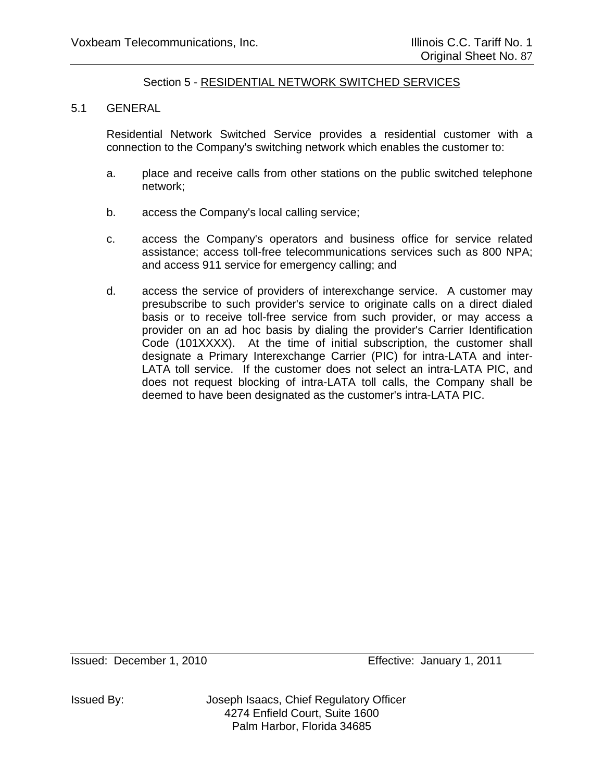## 5.1 GENERAL

Residential Network Switched Service provides a residential customer with a connection to the Company's switching network which enables the customer to:

- a. place and receive calls from other stations on the public switched telephone network;
- b. access the Company's local calling service;
- c. access the Company's operators and business office for service related assistance; access toll-free telecommunications services such as 800 NPA; and access 911 service for emergency calling; and
- d. access the service of providers of interexchange service. A customer may presubscribe to such provider's service to originate calls on a direct dialed basis or to receive toll-free service from such provider, or may access a provider on an ad hoc basis by dialing the provider's Carrier Identification Code (101XXXX). At the time of initial subscription, the customer shall designate a Primary Interexchange Carrier (PIC) for intra-LATA and inter-LATA toll service. If the customer does not select an intra-LATA PIC, and does not request blocking of intra-LATA toll calls, the Company shall be deemed to have been designated as the customer's intra-LATA PIC.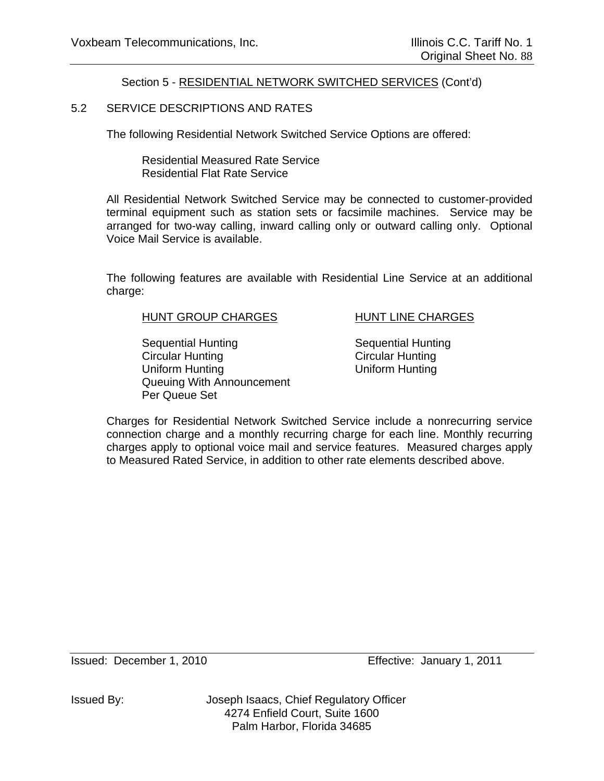## 5.2 SERVICE DESCRIPTIONS AND RATES

The following Residential Network Switched Service Options are offered:

 Residential Measured Rate Service Residential Flat Rate Service

All Residential Network Switched Service may be connected to customer-provided terminal equipment such as station sets or facsimile machines. Service may be arranged for two-way calling, inward calling only or outward calling only. Optional Voice Mail Service is available.

The following features are available with Residential Line Service at an additional charge:

### HUNT GROUP CHARGES HUNT LINE CHARGES

Sequential Hunting Sequential Hunting Circular Hunting Circular Hunting Uniform Hunting Uniform Hunting Queuing With Announcement Per Queue Set

Charges for Residential Network Switched Service include a nonrecurring service connection charge and a monthly recurring charge for each line. Monthly recurring charges apply to optional voice mail and service features. Measured charges apply to Measured Rated Service, in addition to other rate elements described above.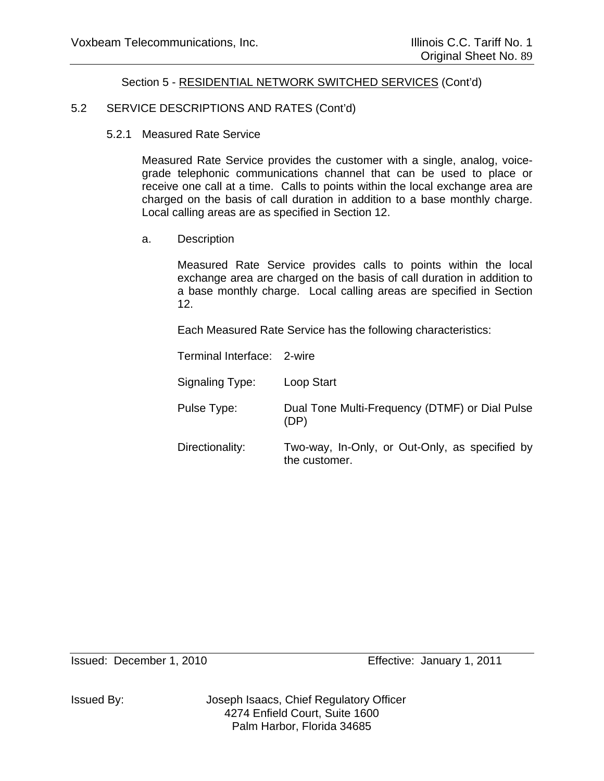## 5.2 SERVICE DESCRIPTIONS AND RATES (Cont'd)

5.2.1 Measured Rate Service

Measured Rate Service provides the customer with a single, analog, voicegrade telephonic communications channel that can be used to place or receive one call at a time. Calls to points within the local exchange area are charged on the basis of call duration in addition to a base monthly charge. Local calling areas are as specified in Section 12.

a. Description

Measured Rate Service provides calls to points within the local exchange area are charged on the basis of call duration in addition to a base monthly charge. Local calling areas are specified in Section 12.

Each Measured Rate Service has the following characteristics:

Terminal Interface: 2-wire

Signaling Type: Loop Start

 Pulse Type: Dual Tone Multi-Frequency (DTMF) or Dial Pulse (DP)

Directionality: Two-way, In-Only, or Out-Only, as specified by the customer.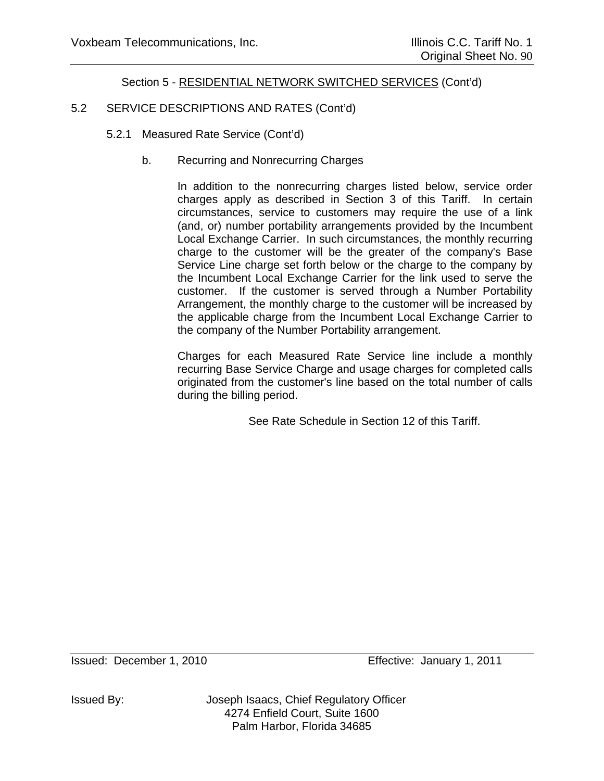# 5.2 SERVICE DESCRIPTIONS AND RATES (Cont'd)

- 5.2.1 Measured Rate Service (Cont'd)
	- b. Recurring and Nonrecurring Charges

In addition to the nonrecurring charges listed below, service order charges apply as described in Section 3 of this Tariff. In certain circumstances, service to customers may require the use of a link (and, or) number portability arrangements provided by the Incumbent Local Exchange Carrier. In such circumstances, the monthly recurring charge to the customer will be the greater of the company's Base Service Line charge set forth below or the charge to the company by the Incumbent Local Exchange Carrier for the link used to serve the customer. If the customer is served through a Number Portability Arrangement, the monthly charge to the customer will be increased by the applicable charge from the Incumbent Local Exchange Carrier to the company of the Number Portability arrangement.

Charges for each Measured Rate Service line include a monthly recurring Base Service Charge and usage charges for completed calls originated from the customer's line based on the total number of calls during the billing period.

See Rate Schedule in Section 12 of this Tariff.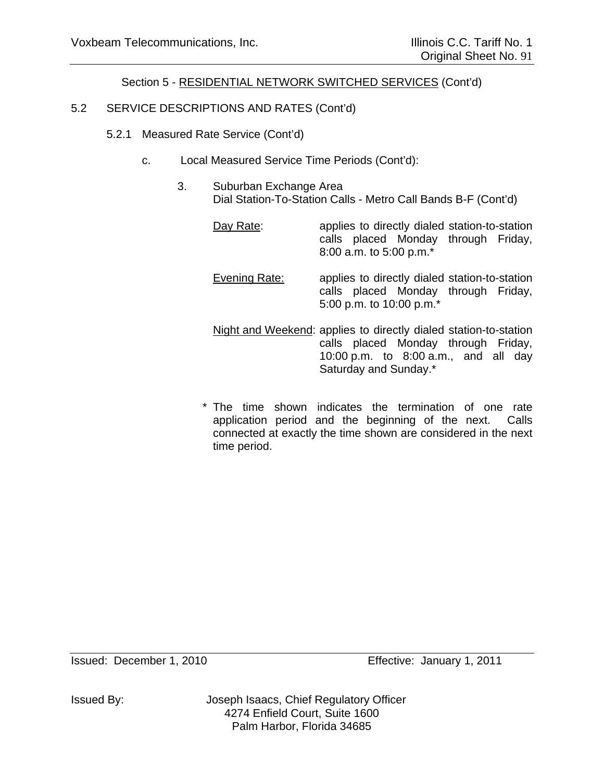# 5.2 SERVICE DESCRIPTIONS AND RATES (Cont'd)

- 5.2.1 Measured Rate Service (Cont'd)
	- c. Local Measured Service Time Periods (Cont'd):
		- 3. Suburban Exchange Area Dial Station-To-Station Calls - Metro Call Bands B-F (Cont'd)
			- Day Rate: applies to directly dialed station-to-station calls placed Monday through Friday, 8:00 a.m. to 5:00 p.m.\*
			- Evening Rate: applies to directly dialed station-to-station calls placed Monday through Friday, 5:00 p.m. to 10:00 p.m.\*
			- Night and Weekend: applies to directly dialed station-to-station calls placed Monday through Friday, 10:00 p.m. to 8:00 a.m., and all day Saturday and Sunday.\*
			- \* The time shown indicates the termination of one rate application period and the beginning of the next. Calls connected at exactly the time shown are considered in the next time period.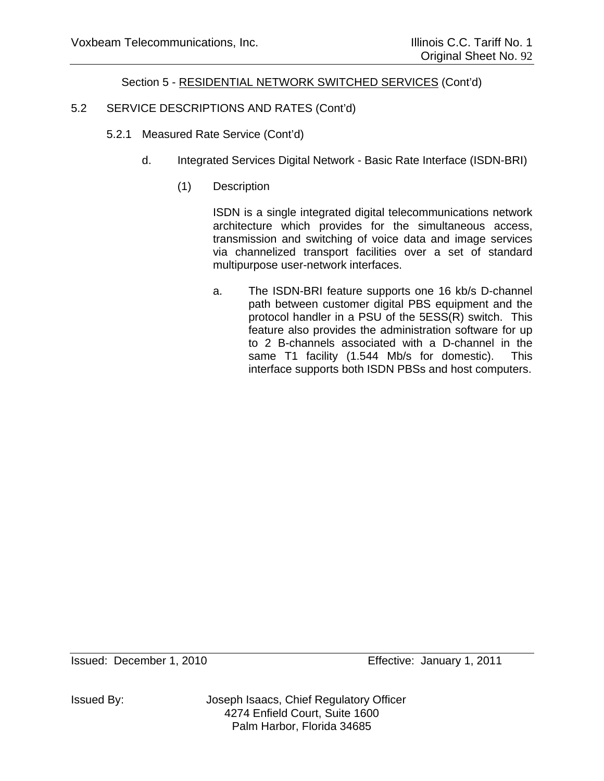# 5.2 SERVICE DESCRIPTIONS AND RATES (Cont'd)

- 5.2.1 Measured Rate Service (Cont'd)
	- d. Integrated Services Digital Network Basic Rate Interface (ISDN-BRI)
		- (1) Description

ISDN is a single integrated digital telecommunications network architecture which provides for the simultaneous access, transmission and switching of voice data and image services via channelized transport facilities over a set of standard multipurpose user-network interfaces.

 a. The ISDN-BRI feature supports one 16 kb/s D-channel path between customer digital PBS equipment and the protocol handler in a PSU of the 5ESS(R) switch. This feature also provides the administration software for up to 2 B-channels associated with a D-channel in the same T1 facility (1.544 Mb/s for domestic). This interface supports both ISDN PBSs and host computers.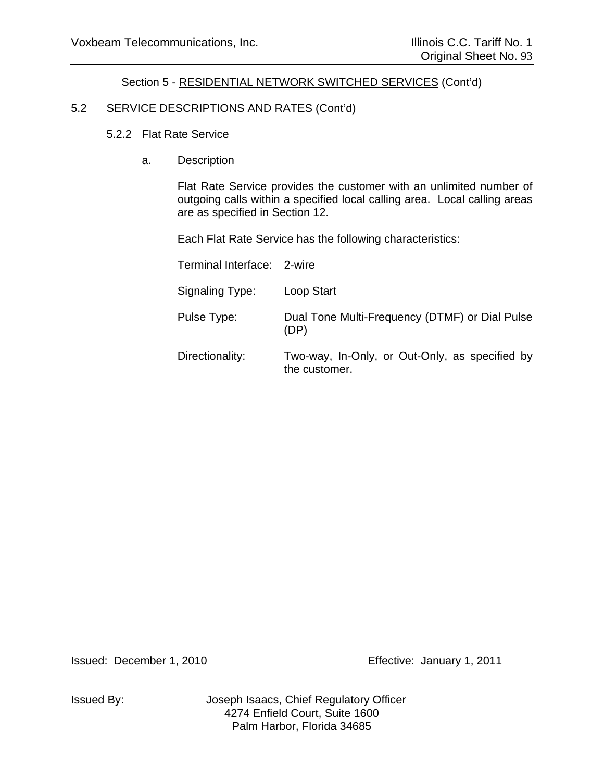## 5.2 SERVICE DESCRIPTIONS AND RATES (Cont'd)

- 5.2.2 Flat Rate Service
	- a. Description

Flat Rate Service provides the customer with an unlimited number of outgoing calls within a specified local calling area. Local calling areas are as specified in Section 12.

Each Flat Rate Service has the following characteristics:

| Terminal Interface: 2-wire |                                                                 |
|----------------------------|-----------------------------------------------------------------|
| Signaling Type:            | Loop Start                                                      |
| Pulse Type:                | Dual Tone Multi-Frequency (DTMF) or Dial Pulse<br>(DP)          |
| Directionality:            | Two-way, In-Only, or Out-Only, as specified by<br>the customer. |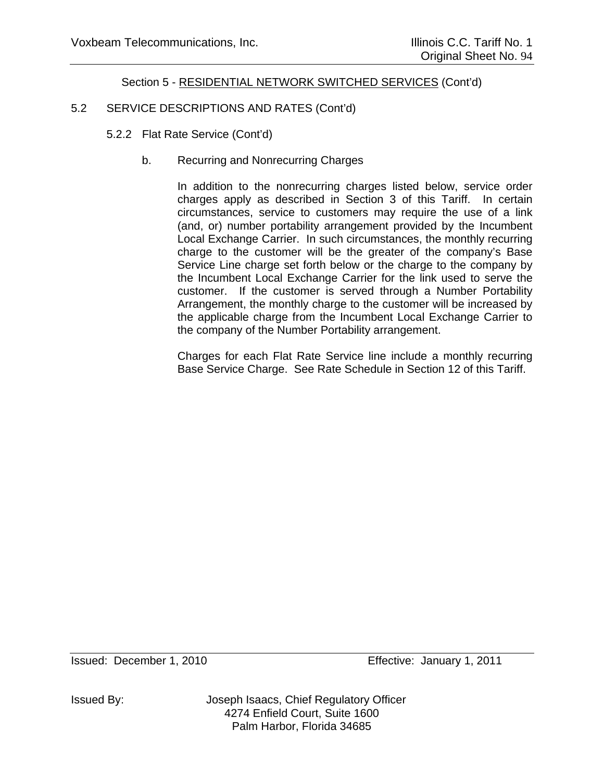# 5.2 SERVICE DESCRIPTIONS AND RATES (Cont'd)

- 5.2.2 Flat Rate Service (Cont'd)
	- b. Recurring and Nonrecurring Charges

In addition to the nonrecurring charges listed below, service order charges apply as described in Section 3 of this Tariff. In certain circumstances, service to customers may require the use of a link (and, or) number portability arrangement provided by the Incumbent Local Exchange Carrier. In such circumstances, the monthly recurring charge to the customer will be the greater of the company's Base Service Line charge set forth below or the charge to the company by the Incumbent Local Exchange Carrier for the link used to serve the customer. If the customer is served through a Number Portability Arrangement, the monthly charge to the customer will be increased by the applicable charge from the Incumbent Local Exchange Carrier to the company of the Number Portability arrangement.

Charges for each Flat Rate Service line include a monthly recurring Base Service Charge. See Rate Schedule in Section 12 of this Tariff.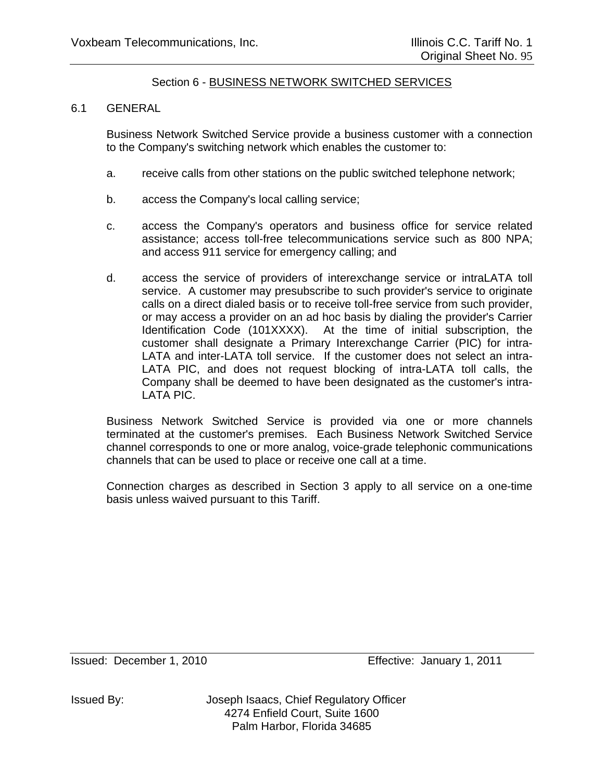## 6.1 GENERAL

Business Network Switched Service provide a business customer with a connection to the Company's switching network which enables the customer to:

- a. receive calls from other stations on the public switched telephone network;
- b. access the Company's local calling service;
- c. access the Company's operators and business office for service related assistance; access toll-free telecommunications service such as 800 NPA; and access 911 service for emergency calling; and
- d. access the service of providers of interexchange service or intraLATA toll service. A customer may presubscribe to such provider's service to originate calls on a direct dialed basis or to receive toll-free service from such provider, or may access a provider on an ad hoc basis by dialing the provider's Carrier Identification Code (101XXXX). At the time of initial subscription, the customer shall designate a Primary Interexchange Carrier (PIC) for intra-LATA and inter-LATA toll service. If the customer does not select an intra-LATA PIC, and does not request blocking of intra-LATA toll calls, the Company shall be deemed to have been designated as the customer's intra-LATA PIC.

Business Network Switched Service is provided via one or more channels terminated at the customer's premises. Each Business Network Switched Service channel corresponds to one or more analog, voice-grade telephonic communications channels that can be used to place or receive one call at a time.

Connection charges as described in Section 3 apply to all service on a one-time basis unless waived pursuant to this Tariff.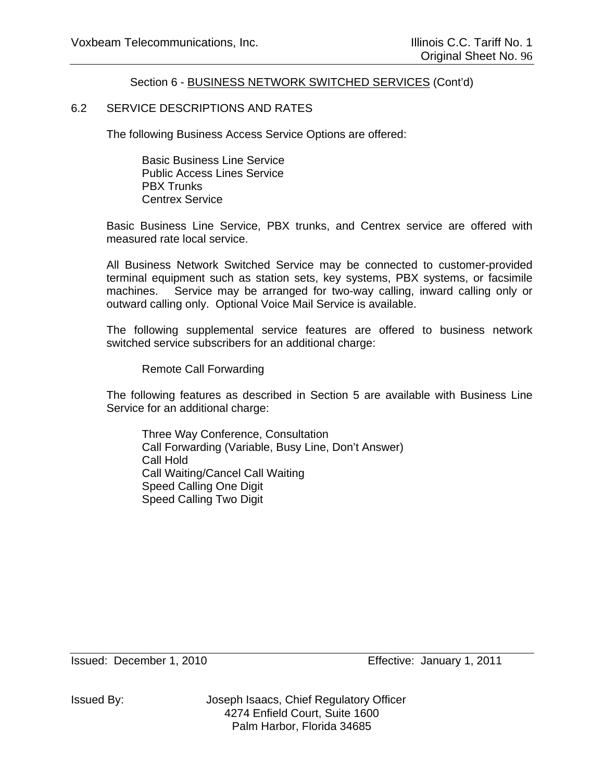## 6.2 SERVICE DESCRIPTIONS AND RATES

The following Business Access Service Options are offered:

 Basic Business Line Service Public Access Lines Service PBX Trunks Centrex Service

Basic Business Line Service, PBX trunks, and Centrex service are offered with measured rate local service.

All Business Network Switched Service may be connected to customer-provided terminal equipment such as station sets, key systems, PBX systems, or facsimile machines. Service may be arranged for two-way calling, inward calling only or outward calling only. Optional Voice Mail Service is available.

The following supplemental service features are offered to business network switched service subscribers for an additional charge:

Remote Call Forwarding

The following features as described in Section 5 are available with Business Line Service for an additional charge:

 Three Way Conference, Consultation Call Forwarding (Variable, Busy Line, Don't Answer) Call Hold Call Waiting/Cancel Call Waiting Speed Calling One Digit Speed Calling Two Digit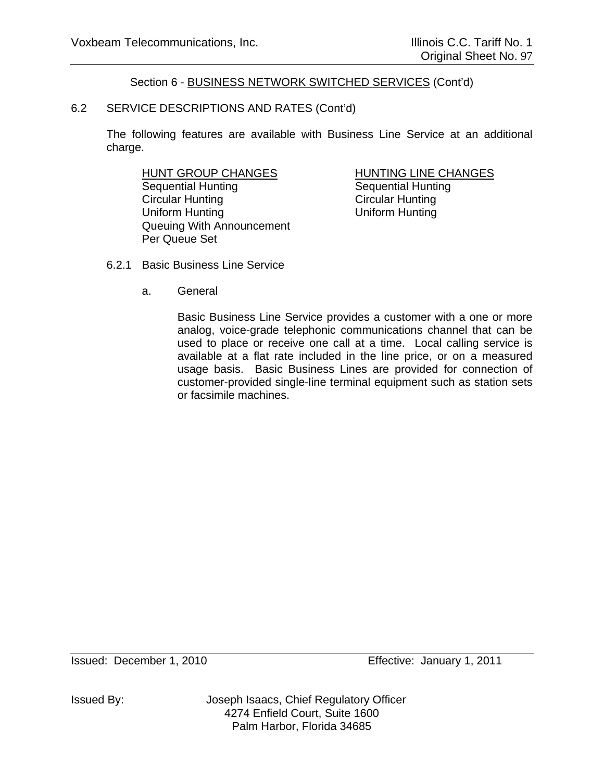## 6.2 SERVICE DESCRIPTIONS AND RATES (Cont'd)

The following features are available with Business Line Service at an additional charge.

HUNT GROUP CHANGES HUNTING LINE CHANGES Sequential Hunting Sequential Hunting Circular Hunting Circular Hunting Uniform Hunting Uniform Hunting Queuing With Announcement Per Queue Set

- 6.2.1 Basic Business Line Service
	- a. General

Basic Business Line Service provides a customer with a one or more analog, voice-grade telephonic communications channel that can be used to place or receive one call at a time. Local calling service is available at a flat rate included in the line price, or on a measured usage basis. Basic Business Lines are provided for connection of customer-provided single-line terminal equipment such as station sets or facsimile machines.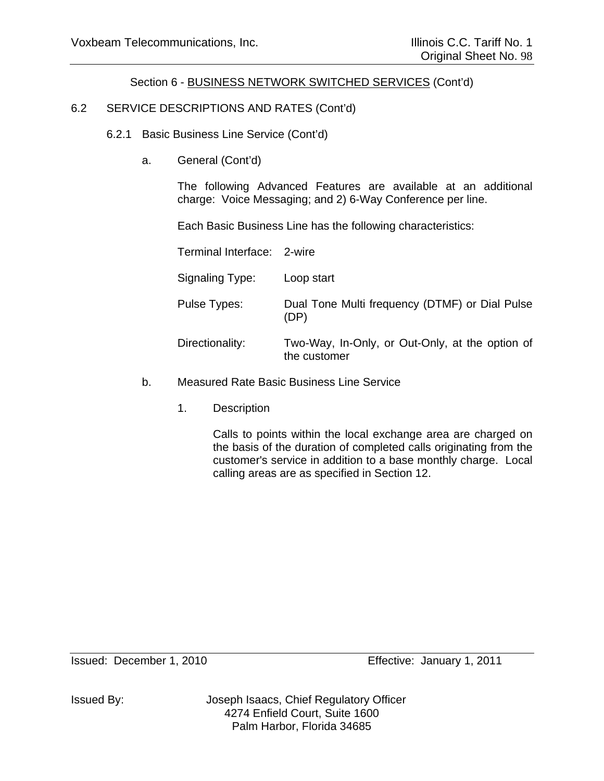# 6.2 SERVICE DESCRIPTIONS AND RATES (Cont'd)

- 6.2.1 Basic Business Line Service (Cont'd)
	- a. General (Cont'd)

The following Advanced Features are available at an additional charge: Voice Messaging; and 2) 6-Way Conference per line.

Each Basic Business Line has the following characteristics:

Terminal Interface: 2-wire

| Signaling Type: | Loop start                                                      |
|-----------------|-----------------------------------------------------------------|
| Pulse Types:    | Dual Tone Multi frequency (DTMF) or Dial Pulse<br>(DP)          |
| Directionality: | Two-Way, In-Only, or Out-Only, at the option of<br>the customer |

- b. Measured Rate Basic Business Line Service
	- 1. Description

Calls to points within the local exchange area are charged on the basis of the duration of completed calls originating from the customer's service in addition to a base monthly charge. Local calling areas are as specified in Section 12.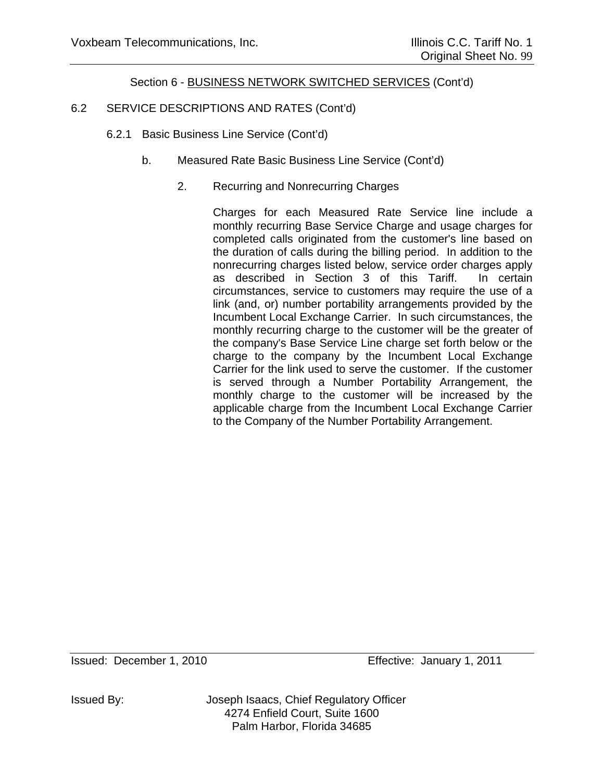# 6.2 SERVICE DESCRIPTIONS AND RATES (Cont'd)

- 6.2.1 Basic Business Line Service (Cont'd)
	- b. Measured Rate Basic Business Line Service (Cont'd)
		- 2. Recurring and Nonrecurring Charges

Charges for each Measured Rate Service line include a monthly recurring Base Service Charge and usage charges for completed calls originated from the customer's line based on the duration of calls during the billing period. In addition to the nonrecurring charges listed below, service order charges apply as described in Section 3 of this Tariff. In certain circumstances, service to customers may require the use of a link (and, or) number portability arrangements provided by the Incumbent Local Exchange Carrier. In such circumstances, the monthly recurring charge to the customer will be the greater of the company's Base Service Line charge set forth below or the charge to the company by the Incumbent Local Exchange Carrier for the link used to serve the customer. If the customer is served through a Number Portability Arrangement, the monthly charge to the customer will be increased by the applicable charge from the Incumbent Local Exchange Carrier to the Company of the Number Portability Arrangement.

Issued By: Joseph Isaacs, Chief Regulatory Officer 4274 Enfield Court, Suite 1600 Palm Harbor, Florida 34685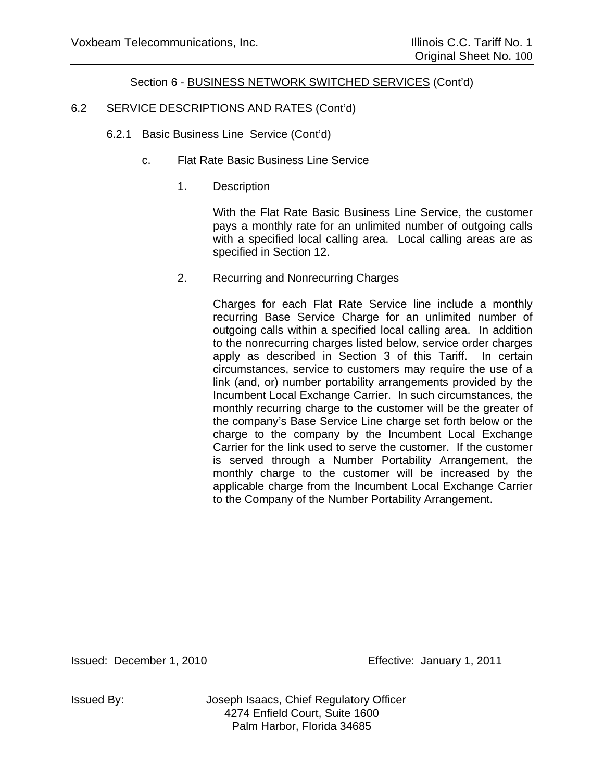# 6.2 SERVICE DESCRIPTIONS AND RATES (Cont'd)

- 6.2.1 Basic Business Line Service (Cont'd)
	- c. Flat Rate Basic Business Line Service
		- 1. Description

With the Flat Rate Basic Business Line Service, the customer pays a monthly rate for an unlimited number of outgoing calls with a specified local calling area. Local calling areas are as specified in Section 12.

2. Recurring and Nonrecurring Charges

Charges for each Flat Rate Service line include a monthly recurring Base Service Charge for an unlimited number of outgoing calls within a specified local calling area. In addition to the nonrecurring charges listed below, service order charges apply as described in Section 3 of this Tariff. In certain circumstances, service to customers may require the use of a link (and, or) number portability arrangements provided by the Incumbent Local Exchange Carrier. In such circumstances, the monthly recurring charge to the customer will be the greater of the company's Base Service Line charge set forth below or the charge to the company by the Incumbent Local Exchange Carrier for the link used to serve the customer. If the customer is served through a Number Portability Arrangement, the monthly charge to the customer will be increased by the applicable charge from the Incumbent Local Exchange Carrier to the Company of the Number Portability Arrangement.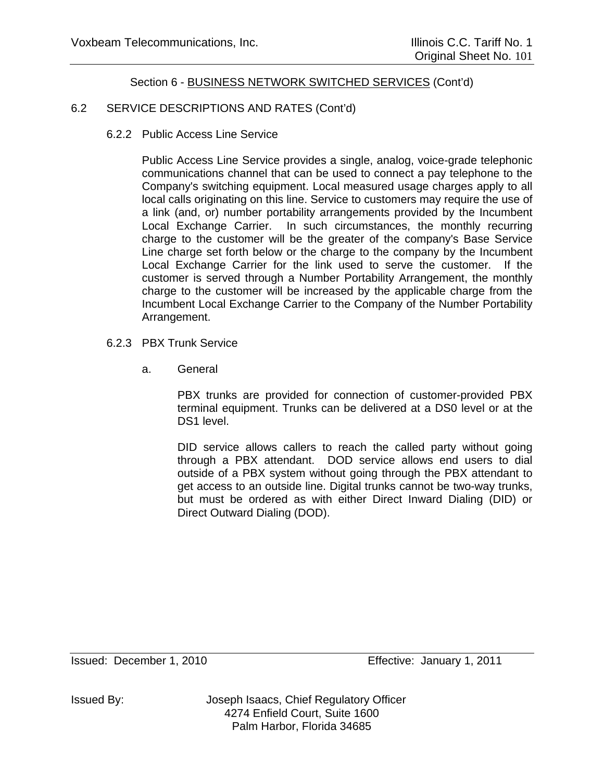# 6.2 SERVICE DESCRIPTIONS AND RATES (Cont'd)

6.2.2 Public Access Line Service

Public Access Line Service provides a single, analog, voice-grade telephonic communications channel that can be used to connect a pay telephone to the Company's switching equipment. Local measured usage charges apply to all local calls originating on this line. Service to customers may require the use of a link (and, or) number portability arrangements provided by the Incumbent Local Exchange Carrier. In such circumstances, the monthly recurring charge to the customer will be the greater of the company's Base Service Line charge set forth below or the charge to the company by the Incumbent Local Exchange Carrier for the link used to serve the customer. If the customer is served through a Number Portability Arrangement, the monthly charge to the customer will be increased by the applicable charge from the Incumbent Local Exchange Carrier to the Company of the Number Portability Arrangement.

- 6.2.3 PBX Trunk Service
	- a. General

PBX trunks are provided for connection of customer-provided PBX terminal equipment. Trunks can be delivered at a DS0 level or at the DS<sub>1</sub> level.

DID service allows callers to reach the called party without going through a PBX attendant. DOD service allows end users to dial outside of a PBX system without going through the PBX attendant to get access to an outside line. Digital trunks cannot be two-way trunks, but must be ordered as with either Direct Inward Dialing (DID) or Direct Outward Dialing (DOD).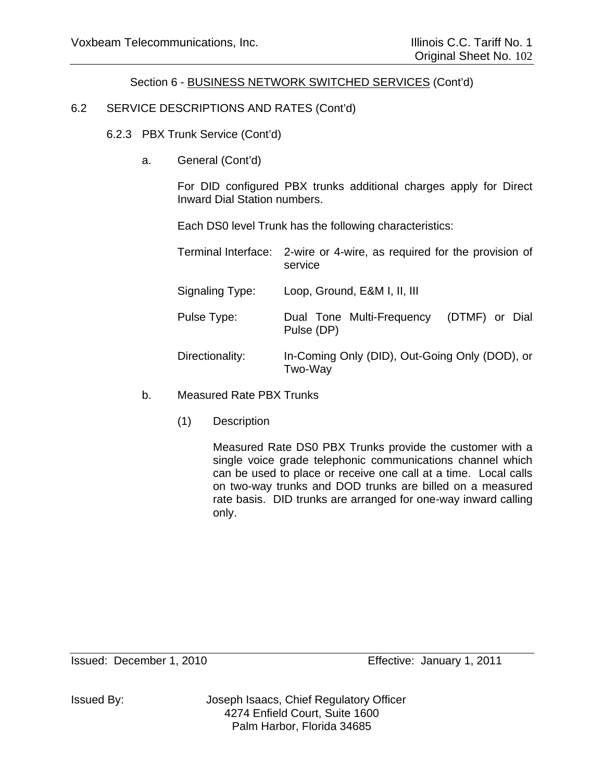# 6.2 SERVICE DESCRIPTIONS AND RATES (Cont'd)

6.2.3 PBX Trunk Service (Cont'd)

a. General (Cont'd)

For DID configured PBX trunks additional charges apply for Direct Inward Dial Station numbers.

Each DS0 level Trunk has the following characteristics:

|                 | Terminal Interface: 2-wire or 4-wire, as required for the provision of<br>service |
|-----------------|-----------------------------------------------------------------------------------|
| Signaling Type: | Loop, Ground, E&M I, II, III                                                      |
| Pulse Type:     | Dual Tone Multi-Frequency<br>(DTMF) or Dial<br>Pulse (DP)                         |
| Directionality: | In-Coming Only (DID), Out-Going Only (DOD), or<br>Two-Way                         |

- b. Measured Rate PBX Trunks
	- (1) Description

Measured Rate DS0 PBX Trunks provide the customer with a single voice grade telephonic communications channel which can be used to place or receive one call at a time. Local calls on two-way trunks and DOD trunks are billed on a measured rate basis. DID trunks are arranged for one-way inward calling only.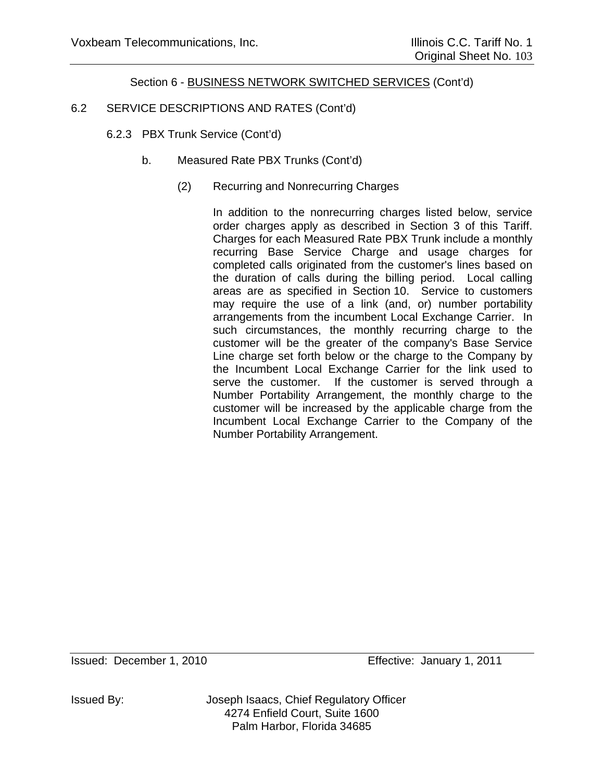# 6.2 SERVICE DESCRIPTIONS AND RATES (Cont'd)

- 6.2.3 PBX Trunk Service (Cont'd)
	- b. Measured Rate PBX Trunks (Cont'd)
		- (2) Recurring and Nonrecurring Charges

In addition to the nonrecurring charges listed below, service order charges apply as described in Section 3 of this Tariff. Charges for each Measured Rate PBX Trunk include a monthly recurring Base Service Charge and usage charges for completed calls originated from the customer's lines based on the duration of calls during the billing period. Local calling areas are as specified in Section 10. Service to customers may require the use of a link (and, or) number portability arrangements from the incumbent Local Exchange Carrier. In such circumstances, the monthly recurring charge to the customer will be the greater of the company's Base Service Line charge set forth below or the charge to the Company by the Incumbent Local Exchange Carrier for the link used to serve the customer. If the customer is served through a Number Portability Arrangement, the monthly charge to the customer will be increased by the applicable charge from the Incumbent Local Exchange Carrier to the Company of the Number Portability Arrangement.

Issued By: Joseph Isaacs, Chief Regulatory Officer 4274 Enfield Court, Suite 1600 Palm Harbor, Florida 34685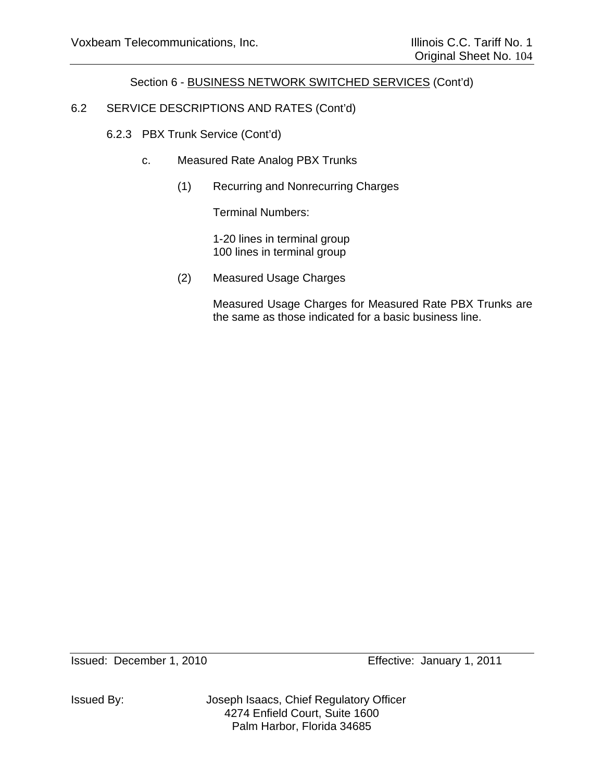# 6.2 SERVICE DESCRIPTIONS AND RATES (Cont'd)

# 6.2.3 PBX Trunk Service (Cont'd)

- c. Measured Rate Analog PBX Trunks
	- (1) Recurring and Nonrecurring Charges

Terminal Numbers:

 1-20 lines in terminal group 100 lines in terminal group

(2) Measured Usage Charges

Measured Usage Charges for Measured Rate PBX Trunks are the same as those indicated for a basic business line.

Issued: December 1, 2010 Effective: January 1, 2011

Issued By: Joseph Isaacs, Chief Regulatory Officer 4274 Enfield Court, Suite 1600 Palm Harbor, Florida 34685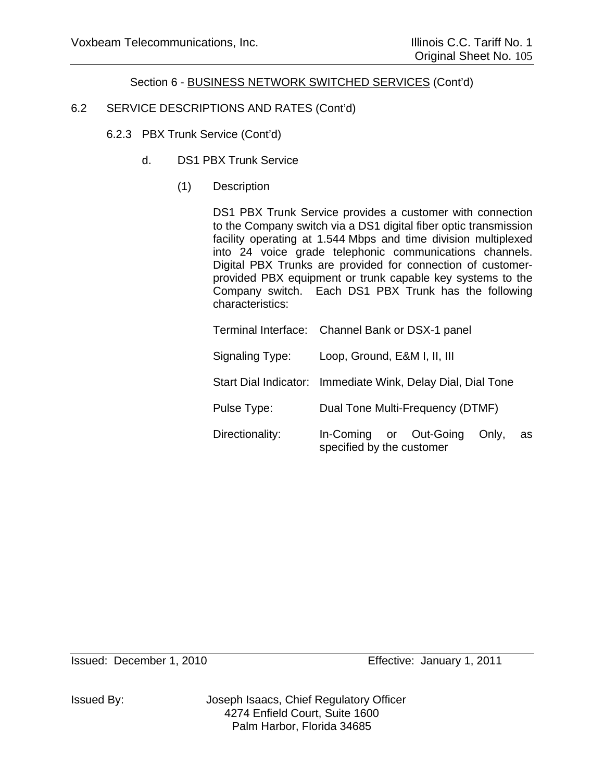# 6.2 SERVICE DESCRIPTIONS AND RATES (Cont'd)

- 6.2.3 PBX Trunk Service (Cont'd)
	- d. DS1 PBX Trunk Service
		- (1) Description

DS1 PBX Trunk Service provides a customer with connection to the Company switch via a DS1 digital fiber optic transmission facility operating at 1.544 Mbps and time division multiplexed into 24 voice grade telephonic communications channels. Digital PBX Trunks are provided for connection of customerprovided PBX equipment or trunk capable key systems to the Company switch. Each DS1 PBX Trunk has the following characteristics:

|                 | Terminal Interface: Channel Bank or DSX-1 panel                    |
|-----------------|--------------------------------------------------------------------|
| Signaling Type: | Loop, Ground, E&M I, II, III                                       |
|                 | Start Dial Indicator: Immediate Wink, Delay Dial, Dial Tone        |
| Pulse Type:     | Dual Tone Multi-Frequency (DTMF)                                   |
| Directionality: | In-Coming or Out-Going<br>Only,<br>as<br>specified by the customer |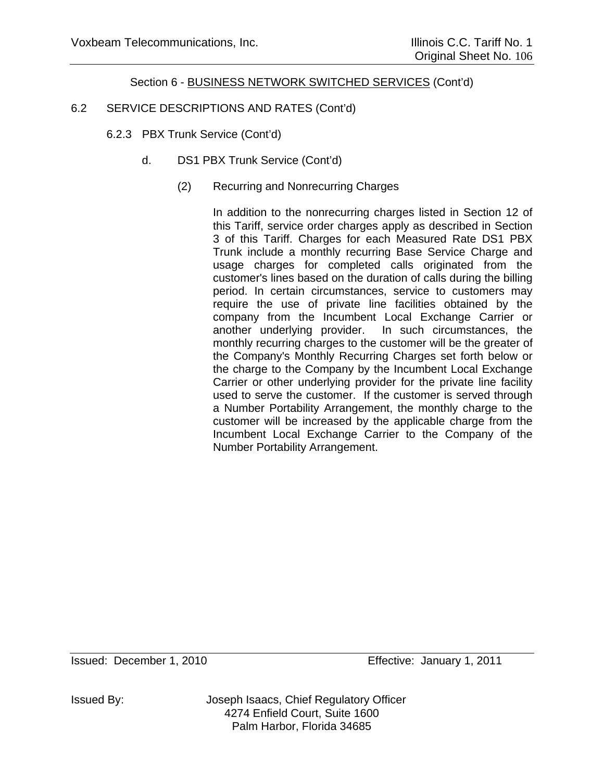# 6.2 SERVICE DESCRIPTIONS AND RATES (Cont'd)

- 6.2.3 PBX Trunk Service (Cont'd)
	- d. DS1 PBX Trunk Service (Cont'd)
		- (2) Recurring and Nonrecurring Charges

In addition to the nonrecurring charges listed in Section 12 of this Tariff, service order charges apply as described in Section 3 of this Tariff. Charges for each Measured Rate DS1 PBX Trunk include a monthly recurring Base Service Charge and usage charges for completed calls originated from the customer's lines based on the duration of calls during the billing period. In certain circumstances, service to customers may require the use of private line facilities obtained by the company from the Incumbent Local Exchange Carrier or another underlying provider. In such circumstances, the monthly recurring charges to the customer will be the greater of the Company's Monthly Recurring Charges set forth below or the charge to the Company by the Incumbent Local Exchange Carrier or other underlying provider for the private line facility used to serve the customer. If the customer is served through a Number Portability Arrangement, the monthly charge to the customer will be increased by the applicable charge from the Incumbent Local Exchange Carrier to the Company of the Number Portability Arrangement.

Issued By: Joseph Isaacs, Chief Regulatory Officer 4274 Enfield Court, Suite 1600 Palm Harbor, Florida 34685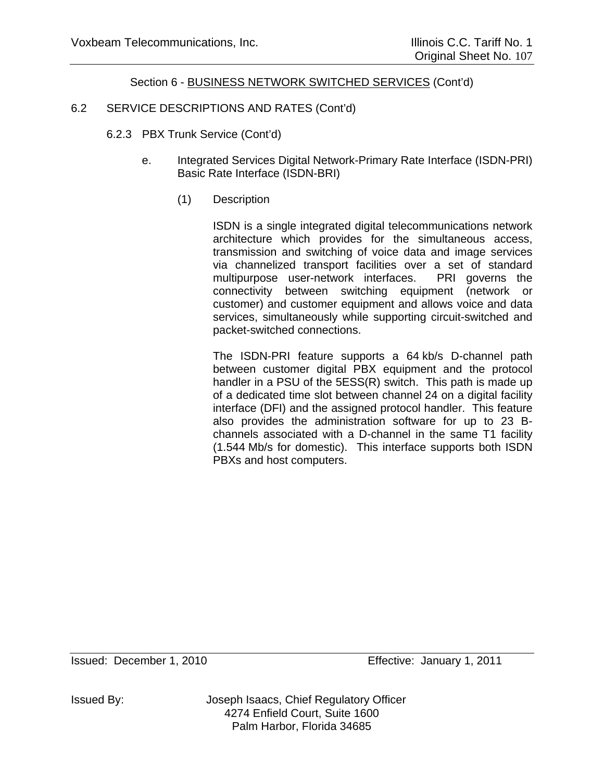# 6.2 SERVICE DESCRIPTIONS AND RATES (Cont'd)

- 6.2.3 PBX Trunk Service (Cont'd)
	- e. Integrated Services Digital Network-Primary Rate Interface (ISDN-PRI) Basic Rate Interface (ISDN-BRI)
		- (1) Description

ISDN is a single integrated digital telecommunications network architecture which provides for the simultaneous access, transmission and switching of voice data and image services via channelized transport facilities over a set of standard multipurpose user-network interfaces. PRI governs the connectivity between switching equipment (network or customer) and customer equipment and allows voice and data services, simultaneously while supporting circuit-switched and packet-switched connections.

The ISDN-PRI feature supports a 64 kb/s D-channel path between customer digital PBX equipment and the protocol handler in a PSU of the 5ESS(R) switch. This path is made up of a dedicated time slot between channel 24 on a digital facility interface (DFI) and the assigned protocol handler. This feature also provides the administration software for up to 23 Bchannels associated with a D-channel in the same T1 facility (1.544 Mb/s for domestic). This interface supports both ISDN PBXs and host computers.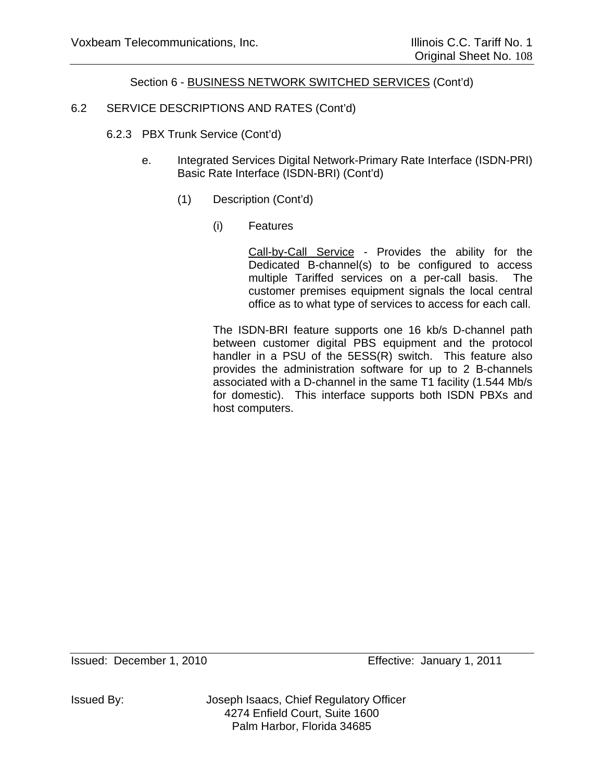# 6.2 SERVICE DESCRIPTIONS AND RATES (Cont'd)

- 6.2.3 PBX Trunk Service (Cont'd)
	- e. Integrated Services Digital Network-Primary Rate Interface (ISDN-PRI) Basic Rate Interface (ISDN-BRI) (Cont'd)
		- (1) Description (Cont'd)
			- (i) Features

Call-by-Call Service - Provides the ability for the Dedicated B-channel(s) to be configured to access multiple Tariffed services on a per-call basis. The customer premises equipment signals the local central office as to what type of services to access for each call.

 The ISDN-BRI feature supports one 16 kb/s D-channel path between customer digital PBS equipment and the protocol handler in a PSU of the 5ESS(R) switch. This feature also provides the administration software for up to 2 B-channels associated with a D-channel in the same T1 facility (1.544 Mb/s for domestic). This interface supports both ISDN PBXs and host computers.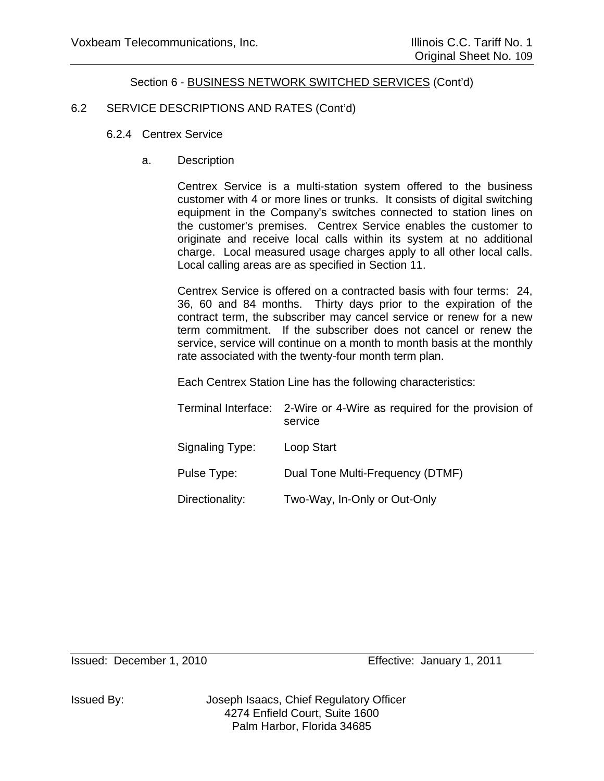### 6.2 SERVICE DESCRIPTIONS AND RATES (Cont'd)

- 6.2.4 Centrex Service
	- a. Description

Centrex Service is a multi-station system offered to the business customer with 4 or more lines or trunks. It consists of digital switching equipment in the Company's switches connected to station lines on the customer's premises. Centrex Service enables the customer to originate and receive local calls within its system at no additional charge. Local measured usage charges apply to all other local calls. Local calling areas are as specified in Section 11.

Centrex Service is offered on a contracted basis with four terms: 24, 36, 60 and 84 months. Thirty days prior to the expiration of the contract term, the subscriber may cancel service or renew for a new term commitment. If the subscriber does not cancel or renew the service, service will continue on a month to month basis at the monthly rate associated with the twenty-four month term plan.

Each Centrex Station Line has the following characteristics:

|                 | Terminal Interface: 2-Wire or 4-Wire as required for the provision of<br>service |
|-----------------|----------------------------------------------------------------------------------|
| Signaling Type: | Loop Start                                                                       |
| Pulse Type:     | Dual Tone Multi-Frequency (DTMF)                                                 |
| Directionality: | Two-Way, In-Only or Out-Only                                                     |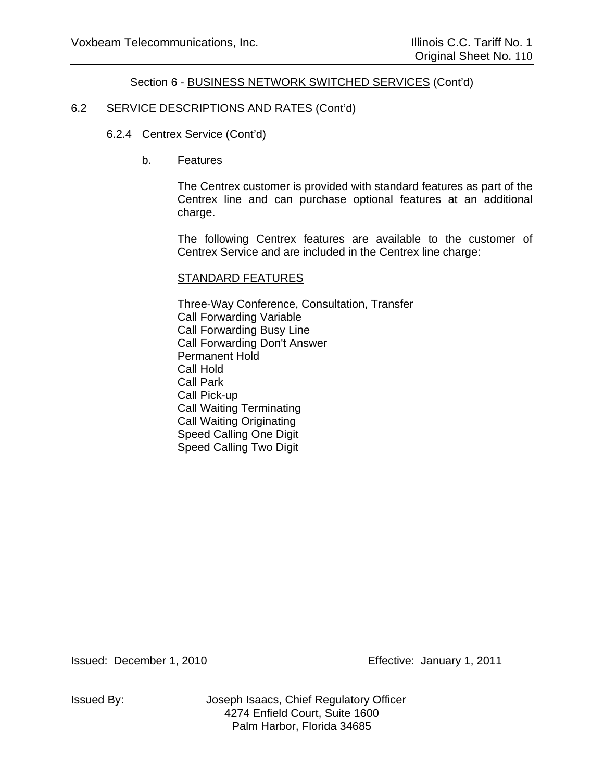## 6.2 SERVICE DESCRIPTIONS AND RATES (Cont'd)

- 6.2.4 Centrex Service (Cont'd)
	- b. Features

The Centrex customer is provided with standard features as part of the Centrex line and can purchase optional features at an additional charge.

The following Centrex features are available to the customer of Centrex Service and are included in the Centrex line charge:

#### STANDARD FEATURES

Three-Way Conference, Consultation, Transfer Call Forwarding Variable Call Forwarding Busy Line Call Forwarding Don't Answer Permanent Hold Call Hold Call Park Call Pick-up Call Waiting Terminating Call Waiting Originating Speed Calling One Digit Speed Calling Two Digit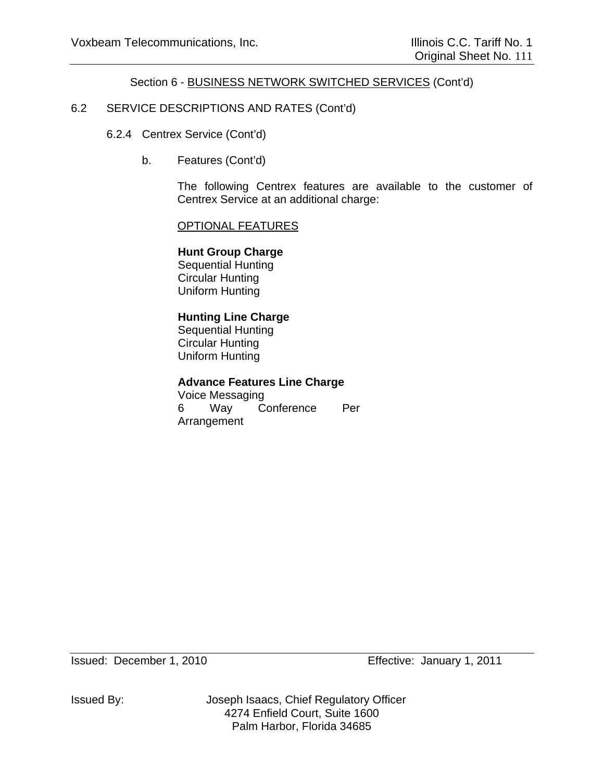## 6.2 SERVICE DESCRIPTIONS AND RATES (Cont'd)

- 6.2.4 Centrex Service (Cont'd)
	- b. Features (Cont'd)

The following Centrex features are available to the customer of Centrex Service at an additional charge:

#### OPTIONAL FEATURES

**Hunt Group Charge** Sequential Hunting Circular Hunting Uniform Hunting

#### **Hunting Line Charge**

Sequential Hunting Circular Hunting Uniform Hunting

### **Advance Features Line Charge**

Voice Messaging 6 Way Conference Per Arrangement

Issued By: Joseph Isaacs, Chief Regulatory Officer 4274 Enfield Court, Suite 1600 Palm Harbor, Florida 34685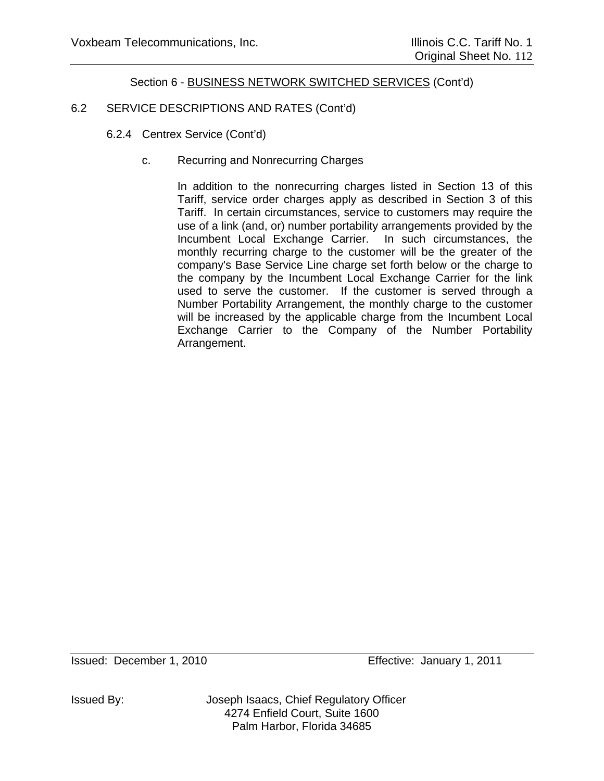# 6.2 SERVICE DESCRIPTIONS AND RATES (Cont'd)

- 6.2.4 Centrex Service (Cont'd)
	- c. Recurring and Nonrecurring Charges

In addition to the nonrecurring charges listed in Section 13 of this Tariff, service order charges apply as described in Section 3 of this Tariff. In certain circumstances, service to customers may require the use of a link (and, or) number portability arrangements provided by the Incumbent Local Exchange Carrier. In such circumstances, the monthly recurring charge to the customer will be the greater of the company's Base Service Line charge set forth below or the charge to the company by the Incumbent Local Exchange Carrier for the link used to serve the customer. If the customer is served through a Number Portability Arrangement, the monthly charge to the customer will be increased by the applicable charge from the Incumbent Local Exchange Carrier to the Company of the Number Portability Arrangement.

Issued By: Joseph Isaacs, Chief Regulatory Officer 4274 Enfield Court, Suite 1600 Palm Harbor, Florida 34685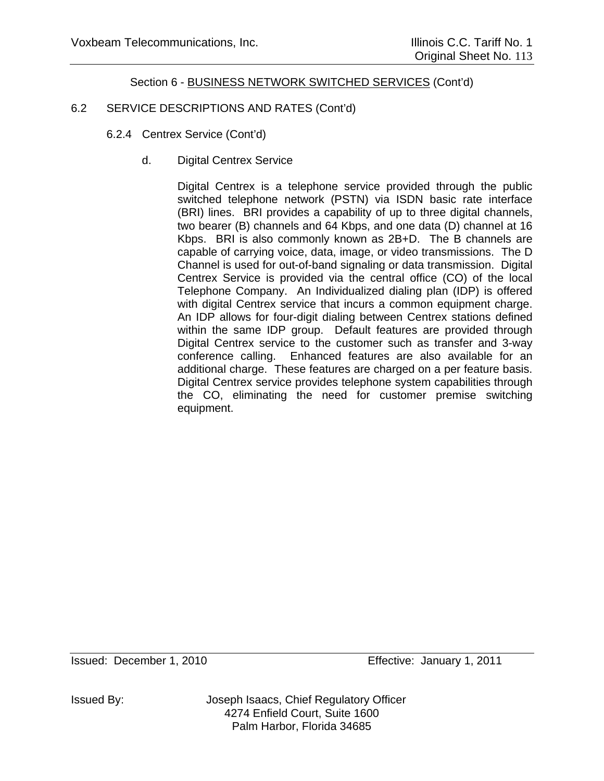# 6.2 SERVICE DESCRIPTIONS AND RATES (Cont'd)

- 6.2.4 Centrex Service (Cont'd)
	- d. Digital Centrex Service

Digital Centrex is a telephone service provided through the public switched telephone network (PSTN) via ISDN basic rate interface (BRI) lines. BRI provides a capability of up to three digital channels, two bearer (B) channels and 64 Kbps, and one data (D) channel at 16 Kbps. BRI is also commonly known as 2B+D. The B channels are capable of carrying voice, data, image, or video transmissions. The D Channel is used for out-of-band signaling or data transmission. Digital Centrex Service is provided via the central office (CO) of the local Telephone Company. An Individualized dialing plan (IDP) is offered with digital Centrex service that incurs a common equipment charge. An IDP allows for four-digit dialing between Centrex stations defined within the same IDP group. Default features are provided through Digital Centrex service to the customer such as transfer and 3-way conference calling. Enhanced features are also available for an additional charge. These features are charged on a per feature basis. Digital Centrex service provides telephone system capabilities through the CO, eliminating the need for customer premise switching equipment.

Issued By: Joseph Isaacs, Chief Regulatory Officer 4274 Enfield Court, Suite 1600 Palm Harbor, Florida 34685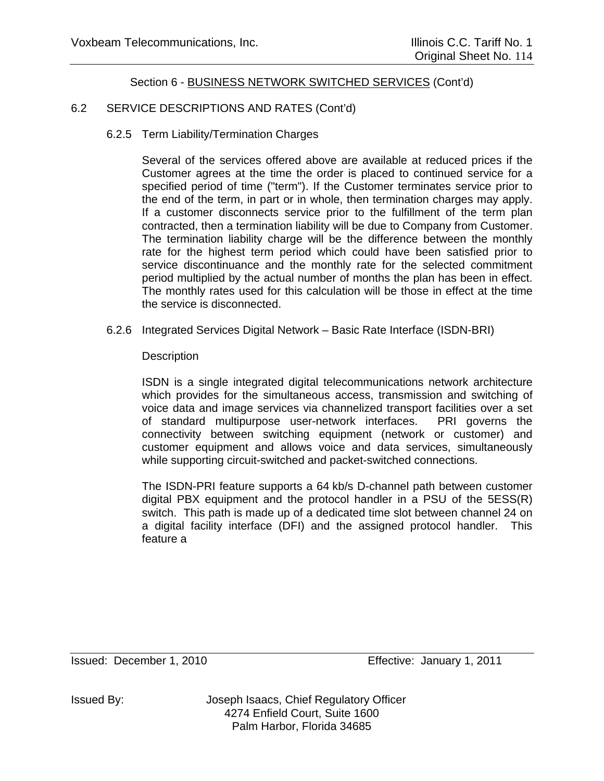# 6.2 SERVICE DESCRIPTIONS AND RATES (Cont'd)

6.2.5 Term Liability/Termination Charges

Several of the services offered above are available at reduced prices if the Customer agrees at the time the order is placed to continued service for a specified period of time ("term"). If the Customer terminates service prior to the end of the term, in part or in whole, then termination charges may apply. If a customer disconnects service prior to the fulfillment of the term plan contracted, then a termination liability will be due to Company from Customer. The termination liability charge will be the difference between the monthly rate for the highest term period which could have been satisfied prior to service discontinuance and the monthly rate for the selected commitment period multiplied by the actual number of months the plan has been in effect. The monthly rates used for this calculation will be those in effect at the time the service is disconnected.

6.2.6 Integrated Services Digital Network – Basic Rate Interface (ISDN-BRI)

**Description** 

ISDN is a single integrated digital telecommunications network architecture which provides for the simultaneous access, transmission and switching of voice data and image services via channelized transport facilities over a set of standard multipurpose user-network interfaces. PRI governs the connectivity between switching equipment (network or customer) and customer equipment and allows voice and data services, simultaneously while supporting circuit-switched and packet-switched connections.

The ISDN-PRI feature supports a 64 kb/s D-channel path between customer digital PBX equipment and the protocol handler in a PSU of the 5ESS(R) switch. This path is made up of a dedicated time slot between channel 24 on a digital facility interface (DFI) and the assigned protocol handler. This feature a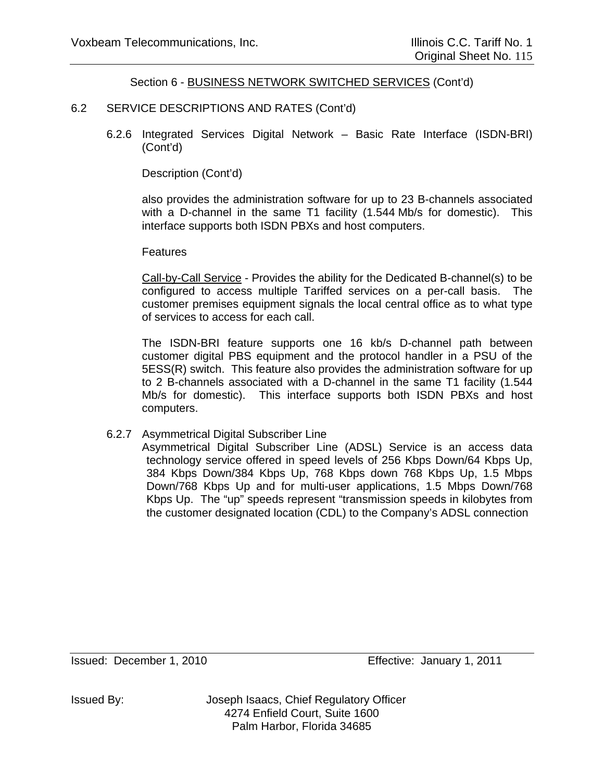### 6.2 SERVICE DESCRIPTIONS AND RATES (Cont'd)

 6.2.6 Integrated Services Digital Network – Basic Rate Interface (ISDN-BRI) (Cont'd)

Description (Cont'd)

also provides the administration software for up to 23 B-channels associated with a D-channel in the same T1 facility (1.544 Mb/s for domestic). This interface supports both ISDN PBXs and host computers.

#### **Features**

Call-by-Call Service - Provides the ability for the Dedicated B-channel(s) to be configured to access multiple Tariffed services on a per-call basis. The customer premises equipment signals the local central office as to what type of services to access for each call.

 The ISDN-BRI feature supports one 16 kb/s D-channel path between customer digital PBS equipment and the protocol handler in a PSU of the 5ESS(R) switch. This feature also provides the administration software for up to 2 B-channels associated with a D-channel in the same T1 facility (1.544 Mb/s for domestic). This interface supports both ISDN PBXs and host computers.

#### 6.2.7 Asymmetrical Digital Subscriber Line

 Asymmetrical Digital Subscriber Line (ADSL) Service is an access data technology service offered in speed levels of 256 Kbps Down/64 Kbps Up, 384 Kbps Down/384 Kbps Up, 768 Kbps down 768 Kbps Up, 1.5 Mbps Down/768 Kbps Up and for multi-user applications, 1.5 Mbps Down/768 Kbps Up. The "up" speeds represent "transmission speeds in kilobytes from the customer designated location (CDL) to the Company's ADSL connection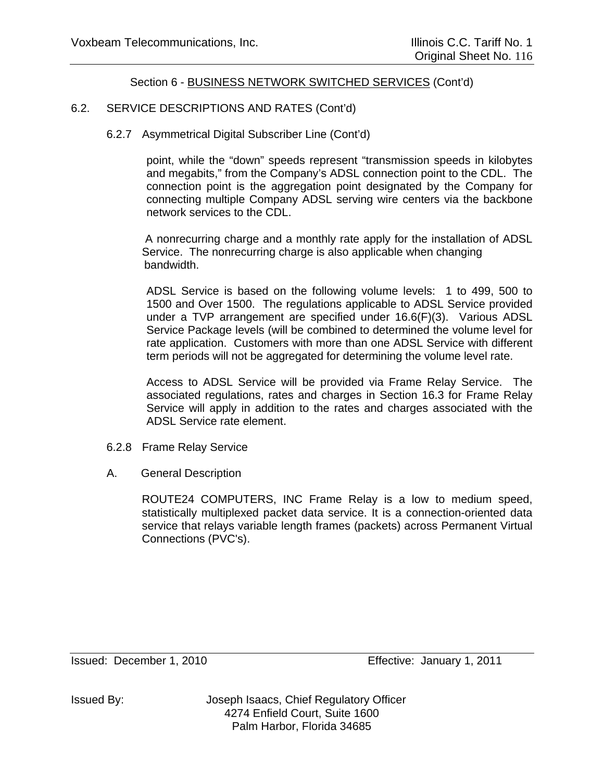## 6.2. SERVICE DESCRIPTIONS AND RATES (Cont'd)

### 6.2.7 Asymmetrical Digital Subscriber Line (Cont'd)

 point, while the "down" speeds represent "transmission speeds in kilobytes and megabits," from the Company's ADSL connection point to the CDL. The connection point is the aggregation point designated by the Company for connecting multiple Company ADSL serving wire centers via the backbone network services to the CDL.

 A nonrecurring charge and a monthly rate apply for the installation of ADSL Service. The nonrecurring charge is also applicable when changing bandwidth.

 ADSL Service is based on the following volume levels: 1 to 499, 500 to 1500 and Over 1500. The regulations applicable to ADSL Service provided under a TVP arrangement are specified under 16.6(F)(3). Various ADSL Service Package levels (will be combined to determined the volume level for rate application. Customers with more than one ADSL Service with different term periods will not be aggregated for determining the volume level rate.

Access to ADSL Service will be provided via Frame Relay Service. The associated regulations, rates and charges in Section 16.3 for Frame Relay Service will apply in addition to the rates and charges associated with the ADSL Service rate element.

- 6.2.8 Frame Relay Service
- A. General Description

ROUTE24 COMPUTERS, INC Frame Relay is a low to medium speed, statistically multiplexed packet data service. It is a connection-oriented data service that relays variable length frames (packets) across Permanent Virtual Connections (PVC's).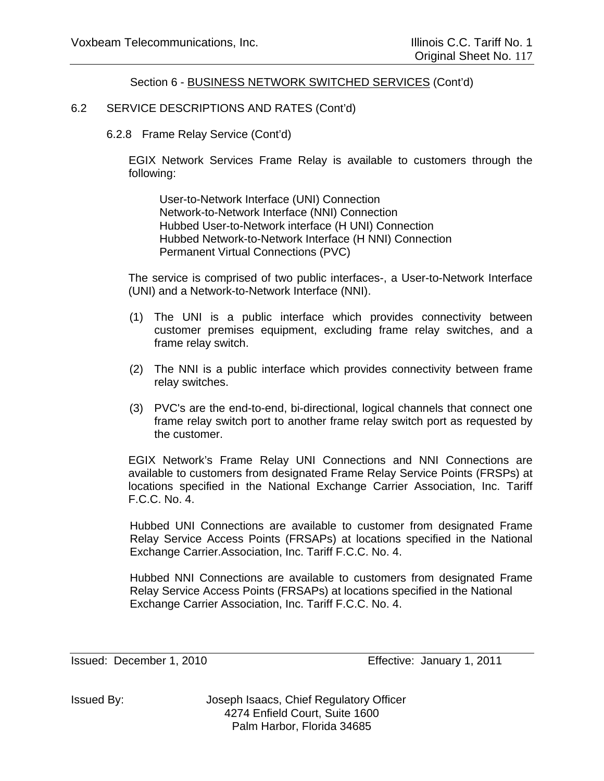### 6.2 SERVICE DESCRIPTIONS AND RATES (Cont'd)

6.2.8 Frame Relay Service (Cont'd)

EGIX Network Services Frame Relay is available to customers through the following:

User-to-Network Interface (UNI) Connection Network-to-Network Interface (NNI) Connection Hubbed User-to-Network interface (H UNI) Connection Hubbed Network-to-Network Interface (H NNI) Connection Permanent Virtual Connections (PVC)

The service is comprised of two public interfaces-, a User-to-Network Interface (UNI) and a Network-to-Network Interface (NNI).

- (1) The UNI is a public interface which provides connectivity between customer premises equipment, excluding frame relay switches, and a frame relay switch.
- (2) The NNI is a public interface which provides connectivity between frame relay switches.
- (3) PVC's are the end-to-end, bi-directional, logical channels that connect one frame relay switch port to another frame relay switch port as requested by the customer.

EGIX Network's Frame Relay UNI Connections and NNI Connections are available to customers from designated Frame Relay Service Points (FRSPs) at locations specified in the National Exchange Carrier Association, Inc. Tariff F.C.C. No. 4.

Hubbed UNI Connections are available to customer from designated Frame Relay Service Access Points (FRSAPs) at locations specified in the National Exchange Carrier.Association, Inc. Tariff F.C.C. No. 4.

Hubbed NNI Connections are available to customers from designated Frame Relay Service Access Points (FRSAPs) at locations specified in the National Exchange Carrier Association, Inc. Tariff F.C.C. No. 4.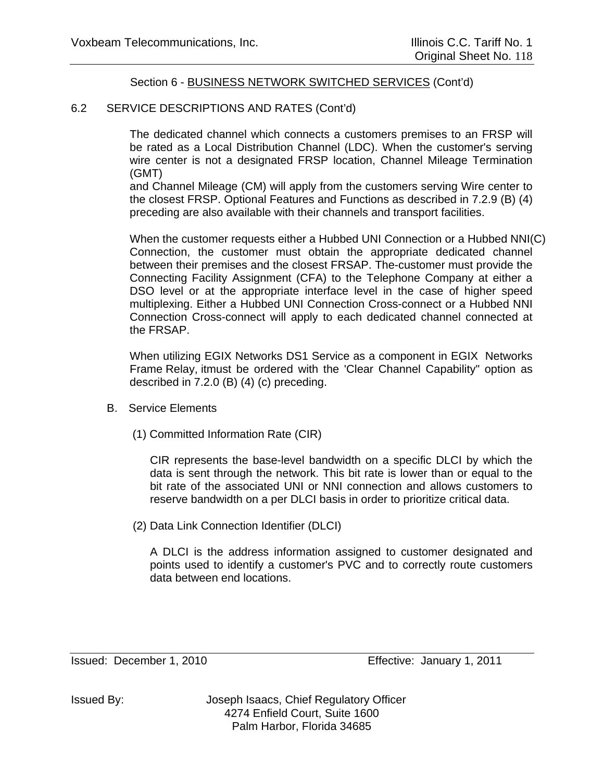### 6.2 SERVICE DESCRIPTIONS AND RATES (Cont'd)

The dedicated channel which connects a customers premises to an FRSP will be rated as a Local Distribution Channel (LDC). When the customer's serving wire center is not a designated FRSP location, Channel Mileage Termination (GMT)

and Channel Mileage (CM) will apply from the customers serving Wire center to the closest FRSP. Optional Features and Functions as described in 7.2.9 (B) (4) preceding are also available with their channels and transport facilities.

When the customer requests either a Hubbed UNI Connection or a Hubbed NNI(C) Connection, the customer must obtain the appropriate dedicated channel between their premises and the closest FRSAP. The-customer must provide the Connecting Facility Assignment (CFA) to the Telephone Company at either a DSO level or at the appropriate interface level in the case of higher speed multiplexing. Either a Hubbed UNI Connection Cross-connect or a Hubbed NNI Connection Cross-connect will apply to each dedicated channel connected at the FRSAP.

When utilizing EGIX Networks DS1 Service as a component in EGIX Networks Frame Relay, itmust be ordered with the 'Clear Channel Capability" option as described in 7.2.0 (B) (4) (c) preceding.

- B. Service Elements
	- (1) Committed Information Rate (CIR)

CIR represents the base-level bandwidth on a specific DLCI by which the data is sent through the network. This bit rate is lower than or equal to the bit rate of the associated UNI or NNI connection and allows customers to reserve bandwidth on a per DLCI basis in order to prioritize critical data.

(2) Data Link Connection Identifier (DLCI)

A DLCI is the address information assigned to customer designated and points used to identify a customer's PVC and to correctly route customers data between end locations.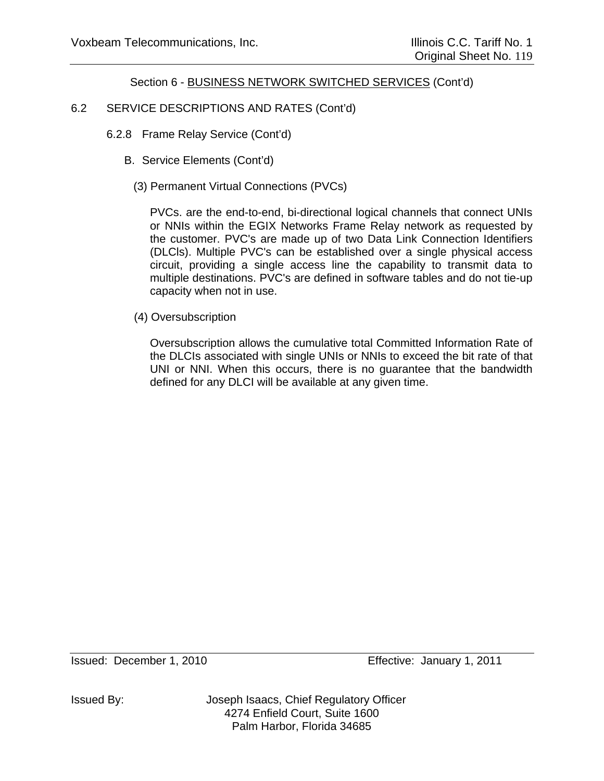# 6.2 SERVICE DESCRIPTIONS AND RATES (Cont'd)

- 6.2.8 Frame Relay Service (Cont'd)
	- B. Service Elements (Cont'd)
		- (3) Permanent Virtual Connections (PVCs)

PVCs. are the end-to-end, bi-directional logical channels that connect UNIs or NNIs within the EGIX Networks Frame Relay network as requested by the customer. PVC's are made up of two Data Link Connection Identifiers (DLCls). Multiple PVC's can be established over a single physical access circuit, providing a single access line the capability to transmit data to multiple destinations. PVC's are defined in software tables and do not tie-up capacity when not in use.

(4) Oversubscription

Oversubscription allows the cumulative total Committed Information Rate of the DLCIs associated with single UNIs or NNIs to exceed the bit rate of that UNI or NNI. When this occurs, there is no guarantee that the bandwidth defined for any DLCI will be available at any given time.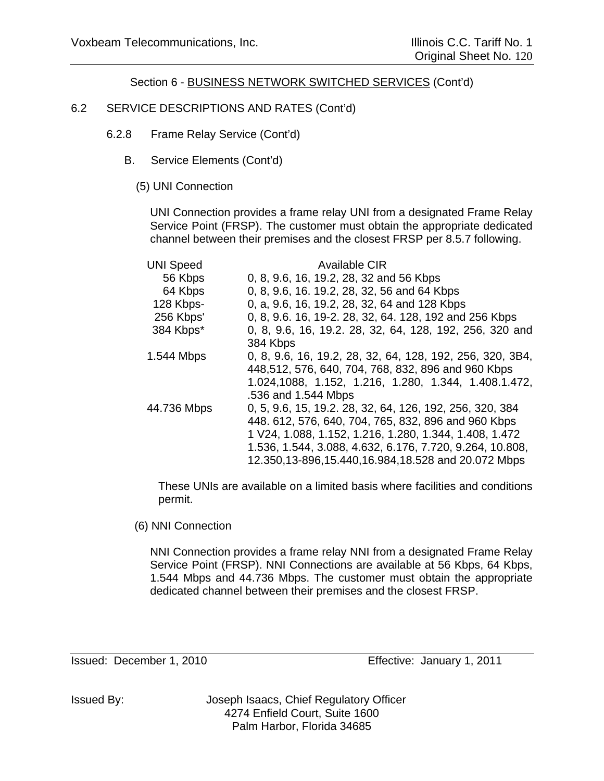## 6.2 SERVICE DESCRIPTIONS AND RATES (Cont'd)

- 6.2.8 Frame Relay Service (Cont'd)
	- B. Service Elements (Cont'd)
		- (5) UNI Connection

UNI Connection provides a frame relay UNI from a designated Frame Relay Service Point (FRSP). The customer must obtain the appropriate dedicated channel between their premises and the closest FRSP per 8.5.7 following.

| <b>UNI Speed</b><br>56 Kbps<br>64 Kbps<br>128 Kbps- | Available CIR<br>0, 8, 9.6, 16, 19.2, 28, 32 and 56 Kbps<br>0, 8, 9.6, 16. 19.2, 28, 32, 56 and 64 Kbps<br>0, a, 9.6, 16, 19.2, 28, 32, 64 and 128 Kbps                                                                                                                                     |
|-----------------------------------------------------|---------------------------------------------------------------------------------------------------------------------------------------------------------------------------------------------------------------------------------------------------------------------------------------------|
| 256 Kbps'<br>384 Kbps*                              | 0, 8, 9.6. 16, 19-2. 28, 32, 64. 128, 192 and 256 Kbps<br>0, 8, 9.6, 16, 19.2. 28, 32, 64, 128, 192, 256, 320 and                                                                                                                                                                           |
|                                                     | 384 Kbps                                                                                                                                                                                                                                                                                    |
| 1.544 Mbps                                          | 0, 8, 9.6, 16, 19.2, 28, 32, 64, 128, 192, 256, 320, 3B4,<br>448,512, 576, 640, 704, 768, 832, 896 and 960 Kbps<br>1.024,1088, 1.152, 1.216, 1.280, 1.344, 1.408.1.472,<br>.536 and 1.544 Mbps                                                                                              |
| 44.736 Mbps                                         | 0, 5, 9.6, 15, 19.2. 28, 32, 64, 126, 192, 256, 320, 384<br>448. 612, 576, 640, 704, 765, 832, 896 and 960 Kbps<br>1 V24, 1.088, 1.152, 1.216, 1.280, 1.344, 1.408, 1.472<br>1.536, 1.544, 3.088, 4.632, 6.176, 7.720, 9.264, 10.808,<br>12.350,13-896,15.440,16.984,18.528 and 20.072 Mbps |

These UNIs are available on a limited basis where facilities and conditions permit.

(6) NNI Connection

NNI Connection provides a frame relay NNI from a designated Frame Relay Service Point (FRSP). NNI Connections are available at 56 Kbps, 64 Kbps, 1.544 Mbps and 44.736 Mbps. The customer must obtain the appropriate dedicated channel between their premises and the closest FRSP.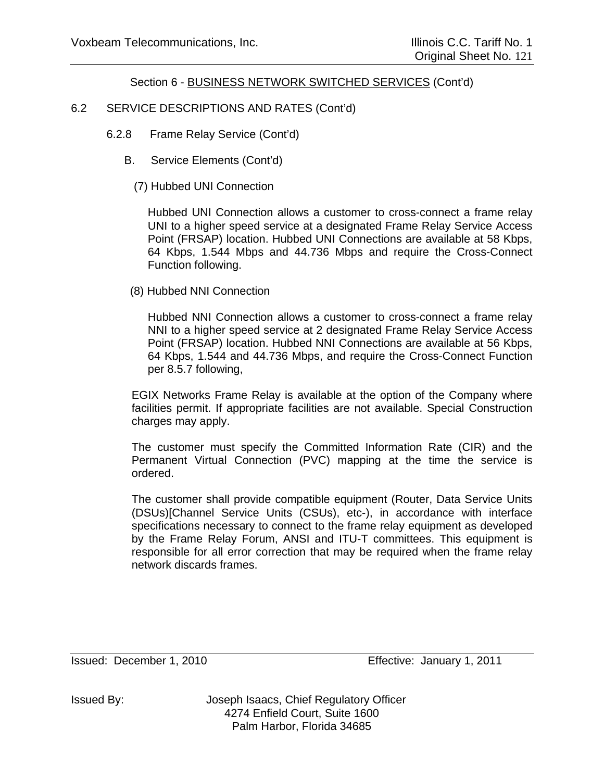## 6.2 SERVICE DESCRIPTIONS AND RATES (Cont'd)

- 6.2.8 Frame Relay Service (Cont'd)
	- B. Service Elements (Cont'd)
		- (7) Hubbed UNI Connection

Hubbed UNI Connection allows a customer to cross-connect a frame relay UNI to a higher speed service at a designated Frame Relay Service Access Point (FRSAP) location. Hubbed UNI Connections are available at 58 Kbps, 64 Kbps, 1.544 Mbps and 44.736 Mbps and require the Cross-Connect Function following.

(8) Hubbed NNI Connection

Hubbed NNI Connection allows a customer to cross-connect a frame relay NNI to a higher speed service at 2 designated Frame Relay Service Access Point (FRSAP) location. Hubbed NNI Connections are available at 56 Kbps, 64 Kbps, 1.544 and 44.736 Mbps, and require the Cross-Connect Function per 8.5.7 following,

EGIX Networks Frame Relay is available at the option of the Company where facilities permit. If appropriate facilities are not available. Special Construction charges may apply.

The customer must specify the Committed Information Rate (CIR) and the Permanent Virtual Connection (PVC) mapping at the time the service is ordered.

The customer shall provide compatible equipment (Router, Data Service Units (DSUs)[Channel Service Units (CSUs), etc-), in accordance with interface specifications necessary to connect to the frame relay equipment as developed by the Frame Relay Forum, ANSI and ITU-T committees. This equipment is responsible for all error correction that may be required when the frame relay network discards frames.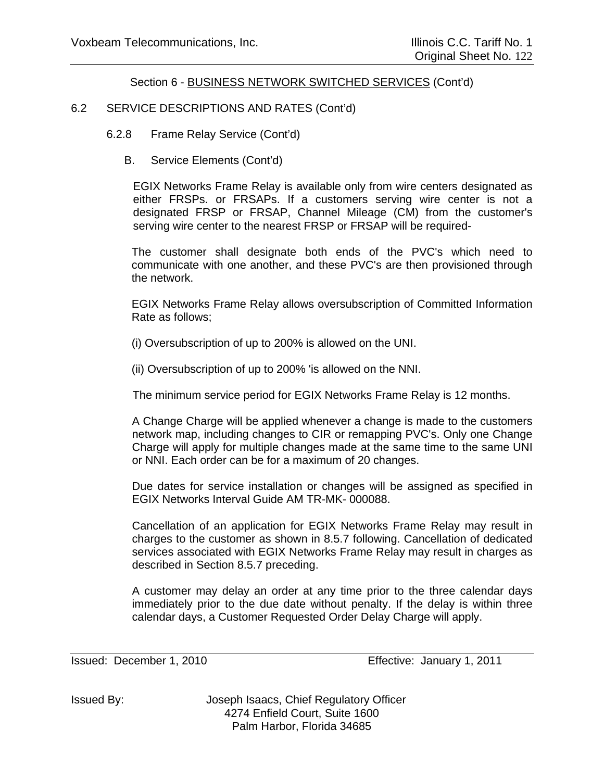### 6.2 SERVICE DESCRIPTIONS AND RATES (Cont'd)

6.2.8 Frame Relay Service (Cont'd)

B. Service Elements (Cont'd)

EGIX Networks Frame Relay is available only from wire centers designated as either FRSPs. or FRSAPs. If a customers serving wire center is not a designated FRSP or FRSAP, Channel Mileage (CM) from the customer's serving wire center to the nearest FRSP or FRSAP will be required-

The customer shall designate both ends of the PVC's which need to communicate with one another, and these PVC's are then provisioned through the network.

EGIX Networks Frame Relay allows oversubscription of Committed Information Rate as follows;

(i) Oversubscription of up to 200% is allowed on the UNI.

(ii) Oversubscription of up to 200% 'is allowed on the NNI.

The minimum service period for EGIX Networks Frame Relay is 12 months.

A Change Charge will be applied whenever a change is made to the customers network map, including changes to CIR or remapping PVC's. Only one Change Charge will apply for multiple changes made at the same time to the same UNI or NNI. Each order can be for a maximum of 20 changes.

Due dates for service installation or changes will be assigned as specified in EGIX Networks Interval Guide AM TR-MK- 000088.

Cancellation of an application for EGIX Networks Frame Relay may result in charges to the customer as shown in 8.5.7 following. Cancellation of dedicated services associated with EGIX Networks Frame Relay may result in charges as described in Section 8.5.7 preceding.

A customer may delay an order at any time prior to the three calendar days immediately prior to the due date without penalty. If the delay is within three calendar days, a Customer Requested Order Delay Charge will apply.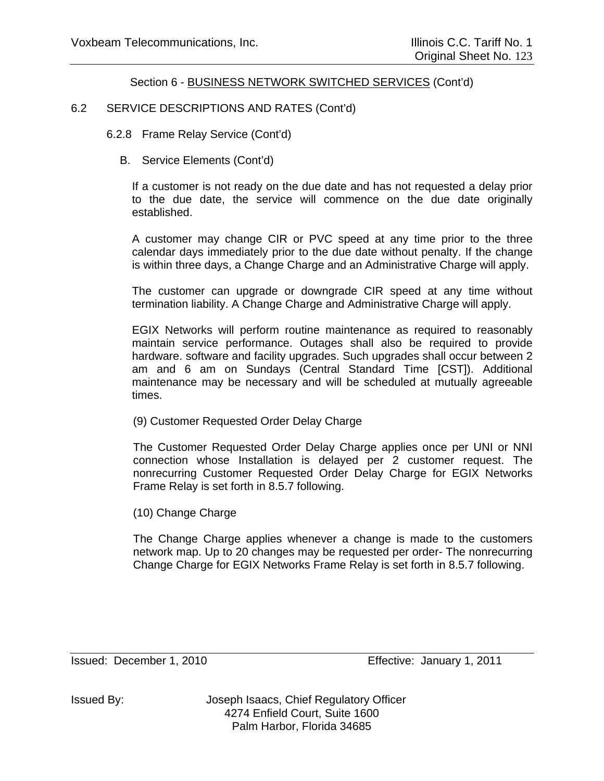### 6.2 SERVICE DESCRIPTIONS AND RATES (Cont'd)

6.2.8 Frame Relay Service (Cont'd)

B. Service Elements (Cont'd)

If a customer is not ready on the due date and has not requested a delay prior to the due date, the service will commence on the due date originally established.

A customer may change CIR or PVC speed at any time prior to the three calendar days immediately prior to the due date without penalty. If the change is within three days, a Change Charge and an Administrative Charge will apply.

The customer can upgrade or downgrade CIR speed at any time without termination liability. A Change Charge and Administrative Charge will apply.

EGIX Networks will perform routine maintenance as required to reasonably maintain service performance. Outages shall also be required to provide hardware. software and facility upgrades. Such upgrades shall occur between 2 am and 6 am on Sundays (Central Standard Time [CST]). Additional maintenance may be necessary and will be scheduled at mutually agreeable times.

(9) Customer Requested Order Delay Charge

The Customer Requested Order Delay Charge applies once per UNI or NNI connection whose Installation is delayed per 2 customer request. The nonrecurring Customer Requested Order Delay Charge for EGIX Networks Frame Relay is set forth in 8.5.7 following.

(10) Change Charge

The Change Charge applies whenever a change is made to the customers network map. Up to 20 changes may be requested per order- The nonrecurring Change Charge for EGIX Networks Frame Relay is set forth in 8.5.7 following.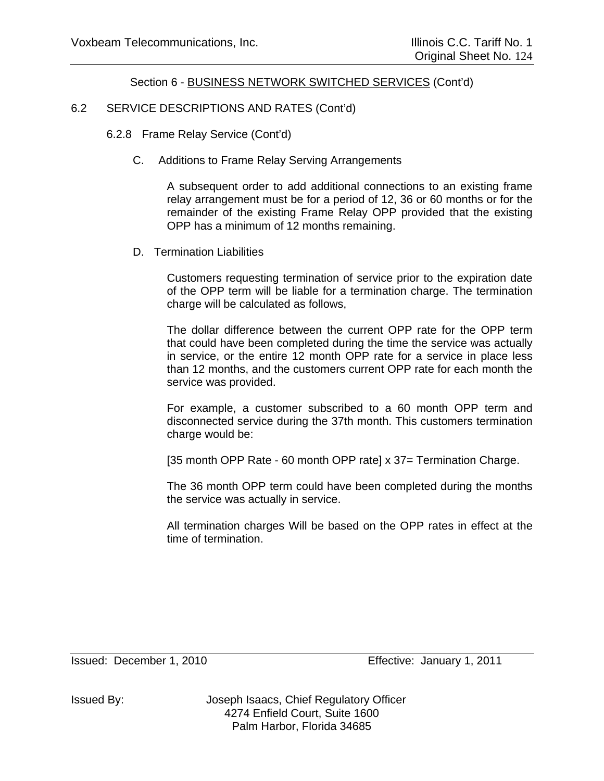## 6.2 SERVICE DESCRIPTIONS AND RATES (Cont'd)

- 6.2.8 Frame Relay Service (Cont'd)
	- C. Additions to Frame Relay Serving Arrangements

A subsequent order to add additional connections to an existing frame relay arrangement must be for a period of 12, 36 or 60 months or for the remainder of the existing Frame Relay OPP provided that the existing OPP has a minimum of 12 months remaining.

D. Termination Liabilities

Customers requesting termination of service prior to the expiration date of the OPP term will be liable for a termination charge. The termination charge will be calculated as follows,

The dollar difference between the current OPP rate for the OPP term that could have been completed during the time the service was actually in service, or the entire 12 month OPP rate for a service in place less than 12 months, and the customers current OPP rate for each month the service was provided.

For example, a customer subscribed to a 60 month OPP term and disconnected service during the 37th month. This customers termination charge would be:

[35 month OPP Rate - 60 month OPP rate] x 37= Termination Charge.

The 36 month OPP term could have been completed during the months the service was actually in service.

All termination charges Will be based on the OPP rates in effect at the time of termination.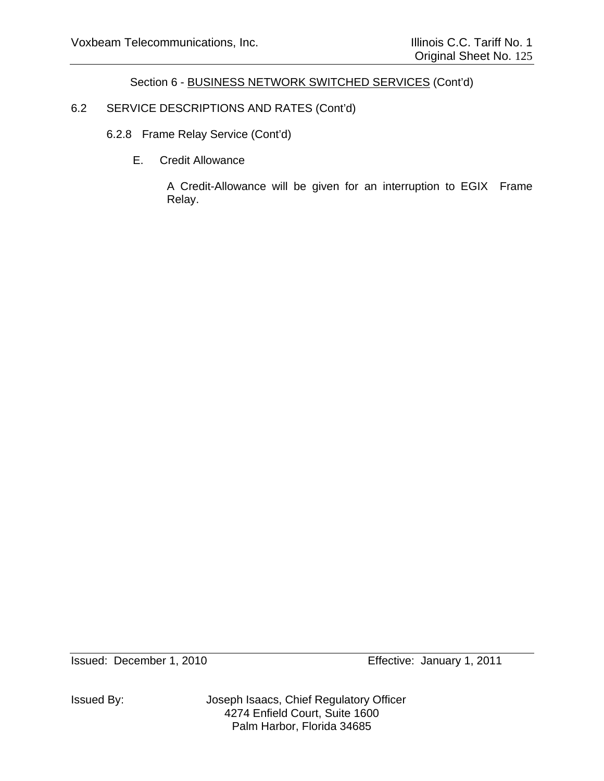# 6.2 SERVICE DESCRIPTIONS AND RATES (Cont'd)

- 6.2.8 Frame Relay Service (Cont'd)
	- E. Credit Allowance

A Credit-Allowance will be given for an interruption to EGIX Frame Relay.

Issued By: Joseph Isaacs, Chief Regulatory Officer 4274 Enfield Court, Suite 1600 Palm Harbor, Florida 34685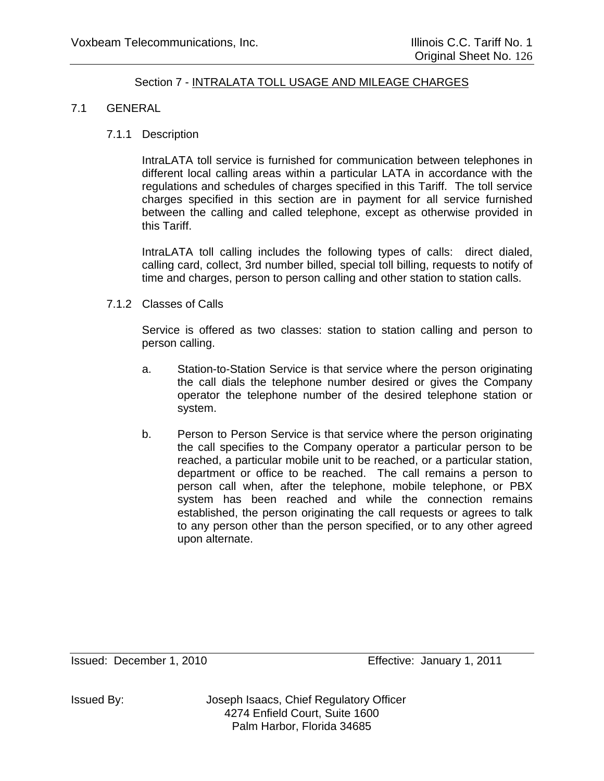### 7.1 GENERAL

### 7.1.1 Description

IntraLATA toll service is furnished for communication between telephones in different local calling areas within a particular LATA in accordance with the regulations and schedules of charges specified in this Tariff. The toll service charges specified in this section are in payment for all service furnished between the calling and called telephone, except as otherwise provided in this Tariff.

IntraLATA toll calling includes the following types of calls: direct dialed, calling card, collect, 3rd number billed, special toll billing, requests to notify of time and charges, person to person calling and other station to station calls.

7.1.2 Classes of Calls

Service is offered as two classes: station to station calling and person to person calling.

- a. Station-to-Station Service is that service where the person originating the call dials the telephone number desired or gives the Company operator the telephone number of the desired telephone station or system.
- b. Person to Person Service is that service where the person originating the call specifies to the Company operator a particular person to be reached, a particular mobile unit to be reached, or a particular station, department or office to be reached. The call remains a person to person call when, after the telephone, mobile telephone, or PBX system has been reached and while the connection remains established, the person originating the call requests or agrees to talk to any person other than the person specified, or to any other agreed upon alternate.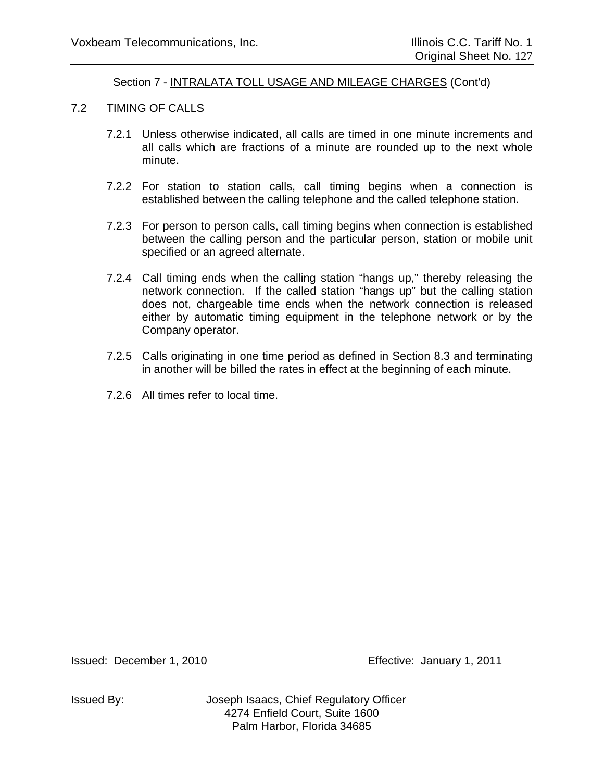- 7.2 TIMING OF CALLS
	- 7.2.1 Unless otherwise indicated, all calls are timed in one minute increments and all calls which are fractions of a minute are rounded up to the next whole minute.
	- 7.2.2 For station to station calls, call timing begins when a connection is established between the calling telephone and the called telephone station.
	- 7.2.3 For person to person calls, call timing begins when connection is established between the calling person and the particular person, station or mobile unit specified or an agreed alternate.
	- 7.2.4 Call timing ends when the calling station "hangs up," thereby releasing the network connection. If the called station "hangs up" but the calling station does not, chargeable time ends when the network connection is released either by automatic timing equipment in the telephone network or by the Company operator.
	- 7.2.5 Calls originating in one time period as defined in Section 8.3 and terminating in another will be billed the rates in effect at the beginning of each minute.
	- 7.2.6 All times refer to local time.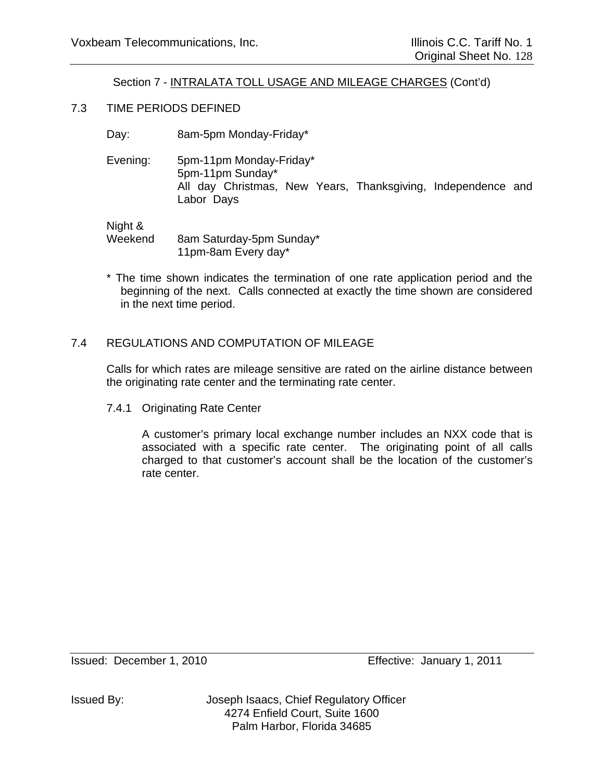### 7.3 TIME PERIODS DEFINED

- Day: 8am-5pm Monday-Friday\*
- Evening: 5pm-11pm Monday-Friday\* 5pm-11pm Sunday\* All day Christmas, New Years, Thanksgiving, Independence and Labor Days

Night &

Weekend 8am Saturday-5pm Sunday\* 11pm-8am Every day\*

\* The time shown indicates the termination of one rate application period and the beginning of the next. Calls connected at exactly the time shown are considered in the next time period.

# 7.4 REGULATIONS AND COMPUTATION OF MILEAGE

Calls for which rates are mileage sensitive are rated on the airline distance between the originating rate center and the terminating rate center.

7.4.1 Originating Rate Center

A customer's primary local exchange number includes an NXX code that is associated with a specific rate center. The originating point of all calls charged to that customer's account shall be the location of the customer's rate center.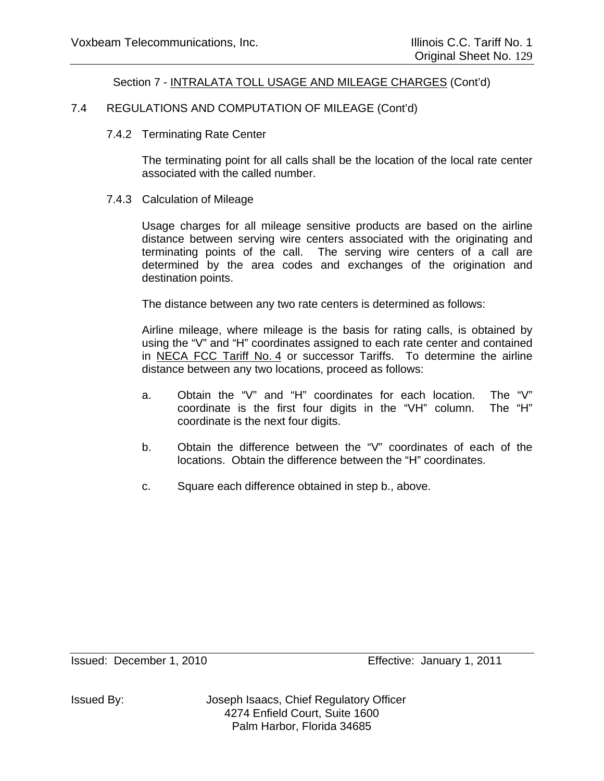### 7.4 REGULATIONS AND COMPUTATION OF MILEAGE (Cont'd)

#### 7.4.2 Terminating Rate Center

The terminating point for all calls shall be the location of the local rate center associated with the called number.

#### 7.4.3 Calculation of Mileage

Usage charges for all mileage sensitive products are based on the airline distance between serving wire centers associated with the originating and terminating points of the call. The serving wire centers of a call are determined by the area codes and exchanges of the origination and destination points.

The distance between any two rate centers is determined as follows:

Airline mileage, where mileage is the basis for rating calls, is obtained by using the "V" and "H" coordinates assigned to each rate center and contained in NECA FCC Tariff No. 4 or successor Tariffs. To determine the airline distance between any two locations, proceed as follows:

- a. Obtain the "V" and "H" coordinates for each location. The "V" coordinate is the first four digits in the "VH" column. The "H" coordinate is the next four digits.
- b. Obtain the difference between the "V" coordinates of each of the locations. Obtain the difference between the "H" coordinates.
- c. Square each difference obtained in step b., above.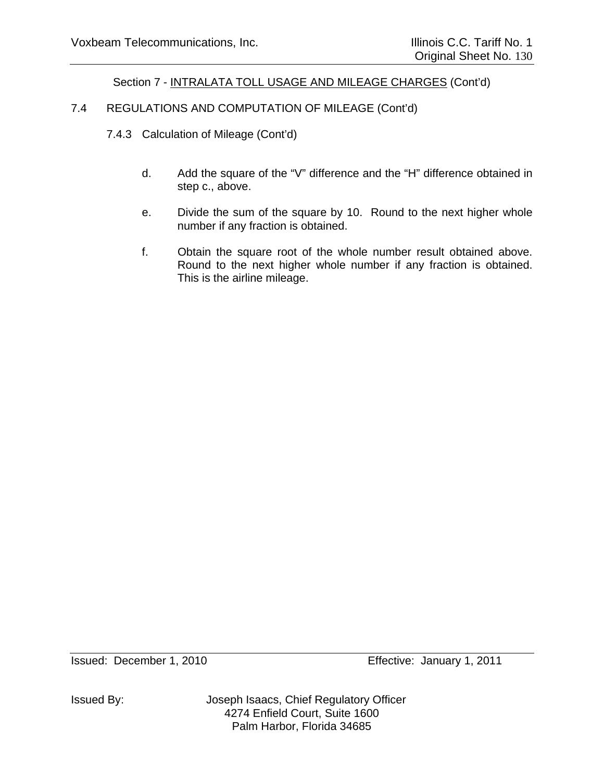# 7.4 REGULATIONS AND COMPUTATION OF MILEAGE (Cont'd)

- 7.4.3 Calculation of Mileage (Cont'd)
	- d. Add the square of the "V" difference and the "H" difference obtained in step c., above.
	- e. Divide the sum of the square by 10. Round to the next higher whole number if any fraction is obtained.
	- f. Obtain the square root of the whole number result obtained above. Round to the next higher whole number if any fraction is obtained. This is the airline mileage.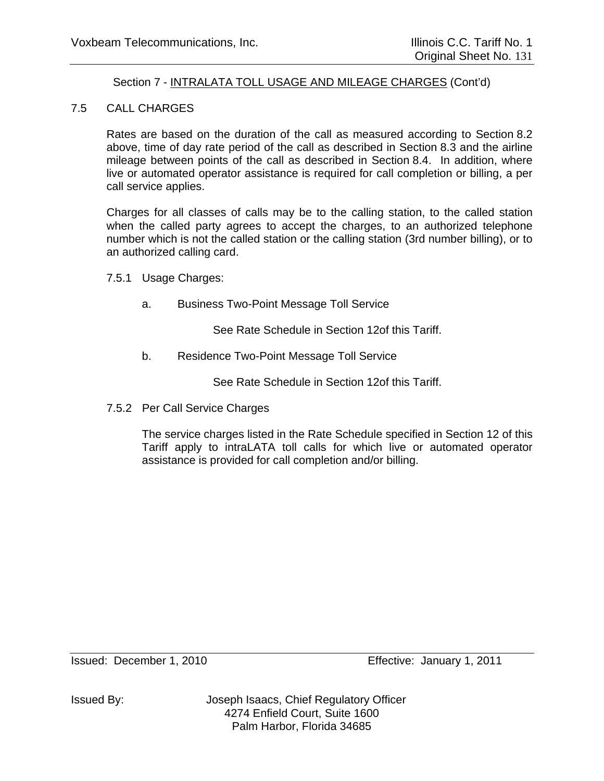### 7.5 CALL CHARGES

Rates are based on the duration of the call as measured according to Section 8.2 above, time of day rate period of the call as described in Section 8.3 and the airline mileage between points of the call as described in Section 8.4. In addition, where live or automated operator assistance is required for call completion or billing, a per call service applies.

Charges for all classes of calls may be to the calling station, to the called station when the called party agrees to accept the charges, to an authorized telephone number which is not the called station or the calling station (3rd number billing), or to an authorized calling card.

7.5.1 Usage Charges:

a. Business Two-Point Message Toll Service

See Rate Schedule in Section 12of this Tariff.

b. Residence Two-Point Message Toll Service

See Rate Schedule in Section 12of this Tariff.

7.5.2 Per Call Service Charges

The service charges listed in the Rate Schedule specified in Section 12 of this Tariff apply to intraLATA toll calls for which live or automated operator assistance is provided for call completion and/or billing.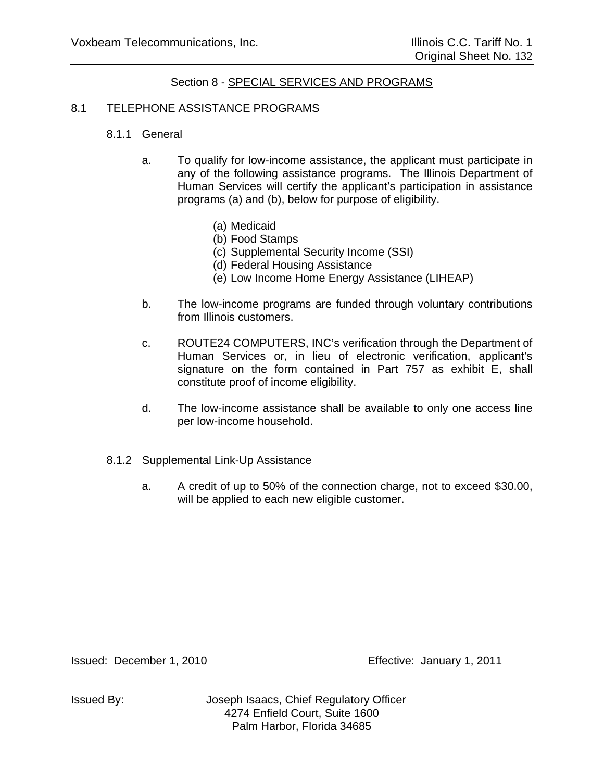### 8.1 TELEPHONE ASSISTANCE PROGRAMS

### 8.1.1 General

- a. To qualify for low-income assistance, the applicant must participate in any of the following assistance programs. The Illinois Department of Human Services will certify the applicant's participation in assistance programs (a) and (b), below for purpose of eligibility.
	- (a) Medicaid
	- (b) Food Stamps
	- (c) Supplemental Security Income (SSI)
	- (d) Federal Housing Assistance
	- (e) Low Income Home Energy Assistance (LIHEAP)
- b. The low-income programs are funded through voluntary contributions from Illinois customers.
- c. ROUTE24 COMPUTERS, INC's verification through the Department of Human Services or, in lieu of electronic verification, applicant's signature on the form contained in Part 757 as exhibit E, shall constitute proof of income eligibility.
- d. The low-income assistance shall be available to only one access line per low-income household.
- 8.1.2 Supplemental Link-Up Assistance
	- a. A credit of up to 50% of the connection charge, not to exceed \$30.00, will be applied to each new eligible customer.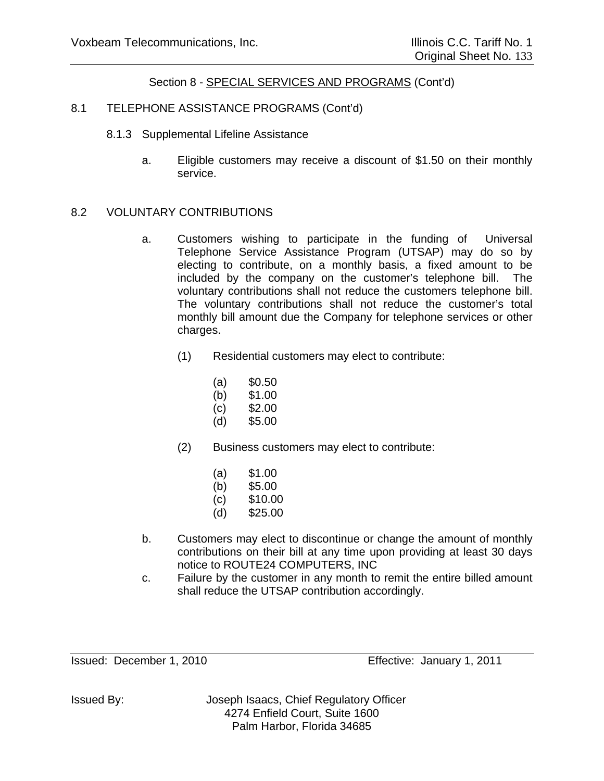### 8.1 TELEPHONE ASSISTANCE PROGRAMS (Cont'd)

- 8.1.3 Supplemental Lifeline Assistance
	- a. Eligible customers may receive a discount of \$1.50 on their monthly service.

#### 8.2 VOLUNTARY CONTRIBUTIONS

- a. Customers wishing to participate in the funding of Universal Telephone Service Assistance Program (UTSAP) may do so by electing to contribute, on a monthly basis, a fixed amount to be included by the company on the customer's telephone bill. The voluntary contributions shall not reduce the customers telephone bill. The voluntary contributions shall not reduce the customer's total monthly bill amount due the Company for telephone services or other charges.
	- (1) Residential customers may elect to contribute:
		- $(a)$  \$0.50
		- (b) \$1.00
		- (c) \$2.00
		- (d) \$5.00
	- (2) Business customers may elect to contribute:
		- (a) \$1.00
		- (b) \$5.00
		- (c) \$10.00
		- (d) \$25.00
- b. Customers may elect to discontinue or change the amount of monthly contributions on their bill at any time upon providing at least 30 days notice to ROUTE24 COMPUTERS, INC
- c. Failure by the customer in any month to remit the entire billed amount shall reduce the UTSAP contribution accordingly.

Issued: December 1, 2010 Effective: January 1, 2011

Issued By: Joseph Isaacs, Chief Regulatory Officer 4274 Enfield Court, Suite 1600 Palm Harbor, Florida 34685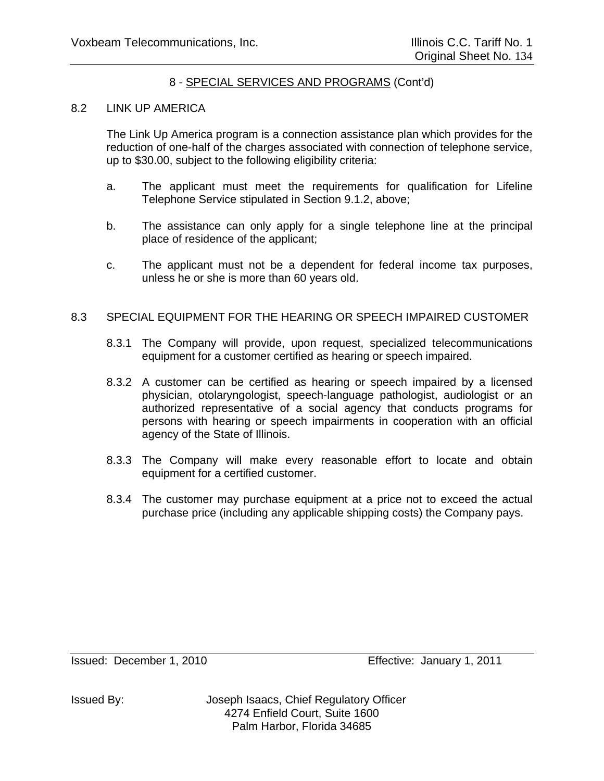# 8 - SPECIAL SERVICES AND PROGRAMS (Cont'd)

#### 8.2 LINK UP AMERICA

The Link Up America program is a connection assistance plan which provides for the reduction of one-half of the charges associated with connection of telephone service, up to \$30.00, subject to the following eligibility criteria:

- a. The applicant must meet the requirements for qualification for Lifeline Telephone Service stipulated in Section 9.1.2, above;
- b. The assistance can only apply for a single telephone line at the principal place of residence of the applicant;
- c. The applicant must not be a dependent for federal income tax purposes, unless he or she is more than 60 years old.

#### 8.3 SPECIAL EQUIPMENT FOR THE HEARING OR SPEECH IMPAIRED CUSTOMER

- 8.3.1 The Company will provide, upon request, specialized telecommunications equipment for a customer certified as hearing or speech impaired.
- 8.3.2 A customer can be certified as hearing or speech impaired by a licensed physician, otolaryngologist, speech-language pathologist, audiologist or an authorized representative of a social agency that conducts programs for persons with hearing or speech impairments in cooperation with an official agency of the State of Illinois.
- 8.3.3 The Company will make every reasonable effort to locate and obtain equipment for a certified customer.
- 8.3.4 The customer may purchase equipment at a price not to exceed the actual purchase price (including any applicable shipping costs) the Company pays.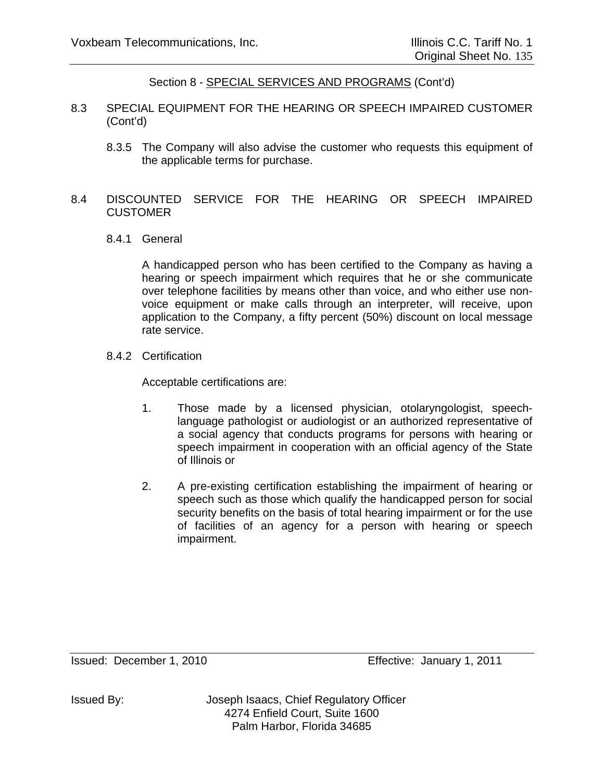- 8.3 SPECIAL EQUIPMENT FOR THE HEARING OR SPEECH IMPAIRED CUSTOMER (Cont'd)
	- 8.3.5 The Company will also advise the customer who requests this equipment of the applicable terms for purchase.

## 8.4 DISCOUNTED SERVICE FOR THE HEARING OR SPEECH IMPAIRED **CUSTOMER**

8.4.1 General

A handicapped person who has been certified to the Company as having a hearing or speech impairment which requires that he or she communicate over telephone facilities by means other than voice, and who either use nonvoice equipment or make calls through an interpreter, will receive, upon application to the Company, a fifty percent (50%) discount on local message rate service.

8.4.2 Certification

Acceptable certifications are:

- 1. Those made by a licensed physician, otolaryngologist, speechlanguage pathologist or audiologist or an authorized representative of a social agency that conducts programs for persons with hearing or speech impairment in cooperation with an official agency of the State of Illinois or
- 2. A pre-existing certification establishing the impairment of hearing or speech such as those which qualify the handicapped person for social security benefits on the basis of total hearing impairment or for the use of facilities of an agency for a person with hearing or speech impairment.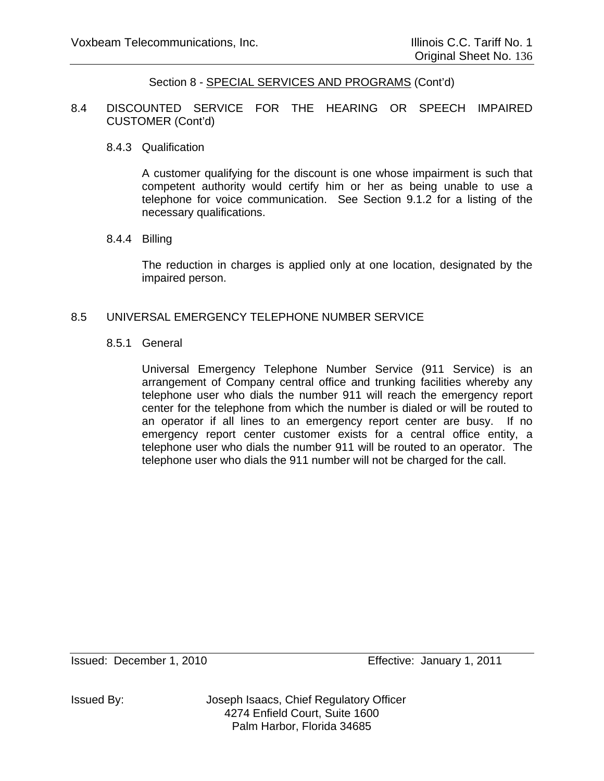8.4 DISCOUNTED SERVICE FOR THE HEARING OR SPEECH IMPAIRED CUSTOMER (Cont'd)

#### 8.4.3 Qualification

A customer qualifying for the discount is one whose impairment is such that competent authority would certify him or her as being unable to use a telephone for voice communication. See Section 9.1.2 for a listing of the necessary qualifications.

#### 8.4.4 Billing

The reduction in charges is applied only at one location, designated by the impaired person.

#### 8.5 UNIVERSAL EMERGENCY TELEPHONE NUMBER SERVICE

#### 8.5.1 General

Universal Emergency Telephone Number Service (911 Service) is an arrangement of Company central office and trunking facilities whereby any telephone user who dials the number 911 will reach the emergency report center for the telephone from which the number is dialed or will be routed to an operator if all lines to an emergency report center are busy. If no emergency report center customer exists for a central office entity, a telephone user who dials the number 911 will be routed to an operator. The telephone user who dials the 911 number will not be charged for the call.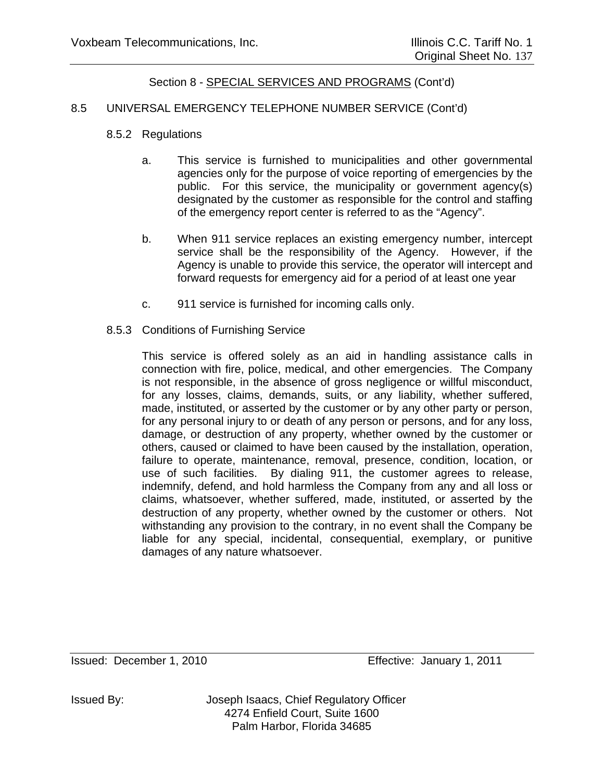#### 8.5 UNIVERSAL EMERGENCY TELEPHONE NUMBER SERVICE (Cont'd)

- 8.5.2 Regulations
	- a. This service is furnished to municipalities and other governmental agencies only for the purpose of voice reporting of emergencies by the public. For this service, the municipality or government agency(s) designated by the customer as responsible for the control and staffing of the emergency report center is referred to as the "Agency".
	- b. When 911 service replaces an existing emergency number, intercept service shall be the responsibility of the Agency. However, if the Agency is unable to provide this service, the operator will intercept and forward requests for emergency aid for a period of at least one year
	- c. 911 service is furnished for incoming calls only.
- 8.5.3 Conditions of Furnishing Service

This service is offered solely as an aid in handling assistance calls in connection with fire, police, medical, and other emergencies. The Company is not responsible, in the absence of gross negligence or willful misconduct, for any losses, claims, demands, suits, or any liability, whether suffered, made, instituted, or asserted by the customer or by any other party or person, for any personal injury to or death of any person or persons, and for any loss, damage, or destruction of any property, whether owned by the customer or others, caused or claimed to have been caused by the installation, operation, failure to operate, maintenance, removal, presence, condition, location, or use of such facilities. By dialing 911, the customer agrees to release, indemnify, defend, and hold harmless the Company from any and all loss or claims, whatsoever, whether suffered, made, instituted, or asserted by the destruction of any property, whether owned by the customer or others. Not withstanding any provision to the contrary, in no event shall the Company be liable for any special, incidental, consequential, exemplary, or punitive damages of any nature whatsoever.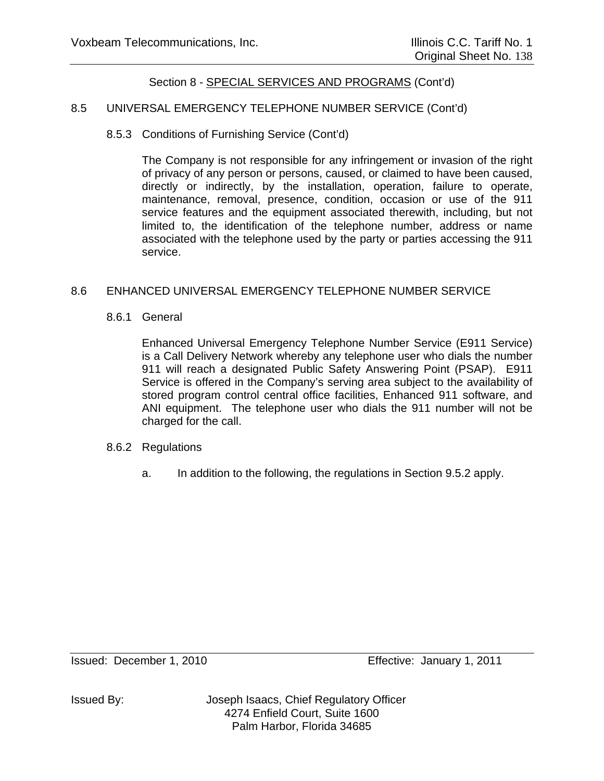### 8.5 UNIVERSAL EMERGENCY TELEPHONE NUMBER SERVICE (Cont'd)

### 8.5.3 Conditions of Furnishing Service (Cont'd)

The Company is not responsible for any infringement or invasion of the right of privacy of any person or persons, caused, or claimed to have been caused, directly or indirectly, by the installation, operation, failure to operate, maintenance, removal, presence, condition, occasion or use of the 911 service features and the equipment associated therewith, including, but not limited to, the identification of the telephone number, address or name associated with the telephone used by the party or parties accessing the 911 service.

#### 8.6 ENHANCED UNIVERSAL EMERGENCY TELEPHONE NUMBER SERVICE

8.6.1 General

Enhanced Universal Emergency Telephone Number Service (E911 Service) is a Call Delivery Network whereby any telephone user who dials the number 911 will reach a designated Public Safety Answering Point (PSAP). E911 Service is offered in the Company's serving area subject to the availability of stored program control central office facilities, Enhanced 911 software, and ANI equipment. The telephone user who dials the 911 number will not be charged for the call.

#### 8.6.2 Regulations

a. In addition to the following, the regulations in Section 9.5.2 apply.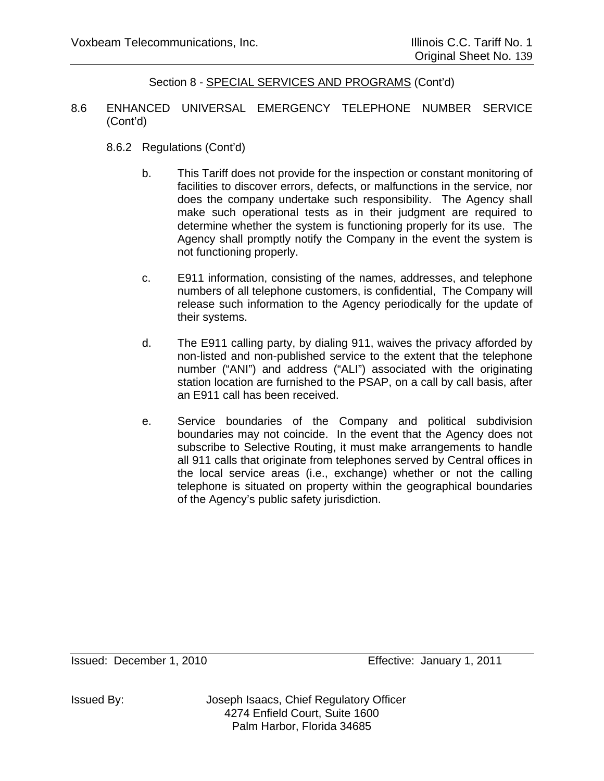- 8.6 ENHANCED UNIVERSAL EMERGENCY TELEPHONE NUMBER SERVICE (Cont'd)
	- 8.6.2 Regulations (Cont'd)
		- b. This Tariff does not provide for the inspection or constant monitoring of facilities to discover errors, defects, or malfunctions in the service, nor does the company undertake such responsibility. The Agency shall make such operational tests as in their judgment are required to determine whether the system is functioning properly for its use. The Agency shall promptly notify the Company in the event the system is not functioning properly.
		- c. E911 information, consisting of the names, addresses, and telephone numbers of all telephone customers, is confidential, The Company will release such information to the Agency periodically for the update of their systems.
		- d. The E911 calling party, by dialing 911, waives the privacy afforded by non-listed and non-published service to the extent that the telephone number ("ANI") and address ("ALI") associated with the originating station location are furnished to the PSAP, on a call by call basis, after an E911 call has been received.
		- e. Service boundaries of the Company and political subdivision boundaries may not coincide. In the event that the Agency does not subscribe to Selective Routing, it must make arrangements to handle all 911 calls that originate from telephones served by Central offices in the local service areas (i.e., exchange) whether or not the calling telephone is situated on property within the geographical boundaries of the Agency's public safety jurisdiction.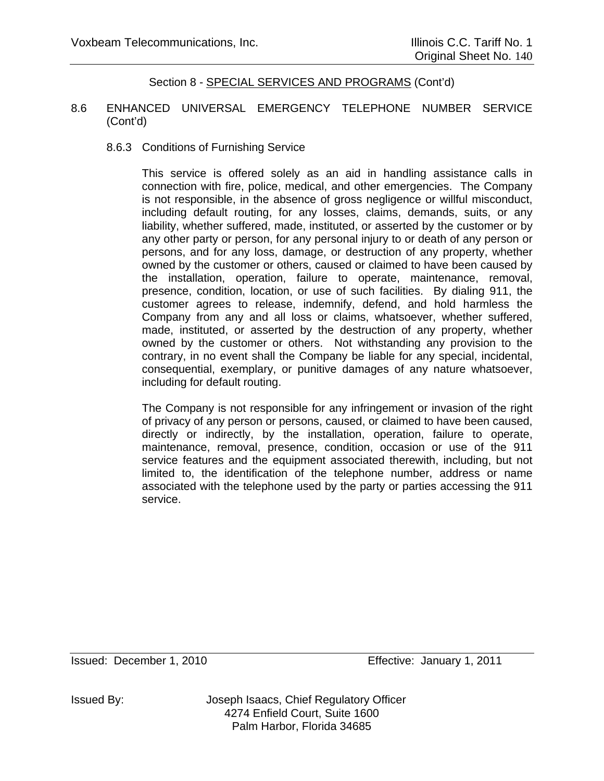#### 8.6 ENHANCED UNIVERSAL EMERGENCY TELEPHONE NUMBER SERVICE (Cont'd)

#### 8.6.3 Conditions of Furnishing Service

This service is offered solely as an aid in handling assistance calls in connection with fire, police, medical, and other emergencies. The Company is not responsible, in the absence of gross negligence or willful misconduct, including default routing, for any losses, claims, demands, suits, or any liability, whether suffered, made, instituted, or asserted by the customer or by any other party or person, for any personal injury to or death of any person or persons, and for any loss, damage, or destruction of any property, whether owned by the customer or others, caused or claimed to have been caused by the installation, operation, failure to operate, maintenance, removal, presence, condition, location, or use of such facilities. By dialing 911, the customer agrees to release, indemnify, defend, and hold harmless the Company from any and all loss or claims, whatsoever, whether suffered, made, instituted, or asserted by the destruction of any property, whether owned by the customer or others. Not withstanding any provision to the contrary, in no event shall the Company be liable for any special, incidental, consequential, exemplary, or punitive damages of any nature whatsoever, including for default routing.

The Company is not responsible for any infringement or invasion of the right of privacy of any person or persons, caused, or claimed to have been caused, directly or indirectly, by the installation, operation, failure to operate, maintenance, removal, presence, condition, occasion or use of the 911 service features and the equipment associated therewith, including, but not limited to, the identification of the telephone number, address or name associated with the telephone used by the party or parties accessing the 911 service.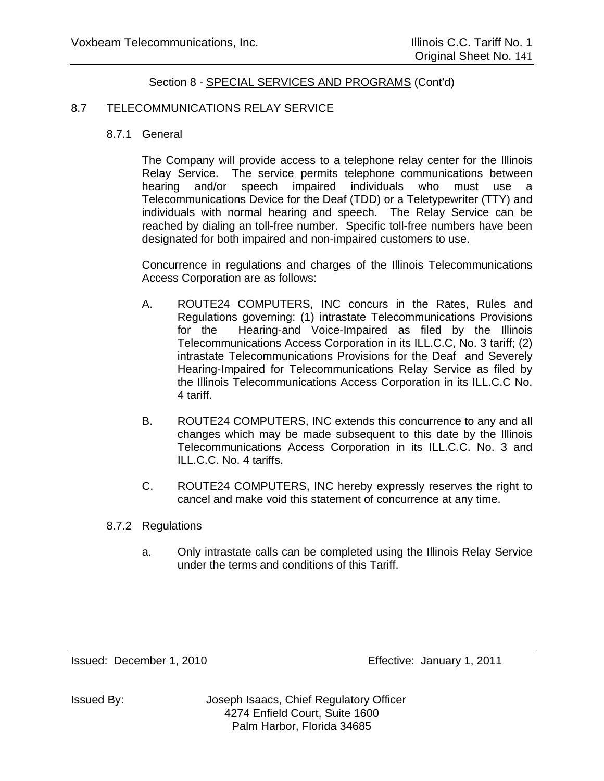#### 8.7 TELECOMMUNICATIONS RELAY SERVICE

8.7.1 General

The Company will provide access to a telephone relay center for the Illinois Relay Service. The service permits telephone communications between hearing and/or speech impaired individuals who must use a Telecommunications Device for the Deaf (TDD) or a Teletypewriter (TTY) and individuals with normal hearing and speech. The Relay Service can be reached by dialing an toll-free number. Specific toll-free numbers have been designated for both impaired and non-impaired customers to use.

Concurrence in regulations and charges of the Illinois Telecommunications Access Corporation are as follows:

- A. ROUTE24 COMPUTERS, INC concurs in the Rates, Rules and Regulations governing: (1) intrastate Telecommunications Provisions for the Hearing-and Voice-Impaired as filed by the Illinois Telecommunications Access Corporation in its ILL.C.C, No. 3 tariff; (2) intrastate Telecommunications Provisions for the Deaf and Severely Hearing-Impaired for Telecommunications Relay Service as filed by the Illinois Telecommunications Access Corporation in its ILL.C.C No. 4 tariff.
- B. ROUTE24 COMPUTERS, INC extends this concurrence to any and all changes which may be made subsequent to this date by the Illinois Telecommunications Access Corporation in its ILL.C.C. No. 3 and ILL.C.C. No. 4 tariffs.
- C. ROUTE24 COMPUTERS, INC hereby expressly reserves the right to cancel and make void this statement of concurrence at any time.
- 8.7.2 Regulations
	- a. Only intrastate calls can be completed using the Illinois Relay Service under the terms and conditions of this Tariff.

Issued: December 1, 2010 Effective: January 1, 2011

Issued By: Joseph Isaacs, Chief Regulatory Officer 4274 Enfield Court, Suite 1600 Palm Harbor, Florida 34685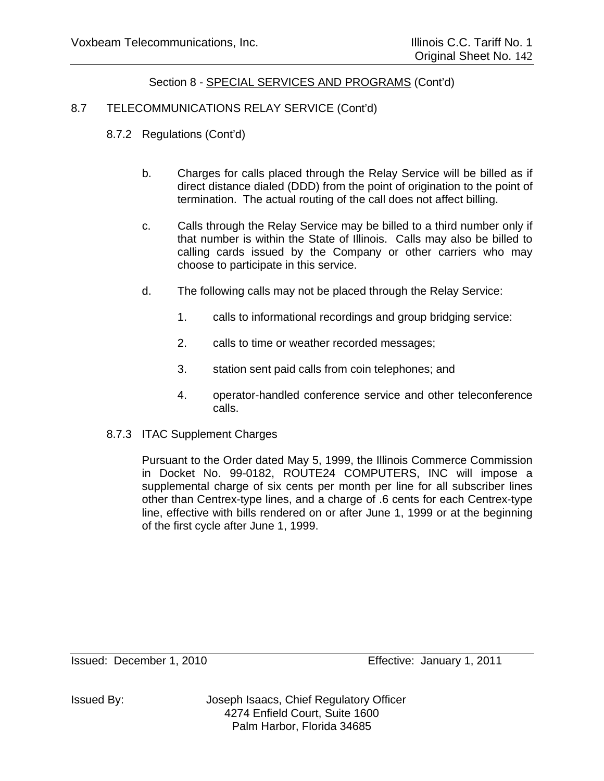### 8.7 TELECOMMUNICATIONS RELAY SERVICE (Cont'd)

- 8.7.2 Regulations (Cont'd)
	- b. Charges for calls placed through the Relay Service will be billed as if direct distance dialed (DDD) from the point of origination to the point of termination. The actual routing of the call does not affect billing.
	- c. Calls through the Relay Service may be billed to a third number only if that number is within the State of Illinois. Calls may also be billed to calling cards issued by the Company or other carriers who may choose to participate in this service.
	- d. The following calls may not be placed through the Relay Service:
		- 1. calls to informational recordings and group bridging service:
		- 2. calls to time or weather recorded messages;
		- 3. station sent paid calls from coin telephones; and
		- 4. operator-handled conference service and other teleconference calls.
- 8.7.3 ITAC Supplement Charges

Pursuant to the Order dated May 5, 1999, the Illinois Commerce Commission in Docket No. 99-0182, ROUTE24 COMPUTERS, INC will impose a supplemental charge of six cents per month per line for all subscriber lines other than Centrex-type lines, and a charge of .6 cents for each Centrex-type line, effective with bills rendered on or after June 1, 1999 or at the beginning of the first cycle after June 1, 1999.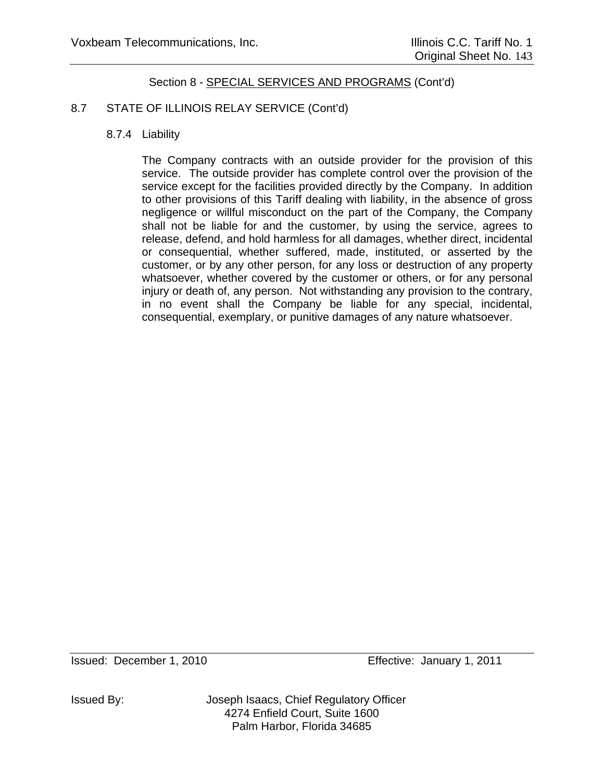# 8.7 STATE OF ILLINOIS RELAY SERVICE (Cont'd)

## 8.7.4 Liability

The Company contracts with an outside provider for the provision of this service. The outside provider has complete control over the provision of the service except for the facilities provided directly by the Company. In addition to other provisions of this Tariff dealing with liability, in the absence of gross negligence or willful misconduct on the part of the Company, the Company shall not be liable for and the customer, by using the service, agrees to release, defend, and hold harmless for all damages, whether direct, incidental or consequential, whether suffered, made, instituted, or asserted by the customer, or by any other person, for any loss or destruction of any property whatsoever, whether covered by the customer or others, or for any personal injury or death of, any person. Not withstanding any provision to the contrary, in no event shall the Company be liable for any special, incidental, consequential, exemplary, or punitive damages of any nature whatsoever.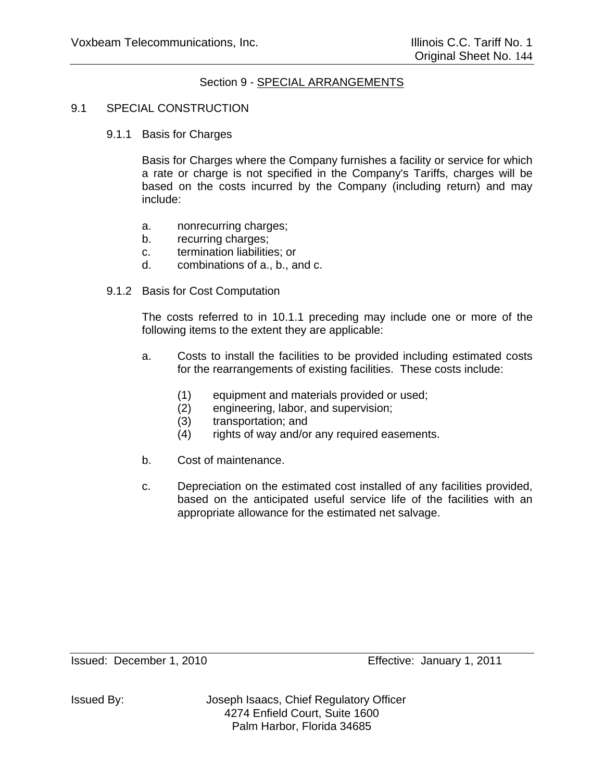### Section 9 - SPECIAL ARRANGEMENTS

#### 9.1 SPECIAL CONSTRUCTION

9.1.1 Basis for Charges

Basis for Charges where the Company furnishes a facility or service for which a rate or charge is not specified in the Company's Tariffs, charges will be based on the costs incurred by the Company (including return) and may include:

- a. nonrecurring charges;
- b. recurring charges;
- c. termination liabilities; or
- d. combinations of a., b., and c.
- 9.1.2 Basis for Cost Computation

The costs referred to in 10.1.1 preceding may include one or more of the following items to the extent they are applicable:

- a. Costs to install the facilities to be provided including estimated costs for the rearrangements of existing facilities. These costs include:
	- (1) equipment and materials provided or used;
	- (2) engineering, labor, and supervision;
	- (3) transportation; and
	- (4) rights of way and/or any required easements.
- b. Cost of maintenance.
- c. Depreciation on the estimated cost installed of any facilities provided, based on the anticipated useful service life of the facilities with an appropriate allowance for the estimated net salvage.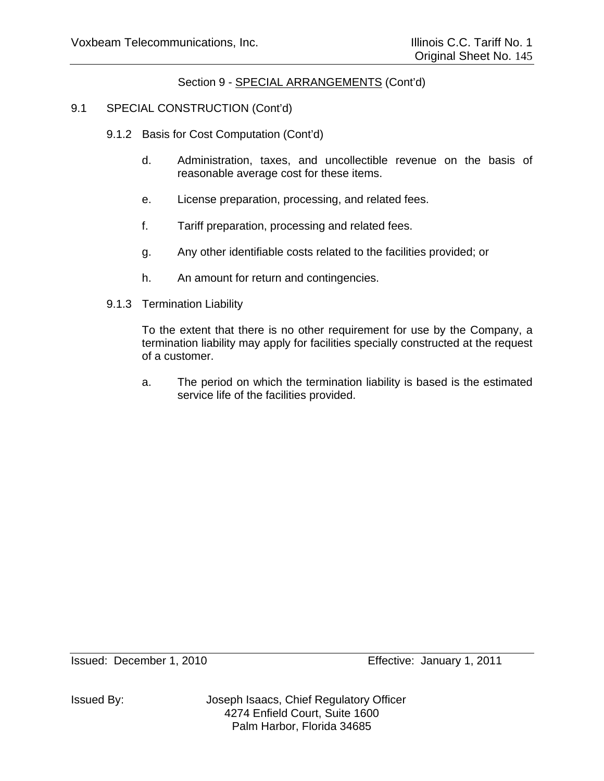### Section 9 - SPECIAL ARRANGEMENTS (Cont'd)

### 9.1 SPECIAL CONSTRUCTION (Cont'd)

- 9.1.2 Basis for Cost Computation (Cont'd)
	- d. Administration, taxes, and uncollectible revenue on the basis of reasonable average cost for these items.
	- e. License preparation, processing, and related fees.
	- f. Tariff preparation, processing and related fees.
	- g. Any other identifiable costs related to the facilities provided; or
	- h. An amount for return and contingencies.
- 9.1.3 Termination Liability

To the extent that there is no other requirement for use by the Company, a termination liability may apply for facilities specially constructed at the request of a customer.

 a. The period on which the termination liability is based is the estimated service life of the facilities provided.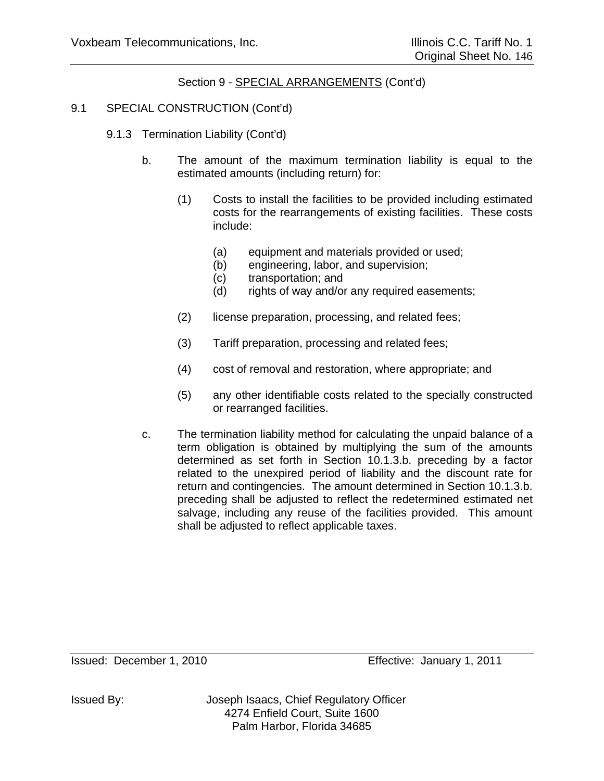### Section 9 - SPECIAL ARRANGEMENTS (Cont'd)

### 9.1 SPECIAL CONSTRUCTION (Cont'd)

- 9.1.3 Termination Liability (Cont'd)
	- b. The amount of the maximum termination liability is equal to the estimated amounts (including return) for:
		- (1) Costs to install the facilities to be provided including estimated costs for the rearrangements of existing facilities. These costs include:
			- (a) equipment and materials provided or used;
			- (b) engineering, labor, and supervision;
			- (c) transportation; and
			- (d) rights of way and/or any required easements;
		- (2) license preparation, processing, and related fees;
		- (3) Tariff preparation, processing and related fees;
		- (4) cost of removal and restoration, where appropriate; and
		- (5) any other identifiable costs related to the specially constructed or rearranged facilities.
	- c. The termination liability method for calculating the unpaid balance of a term obligation is obtained by multiplying the sum of the amounts determined as set forth in Section 10.1.3.b. preceding by a factor related to the unexpired period of liability and the discount rate for return and contingencies. The amount determined in Section 10.1.3.b. preceding shall be adjusted to reflect the redetermined estimated net salvage, including any reuse of the facilities provided. This amount shall be adjusted to reflect applicable taxes.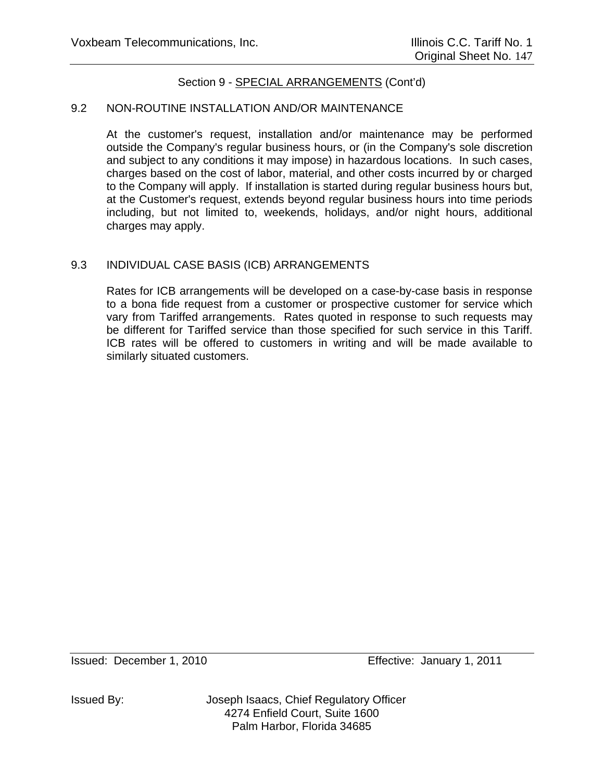### Section 9 - SPECIAL ARRANGEMENTS (Cont'd)

#### 9.2 NON-ROUTINE INSTALLATION AND/OR MAINTENANCE

At the customer's request, installation and/or maintenance may be performed outside the Company's regular business hours, or (in the Company's sole discretion and subject to any conditions it may impose) in hazardous locations. In such cases, charges based on the cost of labor, material, and other costs incurred by or charged to the Company will apply. If installation is started during regular business hours but, at the Customer's request, extends beyond regular business hours into time periods including, but not limited to, weekends, holidays, and/or night hours, additional charges may apply.

### 9.3 INDIVIDUAL CASE BASIS (ICB) ARRANGEMENTS

Rates for ICB arrangements will be developed on a case-by-case basis in response to a bona fide request from a customer or prospective customer for service which vary from Tariffed arrangements. Rates quoted in response to such requests may be different for Tariffed service than those specified for such service in this Tariff. ICB rates will be offered to customers in writing and will be made available to similarly situated customers.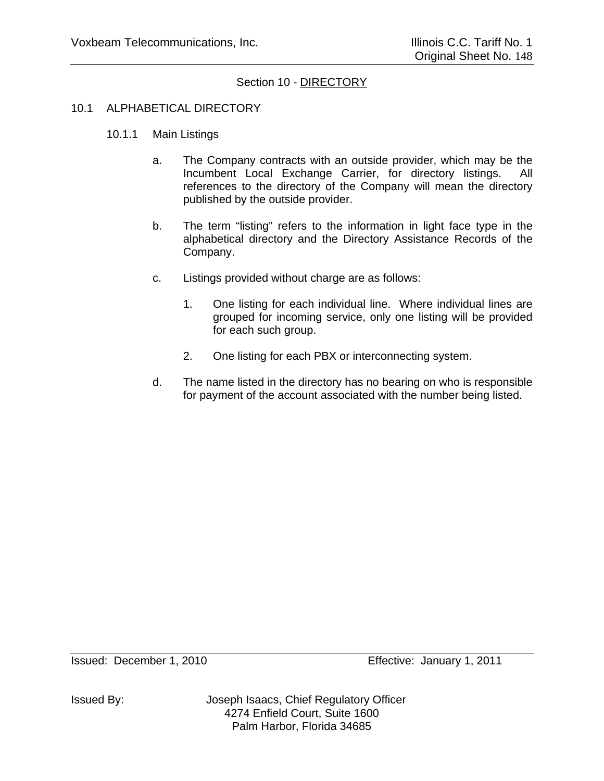### Section 10 - DIRECTORY

#### 10.1 ALPHABETICAL DIRECTORY

- 10.1.1 Main Listings
	- a. The Company contracts with an outside provider, which may be the Incumbent Local Exchange Carrier, for directory listings. All references to the directory of the Company will mean the directory published by the outside provider.
	- b. The term "listing" refers to the information in light face type in the alphabetical directory and the Directory Assistance Records of the Company.
	- c. Listings provided without charge are as follows:
		- 1. One listing for each individual line. Where individual lines are grouped for incoming service, only one listing will be provided for each such group.
		- 2. One listing for each PBX or interconnecting system.
	- d. The name listed in the directory has no bearing on who is responsible for payment of the account associated with the number being listed.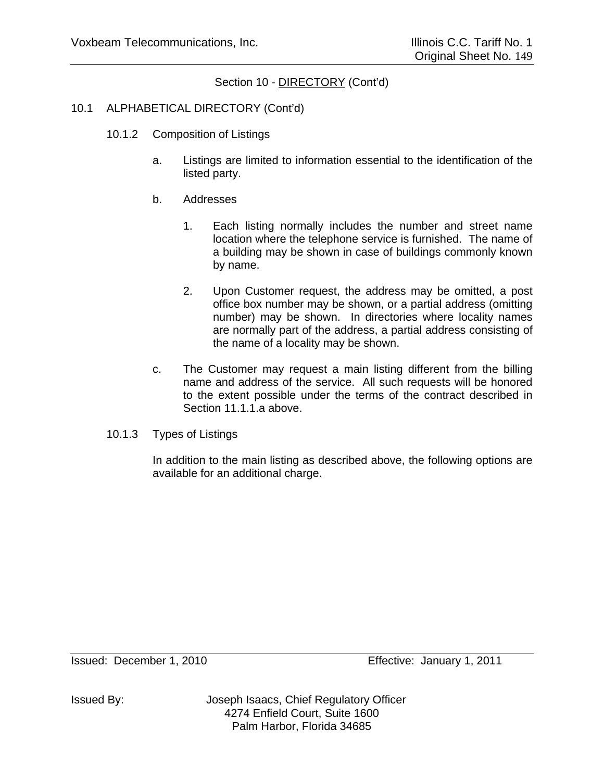### 10.1 ALPHABETICAL DIRECTORY (Cont'd)

- 10.1.2 Composition of Listings
	- a. Listings are limited to information essential to the identification of the listed party.
	- b. Addresses
		- 1. Each listing normally includes the number and street name location where the telephone service is furnished. The name of a building may be shown in case of buildings commonly known by name.
		- 2. Upon Customer request, the address may be omitted, a post office box number may be shown, or a partial address (omitting number) may be shown. In directories where locality names are normally part of the address, a partial address consisting of the name of a locality may be shown.
	- c. The Customer may request a main listing different from the billing name and address of the service. All such requests will be honored to the extent possible under the terms of the contract described in Section 11.1.1.a above.
- 10.1.3 Types of Listings

In addition to the main listing as described above, the following options are available for an additional charge.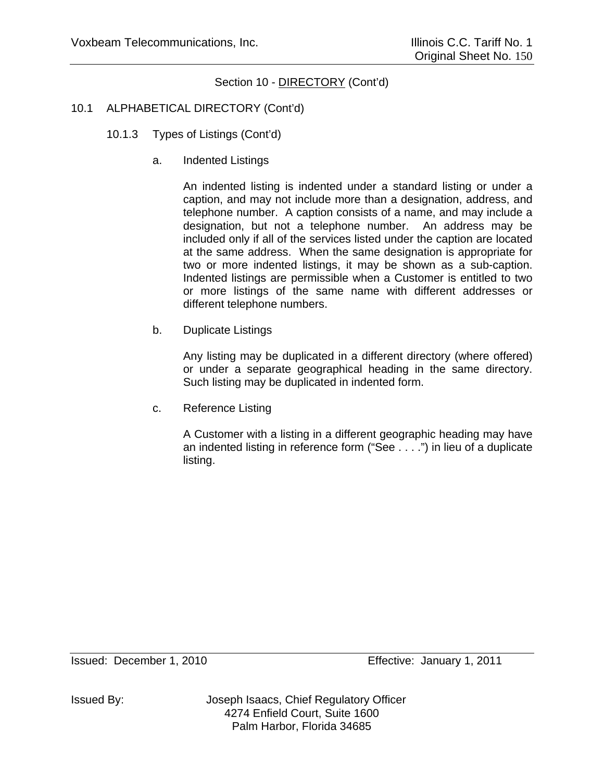# 10.1 ALPHABETICAL DIRECTORY (Cont'd)

- 10.1.3 Types of Listings (Cont'd)
	- a. Indented Listings

An indented listing is indented under a standard listing or under a caption, and may not include more than a designation, address, and telephone number. A caption consists of a name, and may include a designation, but not a telephone number. An address may be included only if all of the services listed under the caption are located at the same address. When the same designation is appropriate for two or more indented listings, it may be shown as a sub-caption. Indented listings are permissible when a Customer is entitled to two or more listings of the same name with different addresses or different telephone numbers.

b. Duplicate Listings

Any listing may be duplicated in a different directory (where offered) or under a separate geographical heading in the same directory. Such listing may be duplicated in indented form.

c. Reference Listing

A Customer with a listing in a different geographic heading may have an indented listing in reference form ("See . . . .") in lieu of a duplicate listing.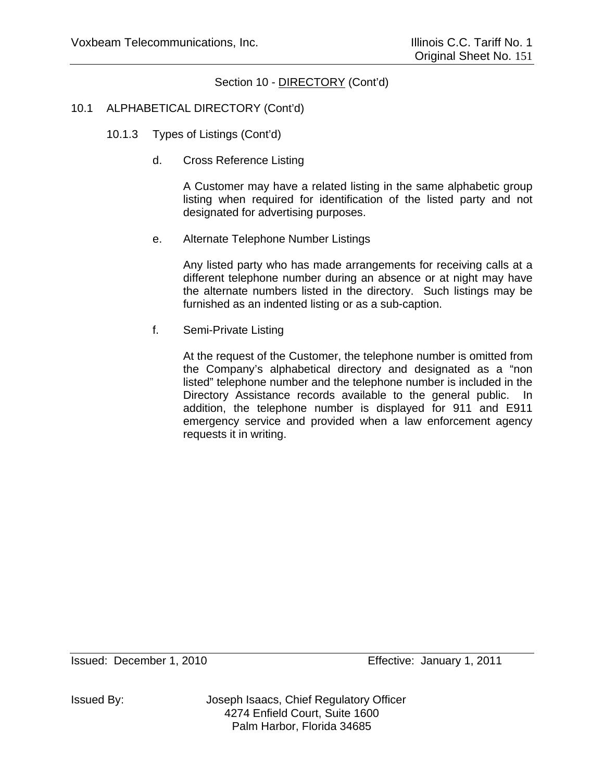# 10.1 ALPHABETICAL DIRECTORY (Cont'd)

- 10.1.3 Types of Listings (Cont'd)
	- d. Cross Reference Listing

A Customer may have a related listing in the same alphabetic group listing when required for identification of the listed party and not designated for advertising purposes.

e. Alternate Telephone Number Listings

Any listed party who has made arrangements for receiving calls at a different telephone number during an absence or at night may have the alternate numbers listed in the directory. Such listings may be furnished as an indented listing or as a sub-caption.

f. Semi-Private Listing

At the request of the Customer, the telephone number is omitted from the Company's alphabetical directory and designated as a "non listed" telephone number and the telephone number is included in the Directory Assistance records available to the general public. In addition, the telephone number is displayed for 911 and E911 emergency service and provided when a law enforcement agency requests it in writing.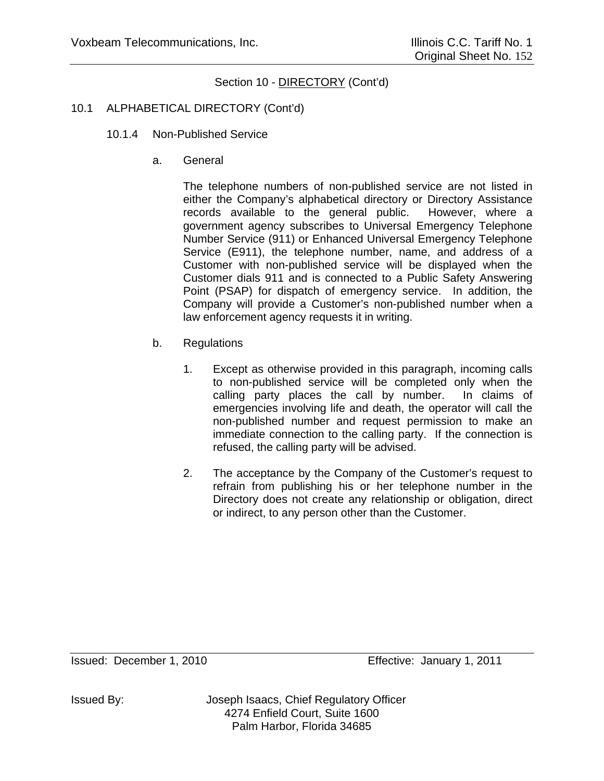### 10.1 ALPHABETICAL DIRECTORY (Cont'd)

- 10.1.4 Non-Published Service
	- a. General

The telephone numbers of non-published service are not listed in either the Company's alphabetical directory or Directory Assistance records available to the general public. However, where a government agency subscribes to Universal Emergency Telephone Number Service (911) or Enhanced Universal Emergency Telephone Service (E911), the telephone number, name, and address of a Customer with non-published service will be displayed when the Customer dials 911 and is connected to a Public Safety Answering Point (PSAP) for dispatch of emergency service. In addition, the Company will provide a Customer's non-published number when a law enforcement agency requests it in writing.

- b. Regulations
	- 1. Except as otherwise provided in this paragraph, incoming calls to non-published service will be completed only when the calling party places the call by number. In claims of emergencies involving life and death, the operator will call the non-published number and request permission to make an immediate connection to the calling party. If the connection is refused, the calling party will be advised.
	- 2. The acceptance by the Company of the Customer's request to refrain from publishing his or her telephone number in the Directory does not create any relationship or obligation, direct or indirect, to any person other than the Customer.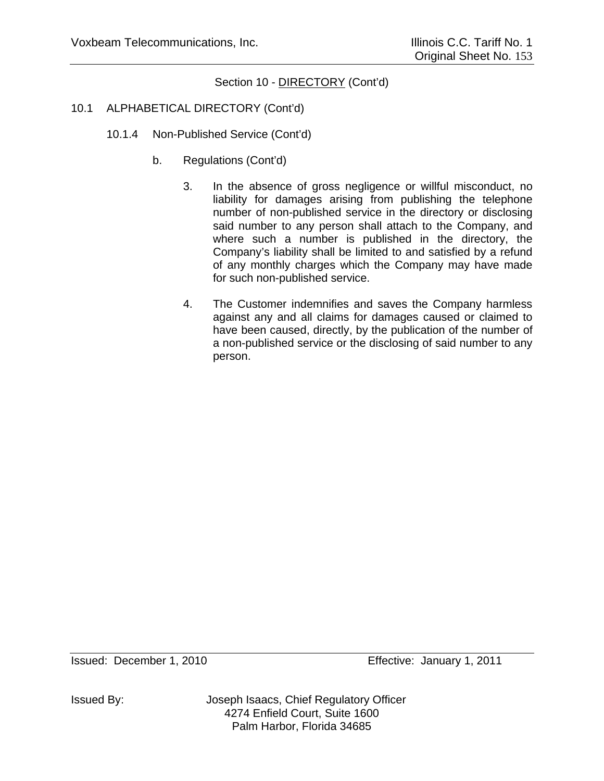### 10.1 ALPHABETICAL DIRECTORY (Cont'd)

- 10.1.4 Non-Published Service (Cont'd)
	- b. Regulations (Cont'd)
		- 3. In the absence of gross negligence or willful misconduct, no liability for damages arising from publishing the telephone number of non-published service in the directory or disclosing said number to any person shall attach to the Company, and where such a number is published in the directory, the Company's liability shall be limited to and satisfied by a refund of any monthly charges which the Company may have made for such non-published service.
		- 4. The Customer indemnifies and saves the Company harmless against any and all claims for damages caused or claimed to have been caused, directly, by the publication of the number of a non-published service or the disclosing of said number to any person.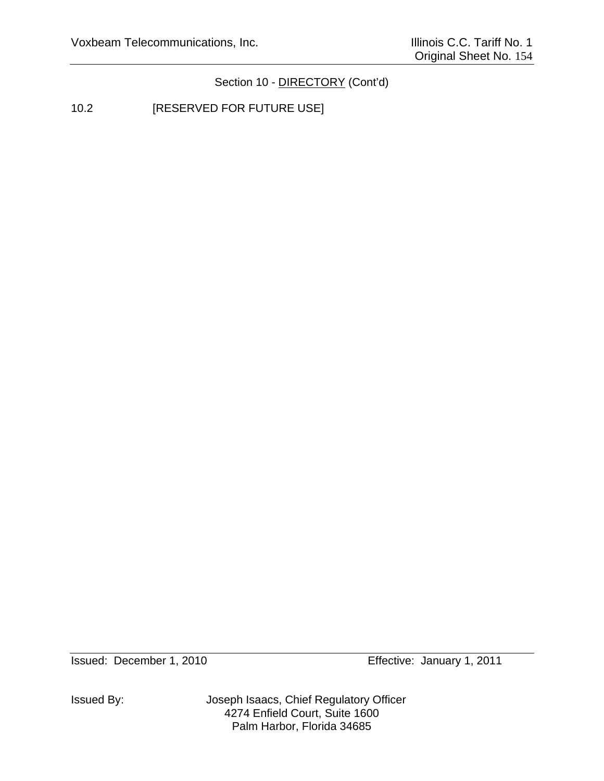10.2 **[RESERVED FOR FUTURE USE]** 

Issued By: Joseph Isaacs, Chief Regulatory Officer 4274 Enfield Court, Suite 1600 Palm Harbor, Florida 34685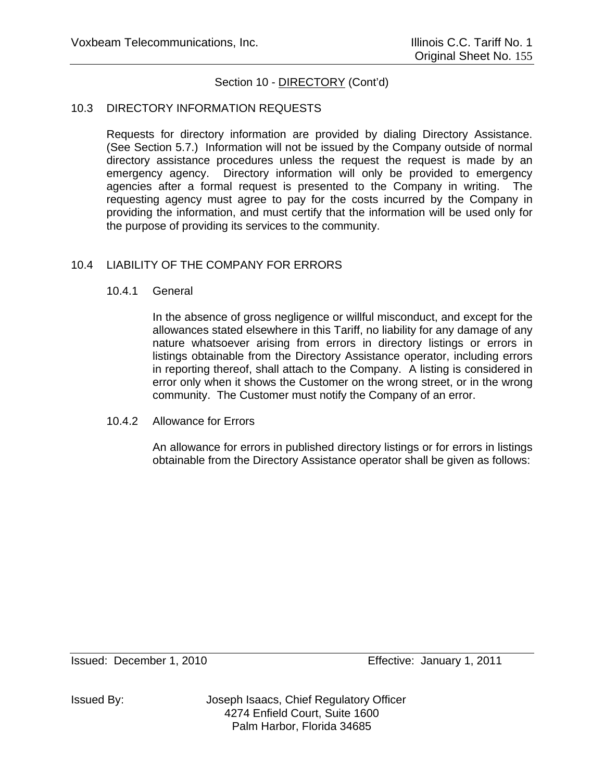#### 10.3 DIRECTORY INFORMATION REQUESTS

Requests for directory information are provided by dialing Directory Assistance. (See Section 5.7.) Information will not be issued by the Company outside of normal directory assistance procedures unless the request the request is made by an emergency agency. Directory information will only be provided to emergency agencies after a formal request is presented to the Company in writing. The requesting agency must agree to pay for the costs incurred by the Company in providing the information, and must certify that the information will be used only for the purpose of providing its services to the community.

### 10.4 LIABILITY OF THE COMPANY FOR ERRORS

#### 10.4.1 General

In the absence of gross negligence or willful misconduct, and except for the allowances stated elsewhere in this Tariff, no liability for any damage of any nature whatsoever arising from errors in directory listings or errors in listings obtainable from the Directory Assistance operator, including errors in reporting thereof, shall attach to the Company. A listing is considered in error only when it shows the Customer on the wrong street, or in the wrong community. The Customer must notify the Company of an error.

#### 10.4.2 Allowance for Errors

An allowance for errors in published directory listings or for errors in listings obtainable from the Directory Assistance operator shall be given as follows: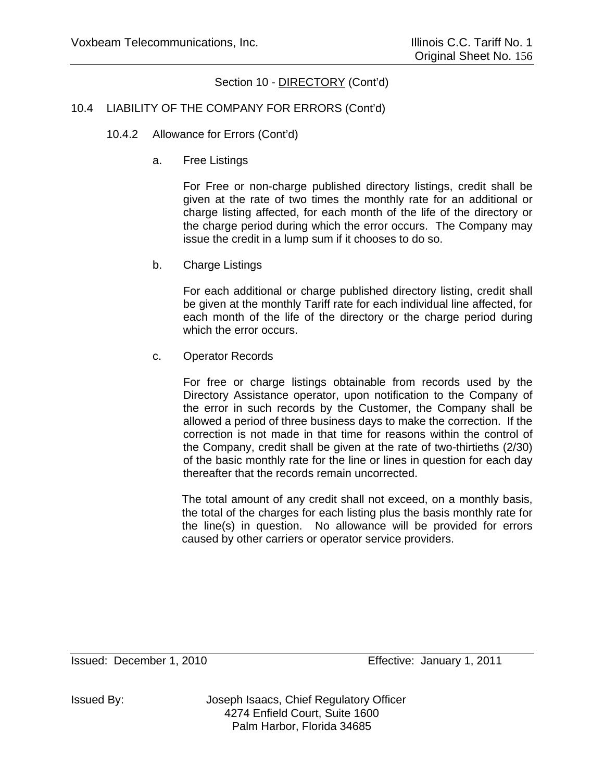#### 10.4 LIABILITY OF THE COMPANY FOR ERRORS (Cont'd)

- 10.4.2 Allowance for Errors (Cont'd)
	- a. Free Listings

For Free or non-charge published directory listings, credit shall be given at the rate of two times the monthly rate for an additional or charge listing affected, for each month of the life of the directory or the charge period during which the error occurs. The Company may issue the credit in a lump sum if it chooses to do so.

b. Charge Listings

For each additional or charge published directory listing, credit shall be given at the monthly Tariff rate for each individual line affected, for each month of the life of the directory or the charge period during which the error occurs.

c. Operator Records

For free or charge listings obtainable from records used by the Directory Assistance operator, upon notification to the Company of the error in such records by the Customer, the Company shall be allowed a period of three business days to make the correction. If the correction is not made in that time for reasons within the control of the Company, credit shall be given at the rate of two-thirtieths (2/30) of the basic monthly rate for the line or lines in question for each day thereafter that the records remain uncorrected.

The total amount of any credit shall not exceed, on a monthly basis, the total of the charges for each listing plus the basis monthly rate for the line(s) in question. No allowance will be provided for errors caused by other carriers or operator service providers.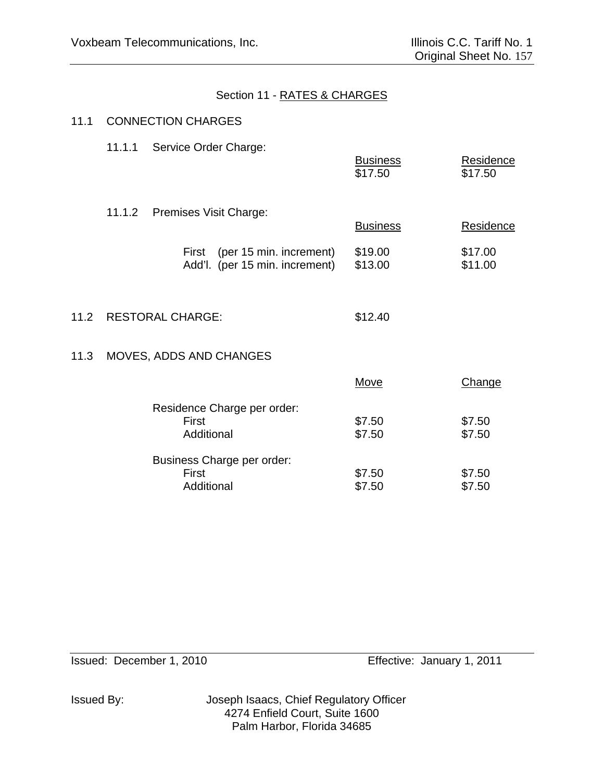# Section 11 - RATES & CHARGES

# 11.1 CONNECTION CHARGES

|      | 11.1.1 | Service Order Charge:                                              | <b>Business</b><br>\$17.50 | Residence<br>\$17.50 |
|------|--------|--------------------------------------------------------------------|----------------------------|----------------------|
|      |        | 11.1.2 Premises Visit Charge:                                      | <b>Business</b>            | Residence            |
|      |        | (per 15 min. increment)<br>First<br>Add'l. (per 15 min. increment) | \$19.00<br>\$13.00         | \$17.00<br>\$11.00   |
| 11.2 |        | <b>RESTORAL CHARGE:</b>                                            | \$12.40                    |                      |
| 11.3 |        | MOVES, ADDS AND CHANGES                                            |                            |                      |
|      |        |                                                                    | <b>Move</b>                | <b>Change</b>        |
|      |        | Residence Charge per order:<br>First<br>Additional                 | \$7.50<br>\$7.50           | \$7.50<br>\$7.50     |
|      |        | Business Charge per order:                                         |                            |                      |

 $First$   $$7.50$   $$7.50$ 

Additional \$7.50 \$7.50

Issued: December 1, 2010 Effective: January 1, 2011

Issued By: Joseph Isaacs, Chief Regulatory Officer 4274 Enfield Court, Suite 1600 Palm Harbor, Florida 34685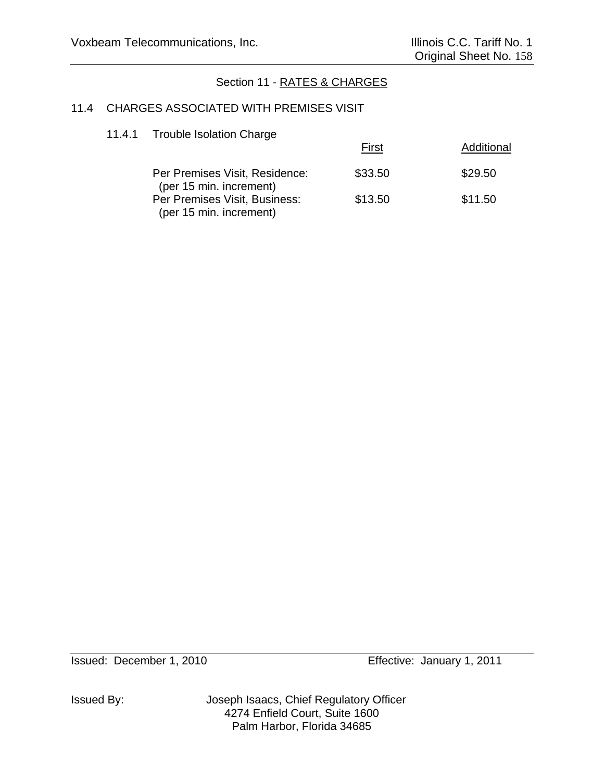# Section 11 - RATES & CHARGES

#### 11.4 CHARGES ASSOCIATED WITH PREMISES VISIT

## 11.4.1 Trouble Isolation Charge

|                                                           | First   | Additional |
|-----------------------------------------------------------|---------|------------|
| Per Premises Visit, Residence:<br>(per 15 min. increment) | \$33.50 | \$29.50    |
| Per Premises Visit, Business:<br>(per 15 min. increment)  | \$13.50 | \$11.50    |

Issued By: Joseph Isaacs, Chief Regulatory Officer 4274 Enfield Court, Suite 1600 Palm Harbor, Florida 34685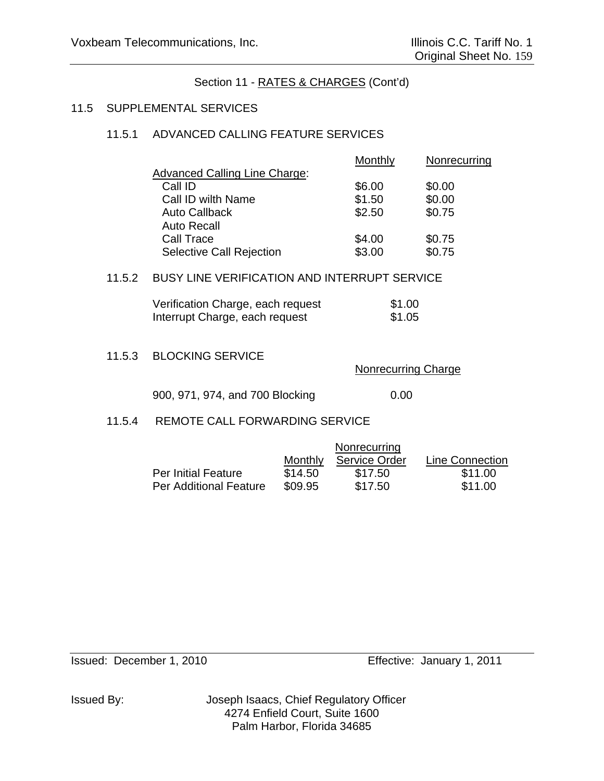#### 11.5 SUPPLEMENTAL SERVICES

### 11.5.1 ADVANCED CALLING FEATURE SERVICES

|                                      | <b>Monthly</b> | <b>Nonrecurring</b> |
|--------------------------------------|----------------|---------------------|
| <b>Advanced Calling Line Charge:</b> |                |                     |
| Call ID                              | \$6.00         | \$0.00              |
| Call ID wilth Name                   | \$1.50         | \$0.00              |
| <b>Auto Callback</b>                 | \$2.50         | \$0.75              |
| <b>Auto Recall</b>                   |                |                     |
| Call Trace                           | \$4.00         | \$0.75              |
| <b>Selective Call Rejection</b>      | \$3.00         | \$0.75              |

### 11.5.2 BUSY LINE VERIFICATION AND INTERRUPT SERVICE

| Verification Charge, each request | \$1.00 |
|-----------------------------------|--------|
| Interrupt Charge, each request    | \$1.05 |

#### 11.5.3 BLOCKING SERVICE

Nonrecurring Charge

900, 971, 974, and 700 Blocking 0.00

#### 11.5.4 REMOTE CALL FORWARDING SERVICE

|                            |         | Nonrecurring  |                 |
|----------------------------|---------|---------------|-----------------|
|                            | Monthly | Service Order | Line Connection |
| <b>Per Initial Feature</b> | \$14.50 | \$17.50       | \$11.00         |
| Per Additional Feature     | \$09.95 | \$17.50       | \$11.00         |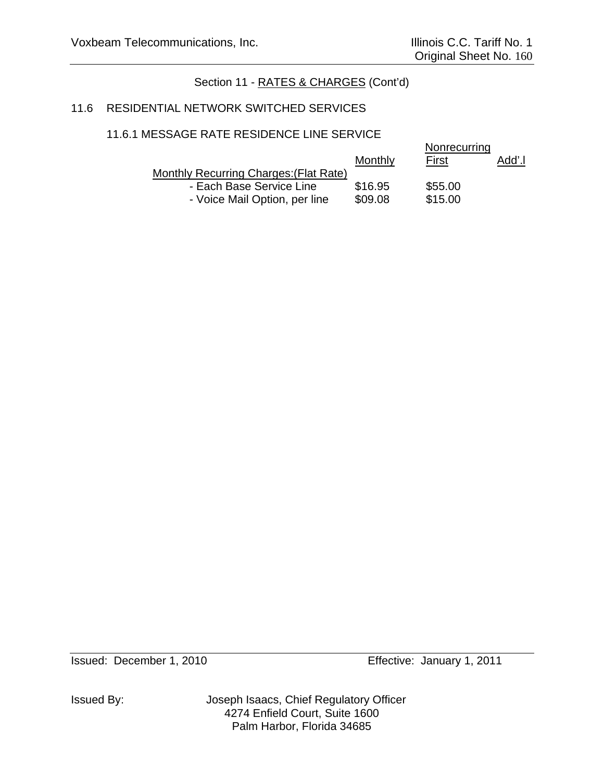#### 11.6 RESIDENTIAL NETWORK SWITCHED SERVICES

### 11.6.1 MESSAGE RATE RESIDENCE LINE SERVICE

|                                        | Monthly | Nonrecurring<br>First | Add'.l |
|----------------------------------------|---------|-----------------------|--------|
| Monthly Recurring Charges: (Flat Rate) |         |                       |        |
| - Each Base Service Line               | \$16.95 | \$55.00               |        |
| - Voice Mail Option, per line          | \$09.08 | \$15.00               |        |

Issued By: Joseph Isaacs, Chief Regulatory Officer 4274 Enfield Court, Suite 1600 Palm Harbor, Florida 34685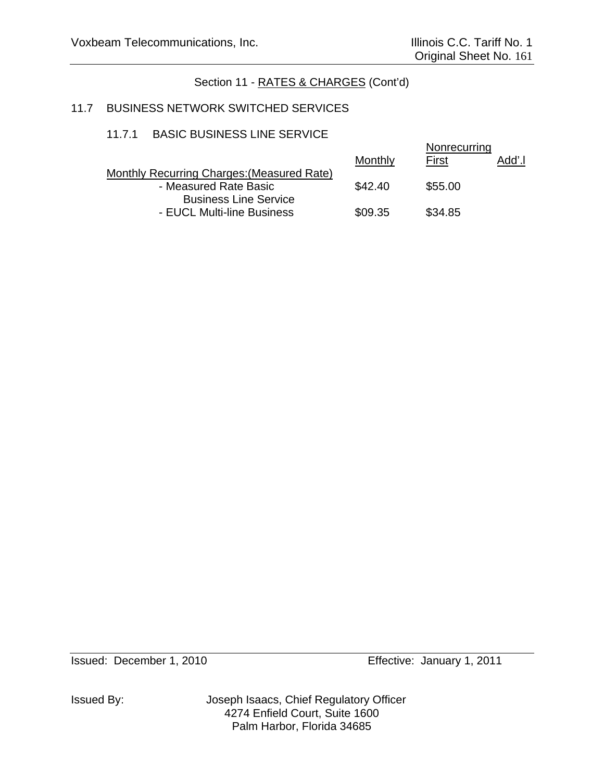# 11.7 BUSINESS NETWORK SWITCHED SERVICES

### 11.7.1 BASIC BUSINESS LINE SERVICE

|                                            | <b>Monthly</b> | Nonrecurring<br>Add'.l<br><b>First</b> |
|--------------------------------------------|----------------|----------------------------------------|
| Monthly Recurring Charges: (Measured Rate) |                |                                        |
| - Measured Rate Basic                      | \$42.40        | \$55.00                                |
| <b>Business Line Service</b>               |                |                                        |
| - EUCL Multi-line Business                 | \$09.35        | \$34.85                                |

Issued By: Joseph Isaacs, Chief Regulatory Officer 4274 Enfield Court, Suite 1600 Palm Harbor, Florida 34685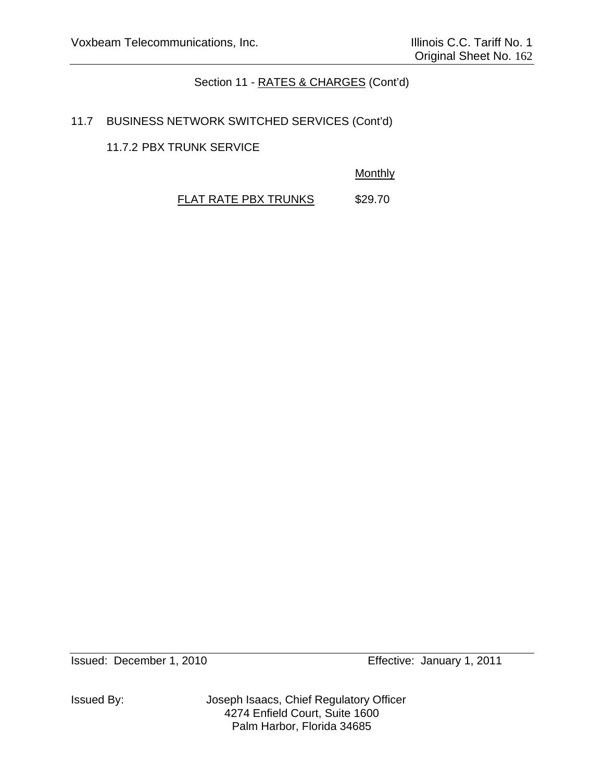# 11.7 BUSINESS NETWORK SWITCHED SERVICES (Cont'd)

11.7.2 PBX TRUNK SERVICE

**Monthly** 

FLAT RATE PBX TRUNKS \$29.70

Issued By: Joseph Isaacs, Chief Regulatory Officer 4274 Enfield Court, Suite 1600 Palm Harbor, Florida 34685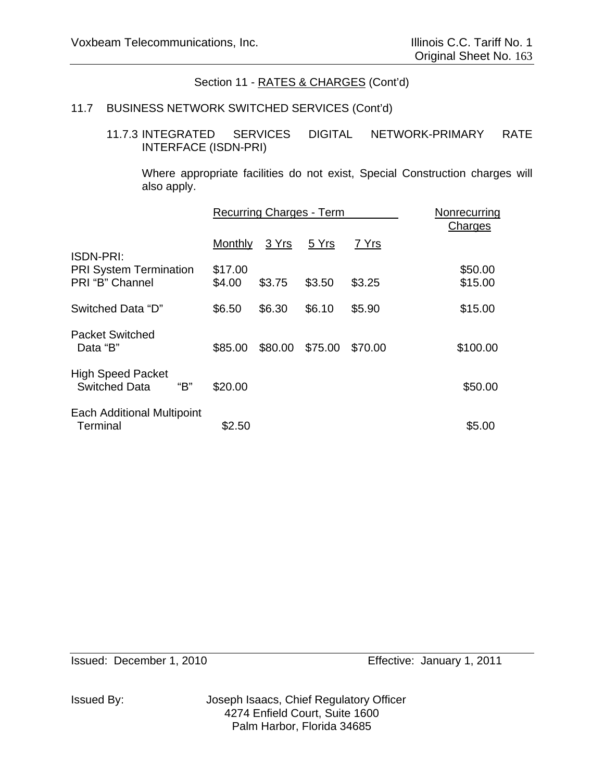### 11.7 BUSINESS NETWORK SWITCHED SERVICES (Cont'd)

### 11.7.3 INTEGRATED SERVICES DIGITAL NETWORK-PRIMARY RATE INTERFACE (ISDN-PRI)

Where appropriate facilities do not exist, Special Construction charges will also apply.

|                                                         |                   | <b>Recurring Charges - Term</b> | Nonrecurring<br>Charges |         |                    |
|---------------------------------------------------------|-------------------|---------------------------------|-------------------------|---------|--------------------|
| <b>ISDN-PRI:</b>                                        | <b>Monthly</b>    | 3 Yrs                           | 5 Yrs                   | 7 Yrs   |                    |
| <b>PRI System Termination</b><br>PRI "B" Channel        | \$17.00<br>\$4.00 | \$3.75                          | \$3.50                  | \$3.25  | \$50.00<br>\$15.00 |
| Switched Data "D"                                       | \$6.50            | \$6.30                          | \$6.10                  | \$5.90  | \$15.00            |
| <b>Packet Switched</b><br>Data "B"                      | \$85.00           | \$80.00                         | \$75.00                 | \$70.00 | \$100.00           |
| <b>High Speed Packet</b><br><b>Switched Data</b><br>"В" | \$20.00           |                                 |                         |         | \$50.00            |
| <b>Each Additional Multipoint</b><br>Terminal           | \$2.50            |                                 |                         |         | \$5.00             |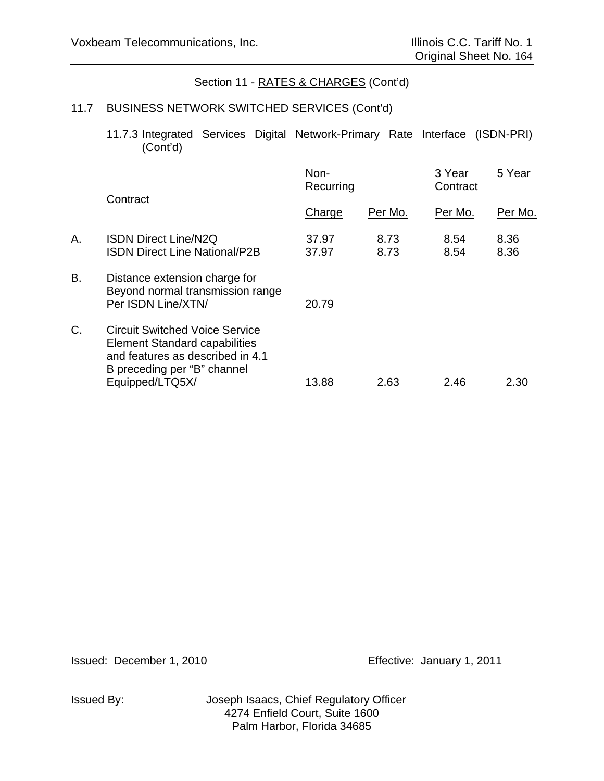## 11.7 BUSINESS NETWORK SWITCHED SERVICES (Cont'd)

 11.7.3 Integrated Services Digital Network-Primary Rate Interface (ISDN-PRI) (Cont'd)

|                                                                                                                                                  | Non-<br>Recurring           |              | 3 Year<br>Contract | 5 Year       |  |
|--------------------------------------------------------------------------------------------------------------------------------------------------|-----------------------------|--------------|--------------------|--------------|--|
|                                                                                                                                                  | Charge                      | Per Mo.      | Per Mo.            | Per Mo.      |  |
| <b>ISDN Direct Line/N2Q</b><br><b>ISDN Direct Line National/P2B</b>                                                                              | 37.97<br>37.97              | 8.73<br>8.73 | 8.54<br>8.54       | 8.36<br>8.36 |  |
| Distance extension charge for<br>Beyond normal transmission range<br>Per ISDN Line/XTN/                                                          | 20.79                       |              |                    |              |  |
| <b>Circuit Switched Voice Service</b><br><b>Element Standard capabilities</b><br>and features as described in 4.1<br>B preceding per "B" channel |                             |              |                    | 2.30         |  |
|                                                                                                                                                  | Contract<br>Equipped/LTQ5X/ | 13.88        | 2.63               | 2.46         |  |

Issued By: Joseph Isaacs, Chief Regulatory Officer 4274 Enfield Court, Suite 1600 Palm Harbor, Florida 34685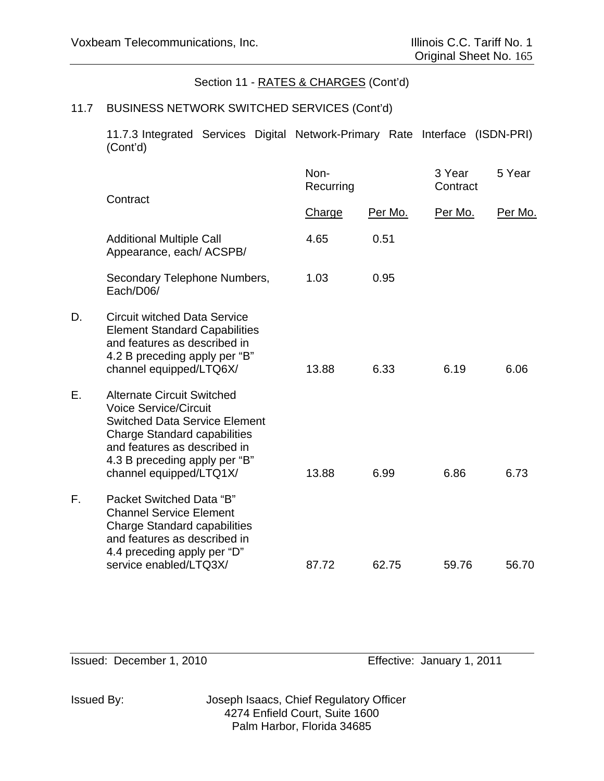### 11.7 BUSINESS NETWORK SWITCHED SERVICES (Cont'd)

11.7.3 Integrated Services Digital Network-Primary Rate Interface (ISDN-PRI) (Cont'd)

|    | Contract                                                                                                                                                                                                                                     | Non-<br>Recurring |         | 3 Year<br>Contract | 5 Year  |
|----|----------------------------------------------------------------------------------------------------------------------------------------------------------------------------------------------------------------------------------------------|-------------------|---------|--------------------|---------|
|    |                                                                                                                                                                                                                                              | Charge            | Per Mo. | Per Mo.            | Per Mo. |
|    | <b>Additional Multiple Call</b><br>Appearance, each/ ACSPB/                                                                                                                                                                                  | 4.65              | 0.51    |                    |         |
|    | Secondary Telephone Numbers,<br>Each/D06/                                                                                                                                                                                                    | 1.03              | 0.95    |                    |         |
| D. | <b>Circuit witched Data Service</b><br><b>Element Standard Capabilities</b><br>and features as described in<br>4.2 B preceding apply per "B"<br>channel equipped/LTQ6X/                                                                      | 13.88             | 6.33    | 6.19               | 6.06    |
| Ε. | <b>Alternate Circuit Switched</b><br><b>Voice Service/Circuit</b><br><b>Switched Data Service Element</b><br><b>Charge Standard capabilities</b><br>and features as described in<br>4.3 B preceding apply per "B"<br>channel equipped/LTQ1X/ | 13.88             | 6.99    | 6.86               | 6.73    |
| F. | Packet Switched Data "B"<br><b>Channel Service Element</b><br><b>Charge Standard capabilities</b><br>and features as described in<br>4.4 preceding apply per "D"<br>service enabled/LTQ3X/                                                   | 87.72             | 62.75   | 59.76              | 56.70   |
|    |                                                                                                                                                                                                                                              |                   |         |                    |         |

Issued: December 1, 2010 Effective: January 1, 2011

Issued By: Joseph Isaacs, Chief Regulatory Officer 4274 Enfield Court, Suite 1600 Palm Harbor, Florida 34685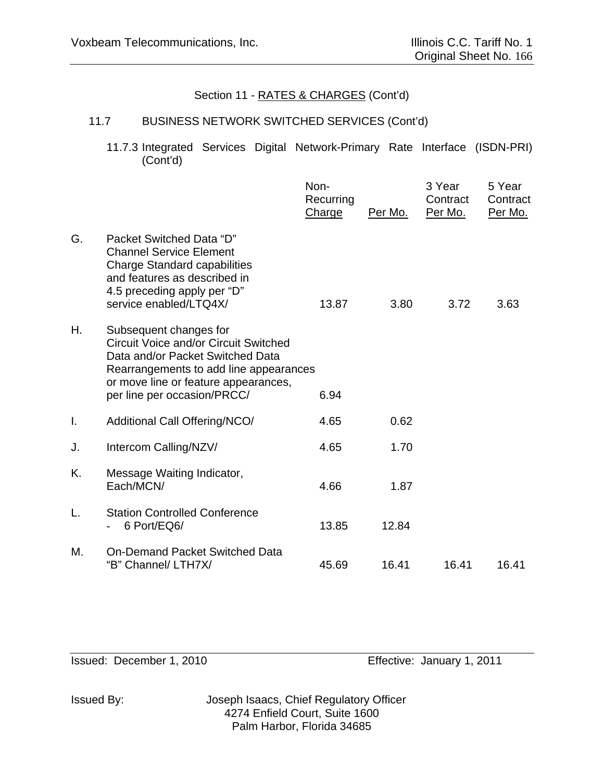## 11.7 BUSINESS NETWORK SWITCHED SERVICES (Cont'd)

 11.7.3 Integrated Services Digital Network-Primary Rate Interface (ISDN-PRI) (Cont'd)

|    |                                                                                                                                                                                                                             | Non-<br>Recurring<br>Charge | Per Mo. | 3 Year<br>Contract<br>Per Mo. | 5 Year<br>Contract<br>Per Mo. |
|----|-----------------------------------------------------------------------------------------------------------------------------------------------------------------------------------------------------------------------------|-----------------------------|---------|-------------------------------|-------------------------------|
| G. | Packet Switched Data "D"<br><b>Channel Service Element</b><br><b>Charge Standard capabilities</b><br>and features as described in<br>4.5 preceding apply per "D"<br>service enabled/LTQ4X/                                  | 13.87                       | 3.80    | 3.72                          | 3.63                          |
| Η. | Subsequent changes for<br><b>Circuit Voice and/or Circuit Switched</b><br>Data and/or Packet Switched Data<br>Rearrangements to add line appearances<br>or move line or feature appearances,<br>per line per occasion/PRCC/ | 6.94                        |         |                               |                               |
| I. | Additional Call Offering/NCO/                                                                                                                                                                                               | 4.65                        | 0.62    |                               |                               |
| J. | Intercom Calling/NZV/                                                                                                                                                                                                       | 4.65                        | 1.70    |                               |                               |
| K. | Message Waiting Indicator,<br>Each/MCN/                                                                                                                                                                                     | 4.66                        | 1.87    |                               |                               |
| L. | <b>Station Controlled Conference</b><br>6 Port/EQ6/                                                                                                                                                                         | 13.85                       | 12.84   |                               |                               |
| М. | On-Demand Packet Switched Data<br>"B" Channel/ LTH7X/                                                                                                                                                                       | 45.69                       | 16.41   | 16.41                         | 16.41                         |

Issued: December 1, 2010 Effective: January 1, 2011

Issued By: Joseph Isaacs, Chief Regulatory Officer 4274 Enfield Court, Suite 1600 Palm Harbor, Florida 34685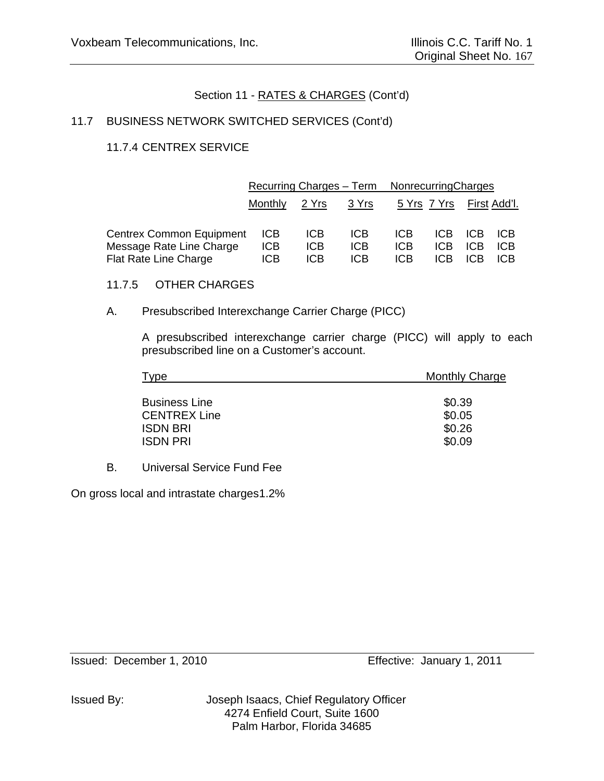# 11.7 BUSINESS NETWORK SWITCHED SERVICES (Cont'd)

# 11.7.4 CENTREX SERVICE

|                                                          | Recurring Charges – Term |                          |                          | NonrecurringCharges |                     |     |                     |
|----------------------------------------------------------|--------------------------|--------------------------|--------------------------|---------------------|---------------------|-----|---------------------|
|                                                          | Monthly                  | <u> 2 Yrs</u>            | <u>3 Yrs</u>             |                     | <u>5 Yrs 7 Yrs </u> |     | <u>First Add'l.</u> |
| Centrex Common Equipment                                 | ICB.                     | <b>ICB</b>               | <b>ICB</b>               | ICB.                | ICB.                | ICB | ICB                 |
| Message Rate Line Charge<br><b>Flat Rate Line Charge</b> | <b>ICB</b><br><b>ICB</b> | <b>ICB</b><br><b>ICB</b> | <b>ICB</b><br><b>ICB</b> | <b>ICB</b><br>ICB   | ICB<br>ICB          | ICB | ICB<br>ICB          |

### 11.7.5 OTHER CHARGES

### A. Presubscribed Interexchange Carrier Charge (PICC)

A presubscribed interexchange carrier charge (PICC) will apply to each presubscribed line on a Customer's account.

| Type                 | <b>Monthly Charge</b> |  |  |
|----------------------|-----------------------|--|--|
|                      |                       |  |  |
| <b>Business Line</b> | \$0.39                |  |  |
| <b>CENTREX Line</b>  | \$0.05                |  |  |
| <b>ISDN BRI</b>      | \$0.26                |  |  |
| <b>ISDN PRI</b>      | \$0.09                |  |  |

B. Universal Service Fund Fee

On gross local and intrastate charges 1.2%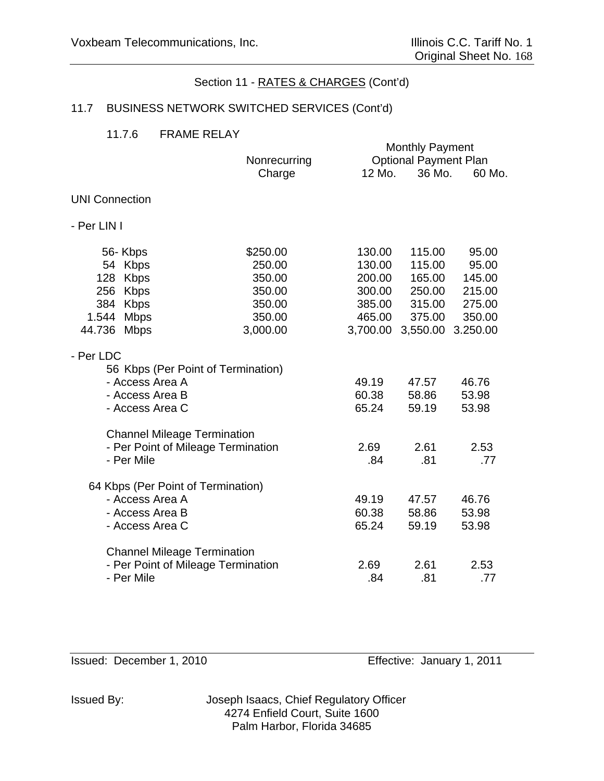# 11.7 BUSINESS NETWORK SWITCHED SERVICES (Cont'd)

#### 11.7.6 FRAME RELAY

|                                                 |                        |                  | <b>Monthly Payment</b>                 |                  |
|-------------------------------------------------|------------------------|------------------|----------------------------------------|------------------|
|                                                 | Nonrecurring<br>Charge | 12 Mo.           | <b>Optional Payment Plan</b><br>36 Mo. | 60 Mo.           |
| <b>UNI Connection</b>                           |                        |                  |                                        |                  |
| - Per LIN I                                     |                        |                  |                                        |                  |
| 56-Kbps                                         | \$250.00               | 130.00           | 115.00                                 | 95.00            |
| 54 Kbps                                         | 250.00                 | 130.00           | 115.00                                 | 95.00            |
| 128 Kbps<br>256 Kbps                            | 350.00<br>350.00       | 200.00<br>300.00 | 165.00<br>250.00                       | 145.00<br>215.00 |
| 384 Kbps                                        | 350.00                 |                  | 385.00 315.00                          | 275.00           |
| 1.544 Mbps                                      | 350.00                 | 465.00           | 375.00                                 | 350.00           |
| 44.736 Mbps                                     | 3,000.00               | 3,700.00         | 3,550.00                               | 3.250.00         |
| - Per LDC<br>56 Kbps (Per Point of Termination) |                        |                  |                                        |                  |
| - Access Area A                                 |                        | 49.19            | 47.57                                  | 46.76            |
| - Access Area B                                 |                        | 60.38            | 58.86                                  | 53.98            |
| - Access Area C                                 |                        | 65.24            | 59.19                                  | 53.98            |
| <b>Channel Mileage Termination</b>              |                        |                  |                                        |                  |
| - Per Point of Mileage Termination              |                        | 2.69             | 2.61                                   | 2.53             |
| - Per Mile                                      |                        | .84              | .81                                    | .77              |
| 64 Kbps (Per Point of Termination)              |                        |                  |                                        |                  |
| - Access Area A                                 |                        | 49.19            | 47.57                                  | 46.76            |
| - Access Area B                                 |                        | 60.38            | 58.86                                  | 53.98            |
| - Access Area C                                 |                        | 65.24            | 59.19                                  | 53.98            |
| <b>Channel Mileage Termination</b>              |                        |                  |                                        |                  |
| - Per Point of Mileage Termination              |                        | 2.69             | 2.61                                   | 2.53             |
| - Per Mile                                      |                        | .84              | .81                                    | .77              |

Issued: December 1, 2010 Effective: January 1, 2011

Issued By: Joseph Isaacs, Chief Regulatory Officer 4274 Enfield Court, Suite 1600 Palm Harbor, Florida 34685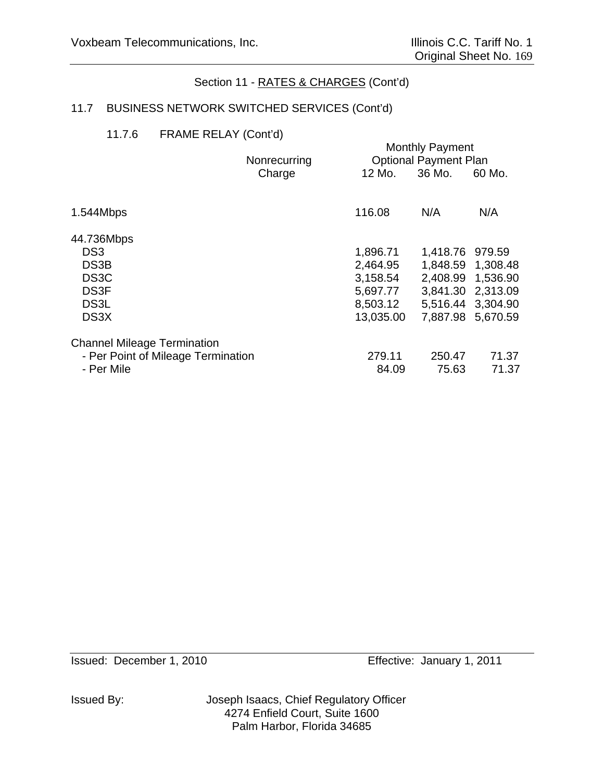# 11.7 BUSINESS NETWORK SWITCHED SERVICES (Cont'd)

### 11.7.6 FRAME RELAY (Cont'd)

|                                    |                        | <b>Monthly Payment</b><br><b>Optional Payment Plan</b> |                 |                   |
|------------------------------------|------------------------|--------------------------------------------------------|-----------------|-------------------|
|                                    | Nonrecurring<br>Charge | 12 Mo.                                                 | 36 Mo.          | 60 Mo.            |
|                                    |                        |                                                        |                 |                   |
| 1.544Mbps                          |                        | 116.08                                                 | N/A             | N/A               |
| 44.736Mbps                         |                        |                                                        |                 |                   |
| DS <sub>3</sub>                    |                        | 1,896.71                                               | 1,418.76 979.59 |                   |
| DS3B                               |                        | 2,464.95                                               |                 | 1,848.59 1,308.48 |
| DS <sub>3</sub> C                  |                        | 3,158.54                                               |                 | 2,408.99 1,536.90 |
| DS <sub>3F</sub>                   |                        | 5,697.77                                               |                 | 3,841.30 2,313.09 |
| DS <sub>3</sub> L                  |                        | 8,503.12                                               |                 | 5,516.44 3,304.90 |
| DS <sub>3</sub> X                  |                        | 13,035.00                                              |                 | 7,887.98 5,670.59 |
| <b>Channel Mileage Termination</b> |                        |                                                        |                 |                   |
| - Per Point of Mileage Termination |                        | 279.11                                                 | 250.47          | 71.37             |
| - Per Mile                         |                        | 84.09                                                  | 75.63           | 71.37             |

Issued: December 1, 2010 Effective: January 1, 2011

Issued By: Joseph Isaacs, Chief Regulatory Officer 4274 Enfield Court, Suite 1600 Palm Harbor, Florida 34685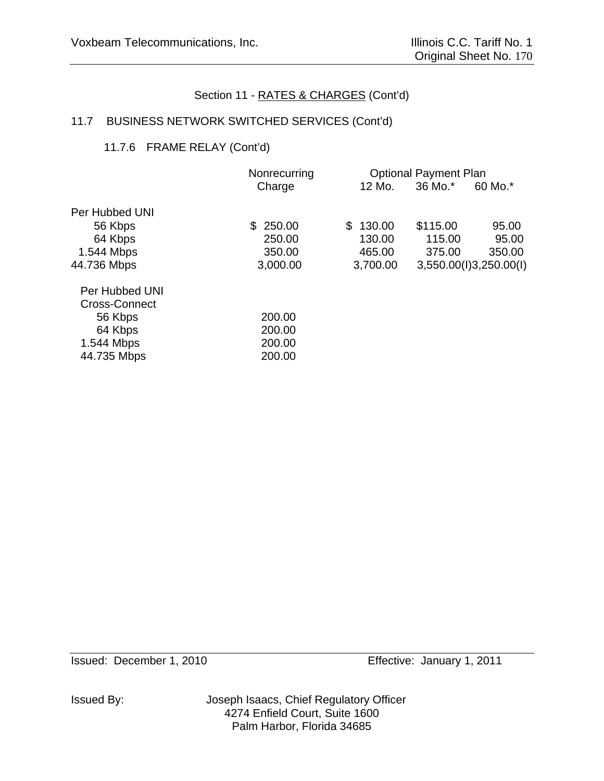# 11.7 BUSINESS NETWORK SWITCHED SERVICES (Cont'd)

# 11.7.6 FRAME RELAY (Cont'd)

| Nonrecurring |          |          |                              |
|--------------|----------|----------|------------------------------|
| Charge       | 12 Mo.   | 36 Mo.*  | 60 Mo.*                      |
|              |          |          |                              |
| \$250.00     | \$130.00 | \$115.00 | 95.00                        |
| 250.00       | 130.00   | 115.00   | 95.00                        |
| 350.00       | 465.00   | 375.00   | 350.00                       |
| 3,000.00     | 3,700.00 |          | 3,550.00(l)3,250.00(l)       |
|              |          |          |                              |
|              |          |          |                              |
| 200.00       |          |          |                              |
| 200.00       |          |          |                              |
| 200.00       |          |          |                              |
| 200.00       |          |          |                              |
|              |          |          | <b>Optional Payment Plan</b> |

Issued By: Joseph Isaacs, Chief Regulatory Officer 4274 Enfield Court, Suite 1600 Palm Harbor, Florida 34685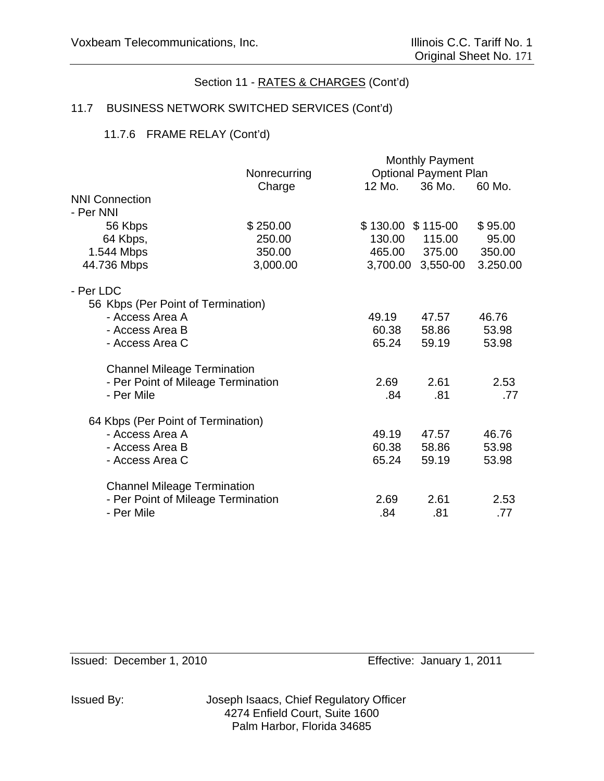# 11.7 BUSINESS NETWORK SWITCHED SERVICES (Cont'd)

# 11.7.6 FRAME RELAY (Cont'd)

|                                    |              |                     | <b>Monthly Payment</b>       |          |
|------------------------------------|--------------|---------------------|------------------------------|----------|
|                                    | Nonrecurring |                     | <b>Optional Payment Plan</b> |          |
|                                    | Charge       | 12 Mo.              | 36 Mo.                       | 60 Mo.   |
| <b>NNI Connection</b>              |              |                     |                              |          |
| - Per NNI                          |              |                     |                              |          |
| 56 Kbps                            | \$250.00     | $$130.00$ $$115-00$ |                              | \$95.00  |
| 64 Kbps,                           | 250.00       | 130.00              | 115.00                       | 95.00    |
| 1.544 Mbps                         | 350.00       | 465.00              | 375.00                       | 350.00   |
| 44.736 Mbps                        | 3,000.00     | 3,700.00            | 3,550-00                     | 3.250.00 |
| - Per LDC                          |              |                     |                              |          |
| 56 Kbps (Per Point of Termination) |              |                     |                              |          |
| - Access Area A                    |              | 49.19               | 47.57                        | 46.76    |
| - Access Area B                    |              | 60.38               | 58.86                        | 53.98    |
| - Access Area C                    |              | 65.24               | 59.19                        | 53.98    |
| <b>Channel Mileage Termination</b> |              |                     |                              |          |
| - Per Point of Mileage Termination |              | 2.69                | 2.61                         | 2.53     |
| - Per Mile                         |              | .84                 | .81                          | .77      |
| 64 Kbps (Per Point of Termination) |              |                     |                              |          |
| - Access Area A                    |              | 49.19               | 47.57                        | 46.76    |
| - Access Area B                    |              | 60.38               | 58.86                        | 53.98    |
| - Access Area C                    |              | 65.24               | 59.19                        | 53.98    |
| <b>Channel Mileage Termination</b> |              |                     |                              |          |
| - Per Point of Mileage Termination |              | 2.69                | 2.61                         | 2.53     |
| - Per Mile                         |              | .84                 | .81                          | .77      |
|                                    |              |                     |                              |          |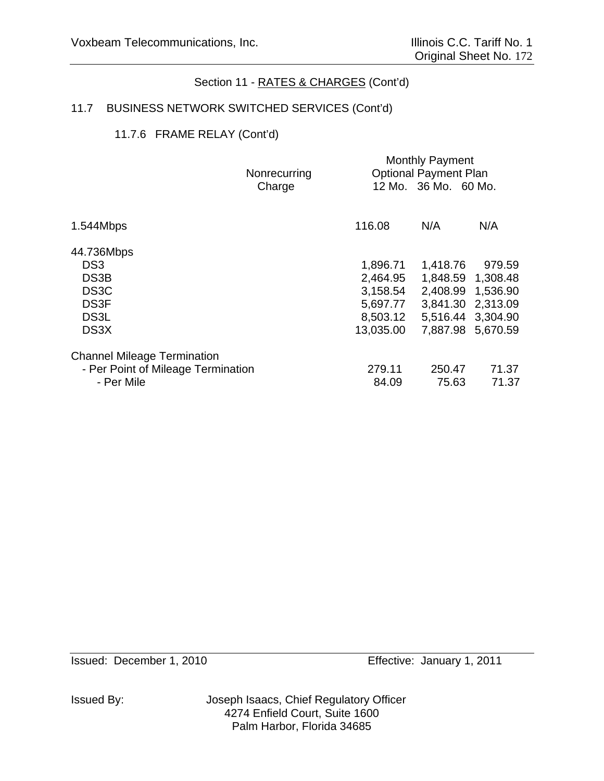# 11.7 BUSINESS NETWORK SWITCHED SERVICES (Cont'd)

# 11.7.6 FRAME RELAY (Cont'd)

|        | <b>Monthly Payment</b>                             |          |                                                                       |
|--------|----------------------------------------------------|----------|-----------------------------------------------------------------------|
|        |                                                    |          |                                                                       |
| Charge |                                                    |          |                                                                       |
|        |                                                    |          |                                                                       |
|        |                                                    |          | N/A                                                                   |
|        |                                                    |          |                                                                       |
|        | 1,896.71                                           | 1,418.76 | 979.59                                                                |
|        | 2,464.95                                           | 1,848.59 | 1,308.48                                                              |
|        | 3,158.54                                           | 2,408.99 | 1,536.90                                                              |
|        | 5,697.77                                           | 3,841.30 | 2,313.09                                                              |
|        | 8,503.12                                           | 5,516.44 | 3,304.90                                                              |
|        | 13,035.00                                          | 7,887.98 | 5,670.59                                                              |
|        |                                                    |          |                                                                       |
|        | 279.11                                             |          | 71.37                                                                 |
|        | 84.09                                              | 75.63    | 71.37                                                                 |
|        | Nonrecurring<br>- Per Point of Mileage Termination | 116.08   | <b>Optional Payment Plan</b><br>12 Mo. 36 Mo. 60 Mo.<br>N/A<br>250.47 |

Issued By: Joseph Isaacs, Chief Regulatory Officer 4274 Enfield Court, Suite 1600 Palm Harbor, Florida 34685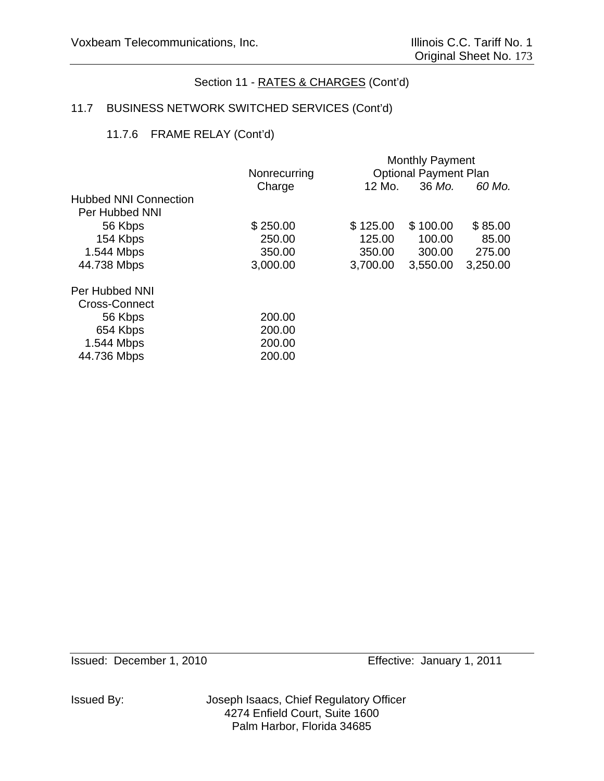# 11.7 BUSINESS NETWORK SWITCHED SERVICES (Cont'd)

# 11.7.6 FRAME RELAY (Cont'd)

|                              |              |          | <b>Monthly Payment</b>       |          |
|------------------------------|--------------|----------|------------------------------|----------|
|                              | Nonrecurring |          | <b>Optional Payment Plan</b> |          |
|                              | Charge       | 12 Mo.   | 36 Mo.                       | 60 Mo.   |
| <b>Hubbed NNI Connection</b> |              |          |                              |          |
| Per Hubbed NNI               |              |          |                              |          |
| 56 Kbps                      | \$250.00     | \$125.00 | \$100.00                     | \$85.00  |
| 154 Kbps                     | 250.00       | 125.00   | 100.00                       | 85.00    |
| 1.544 Mbps                   | 350.00       | 350.00   | 300.00                       | 275.00   |
| 44.738 Mbps                  | 3,000.00     | 3,700.00 | 3,550.00                     | 3,250.00 |
| Per Hubbed NNI               |              |          |                              |          |
| <b>Cross-Connect</b>         |              |          |                              |          |
| 56 Kbps                      | 200.00       |          |                              |          |
| 654 Kbps                     | 200.00       |          |                              |          |
| 1.544 Mbps                   | 200.00       |          |                              |          |
| 44.736 Mbps                  | 200.00       |          |                              |          |
|                              |              |          |                              |          |

Issued By: Joseph Isaacs, Chief Regulatory Officer 4274 Enfield Court, Suite 1600 Palm Harbor, Florida 34685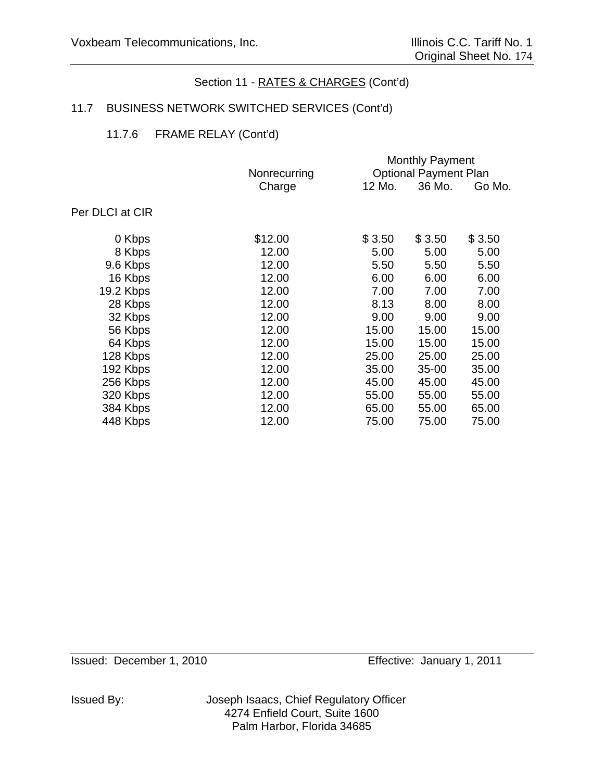# 11.7 BUSINESS NETWORK SWITCHED SERVICES (Cont'd)

# 11.7.6 FRAME RELAY (Cont'd)

|                 | <b>Monthly Payment</b> |        |                              |        |
|-----------------|------------------------|--------|------------------------------|--------|
|                 | Nonrecurring           |        | <b>Optional Payment Plan</b> |        |
|                 | Charge                 | 12 Mo. | 36 Mo.                       | Go Mo. |
| Per DLCI at CIR |                        |        |                              |        |
| 0 Kbps          | \$12.00                | \$3.50 | \$3.50                       | \$3.50 |
| 8 Kbps          | 12.00                  | 5.00   | 5.00                         | 5.00   |
| 9.6 Kbps        | 12.00                  | 5.50   | 5.50                         | 5.50   |
| 16 Kbps         | 12.00                  | 6.00   | 6.00                         | 6.00   |
| 19.2 Kbps       | 12.00                  | 7.00   | 7.00                         | 7.00   |
| 28 Kbps         | 12.00                  | 8.13   | 8.00                         | 8.00   |
| 32 Kbps         | 12.00                  | 9.00   | 9.00                         | 9.00   |
| 56 Kbps         | 12.00                  | 15.00  | 15.00                        | 15.00  |
| 64 Kbps         | 12.00                  | 15.00  | 15.00                        | 15.00  |
| 128 Kbps        | 12.00                  | 25.00  | 25.00                        | 25.00  |
| 192 Kbps        | 12.00                  | 35.00  | $35 - 00$                    | 35.00  |
| 256 Kbps        | 12.00                  | 45.00  | 45.00                        | 45.00  |
| 320 Kbps        | 12.00                  | 55.00  | 55.00                        | 55.00  |
| 384 Kbps        | 12.00                  | 65.00  | 55.00                        | 65.00  |
| 448 Kbps        | 12.00                  | 75.00  | 75.00                        | 75.00  |
|                 |                        |        |                              |        |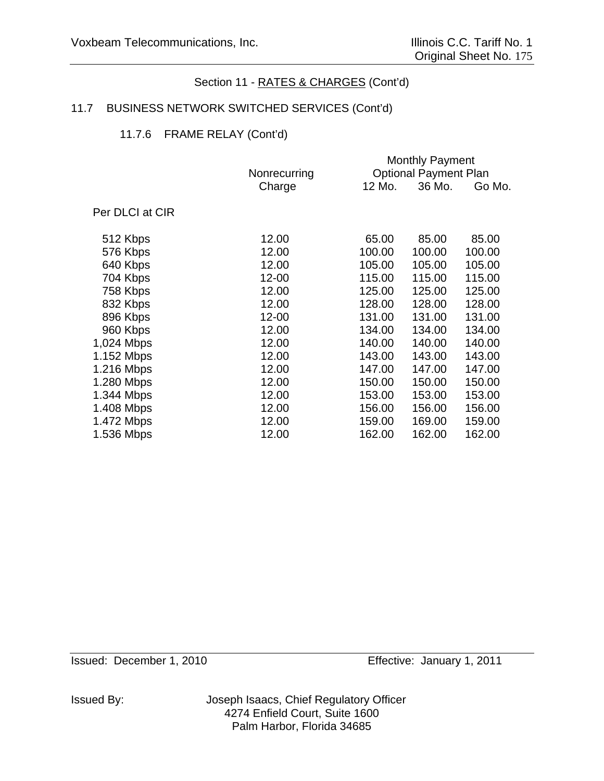## 11.7 BUSINESS NETWORK SWITCHED SERVICES (Cont'd)

## 11.7.6 FRAME RELAY (Cont'd)

|                 | <b>Monthly Payment</b> |        |                              |        |
|-----------------|------------------------|--------|------------------------------|--------|
|                 | Nonrecurring           |        | <b>Optional Payment Plan</b> |        |
|                 | Charge                 | 12 Mo. | 36 Mo.                       | Go Mo. |
|                 |                        |        |                              |        |
| Per DLCI at CIR |                        |        |                              |        |
|                 |                        |        |                              |        |
| 512 Kbps        | 12.00                  | 65.00  | 85.00                        | 85.00  |
| 576 Kbps        | 12.00                  | 100.00 | 100.00                       | 100.00 |
| 640 Kbps        | 12.00                  | 105.00 | 105.00                       | 105.00 |
| 704 Kbps        | 12-00                  | 115.00 | 115.00                       | 115.00 |
| 758 Kbps        | 12.00                  | 125.00 | 125.00                       | 125.00 |
| 832 Kbps        | 12.00                  | 128.00 | 128.00                       | 128.00 |
| 896 Kbps        | 12-00                  | 131.00 | 131.00                       | 131.00 |
| 960 Kbps        | 12.00                  | 134.00 | 134.00                       | 134.00 |
| 1,024 Mbps      | 12.00                  | 140.00 | 140.00                       | 140.00 |
| 1.152 Mbps      | 12.00                  | 143.00 | 143.00                       | 143.00 |
| 1.216 Mbps      | 12.00                  | 147.00 | 147.00                       | 147.00 |
| 1.280 Mbps      | 12.00                  | 150.00 | 150.00                       | 150.00 |
| 1.344 Mbps      | 12.00                  | 153.00 | 153.00                       | 153.00 |
| 1.408 Mbps      | 12.00                  | 156.00 | 156.00                       | 156.00 |
| 1.472 Mbps      | 12.00                  | 159.00 | 169.00                       | 159.00 |
| 1.536 Mbps      | 12.00                  | 162.00 | 162.00                       | 162.00 |
|                 |                        |        |                              |        |

Issued: December 1, 2010 Effective: January 1, 2011

Issued By: Joseph Isaacs, Chief Regulatory Officer 4274 Enfield Court, Suite 1600 Palm Harbor, Florida 34685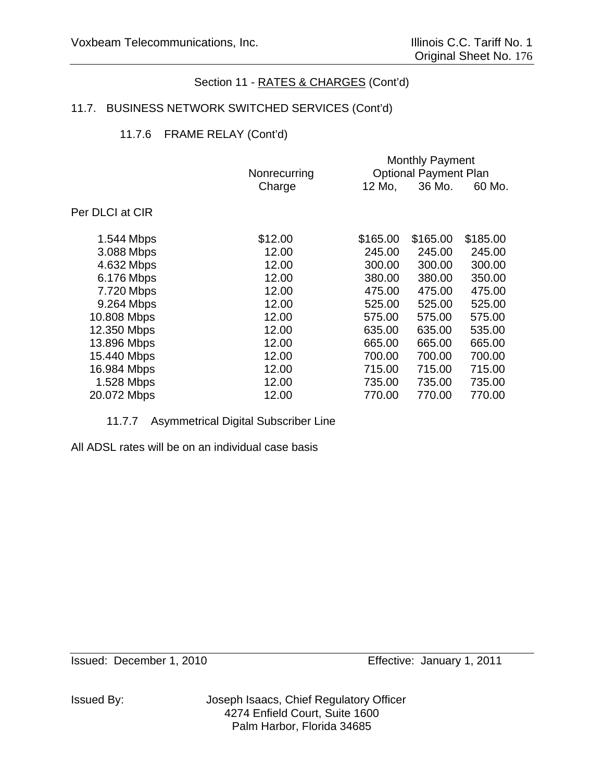# 11.7. BUSINESS NETWORK SWITCHED SERVICES (Cont'd)

# 11.7.6 FRAME RELAY (Cont'd)

|                 |              |          | <b>Monthly Payment</b>       |          |
|-----------------|--------------|----------|------------------------------|----------|
|                 | Nonrecurring |          | <b>Optional Payment Plan</b> |          |
|                 | Charge       | 12 Mo,   | 36 Mo.                       | 60 Mo.   |
| Per DLCI at CIR |              |          |                              |          |
| 1.544 Mbps      | \$12.00      | \$165.00 | \$165.00                     | \$185.00 |
| 3.088 Mbps      | 12.00        | 245.00   | 245.00                       | 245.00   |
| 4.632 Mbps      | 12.00        | 300.00   | 300.00                       | 300.00   |
| 6.176 Mbps      | 12.00        | 380.00   | 380.00                       | 350.00   |
| 7.720 Mbps      | 12.00        | 475.00   | 475.00                       | 475.00   |
| 9.264 Mbps      | 12.00        | 525.00   | 525.00                       | 525.00   |
| 10.808 Mbps     | 12.00        | 575.00   | 575.00                       | 575.00   |
| 12.350 Mbps     | 12.00        | 635.00   | 635.00                       | 535.00   |
| 13.896 Mbps     | 12.00        | 665.00   | 665.00                       | 665.00   |
| 15.440 Mbps     | 12.00        | 700.00   | 700.00                       | 700.00   |
| 16.984 Mbps     | 12.00        | 715.00   | 715.00                       | 715.00   |
| 1.528 Mbps      | 12.00        | 735.00   | 735.00                       | 735.00   |
| 20.072 Mbps     | 12.00        | 770.00   | 770.00                       | 770.00   |
|                 |              |          |                              |          |

## 11.7.7 Asymmetrical Digital Subscriber Line

All ADSL rates will be on an individual case basis

Issued By: Joseph Isaacs, Chief Regulatory Officer 4274 Enfield Court, Suite 1600 Palm Harbor, Florida 34685